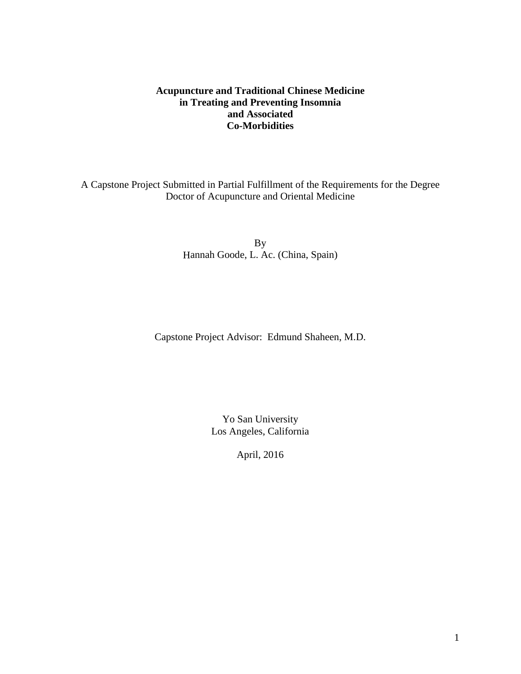### **Acupuncture and Traditional Chinese Medicine in Treating and Preventing Insomnia and Associated Co-Morbidities**

A Capstone Project Submitted in Partial Fulfillment of the Requirements for the Degree Doctor of Acupuncture and Oriental Medicine

> By Hannah Goode, L. Ac. (China, Spain)

Capstone Project Advisor: Edmund Shaheen, M.D.

Yo San University Los Angeles, California

April, 2016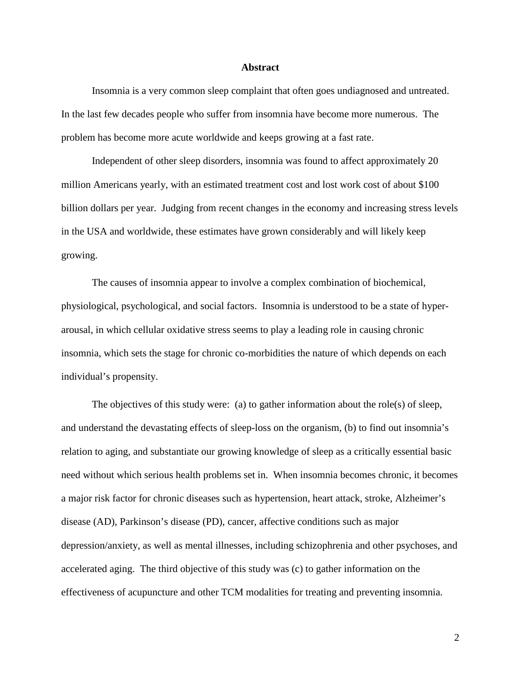#### **Abstract**

Insomnia is a very common sleep complaint that often goes undiagnosed and untreated. In the last few decades people who suffer from insomnia have become more numerous. The problem has become more acute worldwide and keeps growing at a fast rate.

Independent of other sleep disorders, insomnia was found to affect approximately 20 million Americans yearly, with an estimated treatment cost and lost work cost of about \$100 billion dollars per year. Judging from recent changes in the economy and increasing stress levels in the USA and worldwide, these estimates have grown considerably and will likely keep growing.

The causes of insomnia appear to involve a complex combination of biochemical, physiological, psychological, and social factors. Insomnia is understood to be a state of hyperarousal, in which cellular oxidative stress seems to play a leading role in causing chronic insomnia, which sets the stage for chronic co-morbidities the nature of which depends on each individual's propensity.

The objectives of this study were: (a) to gather information about the role(s) of sleep, and understand the devastating effects of sleep-loss on the organism, (b) to find out insomnia's relation to aging, and substantiate our growing knowledge of sleep as a critically essential basic need without which serious health problems set in. When insomnia becomes chronic, it becomes a major risk factor for chronic diseases such as hypertension, heart attack, stroke, Alzheimer's disease (AD), Parkinson's disease (PD), cancer, affective conditions such as major depression/anxiety, as well as mental illnesses, including schizophrenia and other psychoses, and accelerated aging. The third objective of this study was (c) to gather information on the effectiveness of acupuncture and other TCM modalities for treating and preventing insomnia.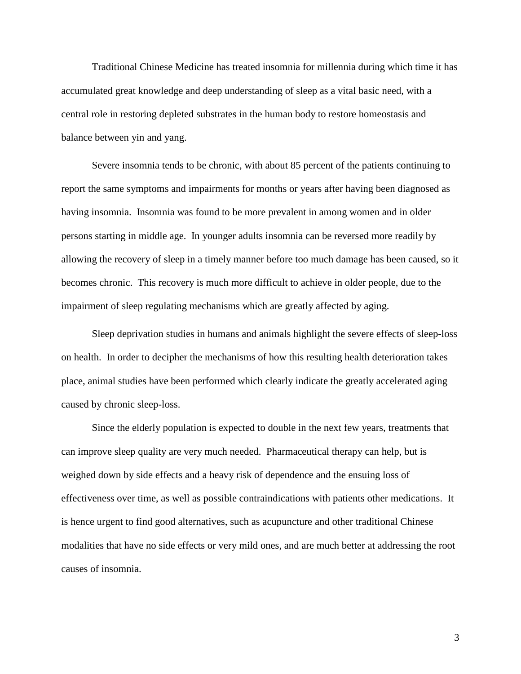Traditional Chinese Medicine has treated insomnia for millennia during which time it has accumulated great knowledge and deep understanding of sleep as a vital basic need, with a central role in restoring depleted substrates in the human body to restore homeostasis and balance between yin and yang.

Severe insomnia tends to be chronic, with about 85 percent of the patients continuing to report the same symptoms and impairments for months or years after having been diagnosed as having insomnia. Insomnia was found to be more prevalent in among women and in older persons starting in middle age. In younger adults insomnia can be reversed more readily by allowing the recovery of sleep in a timely manner before too much damage has been caused, so it becomes chronic. This recovery is much more difficult to achieve in older people, due to the impairment of sleep regulating mechanisms which are greatly affected by aging.

Sleep deprivation studies in humans and animals highlight the severe effects of sleep-loss on health. In order to decipher the mechanisms of how this resulting health deterioration takes place, animal studies have been performed which clearly indicate the greatly accelerated aging caused by chronic sleep-loss.

Since the elderly population is expected to double in the next few years, treatments that can improve sleep quality are very much needed. Pharmaceutical therapy can help, but is weighed down by side effects and a heavy risk of dependence and the ensuing loss of effectiveness over time, as well as possible contraindications with patients other medications. It is hence urgent to find good alternatives, such as acupuncture and other traditional Chinese modalities that have no side effects or very mild ones, and are much better at addressing the root causes of insomnia.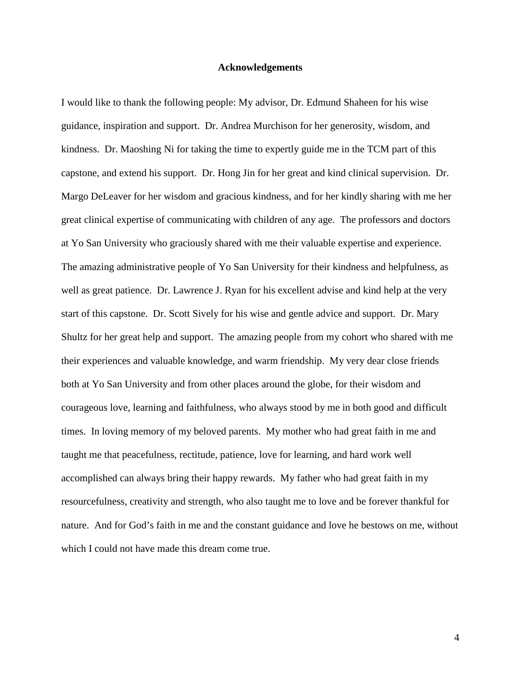#### **Acknowledgements**

I would like to thank the following people: My advisor, Dr. Edmund Shaheen for his wise guidance, inspiration and support. Dr. Andrea Murchison for her generosity, wisdom, and kindness. Dr. Maoshing Ni for taking the time to expertly guide me in the TCM part of this capstone, and extend his support. Dr. Hong Jin for her great and kind clinical supervision. Dr. Margo DeLeaver for her wisdom and gracious kindness, and for her kindly sharing with me her great clinical expertise of communicating with children of any age. The professors and doctors at Yo San University who graciously shared with me their valuable expertise and experience. The amazing administrative people of Yo San University for their kindness and helpfulness, as well as great patience. Dr. Lawrence J. Ryan for his excellent advise and kind help at the very start of this capstone. Dr. Scott Sively for his wise and gentle advice and support. Dr. Mary Shultz for her great help and support. The amazing people from my cohort who shared with me their experiences and valuable knowledge, and warm friendship. My very dear close friends both at Yo San University and from other places around the globe, for their wisdom and courageous love, learning and faithfulness, who always stood by me in both good and difficult times. In loving memory of my beloved parents. My mother who had great faith in me and taught me that peacefulness, rectitude, patience, love for learning, and hard work well accomplished can always bring their happy rewards. My father who had great faith in my resourcefulness, creativity and strength, who also taught me to love and be forever thankful for nature. And for God's faith in me and the constant guidance and love he bestows on me, without which I could not have made this dream come true.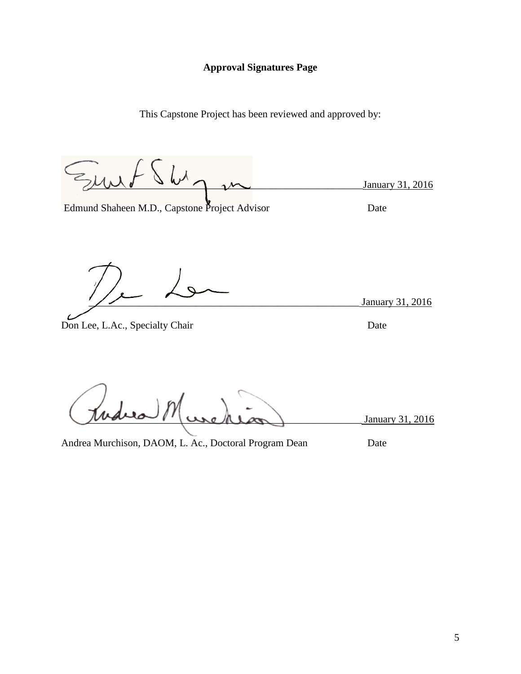### **Approval Signatures Page**

This Capstone Project has been reviewed and approved by:

\_\_\_\_\_\_\_\_\_\_\_\_\_\_\_\_\_\_\_\_\_\_\_\_\_\_\_\_\_\_\_\_\_\_\_\_\_\_\_\_\_\_\_\_\_\_\_\_\_\_\_\_\_\_January 31, 2016

Edmund Shaheen M.D., Capstone Project Advisor Date

January 31, 2016

Don Lee, L.Ac., Specialty Chair Date

January 31, 2016

Andrea Murchison, DAOM, L. Ac., Doctoral Program Dean Date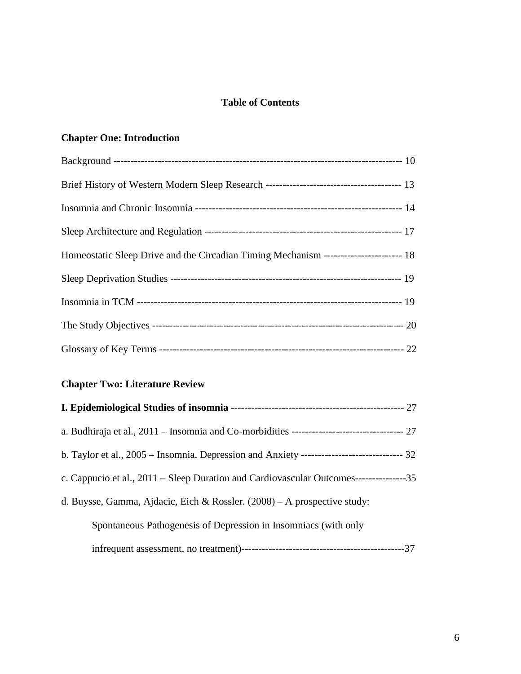## **Table of Contents**

## **Chapter One: Introduction**

| Homeostatic Sleep Drive and the Circadian Timing Mechanism ---------------------- 18 |  |
|--------------------------------------------------------------------------------------|--|
|                                                                                      |  |
|                                                                                      |  |
|                                                                                      |  |
|                                                                                      |  |

## **Chapter Two: Literature Review**

| b. Taylor et al., $2005 -$ Insomnia, Depression and Anxiety ----------------------------------- 32 |  |
|----------------------------------------------------------------------------------------------------|--|
| c. Cappucio et al., 2011 – Sleep Duration and Cardiovascular Outcomes----------------35            |  |
| d. Buysse, Gamma, Ajdacic, Eich & Rossler. $(2008)$ – A prospective study:                         |  |
| Spontaneous Pathogenesis of Depression in Insomniacs (with only                                    |  |
|                                                                                                    |  |

infrequent assessment, no treatment)------------------------------------------------37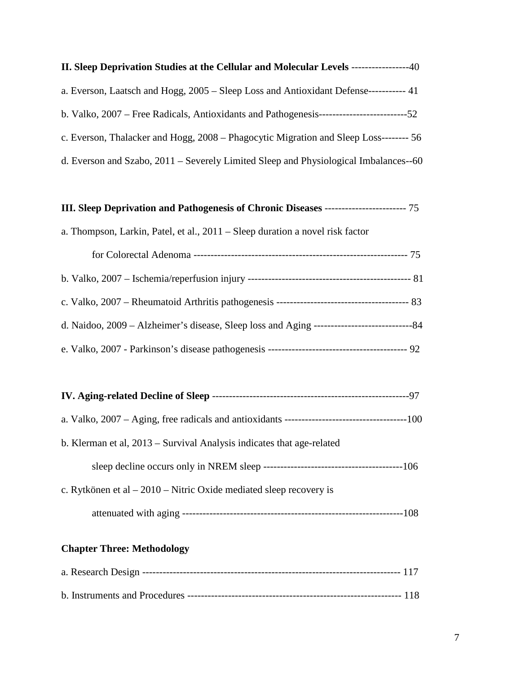| <b>II. Sleep Deprivation Studies at the Cellular and Molecular Levels -------------</b><br>-40 |
|------------------------------------------------------------------------------------------------|
| a. Everson, Laatsch and Hogg, 2005 – Sleep Loss and Antioxidant Defense------------ 41         |
|                                                                                                |
| c. Everson, Thalacker and Hogg, 2008 – Phagocytic Migration and Sleep Loss-------- 56          |
| d. Everson and Szabo, $2011$ – Severely Limited Sleep and Physiological Imbalances--60         |

# **III. Sleep Deprivation and Pathogenesis of Chronic Diseases** ------------------------ 75

| a. Thompson, Larkin, Patel, et al., 2011 – Sleep duration a novel risk factor |  |  |  |  |
|-------------------------------------------------------------------------------|--|--|--|--|
|                                                                               |  |  |  |  |

| b. Klerman et al, 2013 – Survival Analysis indicates that age-related |
|-----------------------------------------------------------------------|
|                                                                       |
| c. Rytkönen et al $-2010$ – Nitric Oxide mediated sleep recovery is   |
|                                                                       |

## **Chapter Three: Methodology**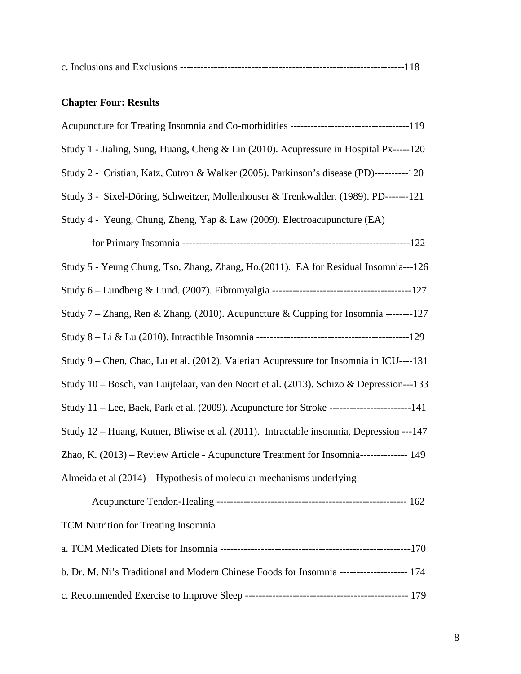| c. Inclusions and Exclusions |  |
|------------------------------|--|
|------------------------------|--|

# **Chapter Four: Results**

| Study 1 - Jialing, Sung, Huang, Cheng & Lin (2010). Acupressure in Hospital Px-----120        |
|-----------------------------------------------------------------------------------------------|
| Study 2 - Cristian, Katz, Cutron & Walker (2005). Parkinson's disease (PD)----------120       |
| Study 3 - Sixel-Döring, Schweitzer, Mollenhouser & Trenkwalder. (1989). PD-------121          |
| Study 4 - Yeung, Chung, Zheng, Yap & Law (2009). Electroacupuncture (EA)                      |
|                                                                                               |
| Study 5 - Yeung Chung, Tso, Zhang, Zhang, Ho.(2011). EA for Residual Insomnia---126           |
|                                                                                               |
| Study 7 – Zhang, Ren & Zhang. (2010). Acupuncture & Cupping for Insomnia --------127          |
|                                                                                               |
| Study 9 – Chen, Chao, Lu et al. (2012). Valerian Acupressure for Insomnia in ICU----131       |
| Study 10 – Bosch, van Luijtelaar, van den Noort et al. (2013). Schizo & Depression---133      |
| Study 11 – Lee, Baek, Park et al. (2009). Acupuncture for Stroke -------------------------141 |
| Study 12 – Huang, Kutner, Bliwise et al. (2011). Intractable insomnia, Depression ---147      |
| Zhao, K. (2013) – Review Article - Acupuncture Treatment for Insomnia--------------- 149      |
| Almeida et al (2014) – Hypothesis of molecular mechanisms underlying                          |
|                                                                                               |
| TCM Nutrition for Treating Insomnia                                                           |
|                                                                                               |
| b. Dr. M. Ni's Traditional and Modern Chinese Foods for Insomnia -------------------- 174     |
|                                                                                               |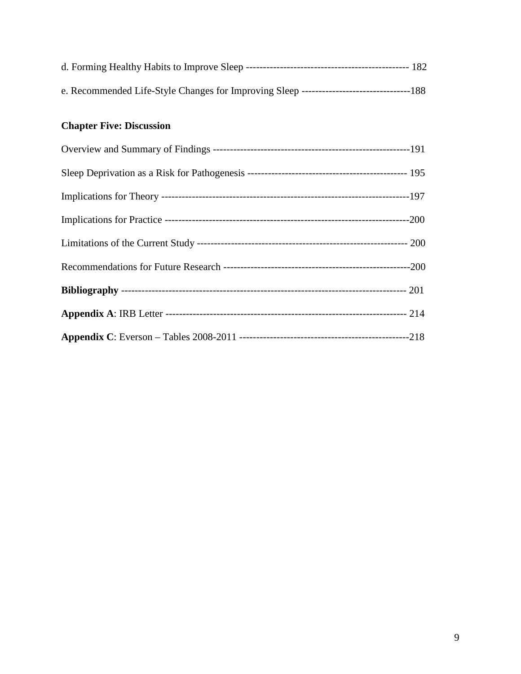## **Chapter Five: Discussion**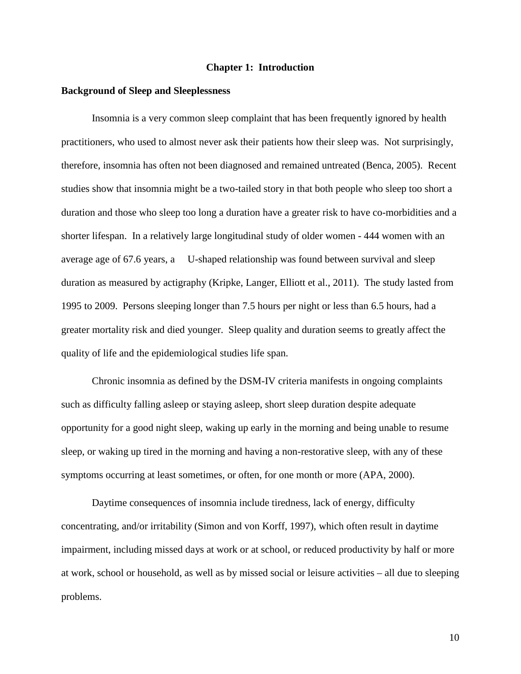#### **Chapter 1: Introduction**

#### **Background of Sleep and Sleeplessness**

Insomnia is a very common sleep complaint that has been frequently ignored by health practitioners, who used to almost never ask their patients how their sleep was. Not surprisingly, therefore, insomnia has often not been diagnosed and remained untreated (Benca, 2005). Recent studies show that insomnia might be a two-tailed story in that both people who sleep too short a duration and those who sleep too long a duration have a greater risk to have co-morbidities and a shorter lifespan. In a relatively large longitudinal study of older women - 444 women with an average age of 67.6 years, a U-shaped relationship was found between survival and sleep duration as measured by actigraphy (Kripke, Langer, Elliott et al., 2011). The study lasted from 1995 to 2009. Persons sleeping longer than 7.5 hours per night or less than 6.5 hours, had a greater mortality risk and died younger. Sleep quality and duration seems to greatly affect the quality of life and the epidemiological studies life span.

Chronic insomnia as defined by the DSM-IV criteria manifests in ongoing complaints such as difficulty falling asleep or staying asleep, short sleep duration despite adequate opportunity for a good night sleep, waking up early in the morning and being unable to resume sleep, or waking up tired in the morning and having a non-restorative sleep, with any of these symptoms occurring at least sometimes, or often, for one month or more (APA, 2000).

Daytime consequences of insomnia include tiredness, lack of energy, difficulty concentrating, and/or irritability (Simon and von Korff, 1997), which often result in daytime impairment, including missed days at work or at school, or reduced productivity by half or more at work, school or household, as well as by missed social or leisure activities – all due to sleeping problems.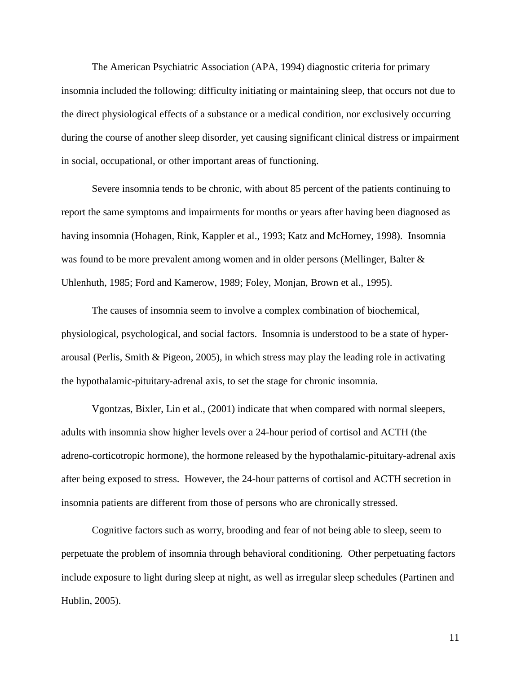The American Psychiatric Association (APA, 1994) diagnostic criteria for primary insomnia included the following: difficulty initiating or maintaining sleep, that occurs not due to the direct physiological effects of a substance or a medical condition, nor exclusively occurring during the course of another sleep disorder, yet causing significant clinical distress or impairment in social, occupational, or other important areas of functioning.

Severe insomnia tends to be chronic, with about 85 percent of the patients continuing to report the same symptoms and impairments for months or years after having been diagnosed as having insomnia (Hohagen, Rink, Kappler et al., 1993; Katz and McHorney, 1998). Insomnia was found to be more prevalent among women and in older persons (Mellinger, Balter & Uhlenhuth, 1985; Ford and Kamerow, 1989; Foley, Monjan, Brown et al., 1995).

The causes of insomnia seem to involve a complex combination of biochemical, physiological, psychological, and social factors. Insomnia is understood to be a state of hyperarousal (Perlis, Smith & Pigeon, 2005), in which stress may play the leading role in activating the hypothalamic-pituitary-adrenal axis, to set the stage for chronic insomnia.

Vgontzas, Bixler, Lin et al., (2001) indicate that when compared with normal sleepers, adults with insomnia show higher levels over a 24-hour period of cortisol and ACTH (the adreno-corticotropic hormone), the hormone released by the hypothalamic-pituitary-adrenal axis after being exposed to stress. However, the 24-hour patterns of cortisol and ACTH secretion in insomnia patients are different from those of persons who are chronically stressed.

Cognitive factors such as worry, brooding and fear of not being able to sleep, seem to perpetuate the problem of insomnia through behavioral conditioning. Other perpetuating factors include exposure to light during sleep at night, as well as irregular sleep schedules (Partinen and Hublin, 2005).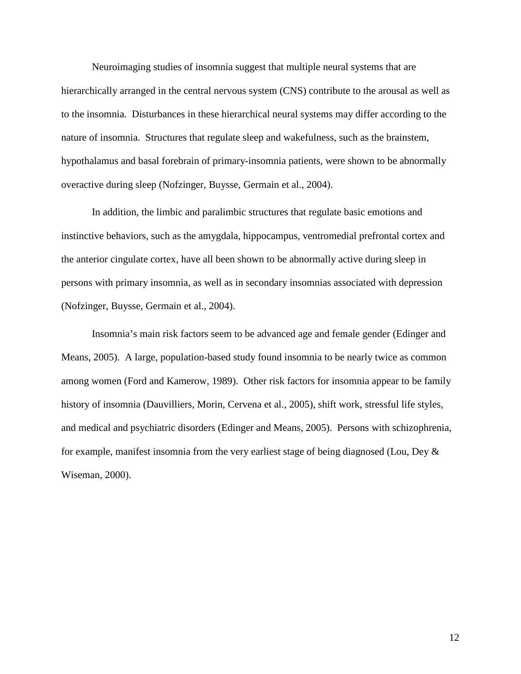Neuroimaging studies of insomnia suggest that multiple neural systems that are hierarchically arranged in the central nervous system (CNS) contribute to the arousal as well as to the insomnia. Disturbances in these hierarchical neural systems may differ according to the nature of insomnia. Structures that regulate sleep and wakefulness, such as the brainstem, hypothalamus and basal forebrain of primary-insomnia patients, were shown to be abnormally overactive during sleep (Nofzinger, Buysse, Germain et al., 2004).

In addition, the limbic and paralimbic structures that regulate basic emotions and instinctive behaviors, such as the amygdala, hippocampus, ventromedial prefrontal cortex and the anterior cingulate cortex, have all been shown to be abnormally active during sleep in persons with primary insomnia, as well as in secondary insomnias associated with depression (Nofzinger, Buysse, Germain et al., 2004).

Insomnia's main risk factors seem to be advanced age and female gender (Edinger and Means, 2005). A large, population-based study found insomnia to be nearly twice as common among women (Ford and Kamerow, 1989). Other risk factors for insomnia appear to be family history of insomnia (Dauvilliers, Morin, Cervena et al., 2005), shift work, stressful life styles, and medical and psychiatric disorders (Edinger and Means, 2005). Persons with schizophrenia, for example, manifest insomnia from the very earliest stage of being diagnosed (Lou, Dey & Wiseman, 2000).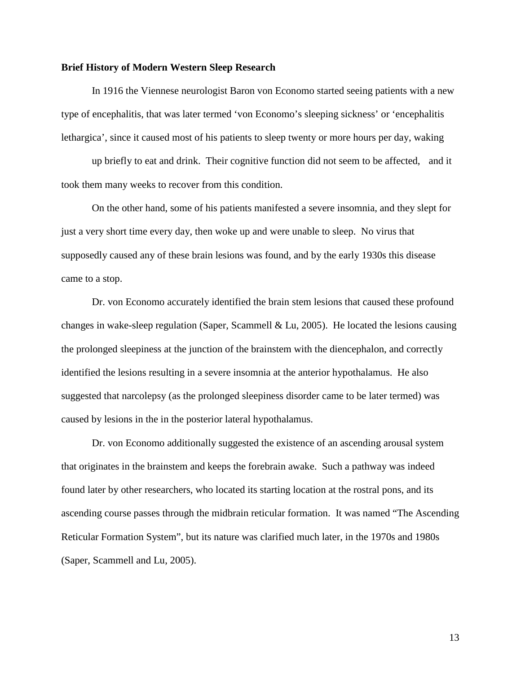#### **Brief History of Modern Western Sleep Research**

In 1916 the Viennese neurologist Baron von Economo started seeing patients with a new type of encephalitis, that was later termed 'von Economo's sleeping sickness' or 'encephalitis lethargica', since it caused most of his patients to sleep twenty or more hours per day, waking

up briefly to eat and drink. Their cognitive function did not seem to be affected, and it took them many weeks to recover from this condition.

On the other hand, some of his patients manifested a severe insomnia, and they slept for just a very short time every day, then woke up and were unable to sleep. No virus that supposedly caused any of these brain lesions was found, and by the early 1930s this disease came to a stop.

Dr. von Economo accurately identified the brain stem lesions that caused these profound changes in wake-sleep regulation (Saper, Scammell & Lu, 2005). He located the lesions causing the prolonged sleepiness at the junction of the brainstem with the diencephalon, and correctly identified the lesions resulting in a severe insomnia at the anterior hypothalamus. He also suggested that narcolepsy (as the prolonged sleepiness disorder came to be later termed) was caused by lesions in the in the posterior lateral hypothalamus.

Dr. von Economo additionally suggested the existence of an ascending arousal system that originates in the brainstem and keeps the forebrain awake. Such a pathway was indeed found later by other researchers, who located its starting location at the rostral pons, and its ascending course passes through the midbrain reticular formation. It was named "The Ascending Reticular Formation System", but its nature was clarified much later, in the 1970s and 1980s (Saper, Scammell and Lu, 2005).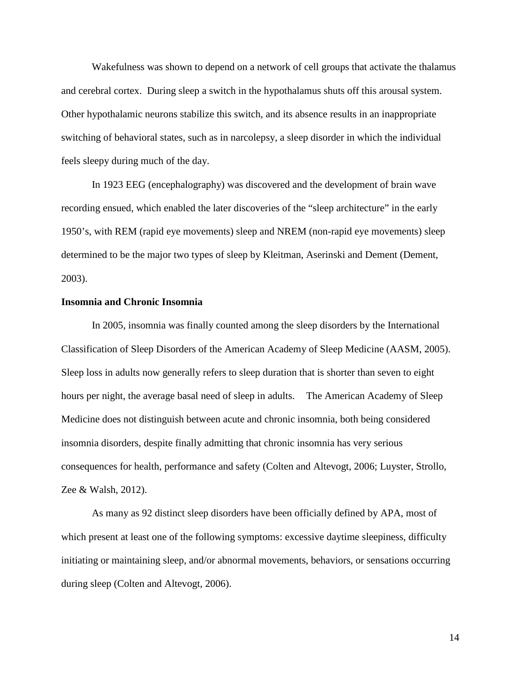Wakefulness was shown to depend on a network of cell groups that activate the thalamus and cerebral cortex. During sleep a switch in the hypothalamus shuts off this arousal system. Other hypothalamic neurons stabilize this switch, and its absence results in an inappropriate switching of behavioral states, such as in narcolepsy, a sleep disorder in which the individual feels sleepy during much of the day.

In 1923 EEG (encephalography) was discovered and the development of brain wave recording ensued, which enabled the later discoveries of the "sleep architecture" in the early 1950's, with REM (rapid eye movements) sleep and NREM (non-rapid eye movements) sleep determined to be the major two types of sleep by Kleitman, Aserinski and Dement (Dement, 2003).

#### **Insomnia and Chronic Insomnia**

In 2005, insomnia was finally counted among the sleep disorders by the International Classification of Sleep Disorders of the American Academy of Sleep Medicine (AASM, 2005). Sleep loss in adults now generally refers to sleep duration that is shorter than seven to eight hours per night, the average basal need of sleep in adults. The American Academy of Sleep Medicine does not distinguish between acute and chronic insomnia, both being considered insomnia disorders, despite finally admitting that chronic insomnia has very serious consequences for health, performance and safety (Colten and Altevogt, 2006; Luyster, Strollo, Zee & Walsh, 2012).

As many as 92 distinct sleep disorders have been officially defined by APA, most of which present at least one of the following symptoms: excessive daytime sleepiness, difficulty initiating or maintaining sleep, and/or abnormal movements, behaviors, or sensations occurring during sleep (Colten and Altevogt, 2006).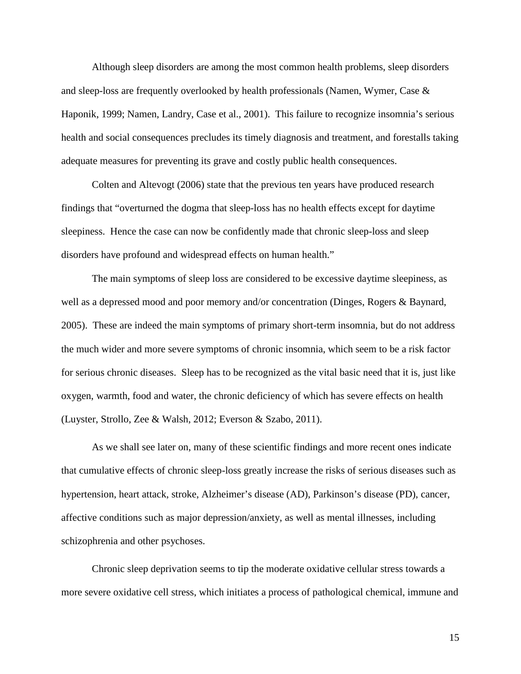Although sleep disorders are among the most common health problems, sleep disorders and sleep-loss are frequently overlooked by health professionals (Namen, Wymer, Case & Haponik, 1999; Namen, Landry, Case et al., 2001). This failure to recognize insomnia's serious health and social consequences precludes its timely diagnosis and treatment, and forestalls taking adequate measures for preventing its grave and costly public health consequences.

Colten and Altevogt (2006) state that the previous ten years have produced research findings that "overturned the dogma that sleep-loss has no health effects except for daytime sleepiness. Hence the case can now be confidently made that chronic sleep-loss and sleep disorders have profound and widespread effects on human health."

The main symptoms of sleep loss are considered to be excessive daytime sleepiness, as well as a depressed mood and poor memory and/or concentration (Dinges, Rogers & Baynard, 2005). These are indeed the main symptoms of primary short-term insomnia, but do not address the much wider and more severe symptoms of chronic insomnia, which seem to be a risk factor for serious chronic diseases. Sleep has to be recognized as the vital basic need that it is, just like oxygen, warmth, food and water, the chronic deficiency of which has severe effects on health (Luyster, Strollo, Zee & Walsh, 2012; Everson & Szabo, 2011).

As we shall see later on, many of these scientific findings and more recent ones indicate that cumulative effects of chronic sleep-loss greatly increase the risks of serious diseases such as hypertension, heart attack, stroke, Alzheimer's disease (AD), Parkinson's disease (PD), cancer, affective conditions such as major depression/anxiety, as well as mental illnesses, including schizophrenia and other psychoses.

Chronic sleep deprivation seems to tip the moderate oxidative cellular stress towards a more severe oxidative cell stress, which initiates a process of pathological chemical, immune and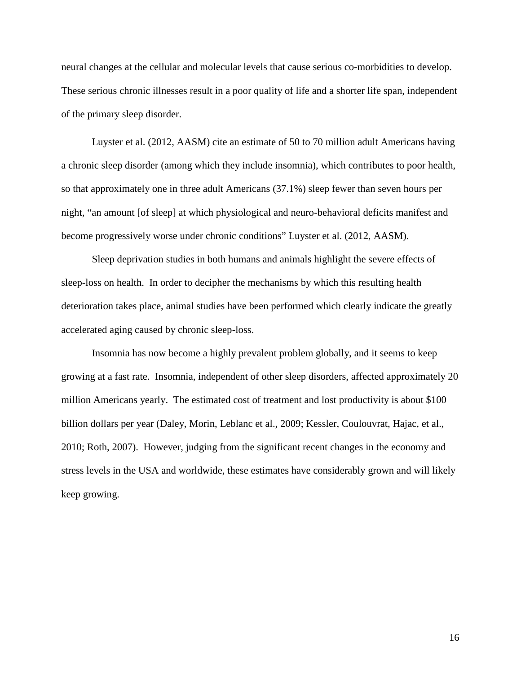neural changes at the cellular and molecular levels that cause serious co-morbidities to develop. These serious chronic illnesses result in a poor quality of life and a shorter life span, independent of the primary sleep disorder.

Luyster et al. (2012, AASM) cite an estimate of 50 to 70 million adult Americans having a chronic sleep disorder (among which they include insomnia), which contributes to poor health, so that approximately one in three adult Americans (37.1%) sleep fewer than seven hours per night, "an amount [of sleep] at which physiological and neuro-behavioral deficits manifest and become progressively worse under chronic conditions" Luyster et al. (2012, AASM).

Sleep deprivation studies in both humans and animals highlight the severe effects of sleep-loss on health. In order to decipher the mechanisms by which this resulting health deterioration takes place, animal studies have been performed which clearly indicate the greatly accelerated aging caused by chronic sleep-loss.

Insomnia has now become a highly prevalent problem globally, and it seems to keep growing at a fast rate. Insomnia, independent of other sleep disorders, affected approximately 20 million Americans yearly. The estimated cost of treatment and lost productivity is about \$100 billion dollars per year (Daley, Morin, Leblanc et al., 2009; Kessler, Coulouvrat, Hajac, et al., 2010; Roth, 2007). However, judging from the significant recent changes in the economy and stress levels in the USA and worldwide, these estimates have considerably grown and will likely keep growing.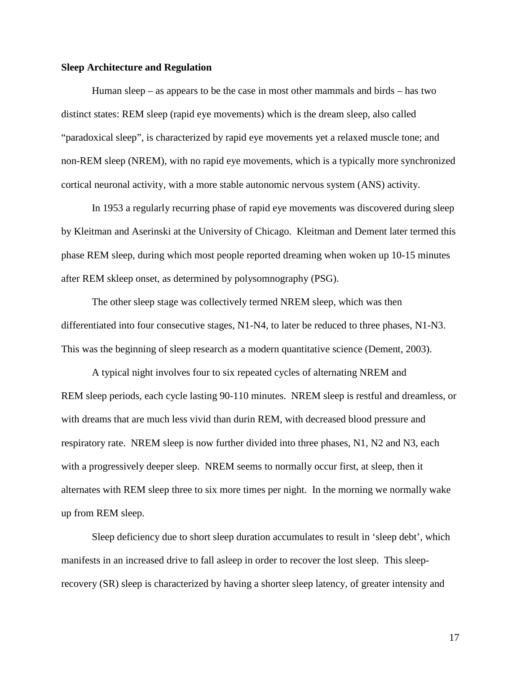#### **Sleep Architecture and Regulation**

Human sleep – as appears to be the case in most other mammals and birds – has two distinct states: REM sleep (rapid eye movements) which is the dream sleep, also called "paradoxical sleep", is characterized by rapid eye movements yet a relaxed muscle tone; and non-REM sleep (NREM), with no rapid eye movements, which is a typically more synchronized cortical neuronal activity, with a more stable autonomic nervous system (ANS) activity.

In 1953 a regularly recurring phase of rapid eye movements was discovered during sleep by Kleitman and Aserinski at the University of Chicago. Kleitman and Dement later termed this phase REM sleep, during which most people reported dreaming when woken up 10-15 minutes after REM skleep onset, as determined by polysomnography (PSG).

The other sleep stage was collectively termed NREM sleep, which was then differentiated into four consecutive stages, N1-N4, to later be reduced to three phases, N1-N3. This was the beginning of sleep research as a modern quantitative science (Dement, 2003).

A typical night involves four to six repeated cycles of alternating NREM and REM sleep periods, each cycle lasting 90-110 minutes. NREM sleep is restful and dreamless, or with dreams that are much less vivid than durin REM, with decreased blood pressure and respiratory rate. NREM sleep is now further divided into three phases, N1, N2 and N3, each with a progressively deeper sleep. NREM seems to normally occur first, at sleep, then it alternates with REM sleep three to six more times per night. In the morning we normally wake up from REM sleep.

Sleep deficiency due to short sleep duration accumulates to result in 'sleep debt', which manifests in an increased drive to fall asleep in order to recover the lost sleep. This sleeprecovery (SR) sleep is characterized by having a shorter sleep latency, of greater intensity and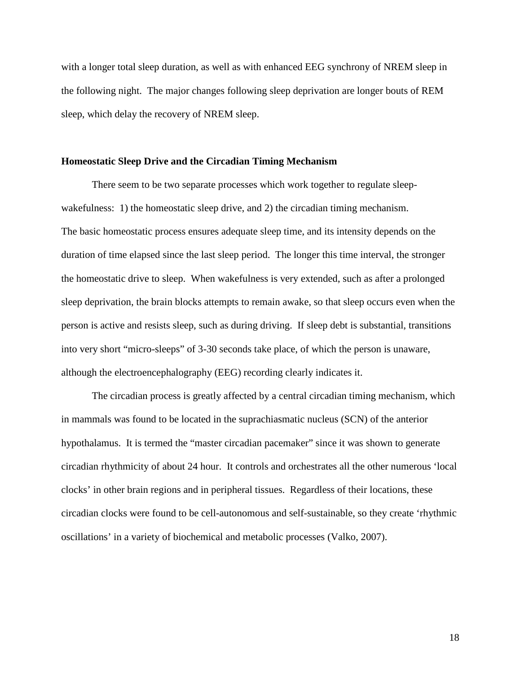with a longer total sleep duration, as well as with enhanced EEG synchrony of NREM sleep in the following night. The major changes following sleep deprivation are longer bouts of REM sleep, which delay the recovery of NREM sleep.

#### **Homeostatic Sleep Drive and the Circadian Timing Mechanism**

There seem to be two separate processes which work together to regulate sleepwakefulness: 1) the homeostatic sleep drive, and 2) the circadian timing mechanism. The basic homeostatic process ensures adequate sleep time, and its intensity depends on the duration of time elapsed since the last sleep period. The longer this time interval, the stronger the homeostatic drive to sleep. When wakefulness is very extended, such as after a prolonged sleep deprivation, the brain blocks attempts to remain awake, so that sleep occurs even when the person is active and resists sleep, such as during driving. If sleep debt is substantial, transitions into very short "micro-sleeps" of 3-30 seconds take place, of which the person is unaware, although the electroencephalography (EEG) recording clearly indicates it.

The circadian process is greatly affected by a central circadian timing mechanism, which in mammals was found to be located in the suprachiasmatic nucleus (SCN) of the anterior hypothalamus. It is termed the "master circadian pacemaker" since it was shown to generate circadian rhythmicity of about 24 hour. It controls and orchestrates all the other numerous 'local clocks' in other brain regions and in peripheral tissues. Regardless of their locations, these circadian clocks were found to be cell-autonomous and self-sustainable, so they create 'rhythmic oscillations' in a variety of biochemical and metabolic processes (Valko, 2007).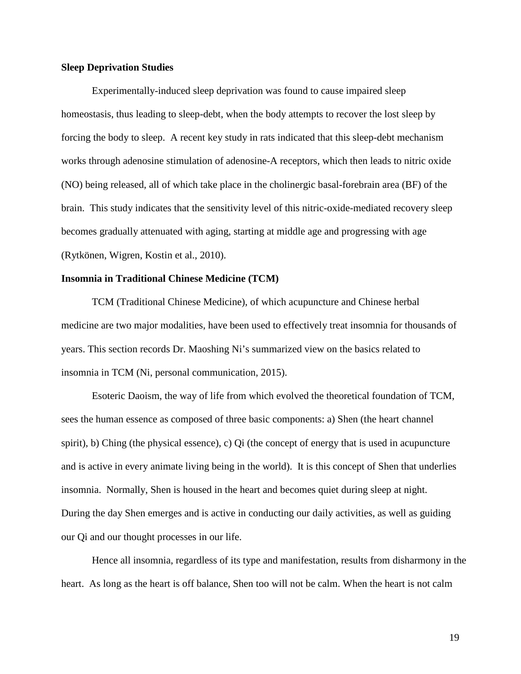#### **Sleep Deprivation Studies**

Experimentally-induced sleep deprivation was found to cause impaired sleep homeostasis, thus leading to sleep-debt, when the body attempts to recover the lost sleep by forcing the body to sleep. A recent key study in rats indicated that this sleep-debt mechanism works through adenosine stimulation of adenosine-A receptors, which then leads to nitric oxide (NO) being released, all of which take place in the cholinergic basal-forebrain area (BF) of the brain. This study indicates that the sensitivity level of this nitric-oxide-mediated recovery sleep becomes gradually attenuated with aging, starting at middle age and progressing with age (Rytkönen, Wigren, Kostin et al., 2010).

#### **Insomnia in Traditional Chinese Medicine (TCM)**

TCM (Traditional Chinese Medicine), of which acupuncture and Chinese herbal medicine are two major modalities, have been used to effectively treat insomnia for thousands of years. This section records Dr. Maoshing Ni's summarized view on the basics related to insomnia in TCM (Ni, personal communication, 2015).

Esoteric Daoism, the way of life from which evolved the theoretical foundation of TCM, sees the human essence as composed of three basic components: a) Shen (the heart channel spirit), b) Ching (the physical essence), c) Qi (the concept of energy that is used in acupuncture and is active in every animate living being in the world). It is this concept of Shen that underlies insomnia. Normally, Shen is housed in the heart and becomes quiet during sleep at night. During the day Shen emerges and is active in conducting our daily activities, as well as guiding our Qi and our thought processes in our life.

Hence all insomnia, regardless of its type and manifestation, results from disharmony in the heart. As long as the heart is off balance, Shen too will not be calm. When the heart is not calm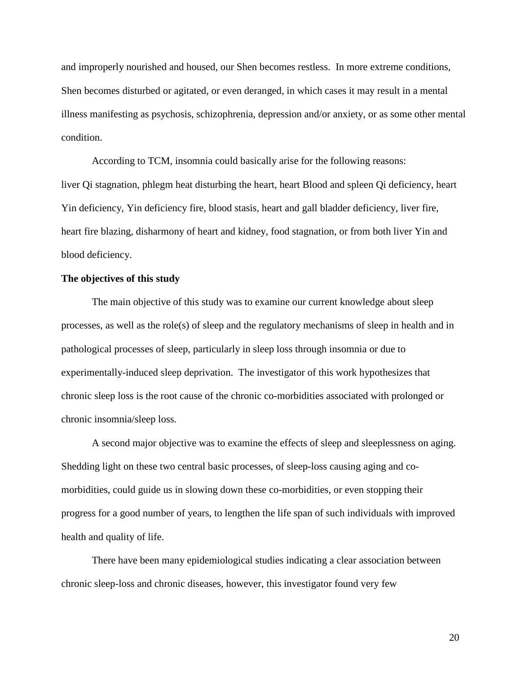and improperly nourished and housed, our Shen becomes restless. In more extreme conditions, Shen becomes disturbed or agitated, or even deranged, in which cases it may result in a mental illness manifesting as psychosis, schizophrenia, depression and/or anxiety, or as some other mental condition.

According to TCM, insomnia could basically arise for the following reasons: liver Qi stagnation, phlegm heat disturbing the heart, heart Blood and spleen Qi deficiency, heart Yin deficiency, Yin deficiency fire, blood stasis, heart and gall bladder deficiency, liver fire, heart fire blazing, disharmony of heart and kidney, food stagnation, or from both liver Yin and blood deficiency.

#### **The objectives of this study**

The main objective of this study was to examine our current knowledge about sleep processes, as well as the role(s) of sleep and the regulatory mechanisms of sleep in health and in pathological processes of sleep, particularly in sleep loss through insomnia or due to experimentally-induced sleep deprivation. The investigator of this work hypothesizes that chronic sleep loss is the root cause of the chronic co-morbidities associated with prolonged or chronic insomnia/sleep loss.

A second major objective was to examine the effects of sleep and sleeplessness on aging. Shedding light on these two central basic processes, of sleep-loss causing aging and comorbidities, could guide us in slowing down these co-morbidities, or even stopping their progress for a good number of years, to lengthen the life span of such individuals with improved health and quality of life.

There have been many epidemiological studies indicating a clear association between chronic sleep-loss and chronic diseases, however, this investigator found very few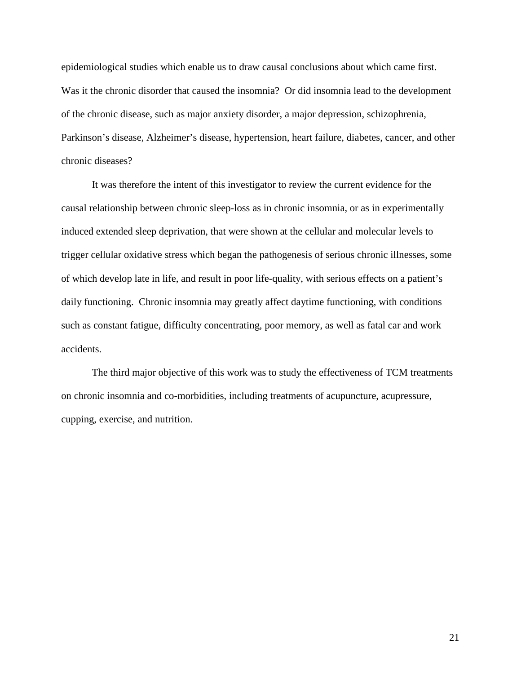epidemiological studies which enable us to draw causal conclusions about which came first. Was it the chronic disorder that caused the insomnia? Or did insomnia lead to the development of the chronic disease, such as major anxiety disorder, a major depression, schizophrenia, Parkinson's disease, Alzheimer's disease, hypertension, heart failure, diabetes, cancer, and other chronic diseases?

It was therefore the intent of this investigator to review the current evidence for the causal relationship between chronic sleep-loss as in chronic insomnia, or as in experimentally induced extended sleep deprivation, that were shown at the cellular and molecular levels to trigger cellular oxidative stress which began the pathogenesis of serious chronic illnesses, some of which develop late in life, and result in poor life-quality, with serious effects on a patient's daily functioning. Chronic insomnia may greatly affect daytime functioning, with conditions such as constant fatigue, difficulty concentrating, poor memory, as well as fatal car and work accidents.

The third major objective of this work was to study the effectiveness of TCM treatments on chronic insomnia and co-morbidities, including treatments of acupuncture, acupressure, cupping, exercise, and nutrition.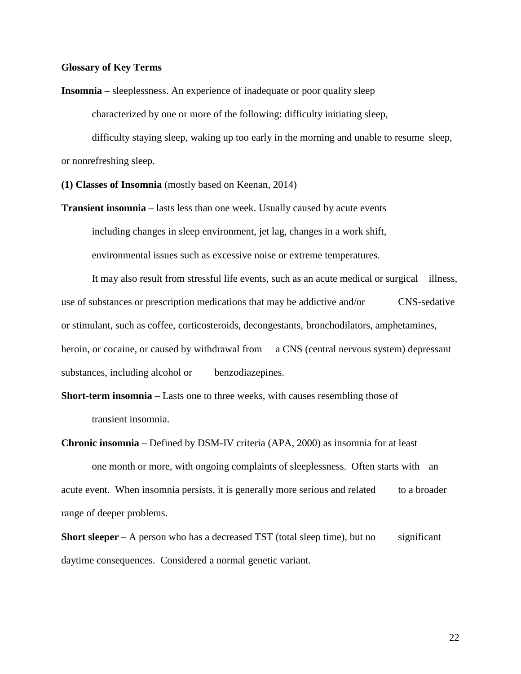#### **Glossary of Key Terms**

**Insomnia** – sleeplessness. An experience of inadequate or poor quality sleep

characterized by one or more of the following: difficulty initiating sleep,

difficulty staying sleep, waking up too early in the morning and unable to resume sleep, or nonrefreshing sleep.

**(1) Classes of Insomnia** (mostly based on Keenan, 2014)

**Transient insomnia** – lasts less than one week. Usually caused by acute events including changes in sleep environment, jet lag, changes in a work shift, environmental issues such as excessive noise or extreme temperatures.

It may also result from stressful life events, such as an acute medical or surgical illness, use of substances or prescription medications that may be addictive and/or CNS-sedative or stimulant, such as coffee, corticosteroids, decongestants, bronchodilators, amphetamines, heroin, or cocaine, or caused by withdrawal from a CNS (central nervous system) depressant substances, including alcohol or benzodiazepines.

**Short-term insomnia** – Lasts one to three weeks, with causes resembling those of transient insomnia.

**Chronic insomnia** – Defined by DSM-IV criteria (APA, 2000) as insomnia for at least one month or more, with ongoing complaints of sleeplessness. Often starts with an acute event. When insomnia persists, it is generally more serious and related to a broader range of deeper problems.

**Short sleeper** – A person who has a decreased TST (total sleep time), but no significant daytime consequences. Considered a normal genetic variant.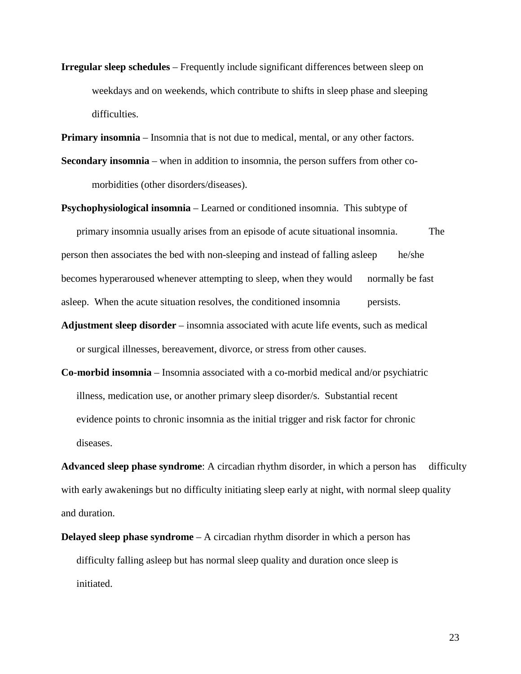**Irregular sleep schedules** – Frequently include significant differences between sleep on weekdays and on weekends, which contribute to shifts in sleep phase and sleeping difficulties.

**Primary insomnia** – Insomnia that is not due to medical, mental, or any other factors.

**Secondary insomnia** – when in addition to insomnia, the person suffers from other comorbidities (other disorders/diseases).

**Psychophysiological insomnia** – Learned or conditioned insomnia. This subtype of

primary insomnia usually arises from an episode of acute situational insomnia. The person then associates the bed with non-sleeping and instead of falling asleep he/she becomes hyperaroused whenever attempting to sleep, when they would normally be fast asleep. When the acute situation resolves, the conditioned insomnia persists.

- **Adjustment sleep disorder** insomnia associated with acute life events, such as medical or surgical illnesses, bereavement, divorce, or stress from other causes.
- **Co-morbid insomnia** Insomnia associated with a co-morbid medical and/or psychiatric illness, medication use, or another primary sleep disorder/s. Substantial recent evidence points to chronic insomnia as the initial trigger and risk factor for chronic diseases.

**Advanced sleep phase syndrome**: A circadian rhythm disorder, in which a person has difficulty with early awakenings but no difficulty initiating sleep early at night, with normal sleep quality and duration.

**Delayed sleep phase syndrome** – A circadian rhythm disorder in which a person has difficulty falling asleep but has normal sleep quality and duration once sleep is initiated.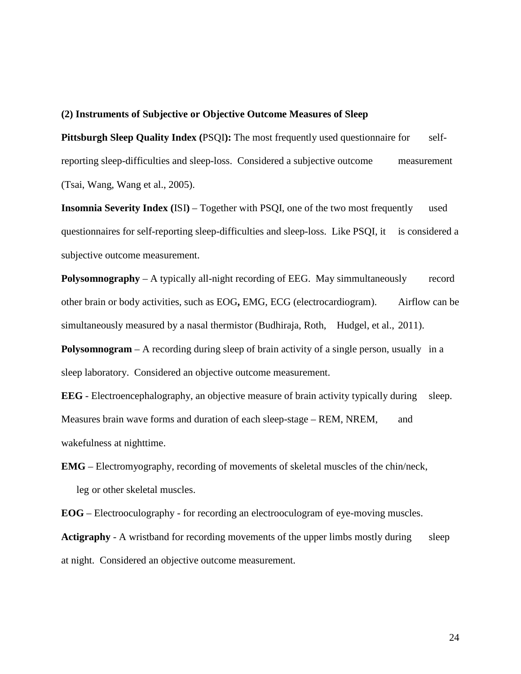#### **(2) Instruments of Subjective or Objective Outcome Measures of Sleep**

**Pittsburgh Sleep Quality Index (**PSQI**):** The most frequently used questionnaire for selfreporting sleep-difficulties and sleep-loss. Considered a subjective outcome measurement (Tsai, Wang, Wang et al., 2005).

**Insomnia Severity Index** (ISI) – Together with PSQI, one of the two most frequently used questionnaires for self-reporting sleep-difficulties and sleep-loss. Like PSQI, it is considered a subjective outcome measurement.

**Polysomnography** – A typically all-night recording of EEG. May simmultaneously record other brain or body activities, such as EOG**,** EMG, ECG (electrocardiogram). Airflow can be simultaneously measured by a nasal thermistor (Budhiraja, Roth, Hudgel, et al., 2011).

**Polysomnogram** – A recording during sleep of brain activity of a single person, usually in a sleep laboratory. Considered an objective outcome measurement.

**EEG** - Electroencephalography, an objective measure of brain activity typically during sleep. Measures brain wave forms and duration of each sleep-stage – REM, NREM, and wakefulness at nighttime.

**EMG** – Electromyography, recording of movements of skeletal muscles of the chin/neck, leg or other skeletal muscles.

**EOG** – Electrooculography - for recording an electrooculogram of eye-moving muscles.

**Actigraphy** - A wristband for recording movements of the upper limbs mostly during sleep at night. Considered an objective outcome measurement.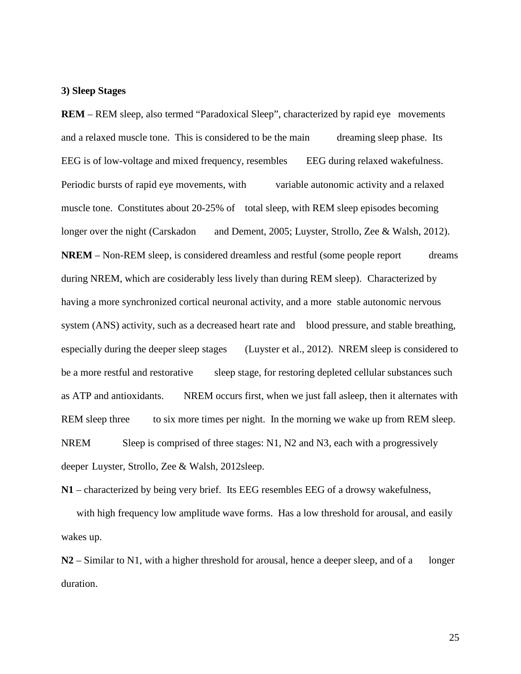#### **3) Sleep Stages**

**REM** – REM sleep, also termed "Paradoxical Sleep", characterized by rapid eye movements and a relaxed muscle tone. This is considered to be the main dreaming sleep phase. Its EEG is of low-voltage and mixed frequency, resembles EEG during relaxed wakefulness. Periodic bursts of rapid eye movements, with variable autonomic activity and a relaxed muscle tone. Constitutes about 20-25% of total sleep, with REM sleep episodes becoming longer over the night (Carskadon and Dement, 2005; Luyster, Strollo, Zee & Walsh, 2012). **NREM** – Non-REM sleep, is considered dreamless and restful (some people report dreams during NREM, which are cosiderably less lively than during REM sleep). Characterized by having a more synchronized cortical neuronal activity, and a more stable autonomic nervous system (ANS) activity, such as a decreased heart rate and blood pressure, and stable breathing, especially during the deeper sleep stages (Luyster et al., 2012). NREM sleep is considered to be a more restful and restorative sleep stage, for restoring depleted cellular substances such as ATP and antioxidants. NREM occurs first, when we just fall asleep, then it alternates with REM sleep three to six more times per night. In the morning we wake up from REM sleep. NREM Sleep is comprised of three stages: N1, N2 and N3, each with a progressively deeper Luyster, Strollo, Zee & Walsh, 2012sleep.

**N1** – characterized by being very brief. Its EEG resembles EEG of a drowsy wakefulness,

with high frequency low amplitude wave forms. Has a low threshold for arousal, and easily wakes up.

**N2** – Similar to N1, with a higher threshold for arousal, hence a deeper sleep, and of a longer duration.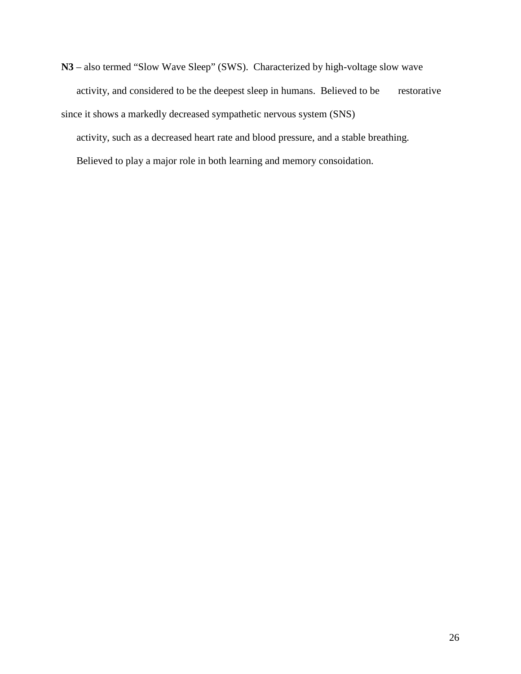**N3** – also termed "Slow Wave Sleep" (SWS). Characterized by high-voltage slow wave activity, and considered to be the deepest sleep in humans. Believed to be restorative since it shows a markedly decreased sympathetic nervous system (SNS)

activity, such as a decreased heart rate and blood pressure, and a stable breathing.

Believed to play a major role in both learning and memory consoidation.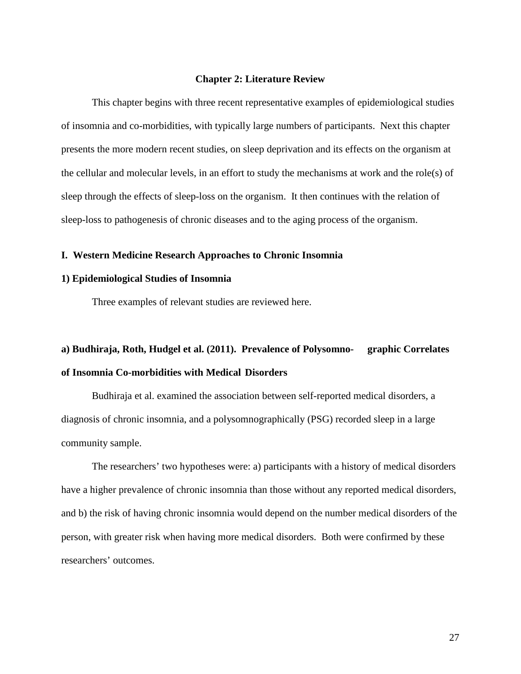#### **Chapter 2: Literature Review**

This chapter begins with three recent representative examples of epidemiological studies of insomnia and co-morbidities, with typically large numbers of participants. Next this chapter presents the more modern recent studies, on sleep deprivation and its effects on the organism at the cellular and molecular levels, in an effort to study the mechanisms at work and the role(s) of sleep through the effects of sleep-loss on the organism. It then continues with the relation of sleep-loss to pathogenesis of chronic diseases and to the aging process of the organism.

#### **I. Western Medicine Research Approaches to Chronic Insomnia**

#### **1) Epidemiological Studies of Insomnia**

Three examples of relevant studies are reviewed here.

# **a) Budhiraja, Roth, Hudgel et al. (2011). Prevalence of Polysomno- graphic Correlates of Insomnia Co-morbidities with Medical Disorders**

Budhiraja et al. examined the association between self-reported medical disorders, a diagnosis of chronic insomnia, and a polysomnographically (PSG) recorded sleep in a large community sample.

The researchers' two hypotheses were: a) participants with a history of medical disorders have a higher prevalence of chronic insomnia than those without any reported medical disorders, and b) the risk of having chronic insomnia would depend on the number medical disorders of the person, with greater risk when having more medical disorders. Both were confirmed by these researchers' outcomes.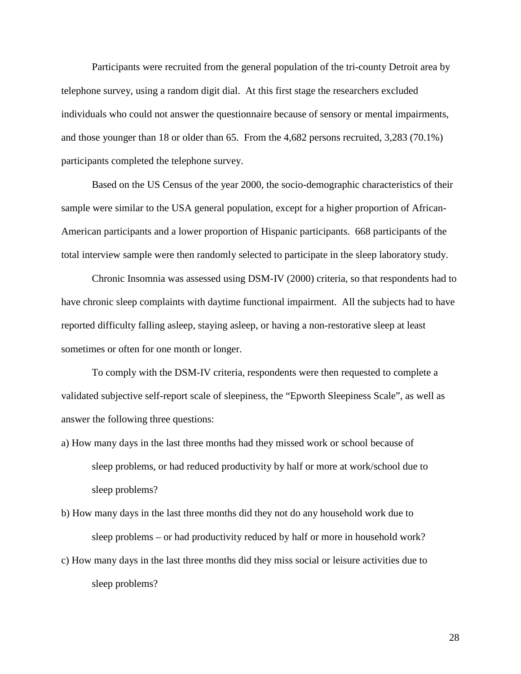Participants were recruited from the general population of the tri-county Detroit area by telephone survey, using a random digit dial. At this first stage the researchers excluded individuals who could not answer the questionnaire because of sensory or mental impairments, and those younger than 18 or older than 65. From the 4,682 persons recruited, 3,283 (70.1%) participants completed the telephone survey.

Based on the US Census of the year 2000, the socio-demographic characteristics of their sample were similar to the USA general population, except for a higher proportion of African-American participants and a lower proportion of Hispanic participants. 668 participants of the total interview sample were then randomly selected to participate in the sleep laboratory study.

Chronic Insomnia was assessed using DSM-IV (2000) criteria, so that respondents had to have chronic sleep complaints with daytime functional impairment. All the subjects had to have reported difficulty falling asleep, staying asleep, or having a non-restorative sleep at least sometimes or often for one month or longer.

To comply with the DSM-IV criteria, respondents were then requested to complete a validated subjective self-report scale of sleepiness, the "Epworth Sleepiness Scale", as well as answer the following three questions:

- a) How many days in the last three months had they missed work or school because of sleep problems, or had reduced productivity by half or more at work/school due to sleep problems?
- b) How many days in the last three months did they not do any household work due to sleep problems – or had productivity reduced by half or more in household work?
- c) How many days in the last three months did they miss social or leisure activities due to sleep problems?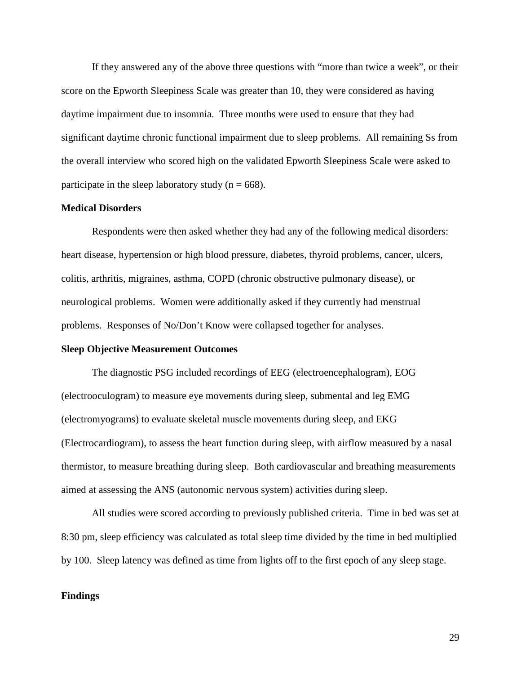If they answered any of the above three questions with "more than twice a week", or their score on the Epworth Sleepiness Scale was greater than 10, they were considered as having daytime impairment due to insomnia. Three months were used to ensure that they had significant daytime chronic functional impairment due to sleep problems. All remaining Ss from the overall interview who scored high on the validated Epworth Sleepiness Scale were asked to participate in the sleep laboratory study ( $n = 668$ ).

#### **Medical Disorders**

Respondents were then asked whether they had any of the following medical disorders: heart disease, hypertension or high blood pressure, diabetes, thyroid problems, cancer, ulcers, colitis, arthritis, migraines, asthma, COPD (chronic obstructive pulmonary disease), or neurological problems. Women were additionally asked if they currently had menstrual problems. Responses of No/Don't Know were collapsed together for analyses.

#### **Sleep Objective Measurement Outcomes**

The diagnostic PSG included recordings of EEG (electroencephalogram), EOG (electrooculogram) to measure eye movements during sleep, submental and leg EMG (electromyograms) to evaluate skeletal muscle movements during sleep, and EKG (Electrocardiogram), to assess the heart function during sleep, with airflow measured by a nasal thermistor, to measure breathing during sleep. Both cardiovascular and breathing measurements aimed at assessing the ANS (autonomic nervous system) activities during sleep.

All studies were scored according to previously published criteria. Time in bed was set at 8:30 pm, sleep efficiency was calculated as total sleep time divided by the time in bed multiplied by 100. Sleep latency was defined as time from lights off to the first epoch of any sleep stage.

#### **Findings**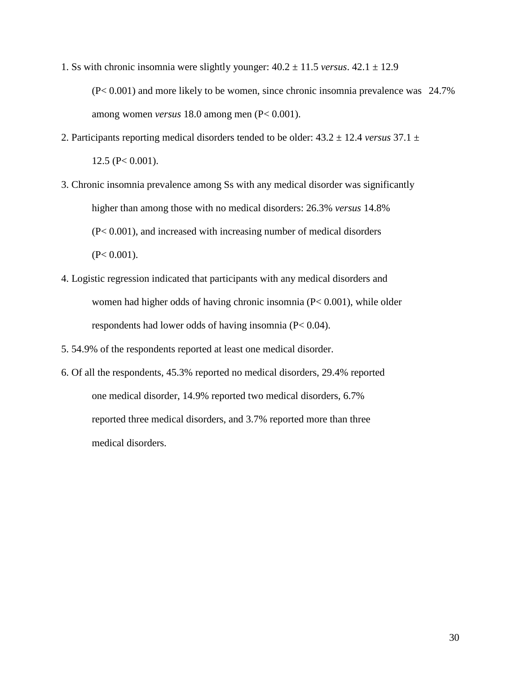- 1. Ss with chronic insomnia were slightly younger:  $40.2 \pm 11.5$  *versus*.  $42.1 \pm 12.9$ (P< 0.001) and more likely to be women, since chronic insomnia prevalence was 24.7% among women *versus* 18.0 among men (P< 0.001).
- 2. Participants reporting medical disorders tended to be older: 43.2 ± 12.4 *versus* 37.1 ±  $12.5$  (P $< 0.001$ ).
- 3. Chronic insomnia prevalence among Ss with any medical disorder was significantly higher than among those with no medical disorders: 26.3% *versus* 14.8% (P< 0.001), and increased with increasing number of medical disorders  $(P< 0.001)$ .
- 4. Logistic regression indicated that participants with any medical disorders and women had higher odds of having chronic insomnia (P< 0.001), while older respondents had lower odds of having insomnia (P< 0.04).
- 5. 54.9% of the respondents reported at least one medical disorder.
- 6. Of all the respondents, 45.3% reported no medical disorders, 29.4% reported one medical disorder, 14.9% reported two medical disorders, 6.7% reported three medical disorders, and 3.7% reported more than three medical disorders.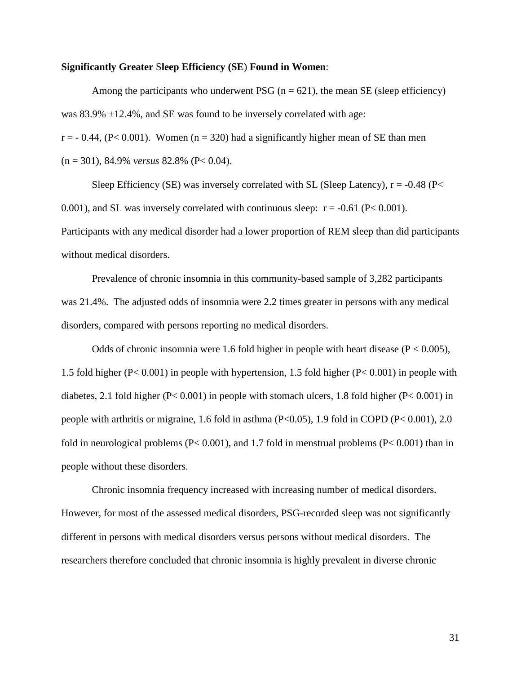#### **Significantly Greater** S**leep Efficiency (SE**) **Found in Women**:

Among the participants who underwent PSG ( $n = 621$ ), the mean SE (sleep efficiency) was  $83.9\% \pm 12.4\%$ , and SE was found to be inversely correlated with age:  $r = -0.44$ ,  $(P< 0.001)$ . Women  $(n = 320)$  had a significantly higher mean of SE than men (n = 301), 84.9% *versus* 82.8% (P< 0.04).

Sleep Efficiency (SE) was inversely correlated with SL (Sleep Latency),  $r = -0.48$  (P< 0.001), and SL was inversely correlated with continuous sleep:  $r = -0.61$  (P< 0.001). Participants with any medical disorder had a lower proportion of REM sleep than did participants without medical disorders.

Prevalence of chronic insomnia in this community-based sample of 3,282 participants was 21.4%. The adjusted odds of insomnia were 2.2 times greater in persons with any medical disorders, compared with persons reporting no medical disorders.

Odds of chronic insomnia were 1.6 fold higher in people with heart disease  $(P < 0.005)$ , 1.5 fold higher (P< 0.001) in people with hypertension, 1.5 fold higher (P< 0.001) in people with diabetes, 2.1 fold higher ( $P < 0.001$ ) in people with stomach ulcers, 1.8 fold higher ( $P < 0.001$ ) in people with arthritis or migraine, 1.6 fold in asthma (P<0.05), 1.9 fold in COPD (P< 0.001), 2.0 fold in neurological problems (P< 0.001), and 1.7 fold in menstrual problems (P< 0.001) than in people without these disorders.

Chronic insomnia frequency increased with increasing number of medical disorders. However, for most of the assessed medical disorders, PSG-recorded sleep was not significantly different in persons with medical disorders versus persons without medical disorders. The researchers therefore concluded that chronic insomnia is highly prevalent in diverse chronic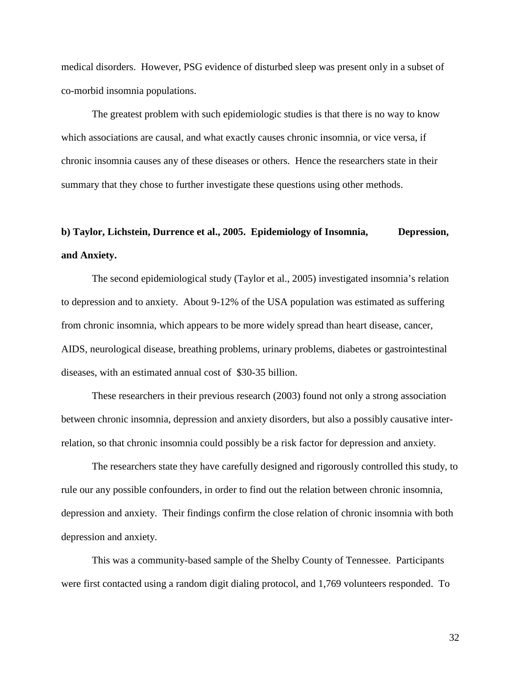medical disorders. However, PSG evidence of disturbed sleep was present only in a subset of co-morbid insomnia populations.

The greatest problem with such epidemiologic studies is that there is no way to know which associations are causal, and what exactly causes chronic insomnia, or vice versa, if chronic insomnia causes any of these diseases or others. Hence the researchers state in their summary that they chose to further investigate these questions using other methods.

# **b) Taylor, Lichstein, Durrence et al., 2005. Epidemiology of Insomnia, Depression, and Anxiety.**

The second epidemiological study (Taylor et al., 2005) investigated insomnia's relation to depression and to anxiety. About 9-12% of the USA population was estimated as suffering from chronic insomnia, which appears to be more widely spread than heart disease, cancer, AIDS, neurological disease, breathing problems, urinary problems, diabetes or gastrointestinal diseases, with an estimated annual cost of \$30-35 billion.

These researchers in their previous research (2003) found not only a strong association between chronic insomnia, depression and anxiety disorders, but also a possibly causative interrelation, so that chronic insomnia could possibly be a risk factor for depression and anxiety.

The researchers state they have carefully designed and rigorously controlled this study, to rule our any possible confounders, in order to find out the relation between chronic insomnia, depression and anxiety. Their findings confirm the close relation of chronic insomnia with both depression and anxiety.

This was a community-based sample of the Shelby County of Tennessee. Participants were first contacted using a random digit dialing protocol, and 1,769 volunteers responded. To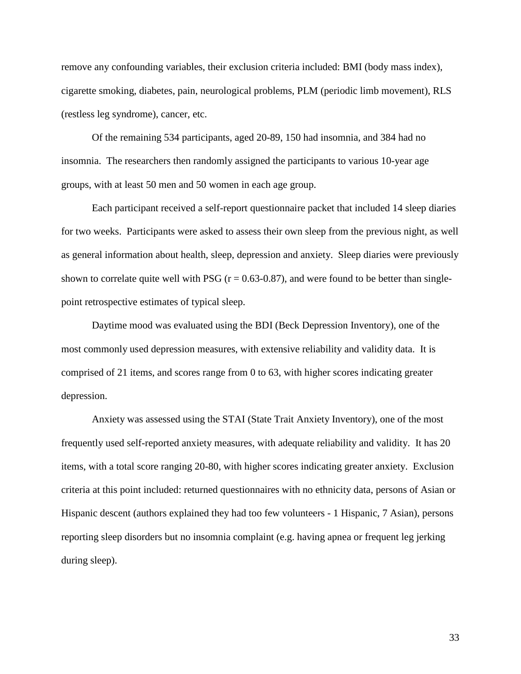remove any confounding variables, their exclusion criteria included: BMI (body mass index), cigarette smoking, diabetes, pain, neurological problems, PLM (periodic limb movement), RLS (restless leg syndrome), cancer, etc.

Of the remaining 534 participants, aged 20-89, 150 had insomnia, and 384 had no insomnia. The researchers then randomly assigned the participants to various 10-year age groups, with at least 50 men and 50 women in each age group.

Each participant received a self-report questionnaire packet that included 14 sleep diaries for two weeks. Participants were asked to assess their own sleep from the previous night, as well as general information about health, sleep, depression and anxiety. Sleep diaries were previously shown to correlate quite well with PSG  $(r = 0.63-0.87)$ , and were found to be better than singlepoint retrospective estimates of typical sleep.

Daytime mood was evaluated using the BDI (Beck Depression Inventory), one of the most commonly used depression measures, with extensive reliability and validity data. It is comprised of 21 items, and scores range from 0 to 63, with higher scores indicating greater depression.

Anxiety was assessed using the STAI (State Trait Anxiety Inventory), one of the most frequently used self-reported anxiety measures, with adequate reliability and validity. It has 20 items, with a total score ranging 20-80, with higher scores indicating greater anxiety. Exclusion criteria at this point included: returned questionnaires with no ethnicity data, persons of Asian or Hispanic descent (authors explained they had too few volunteers - 1 Hispanic, 7 Asian), persons reporting sleep disorders but no insomnia complaint (e.g. having apnea or frequent leg jerking during sleep).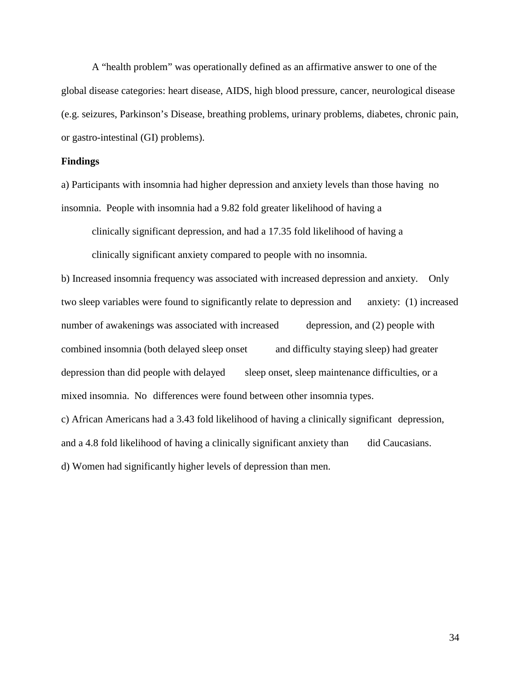A "health problem" was operationally defined as an affirmative answer to one of the global disease categories: heart disease, AIDS, high blood pressure, cancer, neurological disease (e.g. seizures, Parkinson's Disease, breathing problems, urinary problems, diabetes, chronic pain, or gastro-intestinal (GI) problems).

#### **Findings**

a) Participants with insomnia had higher depression and anxiety levels than those having no insomnia. People with insomnia had a 9.82 fold greater likelihood of having a

clinically significant depression, and had a 17.35 fold likelihood of having a clinically significant anxiety compared to people with no insomnia.

b) Increased insomnia frequency was associated with increased depression and anxiety. Only two sleep variables were found to significantly relate to depression and anxiety: (1) increased number of awakenings was associated with increased depression, and (2) people with combined insomnia (both delayed sleep onset and difficulty staying sleep) had greater depression than did people with delayed sleep onset, sleep maintenance difficulties, or a mixed insomnia. No differences were found between other insomnia types. c) African Americans had a 3.43 fold likelihood of having a clinically significant depression, and a 4.8 fold likelihood of having a clinically significant anxiety than did Caucasians. d) Women had significantly higher levels of depression than men.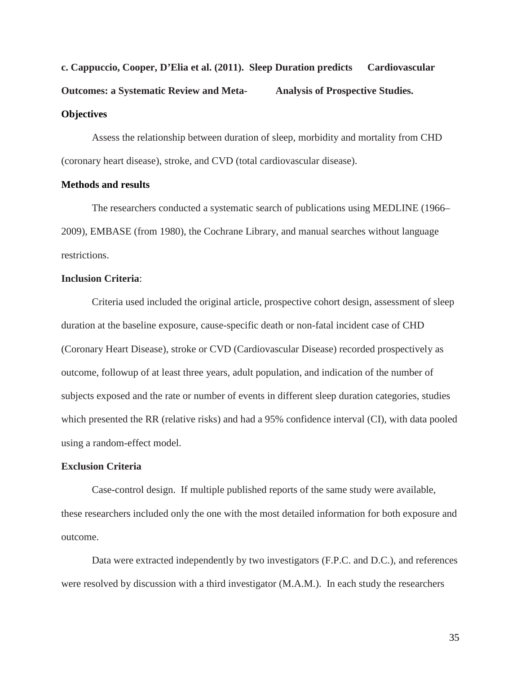# **c. Cappuccio, Cooper, D'Elia et al. (2011). Sleep Duration predicts Cardiovascular Outcomes: a Systematic Review and Meta- Analysis of Prospective Studies. Objectives**

Assess the relationship between duration of sleep, morbidity and mortality from CHD (coronary heart disease), stroke, and CVD (total cardiovascular disease).

#### **Methods and results**

The researchers conducted a systematic search of publications using MEDLINE (1966– 2009), EMBASE (from 1980), the Cochrane Library, and manual searches without language restrictions.

#### **Inclusion Criteria**:

Criteria used included the original article, prospective cohort design, assessment of sleep duration at the baseline exposure, cause-specific death or non-fatal incident case of CHD (Coronary Heart Disease), stroke or CVD (Cardiovascular Disease) recorded prospectively as outcome, followup of at least three years, adult population, and indication of the number of subjects exposed and the rate or number of events in different sleep duration categories, studies which presented the RR (relative risks) and had a 95% confidence interval (CI), with data pooled using a random-effect model.

#### **Exclusion Criteria**

Case-control design. If multiple published reports of the same study were available, these researchers included only the one with the most detailed information for both exposure and outcome.

Data were extracted independently by two investigators (F.P.C. and D.C.), and references were resolved by discussion with a third investigator (M.A.M.). In each study the researchers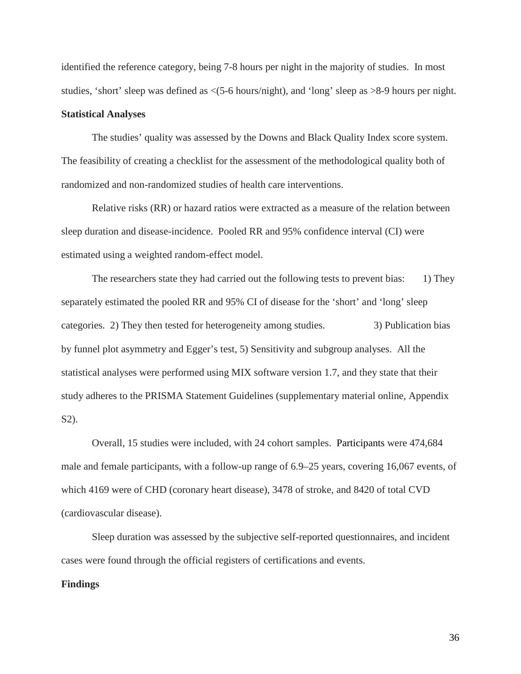identified the reference category, being 7-8 hours per night in the majority of studies. In most studies, 'short' sleep was defined as <(5-6 hours/night), and 'long' sleep as >8-9 hours per night.

### **Statistical Analyses**

The studies' quality was assessed by the Downs and Black Quality Index score system. The feasibility of creating a checklist for the assessment of the methodological quality both of randomized and non-randomized studies of health care interventions.

Relative risks (RR) or hazard ratios were extracted as a measure of the relation between sleep duration and disease-incidence. Pooled RR and 95% confidence interval (CI) were estimated using a weighted random-effect model.

The researchers state they had carried out the following tests to prevent bias: 1) They separately estimated the pooled RR and 95% CI of disease for the 'short' and 'long' sleep categories. 2) They then tested for heterogeneity among studies. 3) Publication bias by funnel plot asymmetry and Egger's test, 5) Sensitivity and subgroup analyses. All the statistical analyses were performed using MIX software version 1.7, and they state that their study adheres to the PRISMA Statement Guidelines (supplementary material online, Appendix S2).

Overall, 15 studies were included, with 24 cohort samples. Participants were 474,684 male and female participants, with a follow-up range of 6.9–25 years, covering 16,067 events, of which 4169 were of CHD (coronary heart disease), 3478 of stroke, and 8420 of total CVD (cardiovascular disease).

Sleep duration was assessed by the subjective self-reported questionnaires, and incident cases were found through the official registers of certifications and events.

#### **Findings**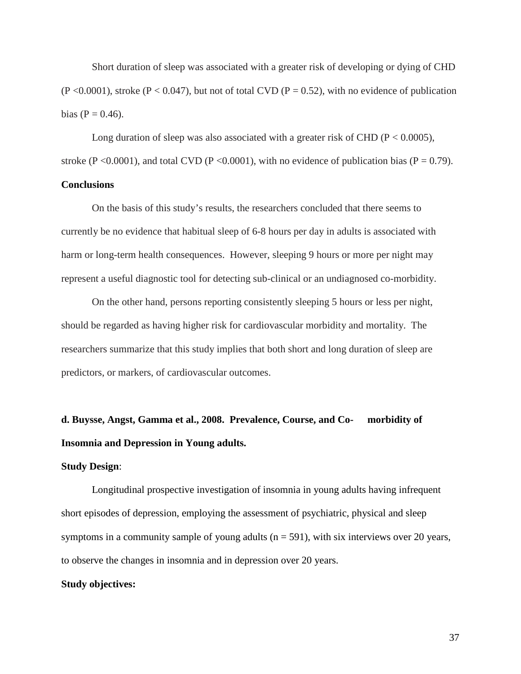Short duration of sleep was associated with a greater risk of developing or dying of CHD  $(P<0.0001)$ , stroke  $(P<0.047)$ , but not of total CVD  $(P = 0.52)$ , with no evidence of publication bias ( $P = 0.46$ ).

Long duration of sleep was also associated with a greater risk of CHD ( $P < 0.0005$ ), stroke (P <0.0001), and total CVD (P <0.0001), with no evidence of publication bias (P = 0.79).

### **Conclusions**

On the basis of this study's results, the researchers concluded that there seems to currently be no evidence that habitual sleep of 6-8 hours per day in adults is associated with harm or long-term health consequences. However, sleeping 9 hours or more per night may represent a useful diagnostic tool for detecting sub-clinical or an undiagnosed co-morbidity.

On the other hand, persons reporting consistently sleeping 5 hours or less per night, should be regarded as having higher risk for cardiovascular morbidity and mortality. The researchers summarize that this study implies that both short and long duration of sleep are predictors, or markers, of cardiovascular outcomes.

# **d. Buysse, Angst, Gamma et al., 2008. Prevalence, Course, and Co- morbidity of Insomnia and Depression in Young adults.**

#### **Study Design**:

Longitudinal prospective investigation of insomnia in young adults having infrequent short episodes of depression, employing the assessment of psychiatric, physical and sleep symptoms in a community sample of young adults  $(n = 591)$ , with six interviews over 20 years, to observe the changes in insomnia and in depression over 20 years.

#### **Study objectives:**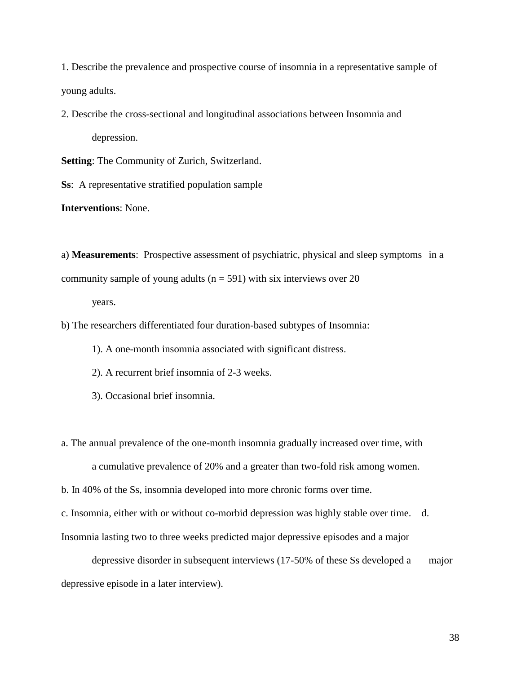1. Describe the prevalence and prospective course of insomnia in a representative sample of young adults.

2. Describe the cross-sectional and longitudinal associations between Insomnia and depression.

**Setting**: The Community of Zurich, Switzerland.

**Ss**: A representative stratified population sample

**Interventions**: None.

a) **Measurements**: Prospective assessment of psychiatric, physical and sleep symptoms in a community sample of young adults ( $n = 591$ ) with six interviews over 20

years.

b) The researchers differentiated four duration-based subtypes of Insomnia:

1). A one-month insomnia associated with significant distress.

2). A recurrent brief insomnia of 2-3 weeks.

3). Occasional brief insomnia.

a. The annual prevalence of the one-month insomnia gradually increased over time, with a cumulative prevalence of 20% and a greater than two-fold risk among women.

b. In 40% of the Ss, insomnia developed into more chronic forms over time.

c. Insomnia, either with or without co-morbid depression was highly stable over time. d. Insomnia lasting two to three weeks predicted major depressive episodes and a major

depressive disorder in subsequent interviews (17-50% of these Ss developed a major depressive episode in a later interview).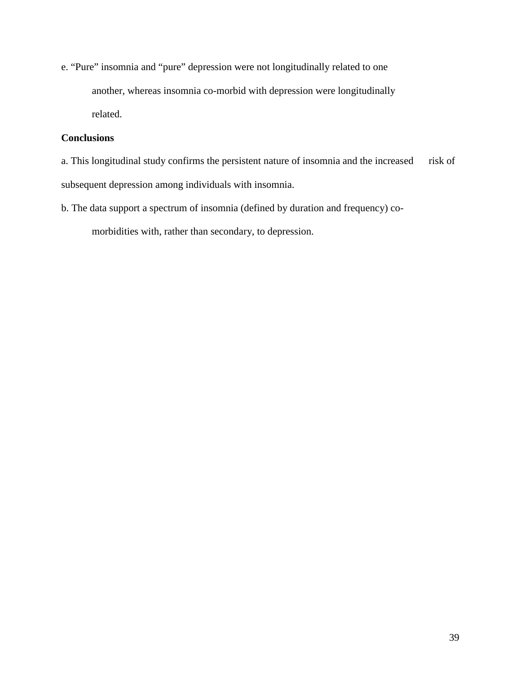e. "Pure" insomnia and "pure" depression were not longitudinally related to one another, whereas insomnia co-morbid with depression were longitudinally related.

### **Conclusions**

- a. This longitudinal study confirms the persistent nature of insomnia and the increased risk of subsequent depression among individuals with insomnia.
- b. The data support a spectrum of insomnia (defined by duration and frequency) co-

morbidities with, rather than secondary, to depression.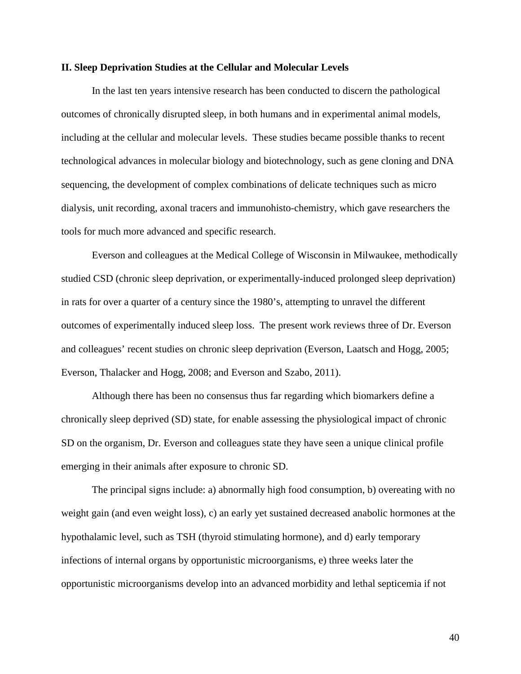### **II. Sleep Deprivation Studies at the Cellular and Molecular Levels**

In the last ten years intensive research has been conducted to discern the pathological outcomes of chronically disrupted sleep, in both humans and in experimental animal models, including at the cellular and molecular levels. These studies became possible thanks to recent technological advances in molecular biology and biotechnology, such as gene cloning and DNA sequencing, the development of complex combinations of delicate techniques such as micro dialysis, unit recording, axonal tracers and immunohisto-chemistry, which gave researchers the tools for much more advanced and specific research.

Everson and colleagues at the Medical College of Wisconsin in Milwaukee, methodically studied CSD (chronic sleep deprivation, or experimentally-induced prolonged sleep deprivation) in rats for over a quarter of a century since the 1980's, attempting to unravel the different outcomes of experimentally induced sleep loss. The present work reviews three of Dr. Everson and colleagues' recent studies on chronic sleep deprivation (Everson, Laatsch and Hogg, 2005; Everson, Thalacker and Hogg, 2008; and Everson and Szabo, 2011).

Although there has been no consensus thus far regarding which biomarkers define a chronically sleep deprived (SD) state, for enable assessing the physiological impact of chronic SD on the organism, Dr. Everson and colleagues state they have seen a unique clinical profile emerging in their animals after exposure to chronic SD.

The principal signs include: a) abnormally high food consumption, b) overeating with no weight gain (and even weight loss), c) an early yet sustained decreased anabolic hormones at the hypothalamic level, such as TSH (thyroid stimulating hormone), and d) early temporary infections of internal organs by opportunistic microorganisms, e) three weeks later the opportunistic microorganisms develop into an advanced morbidity and lethal septicemia if not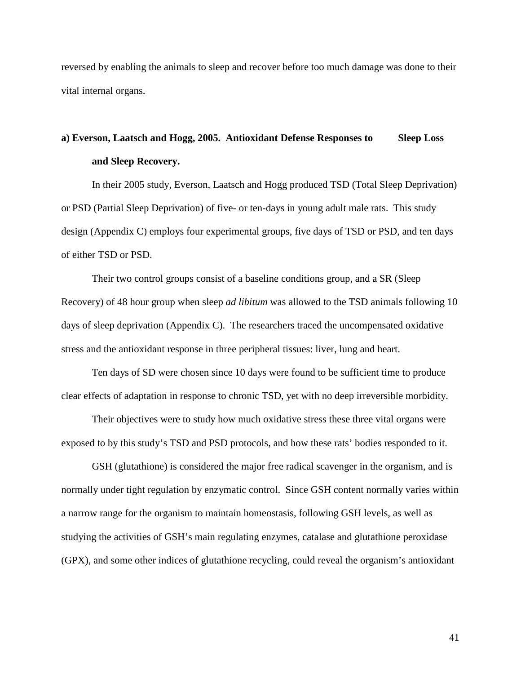reversed by enabling the animals to sleep and recover before too much damage was done to their vital internal organs.

## **a) Everson, Laatsch and Hogg, 2005. Antioxidant Defense Responses to Sleep Loss and Sleep Recovery.**

In their 2005 study, Everson, Laatsch and Hogg produced TSD (Total Sleep Deprivation) or PSD (Partial Sleep Deprivation) of five- or ten-days in young adult male rats. This study design (Appendix C) employs four experimental groups, five days of TSD or PSD, and ten days of either TSD or PSD.

Their two control groups consist of a baseline conditions group, and a SR (Sleep Recovery) of 48 hour group when sleep *ad libitum* was allowed to the TSD animals following 10 days of sleep deprivation (Appendix C). The researchers traced the uncompensated oxidative stress and the antioxidant response in three peripheral tissues: liver, lung and heart.

Ten days of SD were chosen since 10 days were found to be sufficient time to produce clear effects of adaptation in response to chronic TSD, yet with no deep irreversible morbidity.

Their objectives were to study how much oxidative stress these three vital organs were exposed to by this study's TSD and PSD protocols, and how these rats' bodies responded to it.

GSH (glutathione) is considered the major free radical scavenger in the organism, and is normally under tight regulation by enzymatic control. Since GSH content normally varies within a narrow range for the organism to maintain homeostasis, following GSH levels, as well as studying the activities of GSH's main regulating enzymes, catalase and glutathione peroxidase (GPX), and some other indices of glutathione recycling, could reveal the organism's antioxidant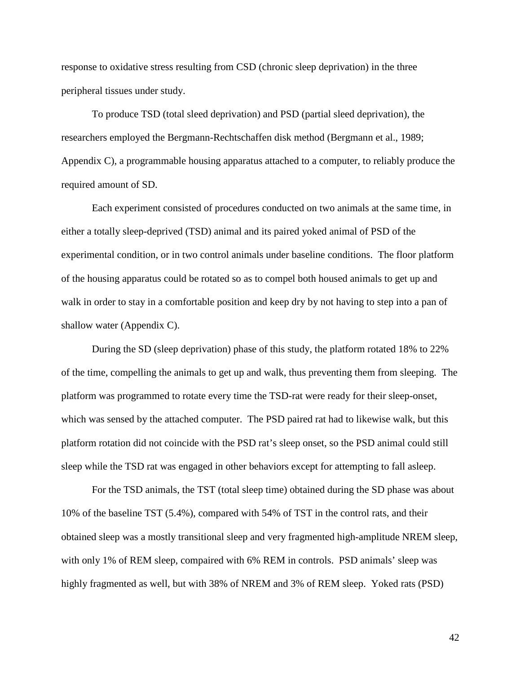response to oxidative stress resulting from CSD (chronic sleep deprivation) in the three peripheral tissues under study.

To produce TSD (total sleed deprivation) and PSD (partial sleed deprivation), the researchers employed the Bergmann-Rechtschaffen disk method (Bergmann et al., 1989; Appendix C), a programmable housing apparatus attached to a computer, to reliably produce the required amount of SD.

Each experiment consisted of procedures conducted on two animals at the same time, in either a totally sleep-deprived (TSD) animal and its paired yoked animal of PSD of the experimental condition, or in two control animals under baseline conditions. The floor platform of the housing apparatus could be rotated so as to compel both housed animals to get up and walk in order to stay in a comfortable position and keep dry by not having to step into a pan of shallow water (Appendix C).

During the SD (sleep deprivation) phase of this study, the platform rotated 18% to 22% of the time, compelling the animals to get up and walk, thus preventing them from sleeping. The platform was programmed to rotate every time the TSD-rat were ready for their sleep-onset, which was sensed by the attached computer. The PSD paired rat had to likewise walk, but this platform rotation did not coincide with the PSD rat's sleep onset, so the PSD animal could still sleep while the TSD rat was engaged in other behaviors except for attempting to fall asleep.

For the TSD animals, the TST (total sleep time) obtained during the SD phase was about 10% of the baseline TST (5.4%), compared with 54% of TST in the control rats, and their obtained sleep was a mostly transitional sleep and very fragmented high-amplitude NREM sleep, with only 1% of REM sleep, compaired with 6% REM in controls. PSD animals' sleep was highly fragmented as well, but with 38% of NREM and 3% of REM sleep. Yoked rats (PSD)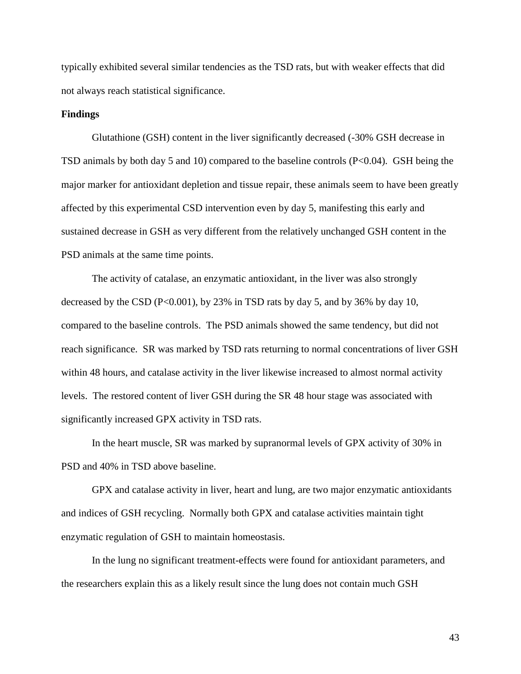typically exhibited several similar tendencies as the TSD rats, but with weaker effects that did not always reach statistical significance.

### **Findings**

Glutathione (GSH) content in the liver significantly decreased (-30% GSH decrease in TSD animals by both day 5 and 10) compared to the baseline controls  $(P<0.04)$ . GSH being the major marker for antioxidant depletion and tissue repair, these animals seem to have been greatly affected by this experimental CSD intervention even by day 5, manifesting this early and sustained decrease in GSH as very different from the relatively unchanged GSH content in the PSD animals at the same time points.

The activity of catalase, an enzymatic antioxidant, in the liver was also strongly decreased by the CSD ( $P<0.001$ ), by 23% in TSD rats by day 5, and by 36% by day 10, compared to the baseline controls. The PSD animals showed the same tendency, but did not reach significance. SR was marked by TSD rats returning to normal concentrations of liver GSH within 48 hours, and catalase activity in the liver likewise increased to almost normal activity levels. The restored content of liver GSH during the SR 48 hour stage was associated with significantly increased GPX activity in TSD rats.

In the heart muscle, SR was marked by supranormal levels of GPX activity of 30% in PSD and 40% in TSD above baseline.

GPX and catalase activity in liver, heart and lung, are two major enzymatic antioxidants and indices of GSH recycling. Normally both GPX and catalase activities maintain tight enzymatic regulation of GSH to maintain homeostasis.

In the lung no significant treatment-effects were found for antioxidant parameters, and the researchers explain this as a likely result since the lung does not contain much GSH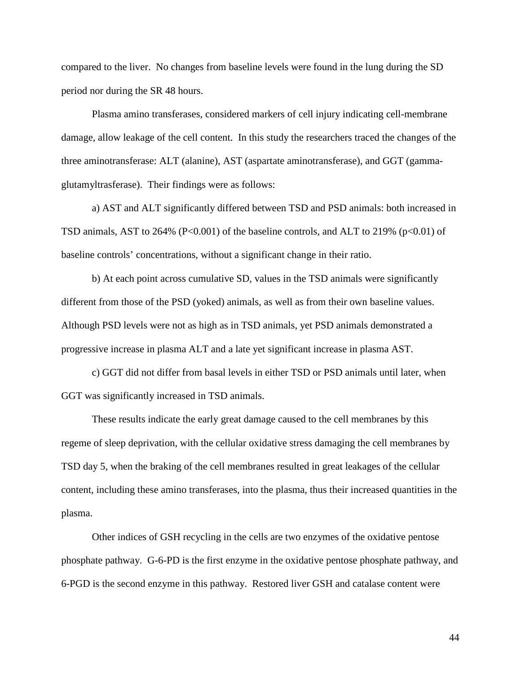compared to the liver. No changes from baseline levels were found in the lung during the SD period nor during the SR 48 hours.

Plasma amino transferases, considered markers of cell injury indicating cell-membrane damage, allow leakage of the cell content. In this study the researchers traced the changes of the three aminotransferase: ALT (alanine), AST (aspartate aminotransferase), and GGT (gammaglutamyltrasferase). Their findings were as follows:

a) AST and ALT significantly differed between TSD and PSD animals: both increased in TSD animals, AST to 264% (P<0.001) of the baseline controls, and ALT to 219% ( $p<0.01$ ) of baseline controls' concentrations, without a significant change in their ratio.

b) At each point across cumulative SD, values in the TSD animals were significantly different from those of the PSD (yoked) animals, as well as from their own baseline values. Although PSD levels were not as high as in TSD animals, yet PSD animals demonstrated a progressive increase in plasma ALT and a late yet significant increase in plasma AST.

c) GGT did not differ from basal levels in either TSD or PSD animals until later, when GGT was significantly increased in TSD animals.

These results indicate the early great damage caused to the cell membranes by this regeme of sleep deprivation, with the cellular oxidative stress damaging the cell membranes by TSD day 5, when the braking of the cell membranes resulted in great leakages of the cellular content, including these amino transferases, into the plasma, thus their increased quantities in the plasma.

Other indices of GSH recycling in the cells are two enzymes of the oxidative pentose phosphate pathway. G-6-PD is the first enzyme in the oxidative pentose phosphate pathway, and 6-PGD is the second enzyme in this pathway. Restored liver GSH and catalase content were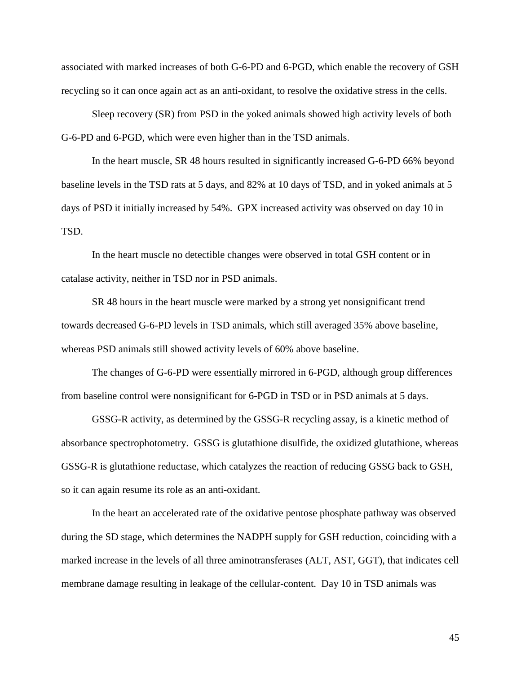associated with marked increases of both G-6-PD and 6-PGD, which enable the recovery of GSH recycling so it can once again act as an anti-oxidant, to resolve the oxidative stress in the cells.

Sleep recovery (SR) from PSD in the yoked animals showed high activity levels of both G-6-PD and 6-PGD, which were even higher than in the TSD animals.

In the heart muscle, SR 48 hours resulted in significantly increased G-6-PD 66% beyond baseline levels in the TSD rats at 5 days, and 82% at 10 days of TSD, and in yoked animals at 5 days of PSD it initially increased by 54%. GPX increased activity was observed on day 10 in TSD.

In the heart muscle no detectible changes were observed in total GSH content or in catalase activity, neither in TSD nor in PSD animals.

SR 48 hours in the heart muscle were marked by a strong yet nonsignificant trend towards decreased G-6-PD levels in TSD animals, which still averaged 35% above baseline, whereas PSD animals still showed activity levels of 60% above baseline.

The changes of G-6-PD were essentially mirrored in 6-PGD, although group differences from baseline control were nonsignificant for 6-PGD in TSD or in PSD animals at 5 days.

GSSG-R activity, as determined by the GSSG-R recycling assay, is a kinetic method of absorbance spectrophotometry. GSSG is glutathione disulfide, the oxidized glutathione, whereas GSSG-R is glutathione reductase, which catalyzes the reaction of reducing GSSG back to GSH, so it can again resume its role as an anti-oxidant.

In the heart an accelerated rate of the oxidative pentose phosphate pathway was observed during the SD stage, which determines the NADPH supply for GSH reduction, coinciding with a marked increase in the levels of all three aminotransferases (ALT, AST, GGT), that indicates cell membrane damage resulting in leakage of the cellular-content. Day 10 in TSD animals was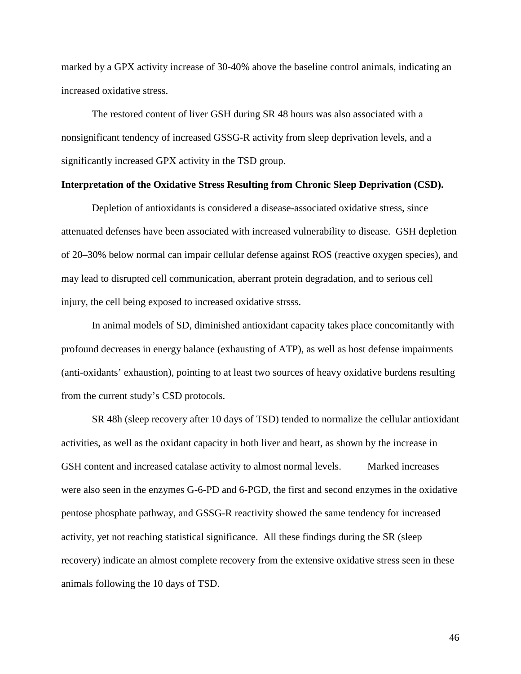marked by a GPX activity increase of 30-40% above the baseline control animals, indicating an increased oxidative stress.

The restored content of liver GSH during SR 48 hours was also associated with a nonsignificant tendency of increased GSSG-R activity from sleep deprivation levels, and a significantly increased GPX activity in the TSD group.

### **Interpretation of the Oxidative Stress Resulting from Chronic Sleep Deprivation (CSD).**

Depletion of antioxidants is considered a disease-associated oxidative stress, since attenuated defenses have been associated with increased vulnerability to disease. GSH depletion of 20–30% below normal can impair cellular defense against ROS (reactive oxygen species), and may lead to disrupted cell communication, aberrant protein degradation, and to serious cell injury, the cell being exposed to increased oxidative strsss.

In animal models of SD, diminished antioxidant capacity takes place concomitantly with profound decreases in energy balance (exhausting of ATP), as well as host defense impairments (anti-oxidants' exhaustion), pointing to at least two sources of heavy oxidative burdens resulting from the current study's CSD protocols.

SR 48h (sleep recovery after 10 days of TSD) tended to normalize the cellular antioxidant activities, as well as the oxidant capacity in both liver and heart, as shown by the increase in GSH content and increased catalase activity to almost normal levels. Marked increases were also seen in the enzymes G-6-PD and 6-PGD, the first and second enzymes in the oxidative pentose phosphate pathway, and GSSG-R reactivity showed the same tendency for increased activity, yet not reaching statistical significance. All these findings during the SR (sleep recovery) indicate an almost complete recovery from the extensive oxidative stress seen in these animals following the 10 days of TSD.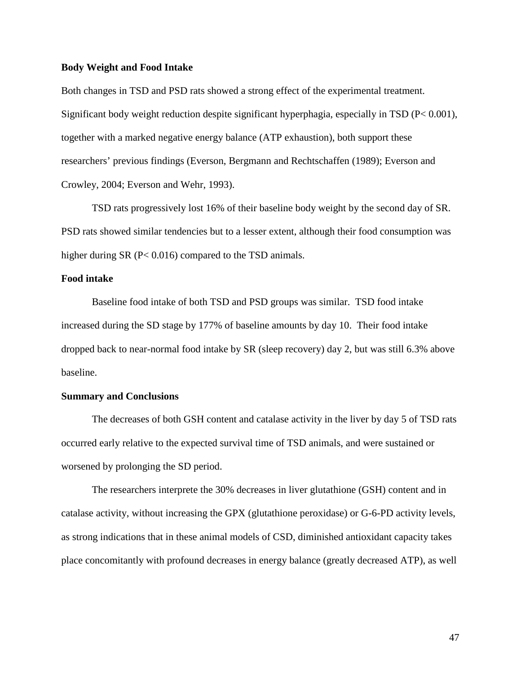### **Body Weight and Food Intake**

Both changes in TSD and PSD rats showed a strong effect of the experimental treatment. Significant body weight reduction despite significant hyperphagia, especially in TSD (P< 0.001), together with a marked negative energy balance (ATP exhaustion), both support these researchers' previous findings (Everson, Bergmann and Rechtschaffen (1989); Everson and Crowley, 2004; Everson and Wehr, 1993).

TSD rats progressively lost 16% of their baseline body weight by the second day of SR. PSD rats showed similar tendencies but to a lesser extent, although their food consumption was higher during SR (P< 0.016) compared to the TSD animals.

### **Food intake**

Baseline food intake of both TSD and PSD groups was similar. TSD food intake increased during the SD stage by 177% of baseline amounts by day 10. Their food intake dropped back to near-normal food intake by SR (sleep recovery) day 2, but was still 6.3% above baseline.

### **Summary and Conclusions**

The decreases of both GSH content and catalase activity in the liver by day 5 of TSD rats occurred early relative to the expected survival time of TSD animals, and were sustained or worsened by prolonging the SD period.

The researchers interprete the 30% decreases in liver glutathione (GSH) content and in catalase activity, without increasing the GPX (glutathione peroxidase) or G-6-PD activity levels, as strong indications that in these animal models of CSD, diminished antioxidant capacity takes place concomitantly with profound decreases in energy balance (greatly decreased ATP), as well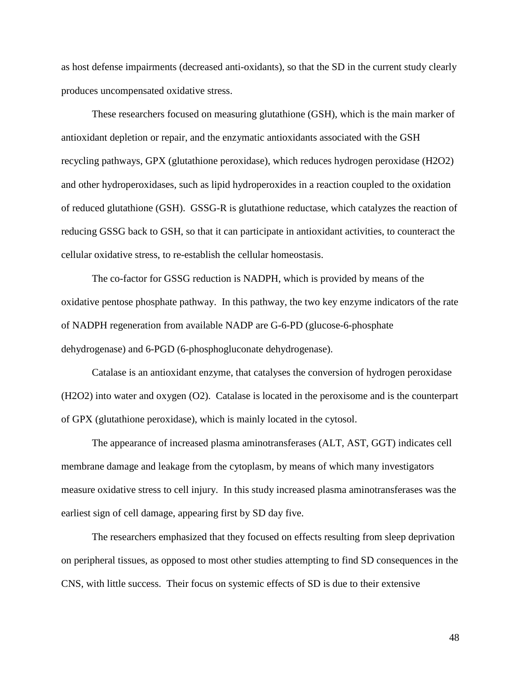as host defense impairments (decreased anti-oxidants), so that the SD in the current study clearly produces uncompensated oxidative stress.

These researchers focused on measuring glutathione (GSH), which is the main marker of antioxidant depletion or repair, and the enzymatic antioxidants associated with the GSH recycling pathways, GPX (glutathione peroxidase), which reduces hydrogen peroxidase (H2O2) and other hydroperoxidases, such as lipid hydroperoxides in a reaction coupled to the oxidation of reduced glutathione (GSH). GSSG-R is glutathione reductase, which catalyzes the reaction of reducing GSSG back to GSH, so that it can participate in antioxidant activities, to counteract the cellular oxidative stress, to re-establish the cellular homeostasis.

The co-factor for GSSG reduction is NADPH, which is provided by means of the oxidative pentose phosphate pathway. In this pathway, the two key enzyme indicators of the rate of NADPH regeneration from available NADP are G-6-PD (glucose-6-phosphate dehydrogenase) and 6-PGD (6-phosphogluconate dehydrogenase).

Catalase is an antioxidant enzyme, that catalyses the conversion of hydrogen peroxidase (H2O2) into water and oxygen (O2). Catalase is located in the peroxisome and is the counterpart of GPX (glutathione peroxidase), which is mainly located in the cytosol.

The appearance of increased plasma aminotransferases (ALT, AST, GGT) indicates cell membrane damage and leakage from the cytoplasm, by means of which many investigators measure oxidative stress to cell injury. In this study increased plasma aminotransferases was the earliest sign of cell damage, appearing first by SD day five.

The researchers emphasized that they focused on effects resulting from sleep deprivation on peripheral tissues, as opposed to most other studies attempting to find SD consequences in the CNS, with little success. Their focus on systemic effects of SD is due to their extensive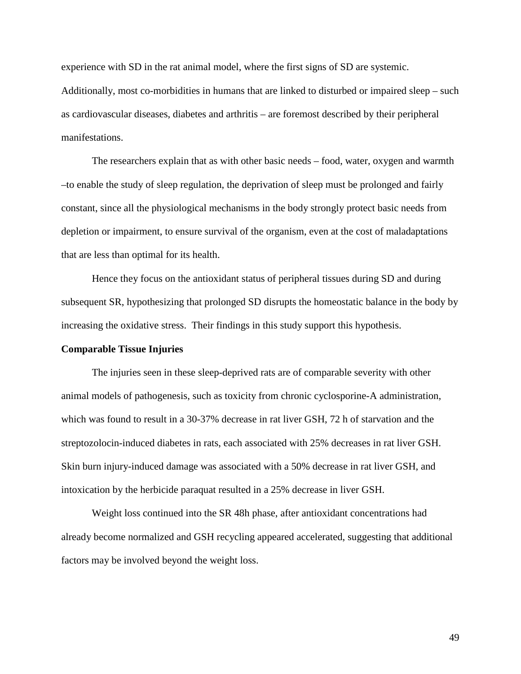experience with SD in the rat animal model, where the first signs of SD are systemic. Additionally, most co-morbidities in humans that are linked to disturbed or impaired sleep – such as cardiovascular diseases, diabetes and arthritis – are foremost described by their peripheral manifestations.

The researchers explain that as with other basic needs – food, water, oxygen and warmth –to enable the study of sleep regulation, the deprivation of sleep must be prolonged and fairly constant, since all the physiological mechanisms in the body strongly protect basic needs from depletion or impairment, to ensure survival of the organism, even at the cost of maladaptations that are less than optimal for its health.

Hence they focus on the antioxidant status of peripheral tissues during SD and during subsequent SR, hypothesizing that prolonged SD disrupts the homeostatic balance in the body by increasing the oxidative stress. Their findings in this study support this hypothesis.

#### **Comparable Tissue Injuries**

The injuries seen in these sleep-deprived rats are of comparable severity with other animal models of pathogenesis, such as toxicity from chronic cyclosporine-A administration, which was found to result in a 30-37% decrease in rat liver GSH, 72 h of starvation and the streptozolocin-induced diabetes in rats, each associated with 25% decreases in rat liver GSH. Skin burn injury-induced damage was associated with a 50% decrease in rat liver GSH, and intoxication by the herbicide paraquat resulted in a 25% decrease in liver GSH.

Weight loss continued into the SR 48h phase, after antioxidant concentrations had already become normalized and GSH recycling appeared accelerated, suggesting that additional factors may be involved beyond the weight loss.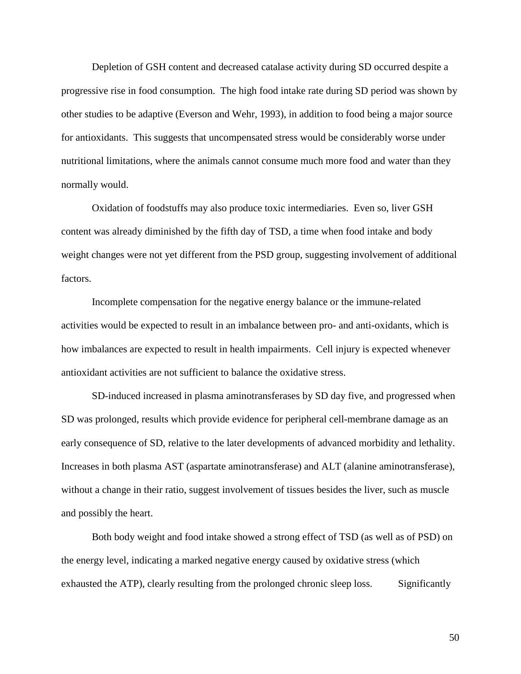Depletion of GSH content and decreased catalase activity during SD occurred despite a progressive rise in food consumption. The high food intake rate during SD period was shown by other studies to be adaptive (Everson and Wehr, 1993), in addition to food being a major source for antioxidants. This suggests that uncompensated stress would be considerably worse under nutritional limitations, where the animals cannot consume much more food and water than they normally would.

Oxidation of foodstuffs may also produce toxic intermediaries. Even so, liver GSH content was already diminished by the fifth day of TSD, a time when food intake and body weight changes were not yet different from the PSD group, suggesting involvement of additional factors.

Incomplete compensation for the negative energy balance or the immune-related activities would be expected to result in an imbalance between pro- and anti-oxidants, which is how imbalances are expected to result in health impairments. Cell injury is expected whenever antioxidant activities are not sufficient to balance the oxidative stress.

SD-induced increased in plasma aminotransferases by SD day five, and progressed when SD was prolonged, results which provide evidence for peripheral cell-membrane damage as an early consequence of SD, relative to the later developments of advanced morbidity and lethality. Increases in both plasma AST (aspartate aminotransferase) and ALT (alanine aminotransferase), without a change in their ratio, suggest involvement of tissues besides the liver, such as muscle and possibly the heart.

Both body weight and food intake showed a strong effect of TSD (as well as of PSD) on the energy level, indicating a marked negative energy caused by oxidative stress (which exhausted the ATP), clearly resulting from the prolonged chronic sleep loss. Significantly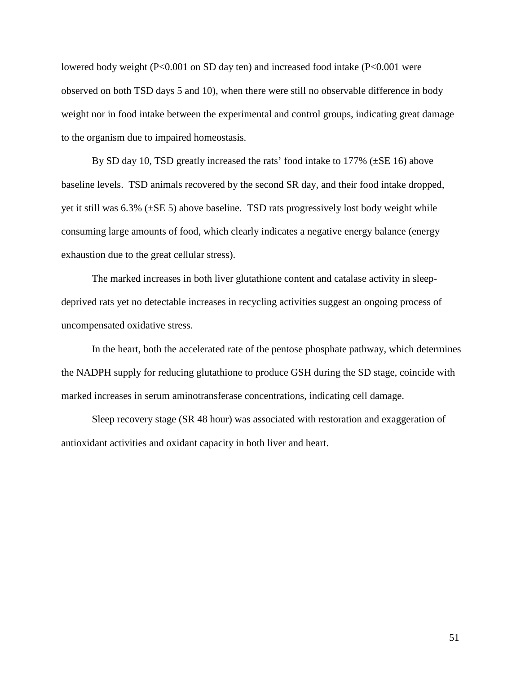lowered body weight (P<0.001 on SD day ten) and increased food intake (P<0.001 were observed on both TSD days 5 and 10), when there were still no observable difference in body weight nor in food intake between the experimental and control groups, indicating great damage to the organism due to impaired homeostasis.

By SD day 10, TSD greatly increased the rats' food intake to 177% (±SE 16) above baseline levels. TSD animals recovered by the second SR day, and their food intake dropped, yet it still was 6.3% (±SE 5) above baseline. TSD rats progressively lost body weight while consuming large amounts of food, which clearly indicates a negative energy balance (energy exhaustion due to the great cellular stress).

The marked increases in both liver glutathione content and catalase activity in sleepdeprived rats yet no detectable increases in recycling activities suggest an ongoing process of uncompensated oxidative stress.

In the heart, both the accelerated rate of the pentose phosphate pathway, which determines the NADPH supply for reducing glutathione to produce GSH during the SD stage, coincide with marked increases in serum aminotransferase concentrations, indicating cell damage.

Sleep recovery stage (SR 48 hour) was associated with restoration and exaggeration of antioxidant activities and oxidant capacity in both liver and heart.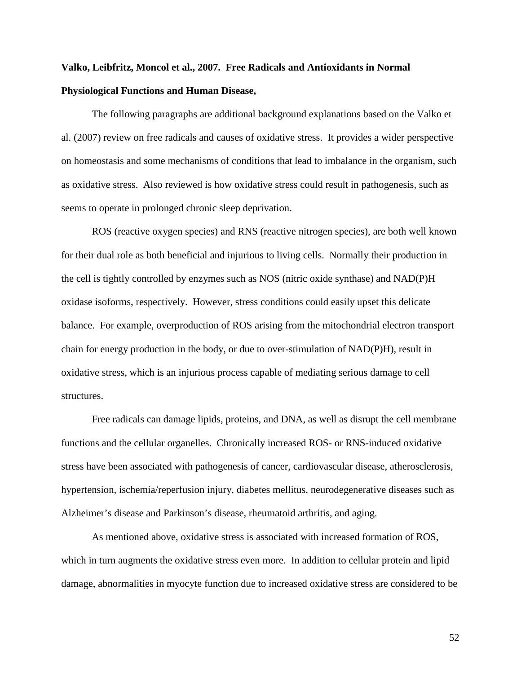# **Valko, Leibfritz, Moncol et al., 2007. Free Radicals and Antioxidants in Normal Physiological Functions and Human Disease,**

The following paragraphs are additional background explanations based on the Valko et al. (2007) review on free radicals and causes of oxidative stress. It provides a wider perspective on homeostasis and some mechanisms of conditions that lead to imbalance in the organism, such as oxidative stress. Also reviewed is how oxidative stress could result in pathogenesis, such as seems to operate in prolonged chronic sleep deprivation.

ROS (reactive oxygen species) and RNS (reactive nitrogen species), are both well known for their dual role as both beneficial and injurious to living cells. Normally their production in the cell is tightly controlled by enzymes such as NOS (nitric oxide synthase) and NAD(P)H oxidase isoforms, respectively. However, stress conditions could easily upset this delicate balance. For example, overproduction of ROS arising from the mitochondrial electron transport chain for energy production in the body, or due to over-stimulation of NAD(P)H), result in oxidative stress, which is an injurious process capable of mediating serious damage to cell structures.

Free radicals can damage lipids, proteins, and DNA, as well as disrupt the cell membrane functions and the cellular organelles. Chronically increased ROS- or RNS-induced oxidative stress have been associated with pathogenesis of cancer, cardiovascular disease, atherosclerosis, hypertension, ischemia/reperfusion injury, diabetes mellitus, neurodegenerative diseases such as Alzheimer's disease and Parkinson's disease, rheumatoid arthritis, and aging.

As mentioned above, oxidative stress is associated with increased formation of ROS, which in turn augments the oxidative stress even more. In addition to cellular protein and lipid damage, abnormalities in myocyte function due to increased oxidative stress are considered to be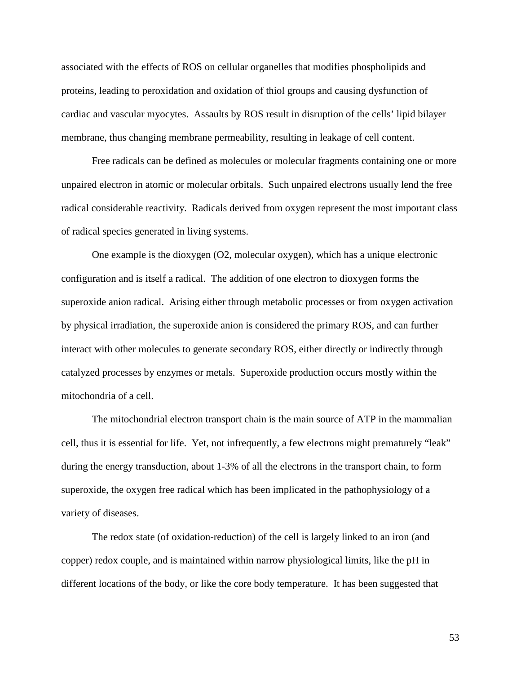associated with the effects of ROS on cellular organelles that modifies phospholipids and proteins, leading to peroxidation and oxidation of thiol groups and causing dysfunction of cardiac and vascular myocytes. Assaults by ROS result in disruption of the cells' lipid bilayer membrane, thus changing membrane permeability, resulting in leakage of cell content.

Free radicals can be defined as molecules or molecular fragments containing one or more unpaired electron in atomic or molecular orbitals. Such unpaired electrons usually lend the free radical considerable reactivity. Radicals derived from oxygen represent the most important class of radical species generated in living systems.

One example is the dioxygen (O2, molecular oxygen), which has a unique electronic configuration and is itself a radical. The addition of one electron to dioxygen forms the superoxide anion radical. Arising either through metabolic processes or from oxygen activation by physical irradiation, the superoxide anion is considered the primary ROS, and can further interact with other molecules to generate secondary ROS, either directly or indirectly through catalyzed processes by enzymes or metals. Superoxide production occurs mostly within the mitochondria of a cell.

The mitochondrial electron transport chain is the main source of ATP in the mammalian cell, thus it is essential for life. Yet, not infrequently, a few electrons might prematurely "leak" during the energy transduction, about 1-3% of all the electrons in the transport chain, to form superoxide, the oxygen free radical which has been implicated in the pathophysiology of a variety of diseases.

The redox state (of oxidation-reduction) of the cell is largely linked to an iron (and copper) redox couple, and is maintained within narrow physiological limits, like the pH in different locations of the body, or like the core body temperature. It has been suggested that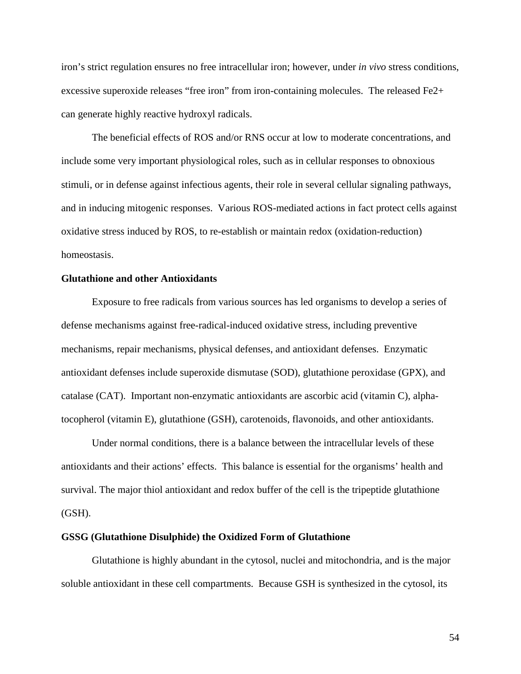iron's strict regulation ensures no free intracellular iron; however, under *in vivo* stress conditions, excessive superoxide releases "free iron" from iron-containing molecules. The released Fe2+ can generate highly reactive hydroxyl radicals.

The beneficial effects of ROS and/or RNS occur at low to moderate concentrations, and include some very important physiological roles, such as in cellular responses to obnoxious stimuli, or in defense against infectious agents, their role in several cellular signaling pathways, and in inducing mitogenic responses. Various ROS-mediated actions in fact protect cells against oxidative stress induced by ROS, to re-establish or maintain redox (oxidation-reduction) homeostasis.

### **Glutathione and other Antioxidants**

Exposure to free radicals from various sources has led organisms to develop a series of defense mechanisms against free-radical-induced oxidative stress, including preventive mechanisms, repair mechanisms, physical defenses, and antioxidant defenses. Enzymatic antioxidant defenses include superoxide dismutase (SOD), glutathione peroxidase (GPX), and catalase (CAT). Important non-enzymatic antioxidants are ascorbic acid (vitamin C), alphatocopherol (vitamin E), glutathione (GSH), carotenoids, flavonoids, and other antioxidants.

Under normal conditions, there is a balance between the intracellular levels of these antioxidants and their actions' effects. This balance is essential for the organisms' health and survival. The major thiol antioxidant and redox buffer of the cell is the tripeptide glutathione (GSH).

#### **GSSG (Glutathione Disulphide) the Oxidized Form of Glutathione**

Glutathione is highly abundant in the cytosol, nuclei and mitochondria, and is the major soluble antioxidant in these cell compartments. Because GSH is synthesized in the cytosol, its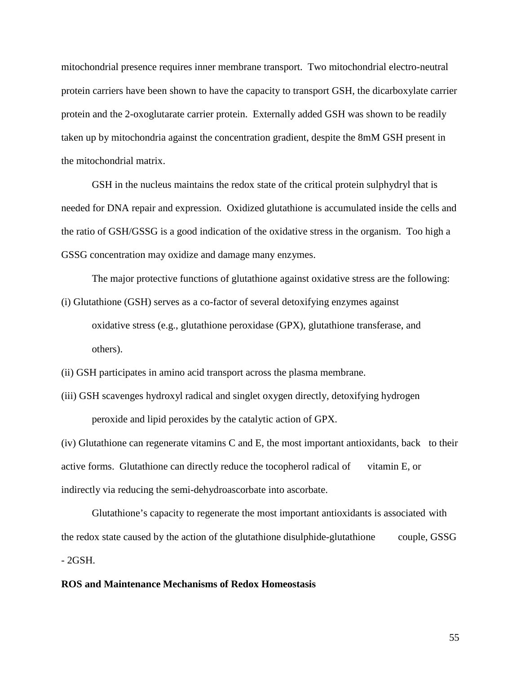mitochondrial presence requires inner membrane transport. Two mitochondrial electro-neutral protein carriers have been shown to have the capacity to transport GSH, the dicarboxylate carrier protein and the 2-oxoglutarate carrier protein. Externally added GSH was shown to be readily taken up by mitochondria against the concentration gradient, despite the 8mM GSH present in the mitochondrial matrix.

GSH in the nucleus maintains the redox state of the critical protein sulphydryl that is needed for DNA repair and expression. Oxidized glutathione is accumulated inside the cells and the ratio of GSH/GSSG is a good indication of the oxidative stress in the organism. Too high a GSSG concentration may oxidize and damage many enzymes.

The major protective functions of glutathione against oxidative stress are the following:

- (i) Glutathione (GSH) serves as a co-factor of several detoxifying enzymes against oxidative stress (e.g., glutathione peroxidase (GPX), glutathione transferase, and others).
- (ii) GSH participates in amino acid transport across the plasma membrane.
- (iii) GSH scavenges hydroxyl radical and singlet oxygen directly, detoxifying hydrogen peroxide and lipid peroxides by the catalytic action of GPX.

(iv) Glutathione can regenerate vitamins C and E, the most important antioxidants, back to their active forms. Glutathione can directly reduce the tocopherol radical of vitamin E, or indirectly via reducing the semi-dehydroascorbate into ascorbate.

Glutathione's capacity to regenerate the most important antioxidants is associated with the redox state caused by the action of the glutathione disulphide-glutathione couple, GSSG - 2GSH.

### **ROS and Maintenance Mechanisms of Redox Homeostasis**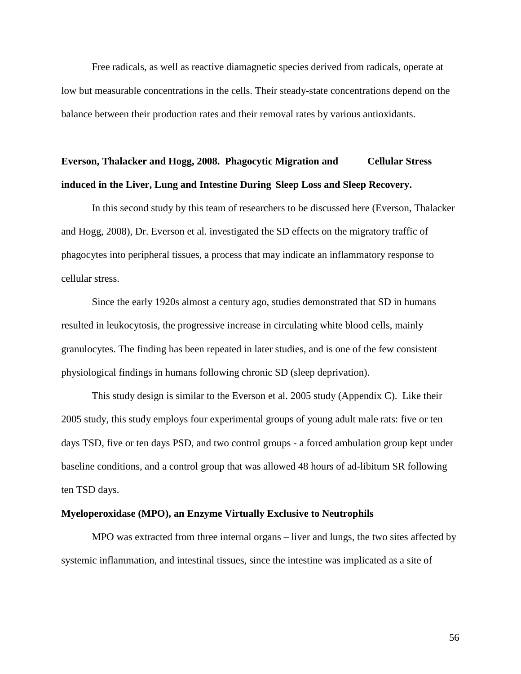Free radicals, as well as reactive diamagnetic species derived from radicals, operate at low but measurable concentrations in the cells. Their steady-state concentrations depend on the balance between their production rates and their removal rates by various antioxidants.

### **Everson, Thalacker and Hogg, 2008. Phagocytic Migration and Cellular Stress induced in the Liver, Lung and Intestine During Sleep Loss and Sleep Recovery.**

In this second study by this team of researchers to be discussed here (Everson, Thalacker and Hogg, 2008), Dr. Everson et al. investigated the SD effects on the migratory traffic of phagocytes into peripheral tissues, a process that may indicate an inflammatory response to cellular stress.

Since the early 1920s almost a century ago, studies demonstrated that SD in humans resulted in leukocytosis, the progressive increase in circulating white blood cells, mainly granulocytes. The finding has been repeated in later studies, and is one of the few consistent physiological findings in humans following chronic SD (sleep deprivation).

This study design is similar to the Everson et al. 2005 study (Appendix C). Like their 2005 study, this study employs four experimental groups of young adult male rats: five or ten days TSD, five or ten days PSD, and two control groups - a forced ambulation group kept under baseline conditions, and a control group that was allowed 48 hours of ad-libitum SR following ten TSD days.

### **Myeloperoxidase (MPO), an Enzyme Virtually Exclusive to Neutrophils**

MPO was extracted from three internal organs – liver and lungs, the two sites affected by systemic inflammation, and intestinal tissues, since the intestine was implicated as a site of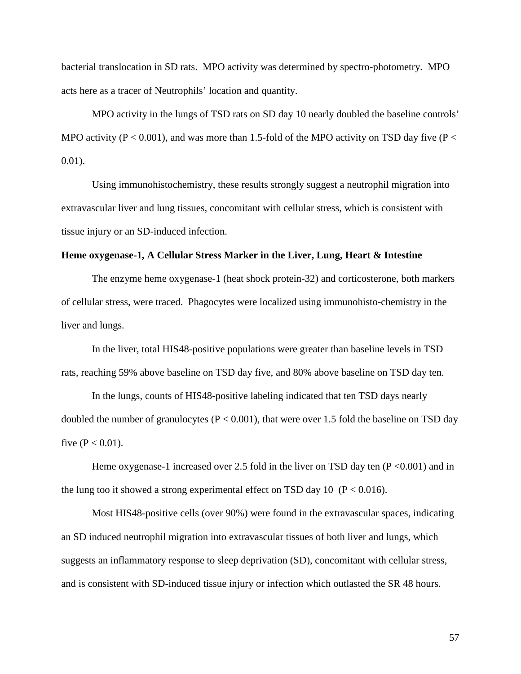bacterial translocation in SD rats. MPO activity was determined by spectro-photometry. MPO acts here as a tracer of Neutrophils' location and quantity.

MPO activity in the lungs of TSD rats on SD day 10 nearly doubled the baseline controls' MPO activity ( $P < 0.001$ ), and was more than 1.5-fold of the MPO activity on TSD day five ( $P <$ 0.01).

Using immunohistochemistry, these results strongly suggest a neutrophil migration into extravascular liver and lung tissues, concomitant with cellular stress, which is consistent with tissue injury or an SD-induced infection.

### **Heme oxygenase-1, A Cellular Stress Marker in the Liver, Lung, Heart & Intestine**

The enzyme heme oxygenase-1 (heat shock protein-32) and corticosterone, both markers of cellular stress, were traced. Phagocytes were localized using immunohisto-chemistry in the liver and lungs.

In the liver, total HIS48-positive populations were greater than baseline levels in TSD rats, reaching 59% above baseline on TSD day five, and 80% above baseline on TSD day ten.

In the lungs, counts of HIS48-positive labeling indicated that ten TSD days nearly doubled the number of granulocytes ( $P < 0.001$ ), that were over 1.5 fold the baseline on TSD day five ( $P < 0.01$ ).

Heme oxygenase-1 increased over 2.5 fold in the liver on TSD day ten  $(P < 0.001)$  and in the lung too it showed a strong experimental effect on TSD day 10 ( $P < 0.016$ ).

Most HIS48-positive cells (over 90%) were found in the extravascular spaces, indicating an SD induced neutrophil migration into extravascular tissues of both liver and lungs, which suggests an inflammatory response to sleep deprivation (SD), concomitant with cellular stress, and is consistent with SD-induced tissue injury or infection which outlasted the SR 48 hours.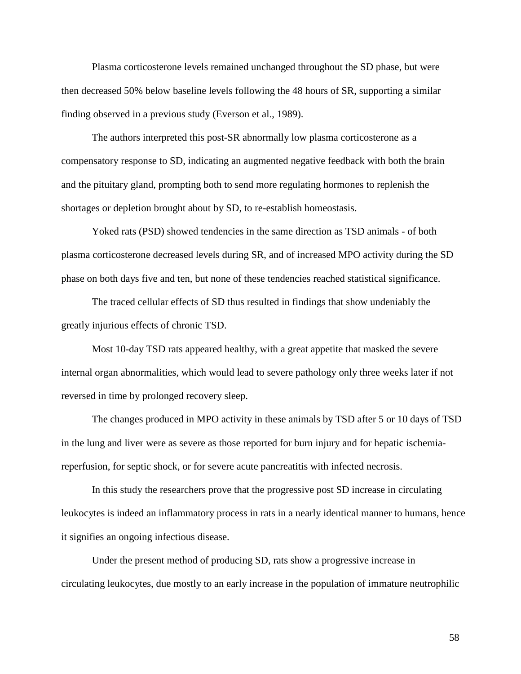Plasma corticosterone levels remained unchanged throughout the SD phase, but were then decreased 50% below baseline levels following the 48 hours of SR, supporting a similar finding observed in a previous study (Everson et al., 1989).

The authors interpreted this post-SR abnormally low plasma corticosterone as a compensatory response to SD, indicating an augmented negative feedback with both the brain and the pituitary gland, prompting both to send more regulating hormones to replenish the shortages or depletion brought about by SD, to re-establish homeostasis.

Yoked rats (PSD) showed tendencies in the same direction as TSD animals - of both plasma corticosterone decreased levels during SR, and of increased MPO activity during the SD phase on both days five and ten, but none of these tendencies reached statistical significance.

The traced cellular effects of SD thus resulted in findings that show undeniably the greatly injurious effects of chronic TSD.

Most 10-day TSD rats appeared healthy, with a great appetite that masked the severe internal organ abnormalities, which would lead to severe pathology only three weeks later if not reversed in time by prolonged recovery sleep.

The changes produced in MPO activity in these animals by TSD after 5 or 10 days of TSD in the lung and liver were as severe as those reported for burn injury and for hepatic ischemiareperfusion, for septic shock, or for severe acute pancreatitis with infected necrosis.

In this study the researchers prove that the progressive post SD increase in circulating leukocytes is indeed an inflammatory process in rats in a nearly identical manner to humans, hence it signifies an ongoing infectious disease.

Under the present method of producing SD, rats show a progressive increase in circulating leukocytes, due mostly to an early increase in the population of immature neutrophilic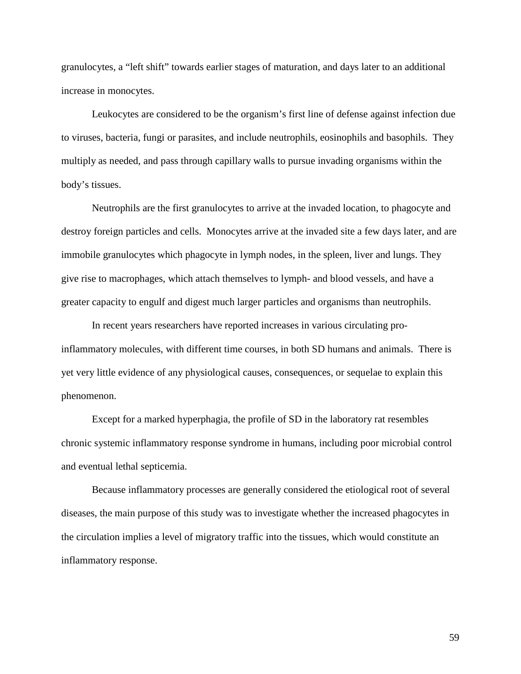granulocytes, a "left shift" towards earlier stages of maturation, and days later to an additional increase in monocytes.

Leukocytes are considered to be the organism's first line of defense against infection due to viruses, bacteria, fungi or parasites, and include neutrophils, eosinophils and basophils. They multiply as needed, and pass through capillary walls to pursue invading organisms within the body's tissues.

Neutrophils are the first granulocytes to arrive at the invaded location, to phagocyte and destroy foreign particles and cells. Monocytes arrive at the invaded site a few days later, and are immobile granulocytes which phagocyte in lymph nodes, in the spleen, liver and lungs. They give rise to macrophages, which attach themselves to lymph- and blood vessels, and have a greater capacity to engulf and digest much larger particles and organisms than neutrophils.

In recent years researchers have reported increases in various circulating proinflammatory molecules, with different time courses, in both SD humans and animals. There is yet very little evidence of any physiological causes, consequences, or sequelae to explain this phenomenon.

Except for a marked hyperphagia, the profile of SD in the laboratory rat resembles chronic systemic inflammatory response syndrome in humans, including poor microbial control and eventual lethal septicemia.

Because inflammatory processes are generally considered the etiological root of several diseases, the main purpose of this study was to investigate whether the increased phagocytes in the circulation implies a level of migratory traffic into the tissues, which would constitute an inflammatory response.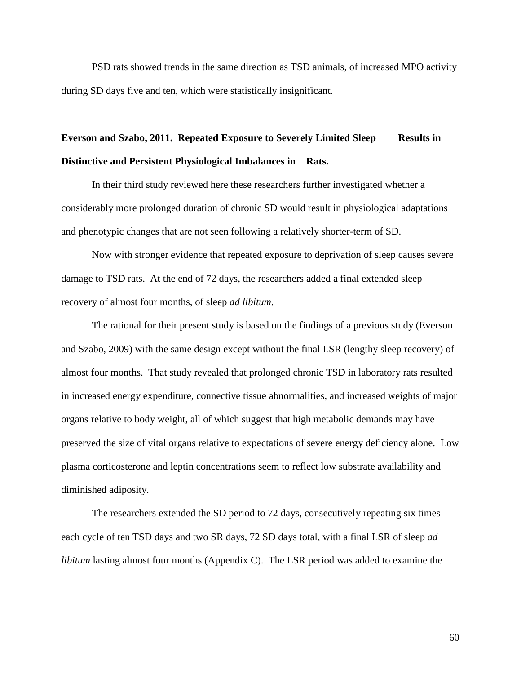PSD rats showed trends in the same direction as TSD animals, of increased MPO activity during SD days five and ten, which were statistically insignificant.

## **Everson and Szabo, 2011. Repeated Exposure to Severely Limited Sleep Results in Distinctive and Persistent Physiological Imbalances in Rats.**

In their third study reviewed here these researchers further investigated whether a considerably more prolonged duration of chronic SD would result in physiological adaptations and phenotypic changes that are not seen following a relatively shorter-term of SD.

Now with stronger evidence that repeated exposure to deprivation of sleep causes severe damage to TSD rats. At the end of 72 days, the researchers added a final extended sleep recovery of almost four months, of sleep *ad libitum*.

The rational for their present study is based on the findings of a previous study (Everson and Szabo, 2009) with the same design except without the final LSR (lengthy sleep recovery) of almost four months. That study revealed that prolonged chronic TSD in laboratory rats resulted in increased energy expenditure, connective tissue abnormalities, and increased weights of major organs relative to body weight, all of which suggest that high metabolic demands may have preserved the size of vital organs relative to expectations of severe energy deficiency alone. Low plasma corticosterone and leptin concentrations seem to reflect low substrate availability and diminished adiposity.

The researchers extended the SD period to 72 days, consecutively repeating six times each cycle of ten TSD days and two SR days, 72 SD days total, with a final LSR of sleep *ad libitum* lasting almost four months (Appendix C). The LSR period was added to examine the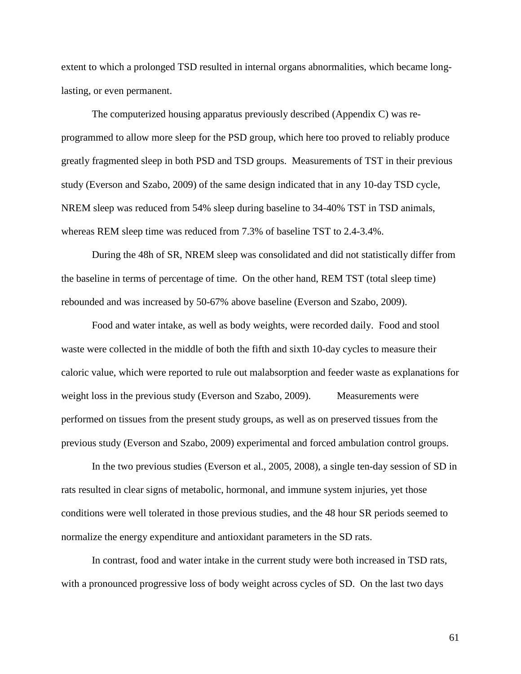extent to which a prolonged TSD resulted in internal organs abnormalities, which became longlasting, or even permanent.

The computerized housing apparatus previously described (Appendix C) was reprogrammed to allow more sleep for the PSD group, which here too proved to reliably produce greatly fragmented sleep in both PSD and TSD groups. Measurements of TST in their previous study (Everson and Szabo, 2009) of the same design indicated that in any 10-day TSD cycle, NREM sleep was reduced from 54% sleep during baseline to 34-40% TST in TSD animals, whereas REM sleep time was reduced from 7.3% of baseline TST to 2.4-3.4%.

During the 48h of SR, NREM sleep was consolidated and did not statistically differ from the baseline in terms of percentage of time. On the other hand, REM TST (total sleep time) rebounded and was increased by 50-67% above baseline (Everson and Szabo, 2009).

Food and water intake, as well as body weights, were recorded daily. Food and stool waste were collected in the middle of both the fifth and sixth 10-day cycles to measure their caloric value, which were reported to rule out malabsorption and feeder waste as explanations for weight loss in the previous study (Everson and Szabo, 2009). Measurements were performed on tissues from the present study groups, as well as on preserved tissues from the previous study (Everson and Szabo, 2009) experimental and forced ambulation control groups.

In the two previous studies (Everson et al., 2005, 2008), a single ten-day session of SD in rats resulted in clear signs of metabolic, hormonal, and immune system injuries, yet those conditions were well tolerated in those previous studies, and the 48 hour SR periods seemed to normalize the energy expenditure and antioxidant parameters in the SD rats.

In contrast, food and water intake in the current study were both increased in TSD rats, with a pronounced progressive loss of body weight across cycles of SD. On the last two days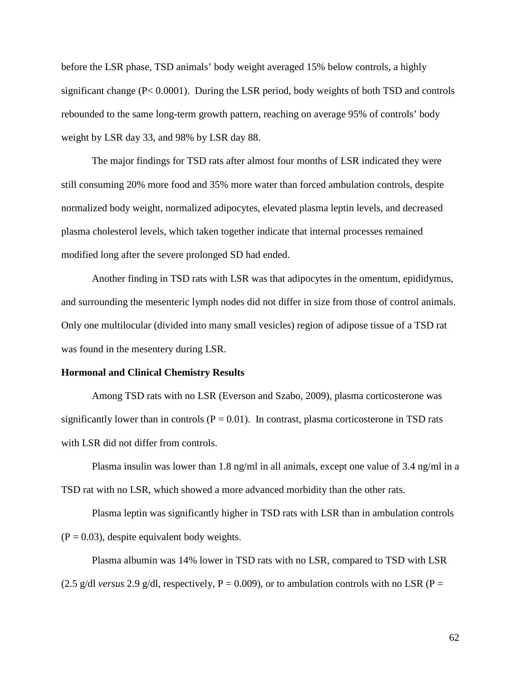before the LSR phase, TSD animals' body weight averaged 15% below controls, a highly significant change (P< 0.0001). During the LSR period, body weights of both TSD and controls rebounded to the same long-term growth pattern, reaching on average 95% of controls' body weight by LSR day 33, and 98% by LSR day 88.

The major findings for TSD rats after almost four months of LSR indicated they were still consuming 20% more food and 35% more water than forced ambulation controls, despite normalized body weight, normalized adipocytes, elevated plasma leptin levels, and decreased plasma cholesterol levels, which taken together indicate that internal processes remained modified long after the severe prolonged SD had ended.

Another finding in TSD rats with LSR was that adipocytes in the omentum, epididymus, and surrounding the mesenteric lymph nodes did not differ in size from those of control animals. Only one multilocular (divided into many small vesicles) region of adipose tissue of a TSD rat was found in the mesentery during LSR.

### **Hormonal and Clinical Chemistry Results**

Among TSD rats with no LSR (Everson and Szabo, 2009), plasma corticosterone was significantly lower than in controls ( $P = 0.01$ ). In contrast, plasma corticosterone in TSD rats with LSR did not differ from controls.

Plasma insulin was lower than 1.8 ng/ml in all animals, except one value of 3.4 ng/ml in a TSD rat with no LSR, which showed a more advanced morbidity than the other rats.

Plasma leptin was significantly higher in TSD rats with LSR than in ambulation controls  $(P = 0.03)$ , despite equivalent body weights.

Plasma albumin was 14% lower in TSD rats with no LSR, compared to TSD with LSR (2.5 g/dl *versus* 2.9 g/dl, respectively,  $P = 0.009$ ), or to ambulation controls with no LSR ( $P =$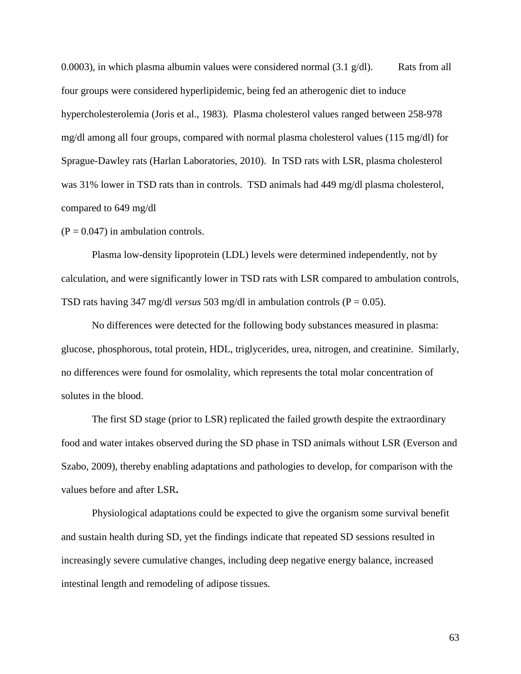0.0003), in which plasma albumin values were considered normal  $(3.1 \text{ g/d})$ . Rats from all four groups were considered hyperlipidemic, being fed an atherogenic diet to induce hypercholesterolemia (Joris et al., 1983). Plasma cholesterol values ranged between 258-978 mg/dl among all four groups, compared with normal plasma cholesterol values (115 mg/dl) for Sprague-Dawley rats (Harlan Laboratories, 2010). In TSD rats with LSR, plasma cholesterol was 31% lower in TSD rats than in controls. TSD animals had 449 mg/dl plasma cholesterol, compared to 649 mg/dl

 $(P = 0.047)$  in ambulation controls.

Plasma low-density lipoprotein (LDL) levels were determined independently, not by calculation, and were significantly lower in TSD rats with LSR compared to ambulation controls, TSD rats having 347 mg/dl *versus* 503 mg/dl in ambulation controls ( $P = 0.05$ ).

No differences were detected for the following body substances measured in plasma: glucose, phosphorous, total protein, HDL, triglycerides, urea, nitrogen, and creatinine. Similarly, no differences were found for osmolality, which represents the total molar concentration of solutes in the blood.

The first SD stage (prior to LSR) replicated the failed growth despite the extraordinary food and water intakes observed during the SD phase in TSD animals without LSR (Everson and Szabo, 2009), thereby enabling adaptations and pathologies to develop, for comparison with the values before and after LSR**.** 

Physiological adaptations could be expected to give the organism some survival benefit and sustain health during SD, yet the findings indicate that repeated SD sessions resulted in increasingly severe cumulative changes, including deep negative energy balance, increased intestinal length and remodeling of adipose tissues.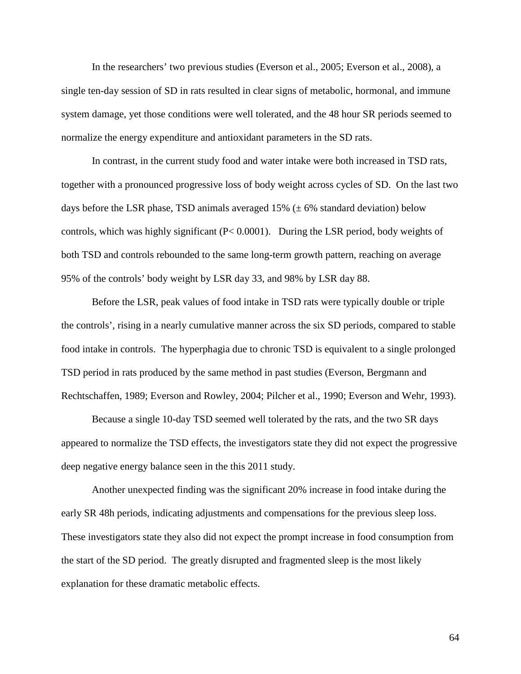In the researchers' two previous studies (Everson et al., 2005; Everson et al., 2008), a single ten-day session of SD in rats resulted in clear signs of metabolic, hormonal, and immune system damage, yet those conditions were well tolerated, and the 48 hour SR periods seemed to normalize the energy expenditure and antioxidant parameters in the SD rats.

In contrast, in the current study food and water intake were both increased in TSD rats, together with a pronounced progressive loss of body weight across cycles of SD. On the last two days before the LSR phase, TSD animals averaged  $15\%$  ( $\pm$  6% standard deviation) below controls, which was highly significant (P< 0.0001). During the LSR period, body weights of both TSD and controls rebounded to the same long-term growth pattern, reaching on average 95% of the controls' body weight by LSR day 33, and 98% by LSR day 88.

Before the LSR, peak values of food intake in TSD rats were typically double or triple the controls', rising in a nearly cumulative manner across the six SD periods, compared to stable food intake in controls. The hyperphagia due to chronic TSD is equivalent to a single prolonged TSD period in rats produced by the same method in past studies (Everson, Bergmann and Rechtschaffen, 1989; Everson and Rowley, 2004; Pilcher et al., 1990; Everson and Wehr, 1993).

Because a single 10-day TSD seemed well tolerated by the rats, and the two SR days appeared to normalize the TSD effects, the investigators state they did not expect the progressive deep negative energy balance seen in the this 2011 study.

Another unexpected finding was the significant 20% increase in food intake during the early SR 48h periods, indicating adjustments and compensations for the previous sleep loss. These investigators state they also did not expect the prompt increase in food consumption from the start of the SD period. The greatly disrupted and fragmented sleep is the most likely explanation for these dramatic metabolic effects.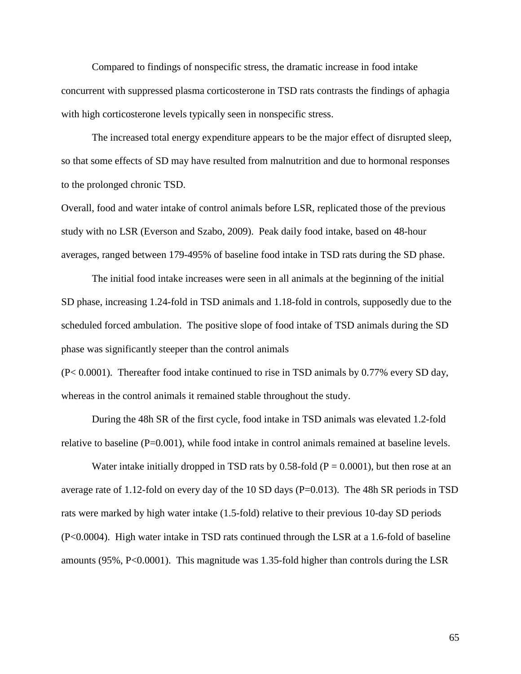Compared to findings of nonspecific stress, the dramatic increase in food intake concurrent with suppressed plasma corticosterone in TSD rats contrasts the findings of aphagia with high corticosterone levels typically seen in nonspecific stress.

The increased total energy expenditure appears to be the major effect of disrupted sleep, so that some effects of SD may have resulted from malnutrition and due to hormonal responses to the prolonged chronic TSD.

Overall, food and water intake of control animals before LSR, replicated those of the previous study with no LSR (Everson and Szabo, 2009). Peak daily food intake, based on 48-hour averages, ranged between 179-495% of baseline food intake in TSD rats during the SD phase.

The initial food intake increases were seen in all animals at the beginning of the initial SD phase, increasing 1.24-fold in TSD animals and 1.18-fold in controls, supposedly due to the scheduled forced ambulation. The positive slope of food intake of TSD animals during the SD phase was significantly steeper than the control animals

(P< 0.0001). Thereafter food intake continued to rise in TSD animals by 0.77% every SD day, whereas in the control animals it remained stable throughout the study.

During the 48h SR of the first cycle, food intake in TSD animals was elevated 1.2-fold relative to baseline (P=0.001), while food intake in control animals remained at baseline levels.

Water intake initially dropped in TSD rats by  $0.58$ -fold (P = 0.0001), but then rose at an average rate of 1.12-fold on every day of the 10 SD days  $(P=0.013)$ . The 48h SR periods in TSD rats were marked by high water intake (1.5-fold) relative to their previous 10-day SD periods (P<0.0004). High water intake in TSD rats continued through the LSR at a 1.6-fold of baseline amounts (95%, P<0.0001). This magnitude was 1.35-fold higher than controls during the LSR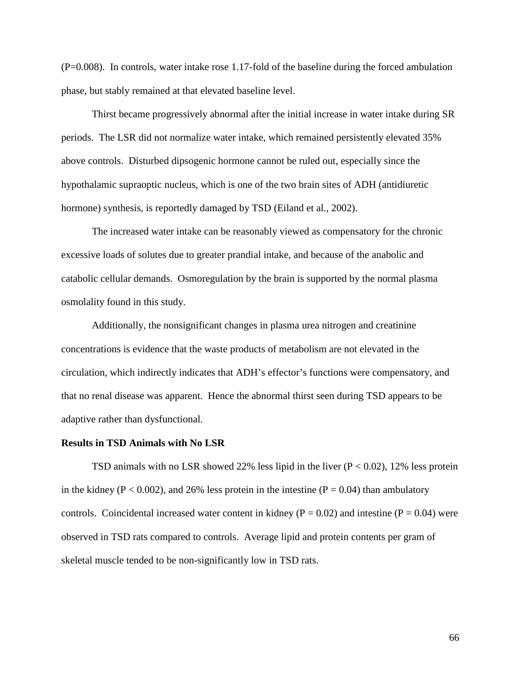(P=0.008). In controls, water intake rose 1.17-fold of the baseline during the forced ambulation phase, but stably remained at that elevated baseline level.

Thirst became progressively abnormal after the initial increase in water intake during SR periods. The LSR did not normalize water intake, which remained persistently elevated 35% above controls. Disturbed dipsogenic hormone cannot be ruled out, especially since the hypothalamic supraoptic nucleus, which is one of the two brain sites of ADH (antidiuretic hormone) synthesis, is reportedly damaged by TSD (Eiland et al., 2002).

The increased water intake can be reasonably viewed as compensatory for the chronic excessive loads of solutes due to greater prandial intake, and because of the anabolic and catabolic cellular demands.Osmoregulation by the brain is supported by the normal plasma osmolality found in this study.

Additionally, the nonsignificant changes in plasma urea nitrogen and creatinine concentrations is evidence that the waste products of metabolism are not elevated in the circulation, which indirectly indicates that ADH's effector's functions were compensatory, and that no renal disease was apparent. Hence the abnormal thirst seen during TSD appears to be adaptive rather than dysfunctional.

#### **Results in TSD Animals with No LSR**

TSD animals with no LSR showed 22% less lipid in the liver  $(P < 0.02)$ , 12% less protein in the kidney ( $P < 0.002$ ), and 26% less protein in the intestine ( $P = 0.04$ ) than ambulatory controls. Coincidental increased water content in kidney ( $P = 0.02$ ) and intestine ( $P = 0.04$ ) were observed in TSD rats compared to controls. Average lipid and protein contents per gram of skeletal muscle tended to be non-significantly low in TSD rats.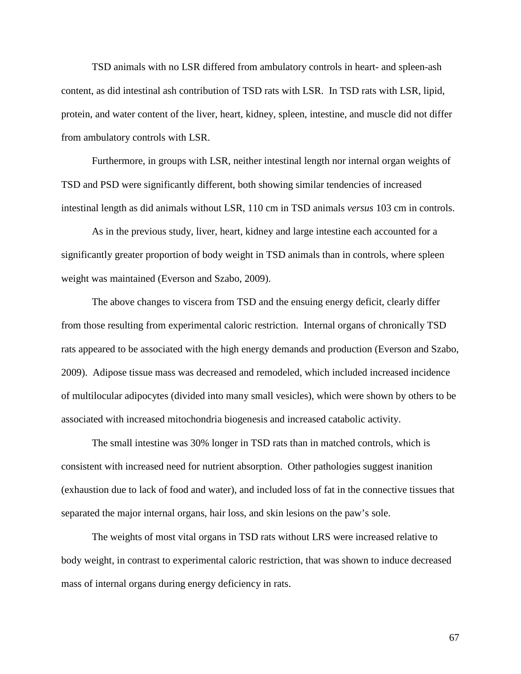TSD animals with no LSR differed from ambulatory controls in heart- and spleen-ash content, as did intestinal ash contribution of TSD rats with LSR. In TSD rats with LSR, lipid, protein, and water content of the liver, heart, kidney, spleen, intestine, and muscle did not differ from ambulatory controls with LSR.

Furthermore, in groups with LSR, neither intestinal length nor internal organ weights of TSD and PSD were significantly different, both showing similar tendencies of increased intestinal length as did animals without LSR, 110 cm in TSD animals *versus* 103 cm in controls.

As in the previous study, liver, heart, kidney and large intestine each accounted for a significantly greater proportion of body weight in TSD animals than in controls, where spleen weight was maintained (Everson and Szabo, 2009).

The above changes to viscera from TSD and the ensuing energy deficit, clearly differ from those resulting from experimental caloric restriction. Internal organs of chronically TSD rats appeared to be associated with the high energy demands and production (Everson and Szabo, 2009). Adipose tissue mass was decreased and remodeled, which included increased incidence of multilocular adipocytes (divided into many small vesicles), which were shown by others to be associated with increased mitochondria biogenesis and increased catabolic activity.

The small intestine was 30% longer in TSD rats than in matched controls, which is consistent with increased need for nutrient absorption. Other pathologies suggest inanition (exhaustion due to lack of food and water), and included loss of fat in the connective tissues that separated the major internal organs, hair loss, and skin lesions on the paw's sole.

The weights of most vital organs in TSD rats without LRS were increased relative to body weight, in contrast to experimental caloric restriction, that was shown to induce decreased mass of internal organs during energy deficiency in rats.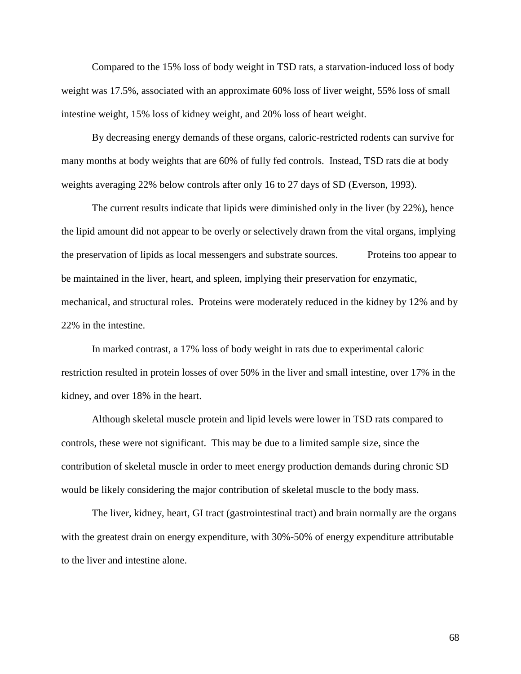Compared to the 15% loss of body weight in TSD rats, a starvation-induced loss of body weight was 17.5%, associated with an approximate 60% loss of liver weight, 55% loss of small intestine weight, 15% loss of kidney weight, and 20% loss of heart weight.

By decreasing energy demands of these organs, caloric-restricted rodents can survive for many months at body weights that are 60% of fully fed controls. Instead, TSD rats die at body weights averaging 22% below controls after only 16 to 27 days of SD (Everson, 1993).

The current results indicate that lipids were diminished only in the liver (by 22%), hence the lipid amount did not appear to be overly or selectively drawn from the vital organs, implying the preservation of lipids as local messengers and substrate sources. Proteins too appear to be maintained in the liver, heart, and spleen, implying their preservation for enzymatic, mechanical, and structural roles. Proteins were moderately reduced in the kidney by 12% and by 22% in the intestine.

In marked contrast, a 17% loss of body weight in rats due to experimental caloric restriction resulted in protein losses of over 50% in the liver and small intestine, over 17% in the kidney, and over 18% in the heart.

Although skeletal muscle protein and lipid levels were lower in TSD rats compared to controls, these were not significant. This may be due to a limited sample size, since the contribution of skeletal muscle in order to meet energy production demands during chronic SD would be likely considering the major contribution of skeletal muscle to the body mass.

The liver, kidney, heart, GI tract (gastrointestinal tract) and brain normally are the organs with the greatest drain on energy expenditure, with 30%-50% of energy expenditure attributable to the liver and intestine alone.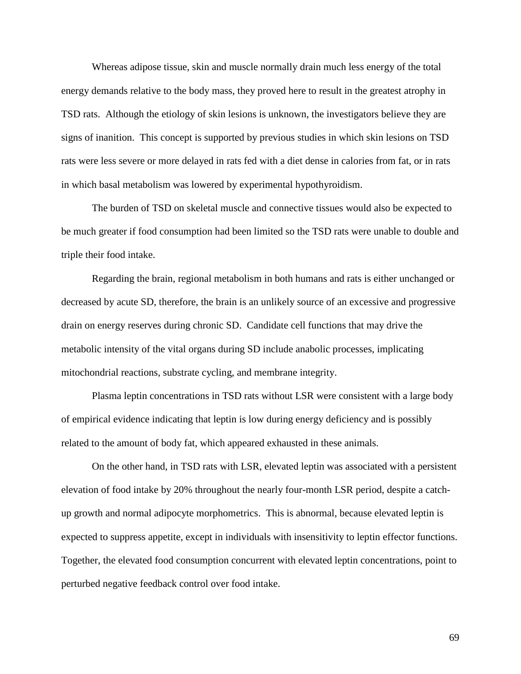Whereas adipose tissue, skin and muscle normally drain much less energy of the total energy demands relative to the body mass, they proved here to result in the greatest atrophy in TSD rats. Although the etiology of skin lesions is unknown, the investigators believe they are signs of inanition. This concept is supported by previous studies in which skin lesions on TSD rats were less severe or more delayed in rats fed with a diet dense in calories from fat, or in rats in which basal metabolism was lowered by experimental hypothyroidism.

The burden of TSD on skeletal muscle and connective tissues would also be expected to be much greater if food consumption had been limited so the TSD rats were unable to double and triple their food intake.

Regarding the brain, regional metabolism in both humans and rats is either unchanged or decreased by acute SD, therefore, the brain is an unlikely source of an excessive and progressive drain on energy reserves during chronic SD. Candidate cell functions that may drive the metabolic intensity of the vital organs during SD include anabolic processes, implicating mitochondrial reactions, substrate cycling, and membrane integrity.

Plasma leptin concentrations in TSD rats without LSR were consistent with a large body of empirical evidence indicating that leptin is low during energy deficiency and is possibly related to the amount of body fat, which appeared exhausted in these animals.

On the other hand, in TSD rats with LSR, elevated leptin was associated with a persistent elevation of food intake by 20% throughout the nearly four-month LSR period, despite a catchup growth and normal adipocyte morphometrics. This is abnormal, because elevated leptin is expected to suppress appetite, except in individuals with insensitivity to leptin effector functions. Together, the elevated food consumption concurrent with elevated leptin concentrations, point to perturbed negative feedback control over food intake.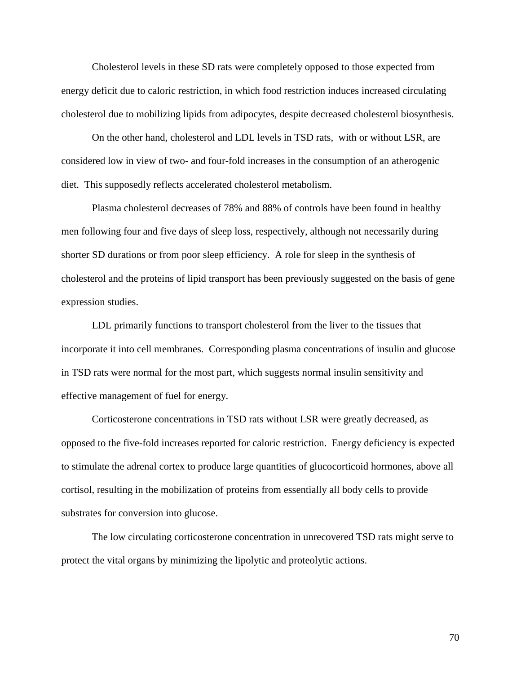Cholesterol levels in these SD rats were completely opposed to those expected from energy deficit due to caloric restriction, in which food restriction induces increased circulating cholesterol due to mobilizing lipids from adipocytes, despite decreased cholesterol biosynthesis.

On the other hand, cholesterol and LDL levels in TSD rats, with or without LSR, are considered low in view of two- and four-fold increases in the consumption of an atherogenic diet. This supposedly reflects accelerated cholesterol metabolism.

Plasma cholesterol decreases of 78% and 88% of controls have been found in healthy men following four and five days of sleep loss, respectively, although not necessarily during shorter SD durations or from poor sleep efficiency. A role for sleep in the synthesis of cholesterol and the proteins of lipid transport has been previously suggested on the basis of gene expression studies.

LDL primarily functions to transport cholesterol from the liver to the tissues that incorporate it into cell membranes. Corresponding plasma concentrations of insulin and glucose in TSD rats were normal for the most part, which suggests normal insulin sensitivity and effective management of fuel for energy.

Corticosterone concentrations in TSD rats without LSR were greatly decreased, as opposed to the five-fold increases reported for caloric restriction. Energy deficiency is expected to stimulate the adrenal cortex to produce large quantities of glucocorticoid hormones, above all cortisol, resulting in the mobilization of proteins from essentially all body cells to provide substrates for conversion into glucose.

The low circulating corticosterone concentration in unrecovered TSD rats might serve to protect the vital organs by minimizing the lipolytic and proteolytic actions.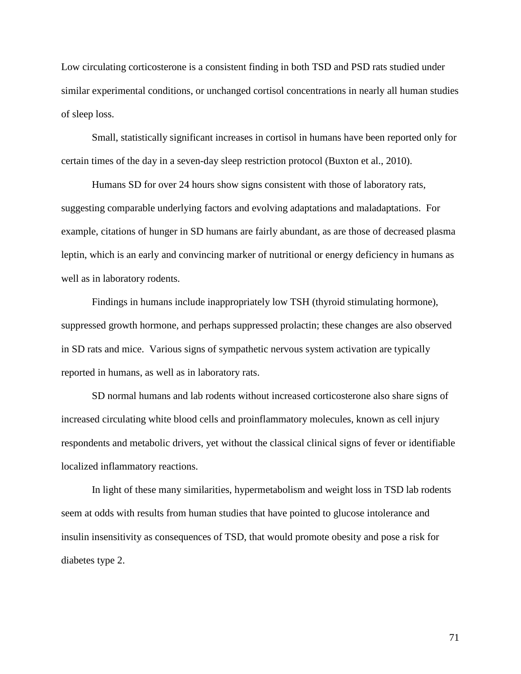Low circulating corticosterone is a consistent finding in both TSD and PSD rats studied under similar experimental conditions, or unchanged cortisol concentrations in nearly all human studies of sleep loss.

Small, statistically significant increases in cortisol in humans have been reported only for certain times of the day in a seven-day sleep restriction protocol (Buxton et al., 2010).

Humans SD for over 24 hours show signs consistent with those of laboratory rats, suggesting comparable underlying factors and evolving adaptations and maladaptations. For example, citations of hunger in SD humans are fairly abundant, as are those of decreased plasma leptin, which is an early and convincing marker of nutritional or energy deficiency in humans as well as in laboratory rodents.

Findings in humans include inappropriately low TSH (thyroid stimulating hormone), suppressed growth hormone, and perhaps suppressed prolactin; these changes are also observed in SD rats and mice. Various signs of sympathetic nervous system activation are typically reported in humans, as well as in laboratory rats.

SD normal humans and lab rodents without increased corticosterone also share signs of increased circulating white blood cells and proinflammatory molecules, known as cell injury respondents and metabolic drivers, yet without the classical clinical signs of fever or identifiable localized inflammatory reactions.

In light of these many similarities, hypermetabolism and weight loss in TSD lab rodents seem at odds with results from human studies that have pointed to glucose intolerance and insulin insensitivity as consequences of TSD, that would promote obesity and pose a risk for diabetes type 2.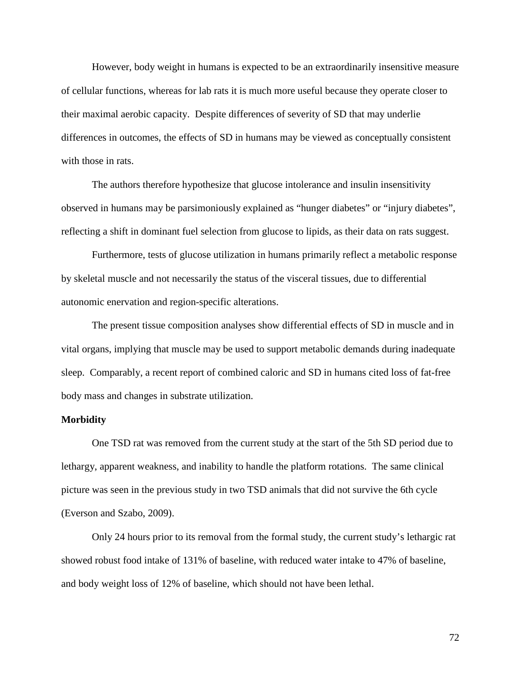However, body weight in humans is expected to be an extraordinarily insensitive measure of cellular functions, whereas for lab rats it is much more useful because they operate closer to their maximal aerobic capacity. Despite differences of severity of SD that may underlie differences in outcomes, the effects of SD in humans may be viewed as conceptually consistent with those in rats.

The authors therefore hypothesize that glucose intolerance and insulin insensitivity observed in humans may be parsimoniously explained as "hunger diabetes" or "injury diabetes", reflecting a shift in dominant fuel selection from glucose to lipids, as their data on rats suggest.

Furthermore, tests of glucose utilization in humans primarily reflect a metabolic response by skeletal muscle and not necessarily the status of the visceral tissues, due to differential autonomic enervation and region-specific alterations.

The present tissue composition analyses show differential effects of SD in muscle and in vital organs, implying that muscle may be used to support metabolic demands during inadequate sleep. Comparably, a recent report of combined caloric and SD in humans cited loss of fat-free body mass and changes in substrate utilization.

### **Morbidity**

One TSD rat was removed from the current study at the start of the 5th SD period due to lethargy, apparent weakness, and inability to handle the platform rotations. The same clinical picture was seen in the previous study in two TSD animals that did not survive the 6th cycle (Everson and Szabo, 2009).

Only 24 hours prior to its removal from the formal study, the current study's lethargic rat showed robust food intake of 131% of baseline, with reduced water intake to 47% of baseline, and body weight loss of 12% of baseline, which should not have been lethal.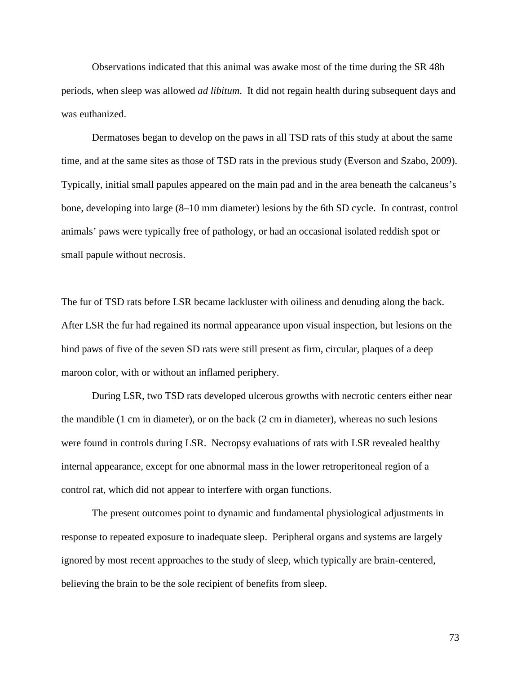Observations indicated that this animal was awake most of the time during the SR 48h periods, when sleep was allowed *ad libitum*. It did not regain health during subsequent days and was euthanized.

Dermatoses began to develop on the paws in all TSD rats of this study at about the same time, and at the same sites as those of TSD rats in the previous study (Everson and Szabo, 2009). Typically, initial small papules appeared on the main pad and in the area beneath the calcaneus's bone, developing into large (8–10 mm diameter) lesions by the 6th SD cycle. In contrast, control animals' paws were typically free of pathology, or had an occasional isolated reddish spot or small papule without necrosis.

The fur of TSD rats before LSR became lackluster with oiliness and denuding along the back. After LSR the fur had regained its normal appearance upon visual inspection, but lesions on the hind paws of five of the seven SD rats were still present as firm, circular, plaques of a deep maroon color, with or without an inflamed periphery.

During LSR, two TSD rats developed ulcerous growths with necrotic centers either near the mandible (1 cm in diameter), or on the back (2 cm in diameter), whereas no such lesions were found in controls during LSR. Necropsy evaluations of rats with LSR revealed healthy internal appearance, except for one abnormal mass in the lower retroperitoneal region of a control rat, which did not appear to interfere with organ functions.

The present outcomes point to dynamic and fundamental physiological adjustments in response to repeated exposure to inadequate sleep. Peripheral organs and systems are largely ignored by most recent approaches to the study of sleep, which typically are brain-centered, believing the brain to be the sole recipient of benefits from sleep.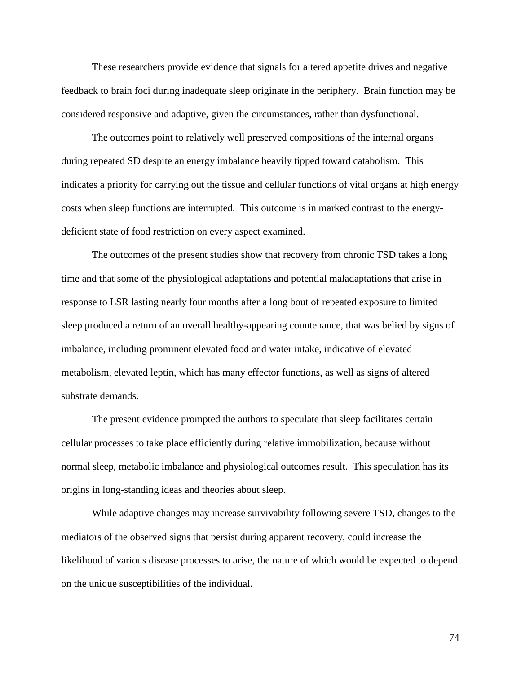These researchers provide evidence that signals for altered appetite drives and negative feedback to brain foci during inadequate sleep originate in the periphery. Brain function may be considered responsive and adaptive, given the circumstances, rather than dysfunctional.

The outcomes point to relatively well preserved compositions of the internal organs during repeated SD despite an energy imbalance heavily tipped toward catabolism. This indicates a priority for carrying out the tissue and cellular functions of vital organs at high energy costs when sleep functions are interrupted. This outcome is in marked contrast to the energydeficient state of food restriction on every aspect examined.

The outcomes of the present studies show that recovery from chronic TSD takes a long time and that some of the physiological adaptations and potential maladaptations that arise in response to LSR lasting nearly four months after a long bout of repeated exposure to limited sleep produced a return of an overall healthy-appearing countenance, that was belied by signs of imbalance, including prominent elevated food and water intake, indicative of elevated metabolism, elevated leptin, which has many effector functions, as well as signs of altered substrate demands.

The present evidence prompted the authors to speculate that sleep facilitates certain cellular processes to take place efficiently during relative immobilization, because without normal sleep, metabolic imbalance and physiological outcomes result. This speculation has its origins in long-standing ideas and theories about sleep.

While adaptive changes may increase survivability following severe TSD, changes to the mediators of the observed signs that persist during apparent recovery, could increase the likelihood of various disease processes to arise, the nature of which would be expected to depend on the unique susceptibilities of the individual.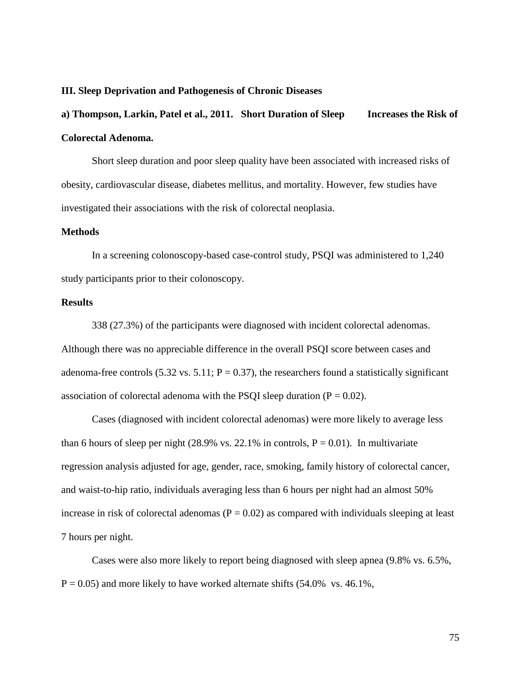#### **III. Sleep Deprivation and Pathogenesis of Chronic Diseases**

# **a) Thompson, Larkin, Patel et al., 2011. Short Duration of Sleep Increases the Risk of Colorectal Adenoma.**

Short sleep duration and poor sleep quality have been associated with increased risks of obesity, cardiovascular disease, diabetes mellitus, and mortality. However, few studies have investigated their associations with the risk of colorectal neoplasia.

# **Methods**

In a screening colonoscopy-based case-control study, PSQI was administered to 1,240 study participants prior to their colonoscopy.

# **Results**

338 (27.3%) of the participants were diagnosed with incident colorectal adenomas. Although there was no appreciable difference in the overall PSQI score between cases and adenoma-free controls (5.32 vs. 5.11;  $P = 0.37$ ), the researchers found a statistically significant association of colorectal adenoma with the PSQI sleep duration ( $P = 0.02$ ).

Cases (diagnosed with incident colorectal adenomas) were more likely to average less than 6 hours of sleep per night  $(28.9\% \text{ vs. } 22.1\% \text{ in controls, } P = 0.01)$ . In multivariate regression analysis adjusted for age, gender, race, smoking, family history of colorectal cancer, and waist-to-hip ratio, individuals averaging less than 6 hours per night had an almost 50% increase in risk of colorectal adenomas ( $P = 0.02$ ) as compared with individuals sleeping at least 7 hours per night.

Cases were also more likely to report being diagnosed with sleep apnea (9.8% vs. 6.5%,  $P = 0.05$ ) and more likely to have worked alternate shifts (54.0% vs. 46.1%,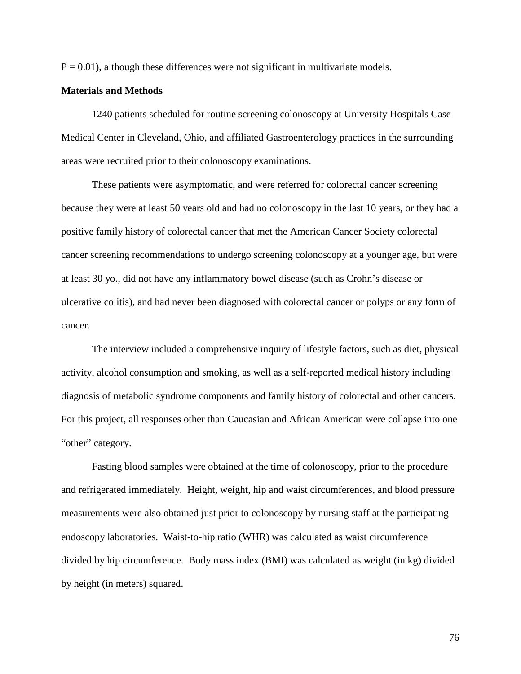$P = 0.01$ , although these differences were not significant in multivariate models.

#### **Materials and Methods**

1240 patients scheduled for routine screening colonoscopy at University Hospitals Case Medical Center in Cleveland, Ohio, and affiliated Gastroenterology practices in the surrounding areas were recruited prior to their colonoscopy examinations.

These patients were asymptomatic, and were referred for colorectal cancer screening because they were at least 50 years old and had no colonoscopy in the last 10 years, or they had a positive family history of colorectal cancer that met the American Cancer Society colorectal cancer screening recommendations to undergo screening colonoscopy at a younger age, but were at least 30 yo., did not have any inflammatory bowel disease (such as Crohn's disease or ulcerative colitis), and had never been diagnosed with colorectal cancer or polyps or any form of cancer.

The interview included a comprehensive inquiry of lifestyle factors, such as diet, physical activity, alcohol consumption and smoking, as well as a self-reported medical history including diagnosis of metabolic syndrome components and family history of colorectal and other cancers. For this project, all responses other than Caucasian and African American were collapse into one "other" category.

Fasting blood samples were obtained at the time of colonoscopy, prior to the procedure and refrigerated immediately. Height, weight, hip and waist circumferences, and blood pressure measurements were also obtained just prior to colonoscopy by nursing staff at the participating endoscopy laboratories. Waist-to-hip ratio (WHR) was calculated as waist circumference divided by hip circumference. Body mass index (BMI) was calculated as weight (in kg) divided by height (in meters) squared.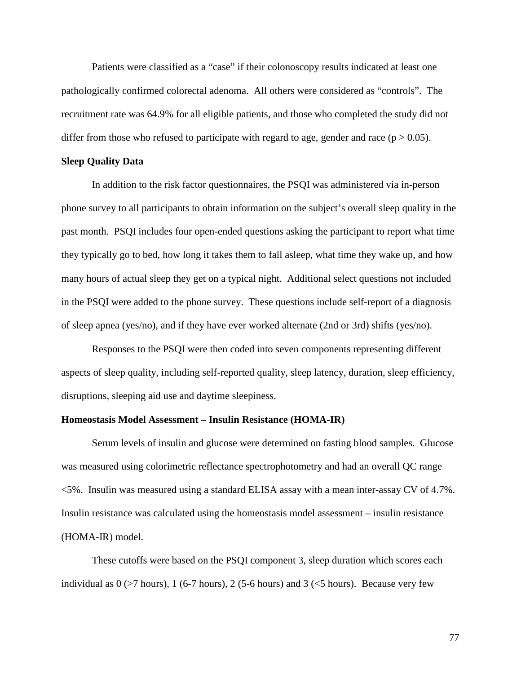Patients were classified as a "case" if their colonoscopy results indicated at least one pathologically confirmed colorectal adenoma. All others were considered as "controls". The recruitment rate was 64.9% for all eligible patients, and those who completed the study did not differ from those who refused to participate with regard to age, gender and race ( $p > 0.05$ ).

# **Sleep Quality Data**

In addition to the risk factor questionnaires, the PSQI was administered via in-person phone survey to all participants to obtain information on the subject's overall sleep quality in the past month. PSQI includes four open-ended questions asking the participant to report what time they typically go to bed, how long it takes them to fall asleep, what time they wake up, and how many hours of actual sleep they get on a typical night. Additional select questions not included in the PSQI were added to the phone survey. These questions include self-report of a diagnosis of sleep apnea (yes/no), and if they have ever worked alternate (2nd or 3rd) shifts (yes/no).

Responses to the PSQI were then coded into seven components representing different aspects of sleep quality, including self-reported quality, sleep latency, duration, sleep efficiency, disruptions, sleeping aid use and daytime sleepiness.

# **Homeostasis Model Assessment – Insulin Resistance (HOMA-IR)**

Serum levels of insulin and glucose were determined on fasting blood samples. Glucose was measured using colorimetric reflectance spectrophotometry and had an overall QC range <5%. Insulin was measured using a standard ELISA assay with a mean inter-assay CV of 4.7%. Insulin resistance was calculated using the homeostasis model assessment – insulin resistance (HOMA-IR) model.

These cutoffs were based on the PSQI component 3, sleep duration which scores each individual as  $0$  ( $>7$  hours), 1 (6-7 hours), 2 (5-6 hours) and 3 ( $<$ 5 hours). Because very few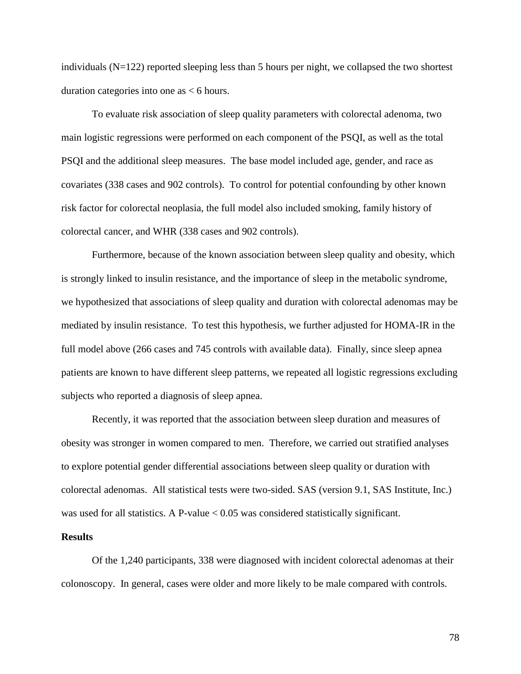individuals (N=122) reported sleeping less than 5 hours per night, we collapsed the two shortest duration categories into one as < 6 hours.

To evaluate risk association of sleep quality parameters with colorectal adenoma, two main logistic regressions were performed on each component of the PSQI, as well as the total PSQI and the additional sleep measures. The base model included age, gender, and race as covariates (338 cases and 902 controls). To control for potential confounding by other known risk factor for colorectal neoplasia, the full model also included smoking, family history of colorectal cancer, and WHR (338 cases and 902 controls).

Furthermore, because of the known association between sleep quality and obesity, which is strongly linked to insulin resistance, and the importance of sleep in the metabolic syndrome, we hypothesized that associations of sleep quality and duration with colorectal adenomas may be mediated by insulin resistance. To test this hypothesis, we further adjusted for HOMA-IR in the full model above (266 cases and 745 controls with available data). Finally, since sleep apnea patients are known to have different sleep patterns, we repeated all logistic regressions excluding subjects who reported a diagnosis of sleep apnea.

Recently, it was reported that the association between sleep duration and measures of obesity was stronger in women compared to men. Therefore, we carried out stratified analyses to explore potential gender differential associations between sleep quality or duration with colorectal adenomas. All statistical tests were two-sided. SAS (version 9.1, SAS Institute, Inc.) was used for all statistics. A P-value < 0.05 was considered statistically significant.

# **Results**

Of the 1,240 participants, 338 were diagnosed with incident colorectal adenomas at their colonoscopy. In general, cases were older and more likely to be male compared with controls.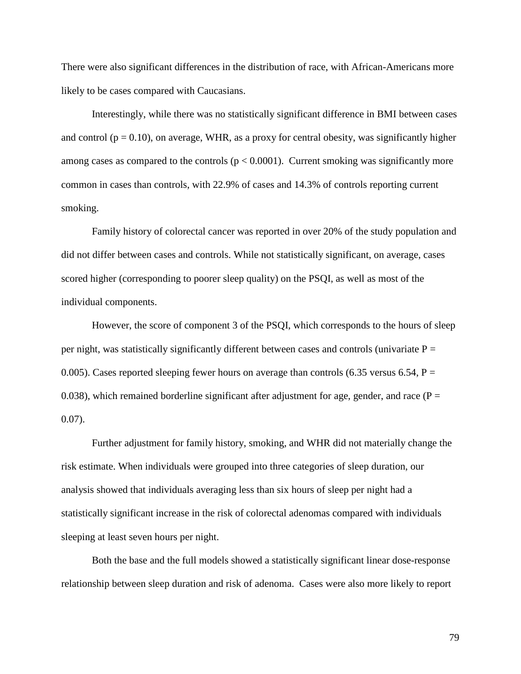There were also significant differences in the distribution of race, with African-Americans more likely to be cases compared with Caucasians.

Interestingly, while there was no statistically significant difference in BMI between cases and control ( $p = 0.10$ ), on average, WHR, as a proxy for central obesity, was significantly higher among cases as compared to the controls  $(p < 0.0001)$ . Current smoking was significantly more common in cases than controls, with 22.9% of cases and 14.3% of controls reporting current smoking.

Family history of colorectal cancer was reported in over 20% of the study population and did not differ between cases and controls. While not statistically significant, on average, cases scored higher (corresponding to poorer sleep quality) on the PSQI, as well as most of the individual components.

However, the score of component 3 of the PSQI, which corresponds to the hours of sleep per night, was statistically significantly different between cases and controls (univariate  $P =$ 0.005). Cases reported sleeping fewer hours on average than controls (6.35 versus 6.54,  $P =$ 0.038), which remained borderline significant after adjustment for age, gender, and race ( $P =$ 0.07).

Further adjustment for family history, smoking, and WHR did not materially change the risk estimate. When individuals were grouped into three categories of sleep duration, our analysis showed that individuals averaging less than six hours of sleep per night had a statistically significant increase in the risk of colorectal adenomas compared with individuals sleeping at least seven hours per night.

Both the base and the full models showed a statistically significant linear dose-response relationship between sleep duration and risk of adenoma. Cases were also more likely to report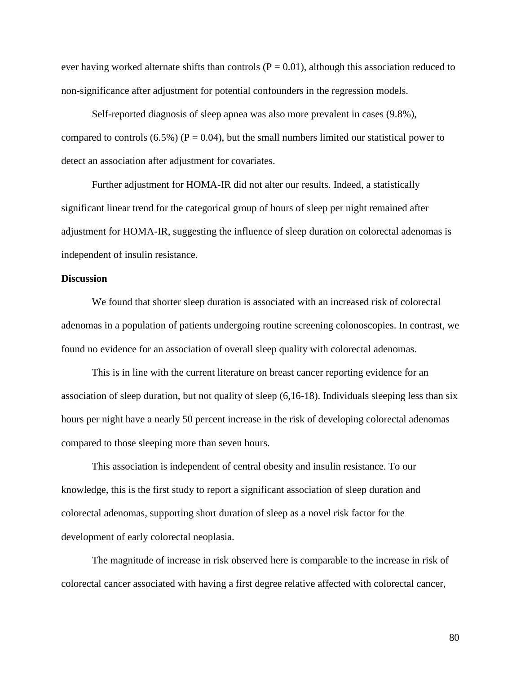ever having worked alternate shifts than controls  $(P = 0.01)$ , although this association reduced to non-significance after adjustment for potential confounders in the regression models.

Self-reported diagnosis of sleep apnea was also more prevalent in cases (9.8%), compared to controls (6.5%) ( $P = 0.04$ ), but the small numbers limited our statistical power to detect an association after adjustment for covariates.

Further adjustment for HOMA-IR did not alter our results. Indeed, a statistically significant linear trend for the categorical group of hours of sleep per night remained after adjustment for HOMA-IR, suggesting the influence of sleep duration on colorectal adenomas is independent of insulin resistance.

# **Discussion**

We found that shorter sleep duration is associated with an increased risk of colorectal adenomas in a population of patients undergoing routine screening colonoscopies. In contrast, we found no evidence for an association of overall sleep quality with colorectal adenomas.

This is in line with the current literature on breast cancer reporting evidence for an association of sleep duration, but not quality of sleep (6,16-18). Individuals sleeping less than six hours per night have a nearly 50 percent increase in the risk of developing colorectal adenomas compared to those sleeping more than seven hours.

This association is independent of central obesity and insulin resistance. To our knowledge, this is the first study to report a significant association of sleep duration and colorectal adenomas, supporting short duration of sleep as a novel risk factor for the development of early colorectal neoplasia.

The magnitude of increase in risk observed here is comparable to the increase in risk of colorectal cancer associated with having a first degree relative affected with colorectal cancer,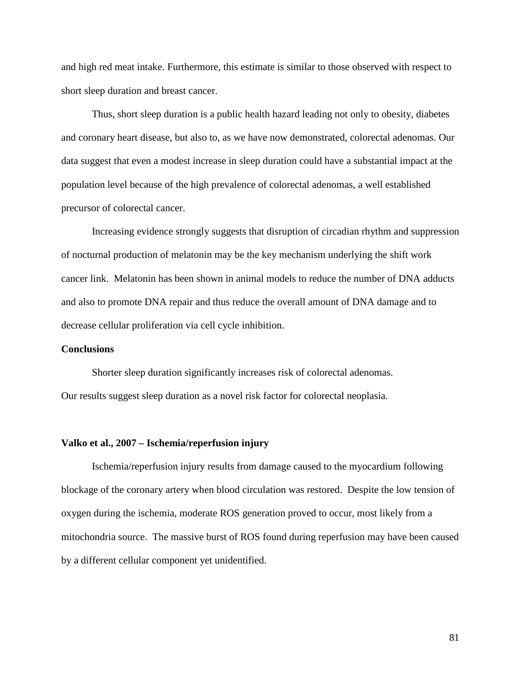and high red meat intake. Furthermore, this estimate is similar to those observed with respect to short sleep duration and breast cancer.

Thus, short sleep duration is a public health hazard leading not only to obesity, diabetes and coronary heart disease, but also to, as we have now demonstrated, colorectal adenomas. Our data suggest that even a modest increase in sleep duration could have a substantial impact at the population level because of the high prevalence of colorectal adenomas, a well established precursor of colorectal cancer.

Increasing evidence strongly suggests that disruption of circadian rhythm and suppression of nocturnal production of melatonin may be the key mechanism underlying the shift work cancer link. Melatonin has been shown in animal models to reduce the number of DNA adducts and also to promote DNA repair and thus reduce the overall amount of DNA damage and to decrease cellular proliferation via cell cycle inhibition.

# **Conclusions**

Shorter sleep duration significantly increases risk of colorectal adenomas. Our results suggest sleep duration as a novel risk factor for colorectal neoplasia.

#### **Valko et al., 2007 – Ischemia/reperfusion injury**

Ischemia/reperfusion injury results from damage caused to the myocardium following blockage of the coronary artery when blood circulation was restored. Despite the low tension of oxygen during the ischemia, moderate ROS generation proved to occur, most likely from a mitochondria source. The massive burst of ROS found during reperfusion may have been caused by a different cellular component yet unidentified.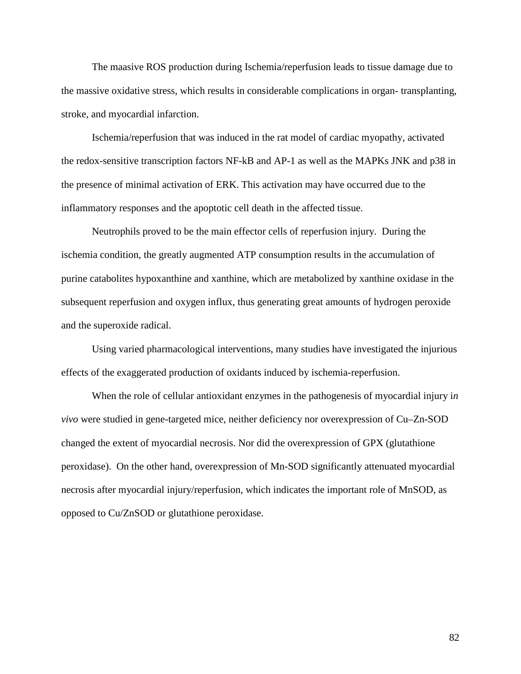The maasive ROS production during Ischemia/reperfusion leads to tissue damage due to the massive oxidative stress, which results in considerable complications in organ- transplanting, stroke, and myocardial infarction.

Ischemia/reperfusion that was induced in the rat model of cardiac myopathy, activated the redox-sensitive transcription factors NF-kB and AP-1 as well as the MAPKs JNK and p38 in the presence of minimal activation of ERK. This activation may have occurred due to the inflammatory responses and the apoptotic cell death in the affected tissue.

Neutrophils proved to be the main effector cells of reperfusion injury. During the ischemia condition, the greatly augmented ATP consumption results in the accumulation of purine catabolites hypoxanthine and xanthine, which are metabolized by xanthine oxidase in the subsequent reperfusion and oxygen influx, thus generating great amounts of hydrogen peroxide and the superoxide radical.

Using varied pharmacological interventions, many studies have investigated the injurious effects of the exaggerated production of oxidants induced by ischemia-reperfusion.

When the role of cellular antioxidant enzymes in the pathogenesis of myocardial injury i*n vivo* were studied in gene-targeted mice, neither deficiency nor overexpression of Cu–Zn-SOD changed the extent of myocardial necrosis. Nor did the overexpression of GPX (glutathione peroxidase). On the other hand, overexpression of Mn-SOD significantly attenuated myocardial necrosis after myocardial injury/reperfusion, which indicates the important role of MnSOD, as opposed to Cu/ZnSOD or glutathione peroxidase.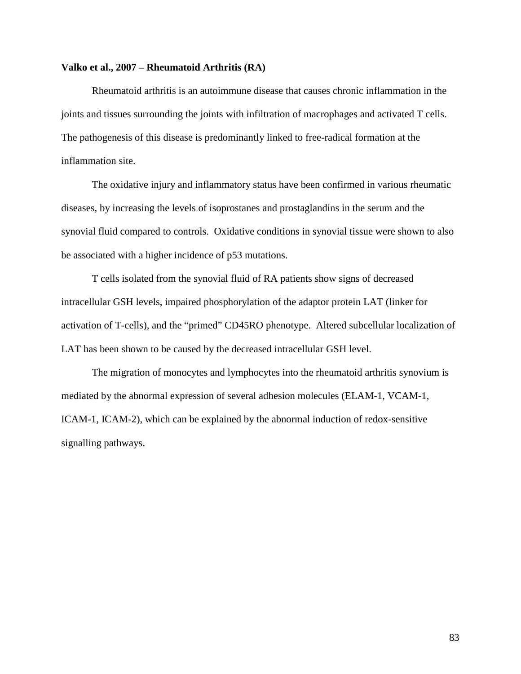# **Valko et al., 2007 – Rheumatoid Arthritis (RA)**

Rheumatoid arthritis is an autoimmune disease that causes chronic inflammation in the joints and tissues surrounding the joints with infiltration of macrophages and activated T cells. The pathogenesis of this disease is predominantly linked to free-radical formation at the inflammation site.

The oxidative injury and inflammatory status have been confirmed in various rheumatic diseases, by increasing the levels of isoprostanes and prostaglandins in the serum and the synovial fluid compared to controls. Oxidative conditions in synovial tissue were shown to also be associated with a higher incidence of p53 mutations.

T cells isolated from the synovial fluid of RA patients show signs of decreased intracellular GSH levels, impaired phosphorylation of the adaptor protein LAT (linker for activation of T-cells), and the "primed" CD45RO phenotype. Altered subcellular localization of LAT has been shown to be caused by the decreased intracellular GSH level.

The migration of monocytes and lymphocytes into the rheumatoid arthritis synovium is mediated by the abnormal expression of several adhesion molecules (ELAM-1, VCAM-1, ICAM-1, ICAM-2), which can be explained by the abnormal induction of redox-sensitive signalling pathways.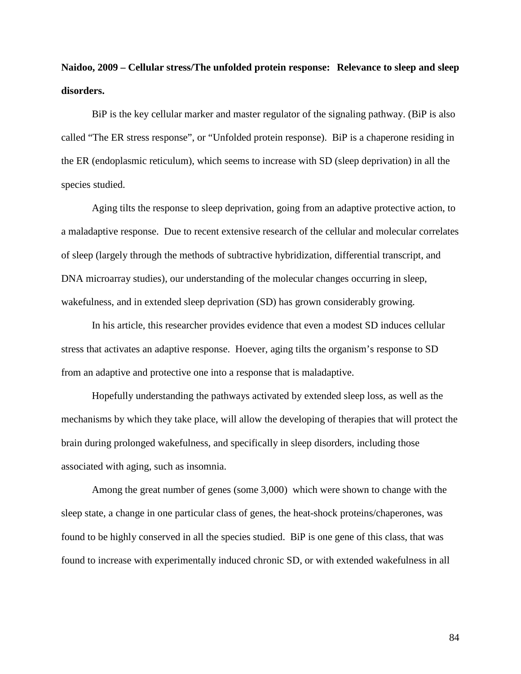**Naidoo, 2009 – Cellular stress/The unfolded protein response: Relevance to sleep and sleep disorders.** 

BiP is the key cellular marker and master regulator of the signaling pathway. (BiP is also called "The ER stress response", or "Unfolded protein response). BiP is a chaperone residing in the ER (endoplasmic reticulum), which seems to increase with SD (sleep deprivation) in all the species studied.

Aging tilts the response to sleep deprivation, going from an adaptive protective action, to a maladaptive response. Due to recent extensive research of the cellular and molecular correlates of sleep (largely through the methods of subtractive hybridization, differential transcript, and DNA microarray studies), our understanding of the molecular changes occurring in sleep, wakefulness, and in extended sleep deprivation (SD) has grown considerably growing.

In his article, this researcher provides evidence that even a modest SD induces cellular stress that activates an adaptive response. Hoever, aging tilts the organism's response to SD from an adaptive and protective one into a response that is maladaptive.

Hopefully understanding the pathways activated by extended sleep loss, as well as the mechanisms by which they take place, will allow the developing of therapies that will protect the brain during prolonged wakefulness, and specifically in sleep disorders, including those associated with aging, such as insomnia.

Among the great number of genes (some 3,000) which were shown to change with the sleep state, a change in one particular class of genes, the heat-shock proteins/chaperones, was found to be highly conserved in all the species studied. BiP is one gene of this class, that was found to increase with experimentally induced chronic SD, or with extended wakefulness in all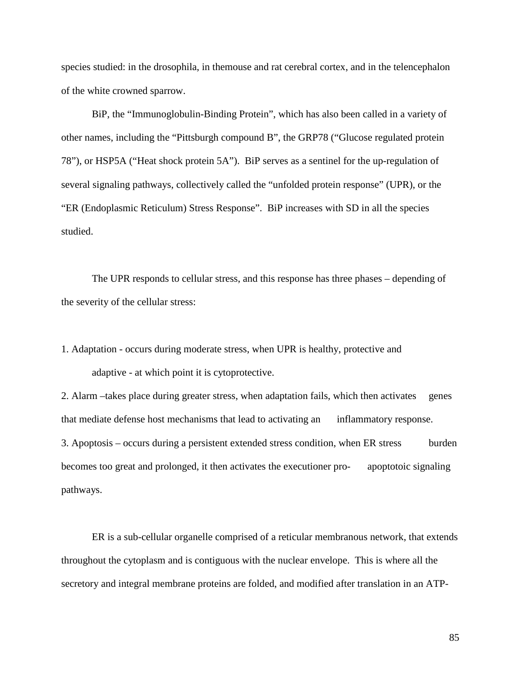species studied: in the drosophila, in themouse and rat cerebral cortex, and in the telencephalon of the white crowned sparrow.

BiP, the "Immunoglobulin-Binding Protein", which has also been called in a variety of other names, including the "Pittsburgh compound B", the GRP78 ("Glucose regulated protein 78"), or HSP5A ("Heat shock protein 5A"). BiP serves as a sentinel for the up-regulation of several signaling pathways, collectively called the "unfolded protein response" (UPR), or the "ER (Endoplasmic Reticulum) Stress Response". BiP increases with SD in all the species studied.

The UPR responds to cellular stress, and this response has three phases – depending of the severity of the cellular stress:

1. Adaptation - occurs during moderate stress, when UPR is healthy, protective and adaptive - at which point it is cytoprotective.

2. Alarm –takes place during greater stress, when adaptation fails, which then activates genes that mediate defense host mechanisms that lead to activating an inflammatory response. 3. Apoptosis – occurs during a persistent extended stress condition, when ER stress burden becomes too great and prolonged, it then activates the executioner pro- apoptotoic signaling pathways.

ER is a sub-cellular organelle comprised of a reticular membranous network, that extends throughout the cytoplasm and is contiguous with the nuclear envelope. This is where all the secretory and integral membrane proteins are folded, and modified after translation in an ATP-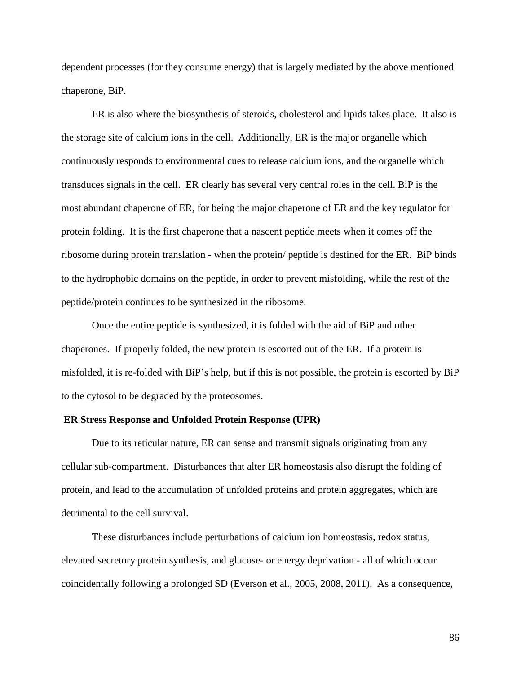dependent processes (for they consume energy) that is largely mediated by the above mentioned chaperone, BiP.

ER is also where the biosynthesis of steroids, cholesterol and lipids takes place. It also is the storage site of calcium ions in the cell. Additionally, ER is the major organelle which continuously responds to environmental cues to release calcium ions, and the organelle which transduces signals in the cell. ER clearly has several very central roles in the cell. BiP is the most abundant chaperone of ER, for being the major chaperone of ER and the key regulator for protein folding. It is the first chaperone that a nascent peptide meets when it comes off the ribosome during protein translation - when the protein/ peptide is destined for the ER. BiP binds to the hydrophobic domains on the peptide, in order to prevent misfolding, while the rest of the peptide/protein continues to be synthesized in the ribosome.

Once the entire peptide is synthesized, it is folded with the aid of BiP and other chaperones. If properly folded, the new protein is escorted out of the ER. If a protein is misfolded, it is re-folded with BiP's help, but if this is not possible, the protein is escorted by BiP to the cytosol to be degraded by the proteosomes.

# **ER Stress Response and Unfolded Protein Response (UPR)**

Due to its reticular nature, ER can sense and transmit signals originating from any cellular sub-compartment. Disturbances that alter ER homeostasis also disrupt the folding of protein, and lead to the accumulation of unfolded proteins and protein aggregates, which are detrimental to the cell survival.

These disturbances include perturbations of calcium ion homeostasis, redox status, elevated secretory protein synthesis, and glucose- or energy deprivation - all of which occur coincidentally following a prolonged SD (Everson et al., 2005, 2008, 2011). As a consequence,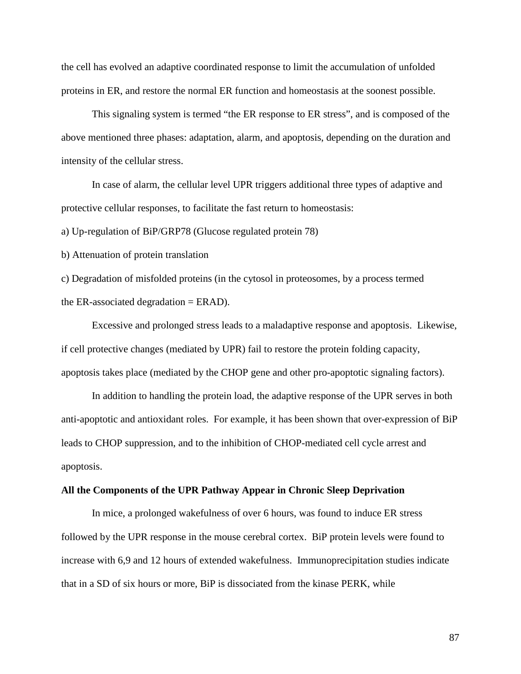the cell has evolved an adaptive coordinated response to limit the accumulation of unfolded proteins in ER, and restore the normal ER function and homeostasis at the soonest possible.

This signaling system is termed "the ER response to ER stress", and is composed of the above mentioned three phases: adaptation, alarm, and apoptosis, depending on the duration and intensity of the cellular stress.

In case of alarm, the cellular level UPR triggers additional three types of adaptive and protective cellular responses, to facilitate the fast return to homeostasis:

a) Up-regulation of BiP/GRP78 (Glucose regulated protein 78)

b) Attenuation of protein translation

c) Degradation of misfolded proteins (in the cytosol in proteosomes, by a process termed the ER-associated degradation  $=$  ERAD).

Excessive and prolonged stress leads to a maladaptive response and apoptosis. Likewise, if cell protective changes (mediated by UPR) fail to restore the protein folding capacity, apoptosis takes place (mediated by the CHOP gene and other pro-apoptotic signaling factors).

In addition to handling the protein load, the adaptive response of the UPR serves in both anti-apoptotic and antioxidant roles. For example, it has been shown that over-expression of BiP leads to CHOP suppression, and to the inhibition of CHOP-mediated cell cycle arrest and apoptosis.

#### **All the Components of the UPR Pathway Appear in Chronic Sleep Deprivation**

In mice, a prolonged wakefulness of over 6 hours, was found to induce ER stress followed by the UPR response in the mouse cerebral cortex. BiP protein levels were found to increase with 6,9 and 12 hours of extended wakefulness. Immunoprecipitation studies indicate that in a SD of six hours or more, BiP is dissociated from the kinase PERK, while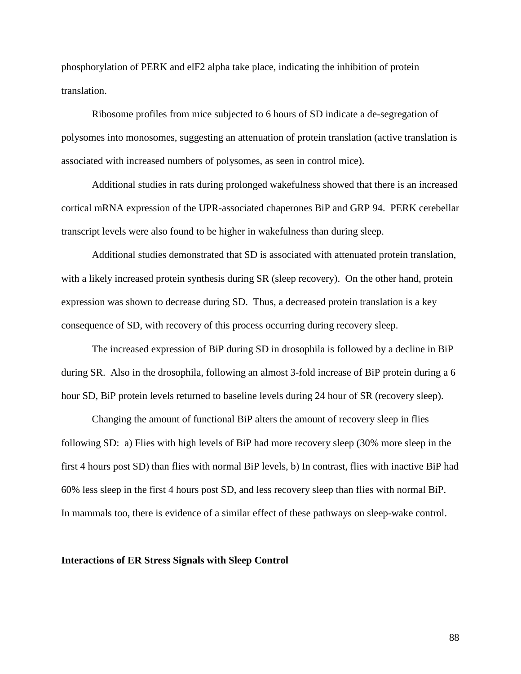phosphorylation of PERK and elF2 alpha take place, indicating the inhibition of protein translation.

Ribosome profiles from mice subjected to 6 hours of SD indicate a de-segregation of polysomes into monosomes, suggesting an attenuation of protein translation (active translation is associated with increased numbers of polysomes, as seen in control mice).

Additional studies in rats during prolonged wakefulness showed that there is an increased cortical mRNA expression of the UPR-associated chaperones BiP and GRP 94. PERK cerebellar transcript levels were also found to be higher in wakefulness than during sleep.

Additional studies demonstrated that SD is associated with attenuated protein translation, with a likely increased protein synthesis during SR (sleep recovery). On the other hand, protein expression was shown to decrease during SD. Thus, a decreased protein translation is a key consequence of SD, with recovery of this process occurring during recovery sleep.

The increased expression of BiP during SD in drosophila is followed by a decline in BiP during SR. Also in the drosophila, following an almost 3-fold increase of BiP protein during a 6 hour SD, BiP protein levels returned to baseline levels during 24 hour of SR (recovery sleep).

Changing the amount of functional BiP alters the amount of recovery sleep in flies following SD: a) Flies with high levels of BiP had more recovery sleep (30% more sleep in the first 4 hours post SD) than flies with normal BiP levels, b) In contrast, flies with inactive BiP had 60% less sleep in the first 4 hours post SD, and less recovery sleep than flies with normal BiP. In mammals too, there is evidence of a similar effect of these pathways on sleep-wake control.

#### **Interactions of ER Stress Signals with Sleep Control**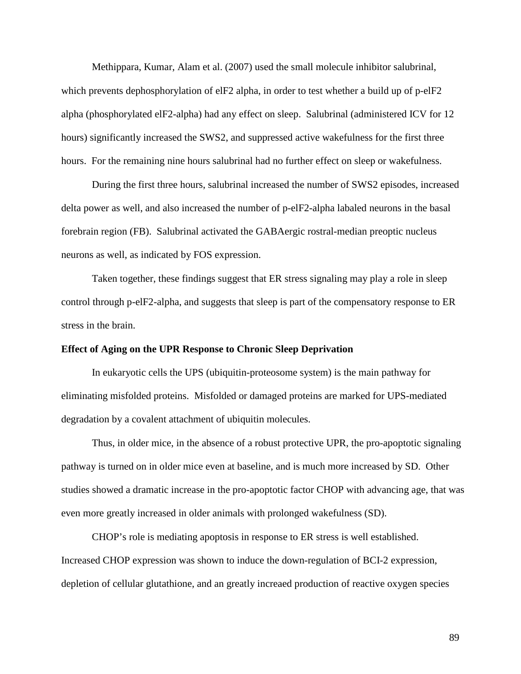Methippara, Kumar, Alam et al. (2007) used the small molecule inhibitor salubrinal, which prevents dephosphorylation of elF2 alpha, in order to test whether a build up of p-elF2 alpha (phosphorylated elF2-alpha) had any effect on sleep. Salubrinal (administered ICV for 12 hours) significantly increased the SWS2, and suppressed active wakefulness for the first three hours. For the remaining nine hours salubrinal had no further effect on sleep or wakefulness.

During the first three hours, salubrinal increased the number of SWS2 episodes, increased delta power as well, and also increased the number of p-elF2-alpha labaled neurons in the basal forebrain region (FB). Salubrinal activated the GABAergic rostral-median preoptic nucleus neurons as well, as indicated by FOS expression.

Taken together, these findings suggest that ER stress signaling may play a role in sleep control through p-elF2-alpha, and suggests that sleep is part of the compensatory response to ER stress in the brain.

# **Effect of Aging on the UPR Response to Chronic Sleep Deprivation**

In eukaryotic cells the UPS (ubiquitin-proteosome system) is the main pathway for eliminating misfolded proteins. Misfolded or damaged proteins are marked for UPS-mediated degradation by a covalent attachment of ubiquitin molecules.

Thus, in older mice, in the absence of a robust protective UPR, the pro-apoptotic signaling pathway is turned on in older mice even at baseline, and is much more increased by SD. Other studies showed a dramatic increase in the pro-apoptotic factor CHOP with advancing age, that was even more greatly increased in older animals with prolonged wakefulness (SD).

CHOP's role is mediating apoptosis in response to ER stress is well established. Increased CHOP expression was shown to induce the down-regulation of BCI-2 expression, depletion of cellular glutathione, and an greatly increaed production of reactive oxygen species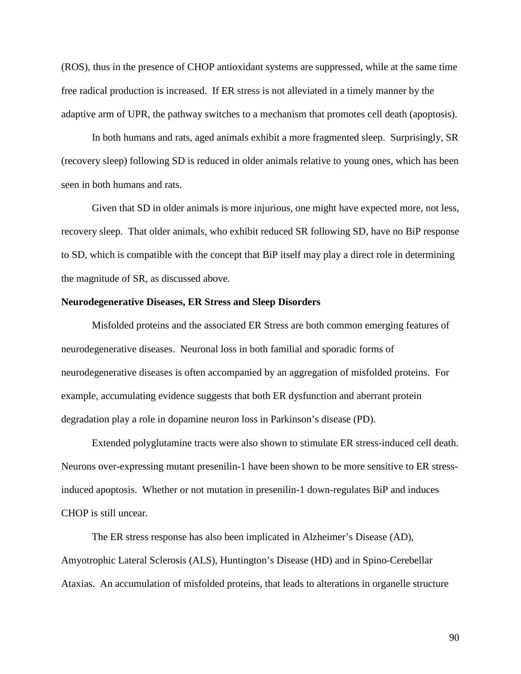(ROS), thus in the presence of CHOP antioxidant systems are suppressed, while at the same time free radical production is increased. If ER stress is not alleviated in a timely manner by the adaptive arm of UPR, the pathway switches to a mechanism that promotes cell death (apoptosis).

In both humans and rats, aged animals exhibit a more fragmented sleep. Surprisingly, SR (recovery sleep) following SD is reduced in older animals relative to young ones, which has been seen in both humans and rats.

Given that SD in older animals is more injurious, one might have expected more, not less, recovery sleep. That older animals, who exhibit reduced SR following SD, have no BiP response to SD, which is compatible with the concept that BiP itself may play a direct role in determining the magnitude of SR, as discussed above.

#### **Neurodegenerative Diseases, ER Stress and Sleep Disorders**

Misfolded proteins and the associated ER Stress are both common emerging features of neurodegenerative diseases. Neuronal loss in both familial and sporadic forms of neurodegenerative diseases is often accompanied by an aggregation of misfolded proteins. For example, accumulating evidence suggests that both ER dysfunction and aberrant protein degradation play a role in dopamine neuron loss in Parkinson's disease (PD).

Extended polyglutamine tracts were also shown to stimulate ER stress-induced cell death. Neurons over-expressing mutant presenilin-1 have been shown to be more sensitive to ER stressinduced apoptosis. Whether or not mutation in presenilin-1 down-regulates BiP and induces CHOP is still uncear.

The ER stress response has also been implicated in Alzheimer's Disease (AD), Amyotrophic Lateral Sclerosis (ALS), Huntington's Disease (HD) and in Spino-Cerebellar Ataxias. An accumulation of misfolded proteins, that leads to alterations in organelle structure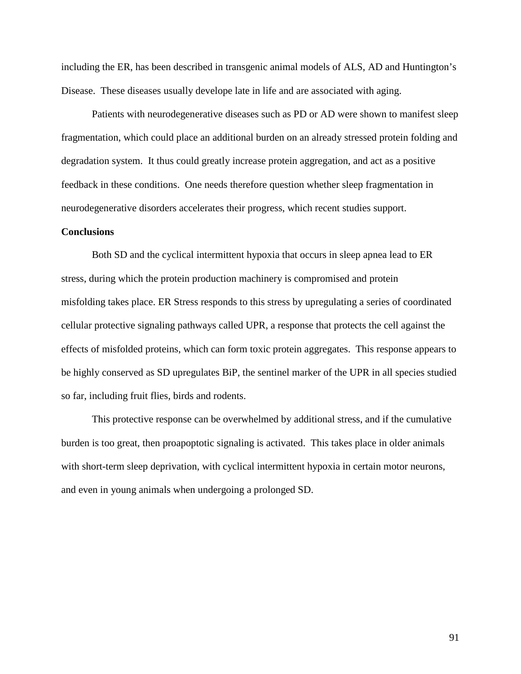including the ER, has been described in transgenic animal models of ALS, AD and Huntington's Disease. These diseases usually develope late in life and are associated with aging.

Patients with neurodegenerative diseases such as PD or AD were shown to manifest sleep fragmentation, which could place an additional burden on an already stressed protein folding and degradation system. It thus could greatly increase protein aggregation, and act as a positive feedback in these conditions. One needs therefore question whether sleep fragmentation in neurodegenerative disorders accelerates their progress, which recent studies support.

# **Conclusions**

Both SD and the cyclical intermittent hypoxia that occurs in sleep apnea lead to ER stress, during which the protein production machinery is compromised and protein misfolding takes place. ER Stress responds to this stress by upregulating a series of coordinated cellular protective signaling pathways called UPR, a response that protects the cell against the effects of misfolded proteins, which can form toxic protein aggregates. This response appears to be highly conserved as SD upregulates BiP, the sentinel marker of the UPR in all species studied so far, including fruit flies, birds and rodents.

This protective response can be overwhelmed by additional stress, and if the cumulative burden is too great, then proapoptotic signaling is activated. This takes place in older animals with short-term sleep deprivation, with cyclical intermittent hypoxia in certain motor neurons, and even in young animals when undergoing a prolonged SD.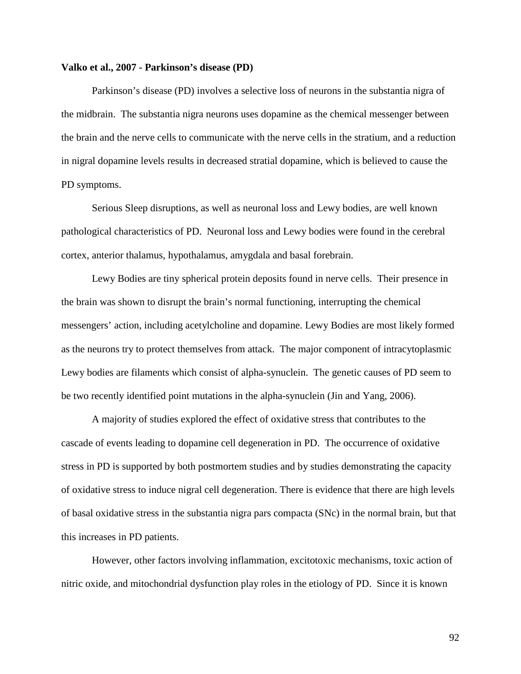#### **Valko et al., 2007 - Parkinson's disease (PD)**

Parkinson's disease (PD) involves a selective loss of neurons in the substantia nigra of the midbrain. The substantia nigra neurons uses dopamine as the chemical messenger between the brain and the nerve cells to communicate with the nerve cells in the stratium, and a reduction in nigral dopamine levels results in decreased stratial dopamine, which is believed to cause the PD symptoms.

Serious Sleep disruptions, as well as neuronal loss and Lewy bodies, are well known pathological characteristics of PD. Neuronal loss and Lewy bodies were found in the cerebral cortex, anterior thalamus, hypothalamus, amygdala and basal forebrain.

Lewy Bodies are tiny spherical protein deposits found in nerve cells. Their presence in the brain was shown to disrupt the brain's normal functioning, interrupting the chemical messengers' action, including acetylcholine and dopamine. Lewy Bodies are most likely formed as the neurons try to protect themselves from attack. The major component of intracytoplasmic Lewy bodies are filaments which consist of alpha-synuclein. The genetic causes of PD seem to be two recently identified point mutations in the alpha-synuclein (Jin and Yang, 2006).

A majority of studies explored the effect of oxidative stress that contributes to the cascade of events leading to dopamine cell degeneration in PD. The occurrence of oxidative stress in PD is supported by both postmortem studies and by studies demonstrating the capacity of oxidative stress to induce nigral cell degeneration. There is evidence that there are high levels of basal oxidative stress in the substantia nigra pars compacta (SNc) in the normal brain, but that this increases in PD patients.

However, other factors involving inflammation, excitotoxic mechanisms, toxic action of nitric oxide, and mitochondrial dysfunction play roles in the etiology of PD. Since it is known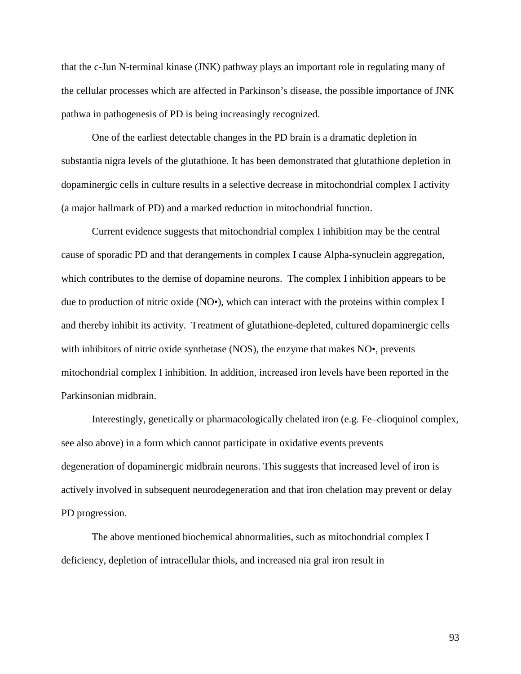that the c-Jun N-terminal kinase (JNK) pathway plays an important role in regulating many of the cellular processes which are affected in Parkinson's disease, the possible importance of JNK pathwa in pathogenesis of PD is being increasingly recognized.

One of the earliest detectable changes in the PD brain is a dramatic depletion in substantia nigra levels of the glutathione. It has been demonstrated that glutathione depletion in dopaminergic cells in culture results in a selective decrease in mitochondrial complex I activity (a major hallmark of PD) and a marked reduction in mitochondrial function.

Current evidence suggests that mitochondrial complex I inhibition may be the central cause of sporadic PD and that derangements in complex I cause Alpha-synuclein aggregation, which contributes to the demise of dopamine neurons. The complex I inhibition appears to be due to production of nitric oxide (NO•), which can interact with the proteins within complex I and thereby inhibit its activity. Treatment of glutathione-depleted, cultured dopaminergic cells with inhibitors of nitric oxide synthetase (NOS), the enzyme that makes NO•, prevents mitochondrial complex I inhibition. In addition, increased iron levels have been reported in the Parkinsonian midbrain.

Interestingly, genetically or pharmacologically chelated iron (e.g. Fe–clioquinol complex, see also above) in a form which cannot participate in oxidative events prevents degeneration of dopaminergic midbrain neurons. This suggests that increased level of iron is actively involved in subsequent neurodegeneration and that iron chelation may prevent or delay PD progression.

The above mentioned biochemical abnormalities, such as mitochondrial complex I deficiency, depletion of intracellular thiols, and increased nia gral iron result in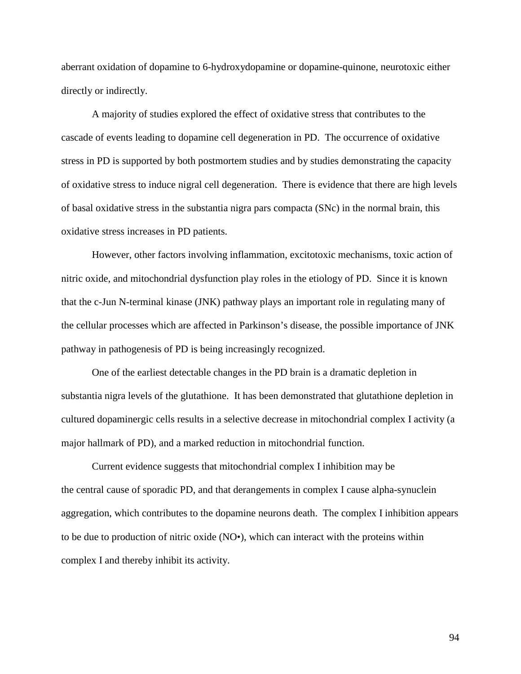aberrant oxidation of dopamine to 6-hydroxydopamine or dopamine-quinone, neurotoxic either directly or indirectly.

A majority of studies explored the effect of oxidative stress that contributes to the cascade of events leading to dopamine cell degeneration in PD. The occurrence of oxidative stress in PD is supported by both postmortem studies and by studies demonstrating the capacity of oxidative stress to induce nigral cell degeneration. There is evidence that there are high levels of basal oxidative stress in the substantia nigra pars compacta (SNc) in the normal brain, this oxidative stress increases in PD patients.

However, other factors involving inflammation, excitotoxic mechanisms, toxic action of nitric oxide, and mitochondrial dysfunction play roles in the etiology of PD. Since it is known that the c-Jun N-terminal kinase (JNK) pathway plays an important role in regulating many of the cellular processes which are affected in Parkinson's disease, the possible importance of JNK pathway in pathogenesis of PD is being increasingly recognized.

One of the earliest detectable changes in the PD brain is a dramatic depletion in substantia nigra levels of the glutathione. It has been demonstrated that glutathione depletion in cultured dopaminergic cells results in a selective decrease in mitochondrial complex I activity (a major hallmark of PD), and a marked reduction in mitochondrial function.

Current evidence suggests that mitochondrial complex I inhibition may be the central cause of sporadic PD, and that derangements in complex I cause alpha-synuclein aggregation, which contributes to the dopamine neurons death. The complex I inhibition appears to be due to production of nitric oxide (NO•), which can interact with the proteins within complex I and thereby inhibit its activity.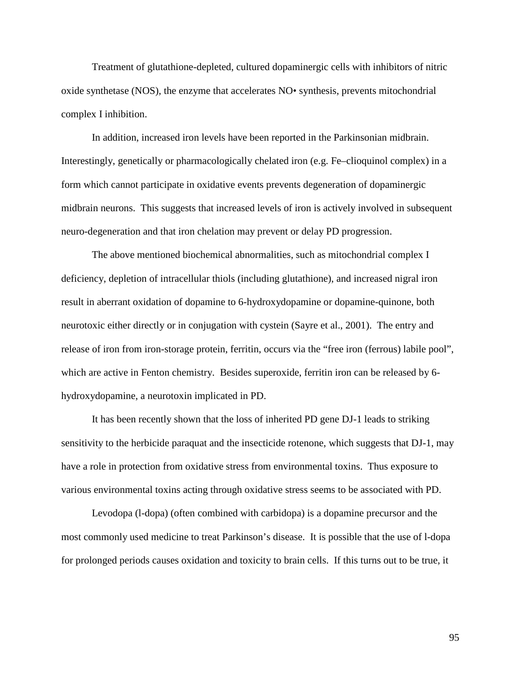Treatment of glutathione-depleted, cultured dopaminergic cells with inhibitors of nitric oxide synthetase (NOS), the enzyme that accelerates NO• synthesis, prevents mitochondrial complex I inhibition.

In addition, increased iron levels have been reported in the Parkinsonian midbrain. Interestingly, genetically or pharmacologically chelated iron (e.g. Fe–clioquinol complex) in a form which cannot participate in oxidative events prevents degeneration of dopaminergic midbrain neurons. This suggests that increased levels of iron is actively involved in subsequent neuro-degeneration and that iron chelation may prevent or delay PD progression.

The above mentioned biochemical abnormalities, such as mitochondrial complex I deficiency, depletion of intracellular thiols (including glutathione), and increased nigral iron result in aberrant oxidation of dopamine to 6-hydroxydopamine or dopamine-quinone, both neurotoxic either directly or in conjugation with cystein (Sayre et al., 2001). The entry and release of iron from iron-storage protein, ferritin, occurs via the "free iron (ferrous) labile pool", which are active in Fenton chemistry. Besides superoxide, ferritin iron can be released by 6 hydroxydopamine, a neurotoxin implicated in PD.

It has been recently shown that the loss of inherited PD gene DJ-1 leads to striking sensitivity to the herbicide paraquat and the insecticide rotenone, which suggests that DJ-1, may have a role in protection from oxidative stress from environmental toxins. Thus exposure to various environmental toxins acting through oxidative stress seems to be associated with PD.

Levodopa (l-dopa) (often combined with carbidopa) is a dopamine precursor and the most commonly used medicine to treat Parkinson's disease. It is possible that the use of l-dopa for prolonged periods causes oxidation and toxicity to brain cells. If this turns out to be true, it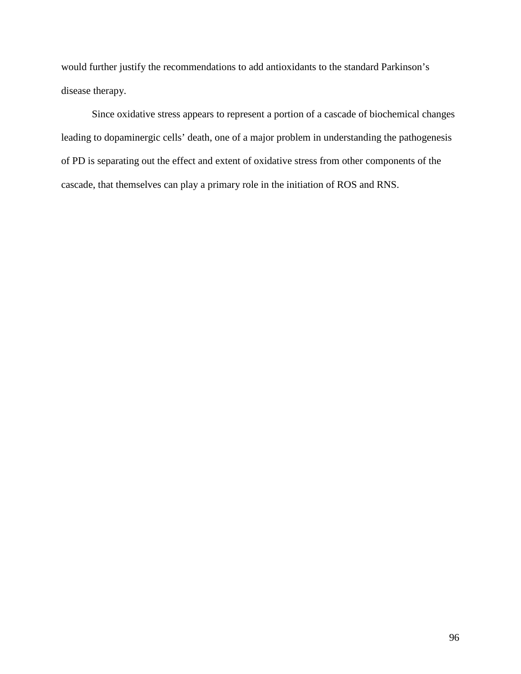would further justify the recommendations to add antioxidants to the standard Parkinson's disease therapy.

Since oxidative stress appears to represent a portion of a cascade of biochemical changes leading to dopaminergic cells' death, one of a major problem in understanding the pathogenesis of PD is separating out the effect and extent of oxidative stress from other components of the cascade, that themselves can play a primary role in the initiation of ROS and RNS.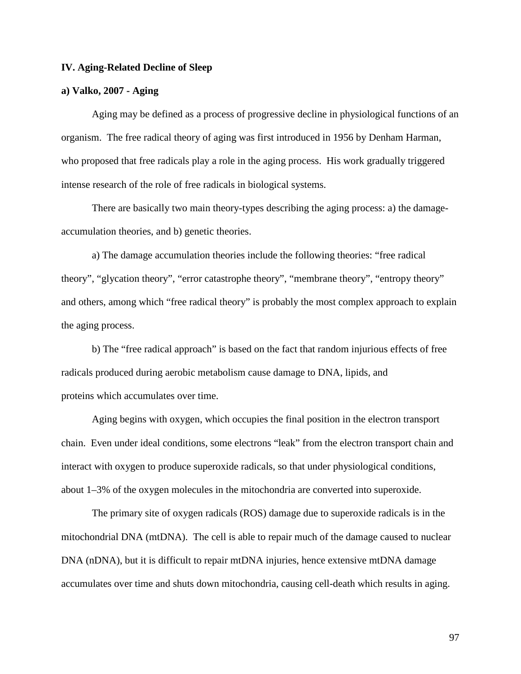# **IV. Aging-Related Decline of Sleep**

# **a) Valko, 2007 - Aging**

Aging may be defined as a process of progressive decline in physiological functions of an organism. The free radical theory of aging was first introduced in 1956 by Denham Harman, who proposed that free radicals play a role in the aging process. His work gradually triggered intense research of the role of free radicals in biological systems.

There are basically two main theory-types describing the aging process: a) the damageaccumulation theories, and b) genetic theories.

a) The damage accumulation theories include the following theories: "free radical theory", "glycation theory", "error catastrophe theory", "membrane theory", "entropy theory" and others, among which "free radical theory" is probably the most complex approach to explain the aging process.

b) The "free radical approach" is based on the fact that random injurious effects of free radicals produced during aerobic metabolism cause damage to DNA, lipids, and proteins which accumulates over time.

Aging begins with oxygen, which occupies the final position in the electron transport chain. Even under ideal conditions, some electrons "leak" from the electron transport chain and interact with oxygen to produce superoxide radicals, so that under physiological conditions, about 1–3% of the oxygen molecules in the mitochondria are converted into superoxide.

The primary site of oxygen radicals (ROS) damage due to superoxide radicals is in the mitochondrial DNA (mtDNA). The cell is able to repair much of the damage caused to nuclear DNA (nDNA), but it is difficult to repair mtDNA injuries, hence extensive mtDNA damage accumulates over time and shuts down mitochondria, causing cell-death which results in aging.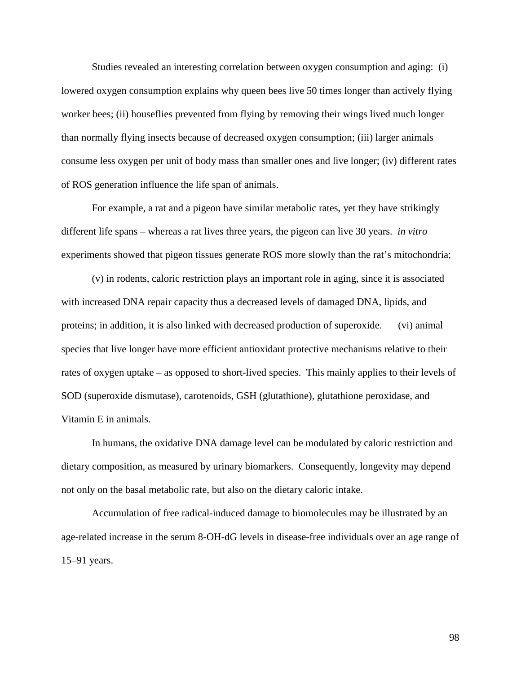Studies revealed an interesting correlation between oxygen consumption and aging: (i) lowered oxygen consumption explains why queen bees live 50 times longer than actively flying worker bees; (ii) houseflies prevented from flying by removing their wings lived much longer than normally flying insects because of decreased oxygen consumption; (iii) larger animals consume less oxygen per unit of body mass than smaller ones and live longer; (iv) different rates of ROS generation influence the life span of animals.

For example, a rat and a pigeon have similar metabolic rates, yet they have strikingly different life spans – whereas a rat lives three years, the pigeon can live 30 years. *in vitro* experiments showed that pigeon tissues generate ROS more slowly than the rat's mitochondria;

(v) in rodents, caloric restriction plays an important role in aging, since it is associated with increased DNA repair capacity thus a decreased levels of damaged DNA, lipids, and proteins; in addition, it is also linked with decreased production of superoxide. (vi) animal species that live longer have more efficient antioxidant protective mechanisms relative to their rates of oxygen uptake – as opposed to short-lived species. This mainly applies to their levels of SOD (superoxide dismutase), carotenoids, GSH (glutathione), glutathione peroxidase, and Vitamin E in animals.

In humans, the oxidative DNA damage level can be modulated by caloric restriction and dietary composition, as measured by urinary biomarkers. Consequently, longevity may depend not only on the basal metabolic rate, but also on the dietary caloric intake.

Accumulation of free radical-induced damage to biomolecules may be illustrated by an age-related increase in the serum 8-OH-dG levels in disease-free individuals over an age range of 15–91 years.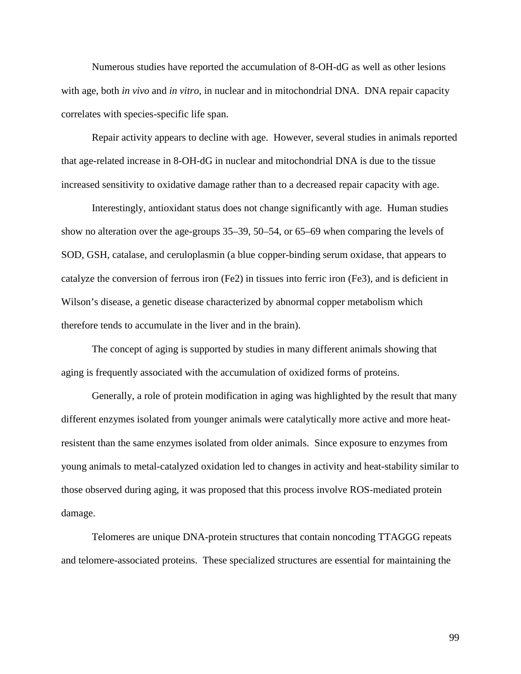Numerous studies have reported the accumulation of 8-OH-dG as well as other lesions with age, both *in vivo* and *in vitro*, in nuclear and in mitochondrial DNA. DNA repair capacity correlates with species-specific life span.

Repair activity appears to decline with age. However, several studies in animals reported that age-related increase in 8-OH-dG in nuclear and mitochondrial DNA is due to the tissue increased sensitivity to oxidative damage rather than to a decreased repair capacity with age.

Interestingly, antioxidant status does not change significantly with age. Human studies show no alteration over the age-groups 35–39, 50–54, or 65–69 when comparing the levels of SOD, GSH, catalase, and ceruloplasmin (a blue copper-binding serum oxidase, that appears to catalyze the conversion of ferrous iron (Fe2) in tissues into ferric iron (Fe3), and is deficient in Wilson's disease, a genetic disease characterized by abnormal copper metabolism which therefore tends to accumulate in the liver and in the brain).

The concept of aging is supported by studies in many different animals showing that aging is frequently associated with the accumulation of oxidized forms of proteins.

Generally, a role of protein modification in aging was highlighted by the result that many different enzymes isolated from younger animals were catalytically more active and more heatresistent than the same enzymes isolated from older animals. Since exposure to enzymes from young animals to metal-catalyzed oxidation led to changes in activity and heat-stability similar to those observed during aging, it was proposed that this process involve ROS-mediated protein damage.

Telomeres are unique DNA-protein structures that contain noncoding TTAGGG repeats and telomere-associated proteins. These specialized structures are essential for maintaining the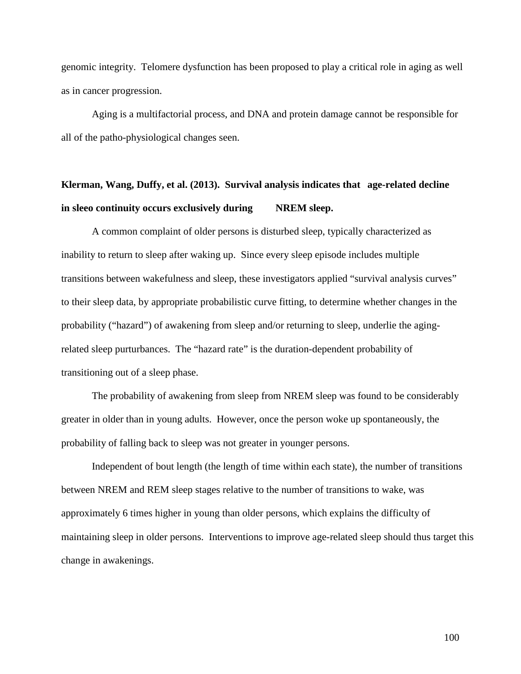genomic integrity. Telomere dysfunction has been proposed to play a critical role in aging as well as in cancer progression.

Aging is a multifactorial process, and DNA and protein damage cannot be responsible for all of the patho-physiological changes seen.

# **Klerman, Wang, Duffy, et al. (2013). Survival analysis indicates that age-related decline in sleeo continuity occurs exclusively during NREM sleep.**

A common complaint of older persons is disturbed sleep, typically characterized as inability to return to sleep after waking up. Since every sleep episode includes multiple transitions between wakefulness and sleep, these investigators applied "survival analysis curves" to their sleep data, by appropriate probabilistic curve fitting, to determine whether changes in the probability ("hazard") of awakening from sleep and/or returning to sleep, underlie the agingrelated sleep purturbances. The "hazard rate" is the duration-dependent probability of transitioning out of a sleep phase.

The probability of awakening from sleep from NREM sleep was found to be considerably greater in older than in young adults. However, once the person woke up spontaneously, the probability of falling back to sleep was not greater in younger persons.

Independent of bout length (the length of time within each state), the number of transitions between NREM and REM sleep stages relative to the number of transitions to wake, was approximately 6 times higher in young than older persons, which explains the difficulty of maintaining sleep in older persons. Interventions to improve age-related sleep should thus target this change in awakenings.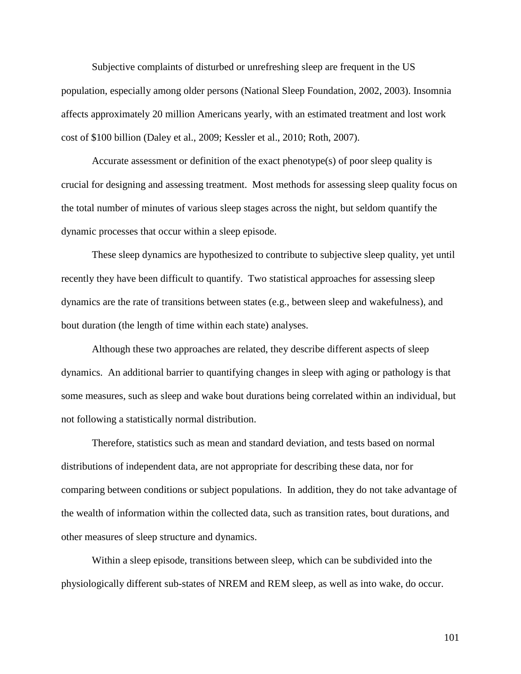Subjective complaints of disturbed or unrefreshing sleep are frequent in the US population, especially among older persons (National Sleep Foundation, 2002, 2003). Insomnia affects approximately 20 million Americans yearly, with an estimated treatment and lost work cost of \$100 billion (Daley et al., 2009; Kessler et al., 2010; Roth, 2007).

Accurate assessment or definition of the exact phenotype(s) of poor sleep quality is crucial for designing and assessing treatment. Most methods for assessing sleep quality focus on the total number of minutes of various sleep stages across the night, but seldom quantify the dynamic processes that occur within a sleep episode.

These sleep dynamics are hypothesized to contribute to subjective sleep quality, yet until recently they have been difficult to quantify. Two statistical approaches for assessing sleep dynamics are the rate of transitions between states (e.g., between sleep and wakefulness), and bout duration (the length of time within each state) analyses.

Although these two approaches are related, they describe different aspects of sleep dynamics. An additional barrier to quantifying changes in sleep with aging or pathology is that some measures, such as sleep and wake bout durations being correlated within an individual, but not following a statistically normal distribution.

Therefore, statistics such as mean and standard deviation, and tests based on normal distributions of independent data, are not appropriate for describing these data, nor for comparing between conditions or subject populations. In addition, they do not take advantage of the wealth of information within the collected data, such as transition rates, bout durations, and other measures of sleep structure and dynamics.

Within a sleep episode, transitions between sleep, which can be subdivided into the physiologically different sub-states of NREM and REM sleep, as well as into wake, do occur.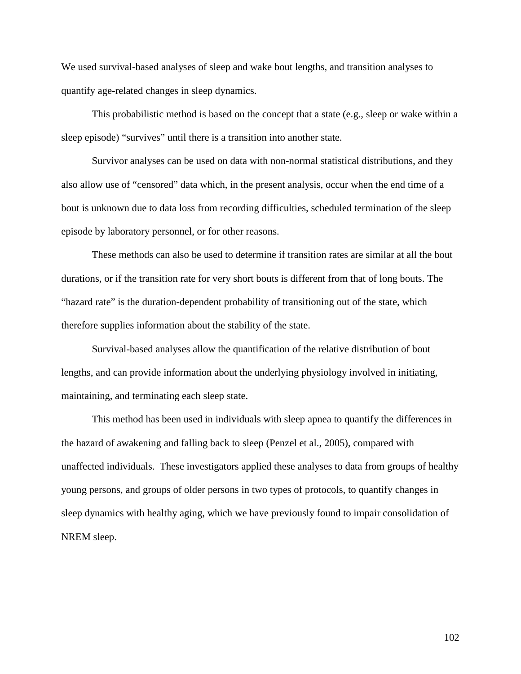We used survival-based analyses of sleep and wake bout lengths, and transition analyses to quantify age-related changes in sleep dynamics.

This probabilistic method is based on the concept that a state (e.g., sleep or wake within a sleep episode) "survives" until there is a transition into another state.

Survivor analyses can be used on data with non-normal statistical distributions, and they also allow use of "censored" data which, in the present analysis, occur when the end time of a bout is unknown due to data loss from recording difficulties, scheduled termination of the sleep episode by laboratory personnel, or for other reasons.

These methods can also be used to determine if transition rates are similar at all the bout durations, or if the transition rate for very short bouts is different from that of long bouts. The "hazard rate" is the duration-dependent probability of transitioning out of the state, which therefore supplies information about the stability of the state.

Survival-based analyses allow the quantification of the relative distribution of bout lengths, and can provide information about the underlying physiology involved in initiating, maintaining, and terminating each sleep state.

This method has been used in individuals with sleep apnea to quantify the differences in the hazard of awakening and falling back to sleep (Penzel et al., 2005), compared with unaffected individuals. These investigators applied these analyses to data from groups of healthy young persons, and groups of older persons in two types of protocols, to quantify changes in sleep dynamics with healthy aging, which we have previously found to impair consolidation of NREM sleep.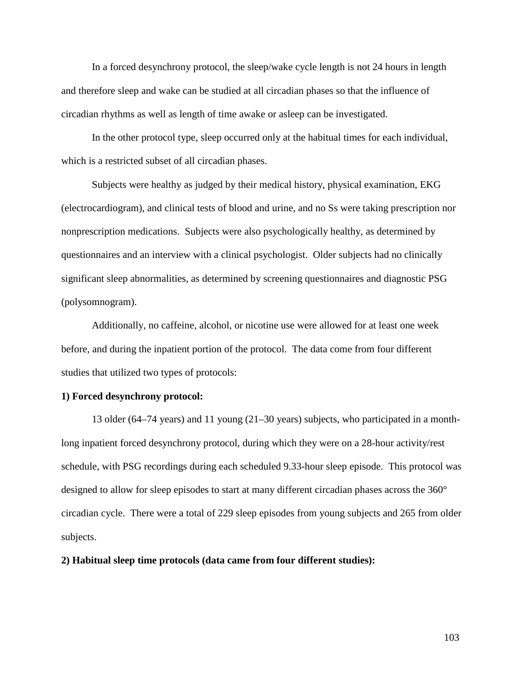In a forced desynchrony protocol, the sleep/wake cycle length is not 24 hours in length and therefore sleep and wake can be studied at all circadian phases so that the influence of circadian rhythms as well as length of time awake or asleep can be investigated.

In the other protocol type, sleep occurred only at the habitual times for each individual, which is a restricted subset of all circadian phases.

Subjects were healthy as judged by their medical history, physical examination, EKG (electrocardiogram), and clinical tests of blood and urine, and no Ss were taking prescription nor nonprescription medications. Subjects were also psychologically healthy, as determined by questionnaires and an interview with a clinical psychologist. Older subjects had no clinically significant sleep abnormalities, as determined by screening questionnaires and diagnostic PSG (polysomnogram).

Additionally, no caffeine, alcohol, or nicotine use were allowed for at least one week before, and during the inpatient portion of the protocol. The data come from four different studies that utilized two types of protocols:

### **1) Forced desynchrony protocol:**

13 older (64–74 years) and 11 young (21–30 years) subjects, who participated in a monthlong inpatient forced desynchrony protocol, during which they were on a 28-hour activity/rest schedule, with PSG recordings during each scheduled 9.33-hour sleep episode. This protocol was designed to allow for sleep episodes to start at many different circadian phases across the 360° circadian cycle. There were a total of 229 sleep episodes from young subjects and 265 from older subjects.

# **2) Habitual sleep time protocols (data came from four different studies):**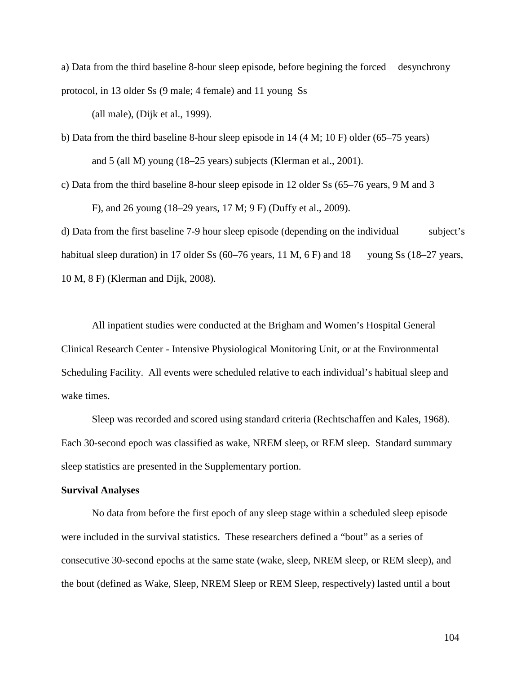a) Data from the third baseline 8-hour sleep episode, before begining the forced desynchrony protocol, in 13 older Ss (9 male; 4 female) and 11 young Ss

(all male), (Dijk et al., 1999).

b) Data from the third baseline 8-hour sleep episode in 14 (4 M; 10 F) older (65–75 years) and 5 (all M) young (18–25 years) subjects (Klerman et al., 2001).

c) Data from the third baseline 8-hour sleep episode in 12 older Ss (65–76 years, 9 M and 3

F), and 26 young (18–29 years, 17 M; 9 F) (Duffy et al., 2009).

d) Data from the first baseline 7-9 hour sleep episode (depending on the individual subject's habitual sleep duration) in 17 older Ss (60–76 years, 11 M, 6 F) and 18 young Ss (18–27 years, 10 M, 8 F) (Klerman and Dijk, 2008).

All inpatient studies were conducted at the Brigham and Women's Hospital General Clinical Research Center - Intensive Physiological Monitoring Unit, or at the Environmental Scheduling Facility. All events were scheduled relative to each individual's habitual sleep and wake times.

Sleep was recorded and scored using standard criteria (Rechtschaffen and Kales, 1968). Each 30-second epoch was classified as wake, NREM sleep, or REM sleep. Standard summary sleep statistics are presented in the Supplementary portion.

#### **Survival Analyses**

No data from before the first epoch of any sleep stage within a scheduled sleep episode were included in the survival statistics. These researchers defined a "bout" as a series of consecutive 30-second epochs at the same state (wake, sleep, NREM sleep, or REM sleep), and the bout (defined as Wake, Sleep, NREM Sleep or REM Sleep, respectively) lasted until a bout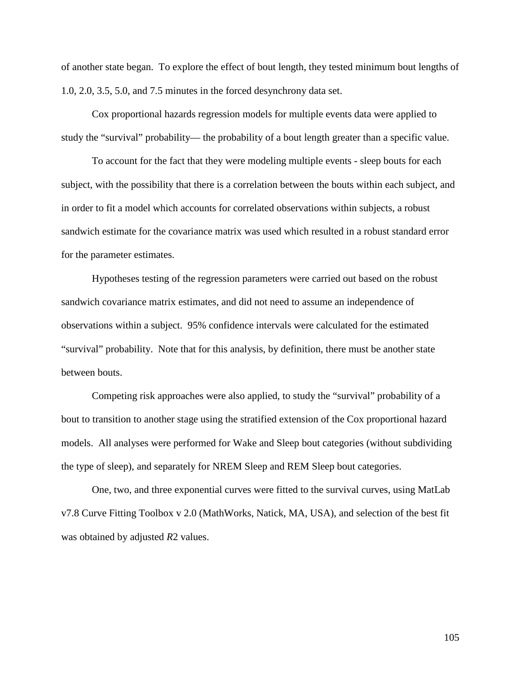of another state began. To explore the effect of bout length, they tested minimum bout lengths of 1.0, 2.0, 3.5, 5.0, and 7.5 minutes in the forced desynchrony data set.

Cox proportional hazards regression models for multiple events data were applied to study the "survival" probability— the probability of a bout length greater than a specific value.

To account for the fact that they were modeling multiple events - sleep bouts for each subject, with the possibility that there is a correlation between the bouts within each subject, and in order to fit a model which accounts for correlated observations within subjects, a robust sandwich estimate for the covariance matrix was used which resulted in a robust standard error for the parameter estimates.

Hypotheses testing of the regression parameters were carried out based on the robust sandwich covariance matrix estimates, and did not need to assume an independence of observations within a subject. 95% confidence intervals were calculated for the estimated "survival" probability. Note that for this analysis, by definition, there must be another state between bouts.

Competing risk approaches were also applied, to study the "survival" probability of a bout to transition to another stage using the stratified extension of the Cox proportional hazard models. All analyses were performed for Wake and Sleep bout categories (without subdividing the type of sleep), and separately for NREM Sleep and REM Sleep bout categories.

One, two, and three exponential curves were fitted to the survival curves, using MatLab v7.8 Curve Fitting Toolbox v 2.0 (MathWorks, Natick, MA, USA), and selection of the best fit was obtained by adjusted *R*2 values.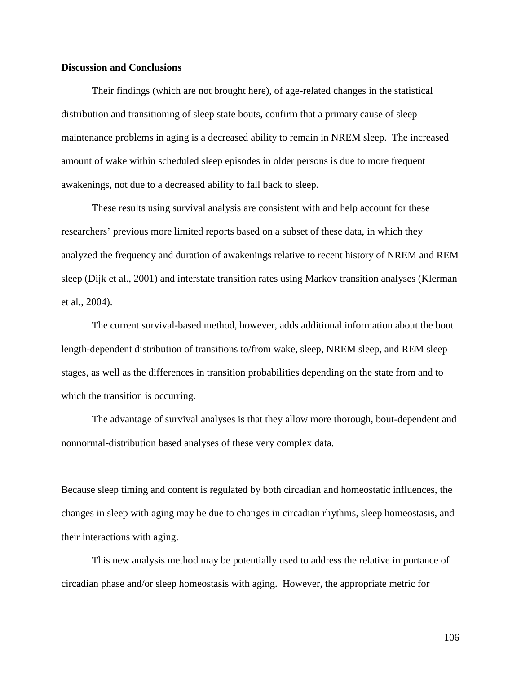# **Discussion and Conclusions**

Their findings (which are not brought here), of age-related changes in the statistical distribution and transitioning of sleep state bouts, confirm that a primary cause of sleep maintenance problems in aging is a decreased ability to remain in NREM sleep. The increased amount of wake within scheduled sleep episodes in older persons is due to more frequent awakenings, not due to a decreased ability to fall back to sleep.

These results using survival analysis are consistent with and help account for these researchers' previous more limited reports based on a subset of these data, in which they analyzed the frequency and duration of awakenings relative to recent history of NREM and REM sleep (Dijk et al., 2001) and interstate transition rates using Markov transition analyses (Klerman et al., 2004).

The current survival-based method, however, adds additional information about the bout length-dependent distribution of transitions to/from wake, sleep, NREM sleep, and REM sleep stages, as well as the differences in transition probabilities depending on the state from and to which the transition is occurring.

The advantage of survival analyses is that they allow more thorough, bout-dependent and nonnormal-distribution based analyses of these very complex data.

Because sleep timing and content is regulated by both circadian and homeostatic influences, the changes in sleep with aging may be due to changes in circadian rhythms, sleep homeostasis, and their interactions with aging.

This new analysis method may be potentially used to address the relative importance of circadian phase and/or sleep homeostasis with aging. However, the appropriate metric for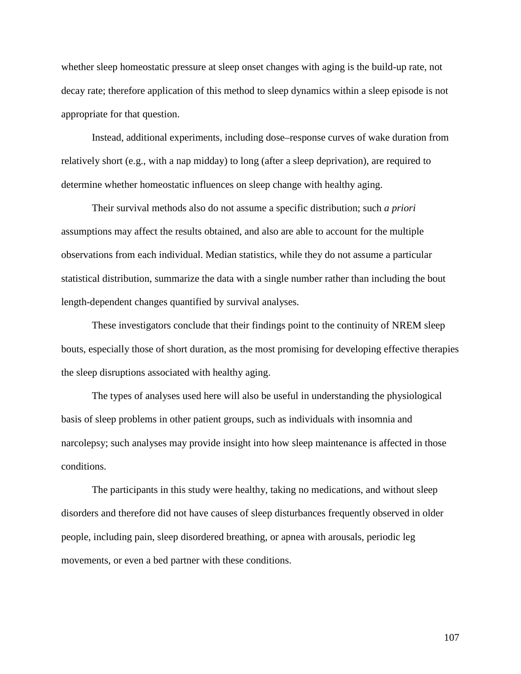whether sleep homeostatic pressure at sleep onset changes with aging is the build-up rate, not decay rate; therefore application of this method to sleep dynamics within a sleep episode is not appropriate for that question.

Instead, additional experiments, including dose–response curves of wake duration from relatively short (e.g., with a nap midday) to long (after a sleep deprivation), are required to determine whether homeostatic influences on sleep change with healthy aging.

Their survival methods also do not assume a specific distribution; such *a priori* assumptions may affect the results obtained, and also are able to account for the multiple observations from each individual. Median statistics, while they do not assume a particular statistical distribution, summarize the data with a single number rather than including the bout length-dependent changes quantified by survival analyses.

These investigators conclude that their findings point to the continuity of NREM sleep bouts, especially those of short duration, as the most promising for developing effective therapies the sleep disruptions associated with healthy aging.

The types of analyses used here will also be useful in understanding the physiological basis of sleep problems in other patient groups, such as individuals with insomnia and narcolepsy; such analyses may provide insight into how sleep maintenance is affected in those conditions.

The participants in this study were healthy, taking no medications, and without sleep disorders and therefore did not have causes of sleep disturbances frequently observed in older people, including pain, sleep disordered breathing, or apnea with arousals, periodic leg movements, or even a bed partner with these conditions.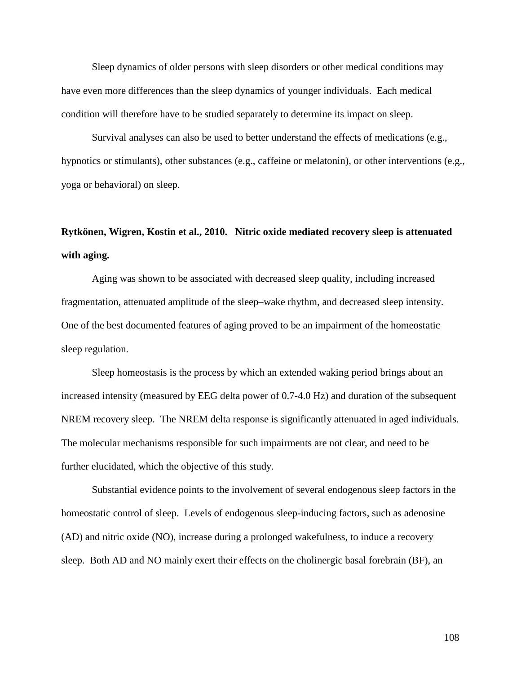Sleep dynamics of older persons with sleep disorders or other medical conditions may have even more differences than the sleep dynamics of younger individuals. Each medical condition will therefore have to be studied separately to determine its impact on sleep.

Survival analyses can also be used to better understand the effects of medications (e.g., hypnotics or stimulants), other substances (e.g., caffeine or melatonin), or other interventions (e.g., yoga or behavioral) on sleep.

# **Rytkönen, Wigren, Kostin et al., 2010. Nitric oxide mediated recovery sleep is attenuated with aging.**

Aging was shown to be associated with decreased sleep quality, including increased fragmentation, attenuated amplitude of the sleep–wake rhythm, and decreased sleep intensity. One of the best documented features of aging proved to be an impairment of the homeostatic sleep regulation.

Sleep homeostasis is the process by which an extended waking period brings about an increased intensity (measured by EEG delta power of 0.7-4.0 Hz) and duration of the subsequent NREM recovery sleep. The NREM delta response is significantly attenuated in aged individuals. The molecular mechanisms responsible for such impairments are not clear, and need to be further elucidated, which the objective of this study.

Substantial evidence points to the involvement of several endogenous sleep factors in the homeostatic control of sleep. Levels of endogenous sleep-inducing factors, such as adenosine (AD) and nitric oxide (NO), increase during a prolonged wakefulness, to induce a recovery sleep. Both AD and NO mainly exert their effects on the cholinergic basal forebrain (BF), an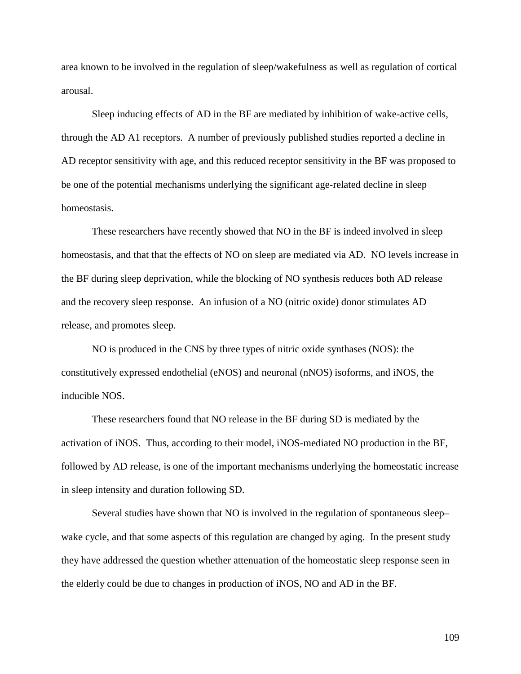area known to be involved in the regulation of sleep/wakefulness as well as regulation of cortical arousal.

Sleep inducing effects of AD in the BF are mediated by inhibition of wake-active cells, through the AD A1 receptors. A number of previously published studies reported a decline in AD receptor sensitivity with age, and this reduced receptor sensitivity in the BF was proposed to be one of the potential mechanisms underlying the significant age-related decline in sleep homeostasis.

These researchers have recently showed that NO in the BF is indeed involved in sleep homeostasis, and that that the effects of NO on sleep are mediated via AD. NO levels increase in the BF during sleep deprivation, while the blocking of NO synthesis reduces both AD release and the recovery sleep response. An infusion of a NO (nitric oxide) donor stimulates AD release, and promotes sleep.

NO is produced in the CNS by three types of nitric oxide synthases (NOS): the constitutively expressed endothelial (eNOS) and neuronal (nNOS) isoforms, and iNOS, the inducible NOS.

These researchers found that NO release in the BF during SD is mediated by the activation of iNOS. Thus, according to their model, iNOS-mediated NO production in the BF, followed by AD release, is one of the important mechanisms underlying the homeostatic increase in sleep intensity and duration following SD.

Several studies have shown that NO is involved in the regulation of spontaneous sleep– wake cycle, and that some aspects of this regulation are changed by aging. In the present study they have addressed the question whether attenuation of the homeostatic sleep response seen in the elderly could be due to changes in production of iNOS, NO and AD in the BF.

109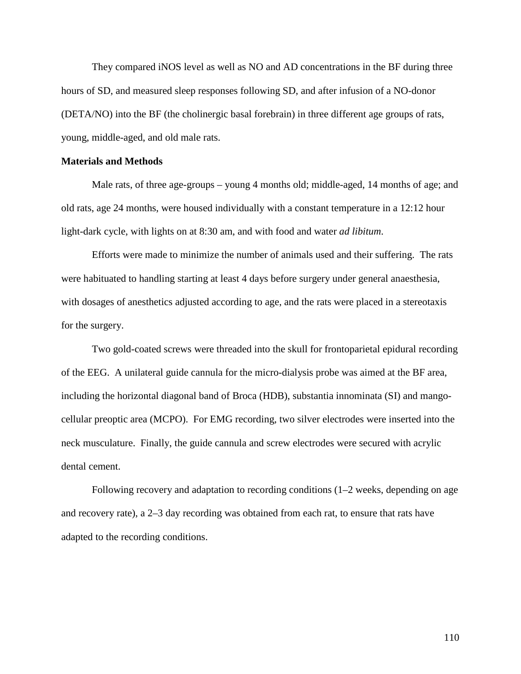They compared iNOS level as well as NO and AD concentrations in the BF during three hours of SD, and measured sleep responses following SD, and after infusion of a NO-donor (DETA/NO) into the BF (the cholinergic basal forebrain) in three different age groups of rats, young, middle-aged, and old male rats.

### **Materials and Methods**

Male rats, of three age-groups – young 4 months old; middle-aged, 14 months of age; and old rats, age 24 months, were housed individually with a constant temperature in a 12:12 hour light-dark cycle, with lights on at 8:30 am, and with food and water *ad libitum*.

Efforts were made to minimize the number of animals used and their suffering. The rats were habituated to handling starting at least 4 days before surgery under general anaesthesia, with dosages of anesthetics adjusted according to age, and the rats were placed in a stereotaxis for the surgery.

Two gold-coated screws were threaded into the skull for frontoparietal epidural recording of the EEG. A unilateral guide cannula for the micro-dialysis probe was aimed at the BF area, including the horizontal diagonal band of Broca (HDB), substantia innominata (SI) and mangocellular preoptic area (MCPO). For EMG recording, two silver electrodes were inserted into the neck musculature. Finally, the guide cannula and screw electrodes were secured with acrylic dental cement.

Following recovery and adaptation to recording conditions (1–2 weeks, depending on age and recovery rate), a 2–3 day recording was obtained from each rat, to ensure that rats have adapted to the recording conditions.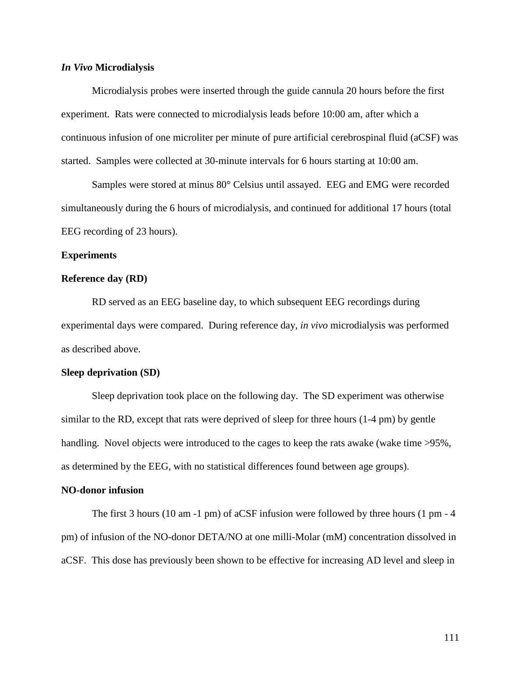### *In Vivo* **Microdialysis**

Microdialysis probes were inserted through the guide cannula 20 hours before the first experiment. Rats were connected to microdialysis leads before 10:00 am, after which a continuous infusion of one microliter per minute of pure artificial cerebrospinal fluid (aCSF) was started. Samples were collected at 30-minute intervals for 6 hours starting at 10:00 am.

Samples were stored at minus 80° Celsius until assayed. EEG and EMG were recorded simultaneously during the 6 hours of microdialysis, and continued for additional 17 hours (total EEG recording of 23 hours).

### **Experiments**

### **Reference day (RD)**

RD served as an EEG baseline day, to which subsequent EEG recordings during experimental days were compared. During reference day, *in vivo* microdialysis was performed as described above.

### **Sleep deprivation (SD)**

Sleep deprivation took place on the following day. The SD experiment was otherwise similar to the RD, except that rats were deprived of sleep for three hours (1-4 pm) by gentle handling. Novel objects were introduced to the cages to keep the rats awake (wake time  $>95\%$ , as determined by the EEG, with no statistical differences found between age groups).

### **NO-donor infusion**

The first 3 hours (10 am -1 pm) of aCSF infusion were followed by three hours (1 pm - 4 pm) of infusion of the NO-donor DETA/NO at one milli-Molar (mM) concentration dissolved in aCSF. This dose has previously been shown to be effective for increasing AD level and sleep in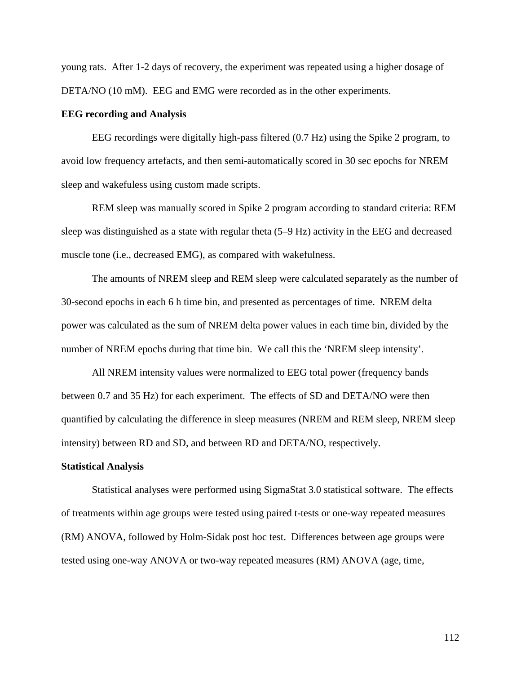young rats. After 1-2 days of recovery, the experiment was repeated using a higher dosage of DETA/NO (10 mM). EEG and EMG were recorded as in the other experiments.

### **EEG recording and Analysis**

EEG recordings were digitally high-pass filtered (0.7 Hz) using the Spike 2 program, to avoid low frequency artefacts, and then semi-automatically scored in 30 sec epochs for NREM sleep and wakefuless using custom made scripts.

REM sleep was manually scored in Spike 2 program according to standard criteria: REM sleep was distinguished as a state with regular theta (5–9 Hz) activity in the EEG and decreased muscle tone (i.e., decreased EMG), as compared with wakefulness.

The amounts of NREM sleep and REM sleep were calculated separately as the number of 30-second epochs in each 6 h time bin, and presented as percentages of time. NREM delta power was calculated as the sum of NREM delta power values in each time bin, divided by the number of NREM epochs during that time bin. We call this the 'NREM sleep intensity'.

All NREM intensity values were normalized to EEG total power (frequency bands between 0.7 and 35 Hz) for each experiment. The effects of SD and DETA/NO were then quantified by calculating the difference in sleep measures (NREM and REM sleep, NREM sleep intensity) between RD and SD, and between RD and DETA/NO, respectively.

### **Statistical Analysis**

Statistical analyses were performed using SigmaStat 3.0 statistical software. The effects of treatments within age groups were tested using paired t-tests or one-way repeated measures (RM) ANOVA, followed by Holm-Sidak post hoc test. Differences between age groups were tested using one-way ANOVA or two-way repeated measures (RM) ANOVA (age, time,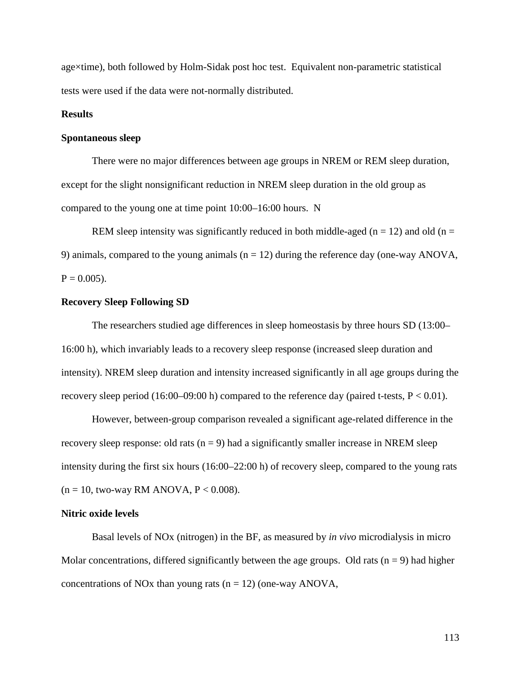age×time), both followed by Holm-Sidak post hoc test. Equivalent non-parametric statistical tests were used if the data were not-normally distributed.

### **Results**

### **Spontaneous sleep**

There were no major differences between age groups in NREM or REM sleep duration, except for the slight nonsignificant reduction in NREM sleep duration in the old group as compared to the young one at time point 10:00–16:00 hours. N

REM sleep intensity was significantly reduced in both middle-aged ( $n = 12$ ) and old ( $n = 12$ ) 9) animals, compared to the young animals  $(n = 12)$  during the reference day (one-way ANOVA,  $P = 0.005$ ).

### **Recovery Sleep Following SD**

The researchers studied age differences in sleep homeostasis by three hours SD (13:00– 16:00 h), which invariably leads to a recovery sleep response (increased sleep duration and intensity). NREM sleep duration and intensity increased significantly in all age groups during the recovery sleep period (16:00–09:00 h) compared to the reference day (paired t-tests,  $P < 0.01$ ).

However, between-group comparison revealed a significant age-related difference in the recovery sleep response: old rats  $(n = 9)$  had a significantly smaller increase in NREM sleep intensity during the first six hours (16:00–22:00 h) of recovery sleep, compared to the young rats  $(n = 10,$  two-way RM ANOVA,  $P < 0.008$ ).

### **Nitric oxide levels**

Basal levels of NOx (nitrogen) in the BF, as measured by *in vivo* microdialysis in micro Molar concentrations, differed significantly between the age groups. Old rats  $(n = 9)$  had higher concentrations of NOx than young rats ( $n = 12$ ) (one-way ANOVA,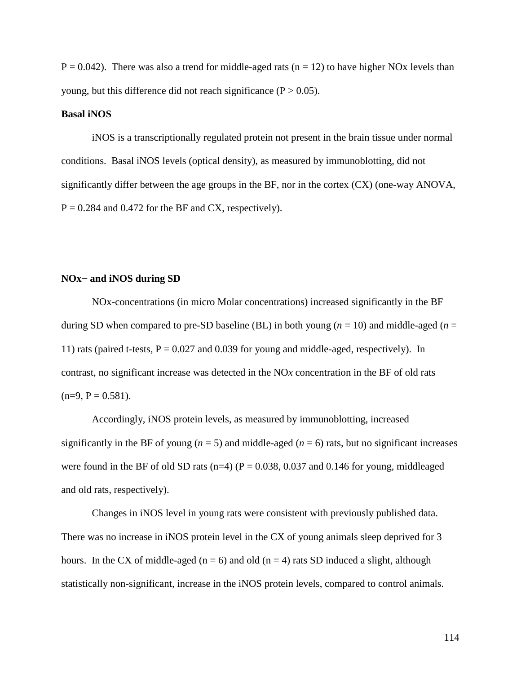$P = 0.042$ ). There was also a trend for middle-aged rats ( $n = 12$ ) to have higher NOx levels than young, but this difference did not reach significance  $(P > 0.05)$ .

### **Basal iNOS**

iNOS is a transcriptionally regulated protein not present in the brain tissue under normal conditions. Basal iNOS levels (optical density), as measured by immunoblotting, did not significantly differ between the age groups in the BF, nor in the cortex (CX) (one-way ANOVA,  $P = 0.284$  and 0.472 for the BF and CX, respectively).

### **NOx− and iNOS during SD**

NOx-concentrations (in micro Molar concentrations) increased significantly in the BF during SD when compared to pre-SD baseline (BL) in both young (*n* = 10) and middle-aged (*n* = 11) rats (paired t-tests,  $P = 0.027$  and 0.039 for young and middle-aged, respectively). In contrast, no significant increase was detected in the NO*x* concentration in the BF of old rats  $(n=9, P = 0.581)$ .

Accordingly, iNOS protein levels, as measured by immunoblotting, increased significantly in the BF of young  $(n = 5)$  and middle-aged  $(n = 6)$  rats, but no significant increases were found in the BF of old SD rats (n=4) ( $P = 0.038$ , 0.037 and 0.146 for young, middleaged and old rats, respectively).

Changes in iNOS level in young rats were consistent with previously published data. There was no increase in iNOS protein level in the CX of young animals sleep deprived for 3 hours. In the CX of middle-aged ( $n = 6$ ) and old ( $n = 4$ ) rats SD induced a slight, although statistically non-significant, increase in the iNOS protein levels, compared to control animals.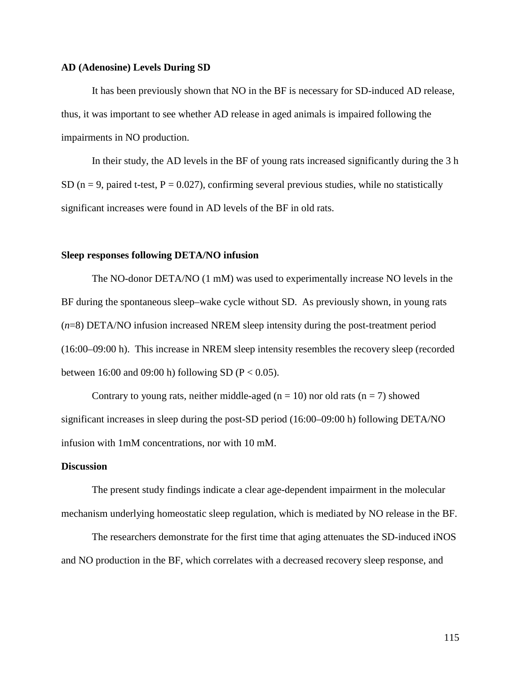### **AD (Adenosine) Levels During SD**

It has been previously shown that NO in the BF is necessary for SD-induced AD release, thus, it was important to see whether AD release in aged animals is impaired following the impairments in NO production.

In their study, the AD levels in the BF of young rats increased significantly during the 3 h SD ( $n = 9$ , paired t-test,  $P = 0.027$ ), confirming several previous studies, while no statistically significant increases were found in AD levels of the BF in old rats.

### **Sleep responses following DETA/NO infusion**

The NO-donor DETA/NO (1 mM) was used to experimentally increase NO levels in the BF during the spontaneous sleep–wake cycle without SD. As previously shown, in young rats (*n*=8) DETA/NO infusion increased NREM sleep intensity during the post-treatment period (16:00–09:00 h). This increase in NREM sleep intensity resembles the recovery sleep (recorded between 16:00 and 09:00 h) following SD ( $P < 0.05$ ).

Contrary to young rats, neither middle-aged ( $n = 10$ ) nor old rats ( $n = 7$ ) showed significant increases in sleep during the post-SD period (16:00–09:00 h) following DETA/NO infusion with 1mM concentrations, nor with 10 mM.

### **Discussion**

The present study findings indicate a clear age-dependent impairment in the molecular mechanism underlying homeostatic sleep regulation, which is mediated by NO release in the BF.

The researchers demonstrate for the first time that aging attenuates the SD-induced iNOS and NO production in the BF, which correlates with a decreased recovery sleep response, and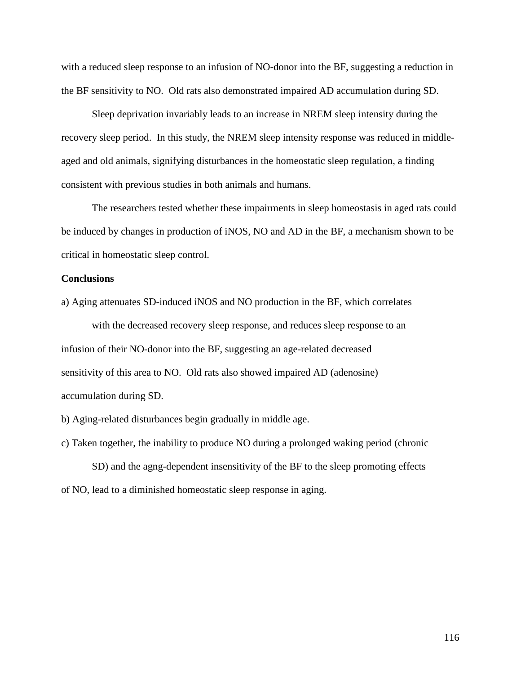with a reduced sleep response to an infusion of NO-donor into the BF, suggesting a reduction in the BF sensitivity to NO. Old rats also demonstrated impaired AD accumulation during SD.

Sleep deprivation invariably leads to an increase in NREM sleep intensity during the recovery sleep period. In this study, the NREM sleep intensity response was reduced in middleaged and old animals, signifying disturbances in the homeostatic sleep regulation, a finding consistent with previous studies in both animals and humans.

The researchers tested whether these impairments in sleep homeostasis in aged rats could be induced by changes in production of iNOS, NO and AD in the BF, a mechanism shown to be critical in homeostatic sleep control.

### **Conclusions**

a) Aging attenuates SD-induced iNOS and NO production in the BF, which correlates

with the decreased recovery sleep response, and reduces sleep response to an infusion of their NO-donor into the BF, suggesting an age-related decreased sensitivity of this area to NO. Old rats also showed impaired AD (adenosine) accumulation during SD.

b) Aging-related disturbances begin gradually in middle age.

c) Taken together, the inability to produce NO during a prolonged waking period (chronic SD) and the agng-dependent insensitivity of the BF to the sleep promoting effects of NO, lead to a diminished homeostatic sleep response in aging.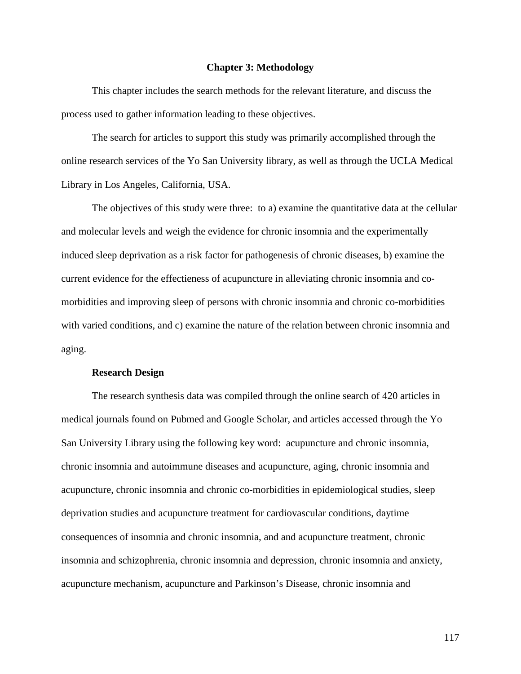### **Chapter 3: Methodology**

This chapter includes the search methods for the relevant literature, and discuss the process used to gather information leading to these objectives.

The search for articles to support this study was primarily accomplished through the online research services of the Yo San University library, as well as through the UCLA Medical Library in Los Angeles, California, USA.

The objectives of this study were three: to a) examine the quantitative data at the cellular and molecular levels and weigh the evidence for chronic insomnia and the experimentally induced sleep deprivation as a risk factor for pathogenesis of chronic diseases, b) examine the current evidence for the effectieness of acupuncture in alleviating chronic insomnia and comorbidities and improving sleep of persons with chronic insomnia and chronic co-morbidities with varied conditions, and c) examine the nature of the relation between chronic insomnia and aging.

### **Research Design**

The research synthesis data was compiled through the online search of 420 articles in medical journals found on Pubmed and Google Scholar, and articles accessed through the Yo San University Library using the following key word: acupuncture and chronic insomnia, chronic insomnia and autoimmune diseases and acupuncture, aging, chronic insomnia and acupuncture, chronic insomnia and chronic co-morbidities in epidemiological studies, sleep deprivation studies and acupuncture treatment for cardiovascular conditions, daytime consequences of insomnia and chronic insomnia, and and acupuncture treatment, chronic insomnia and schizophrenia, chronic insomnia and depression, chronic insomnia and anxiety, acupuncture mechanism, acupuncture and Parkinson's Disease, chronic insomnia and

117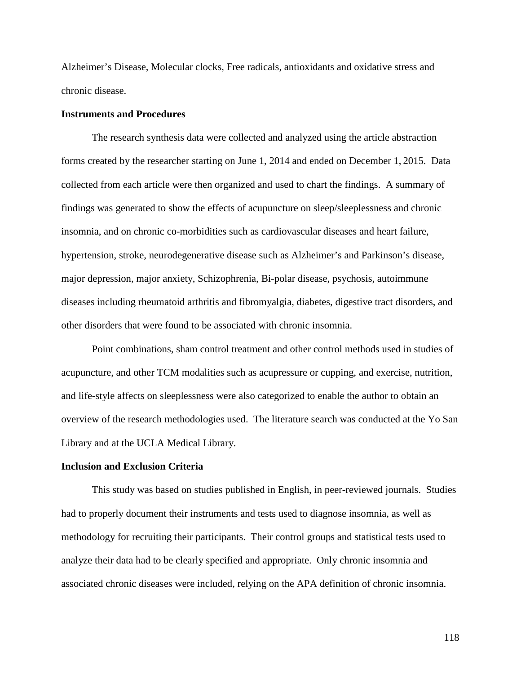Alzheimer's Disease, Molecular clocks, Free radicals, antioxidants and oxidative stress and chronic disease.

### **Instruments and Procedures**

The research synthesis data were collected and analyzed using the article abstraction forms created by the researcher starting on June 1, 2014 and ended on December 1, 2015. Data collected from each article were then organized and used to chart the findings. A summary of findings was generated to show the effects of acupuncture on sleep/sleeplessness and chronic insomnia, and on chronic co-morbidities such as cardiovascular diseases and heart failure, hypertension, stroke, neurodegenerative disease such as Alzheimer's and Parkinson's disease, major depression, major anxiety, Schizophrenia, Bi-polar disease, psychosis, autoimmune diseases including rheumatoid arthritis and fibromyalgia, diabetes, digestive tract disorders, and other disorders that were found to be associated with chronic insomnia.

Point combinations, sham control treatment and other control methods used in studies of acupuncture, and other TCM modalities such as acupressure or cupping, and exercise, nutrition, and life-style affects on sleeplessness were also categorized to enable the author to obtain an overview of the research methodologies used. The literature search was conducted at the Yo San Library and at the UCLA Medical Library.

### **Inclusion and Exclusion Criteria**

This study was based on studies published in English, in peer-reviewed journals. Studies had to properly document their instruments and tests used to diagnose insomnia, as well as methodology for recruiting their participants. Their control groups and statistical tests used to analyze their data had to be clearly specified and appropriate. Only chronic insomnia and associated chronic diseases were included, relying on the APA definition of chronic insomnia.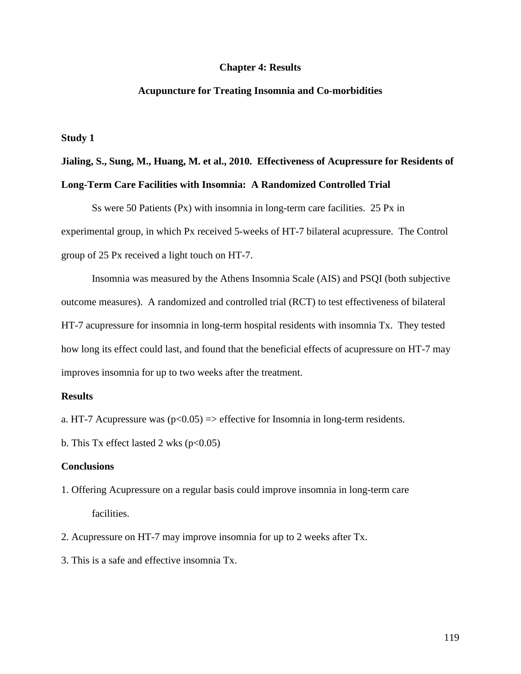### **Chapter 4: Results**

### **Acupuncture for Treating Insomnia and Co-morbidities**

**Study 1**

# **Jialing, S., Sung, M., Huang, M. et al., 2010. Effectiveness of Acupressure for Residents of Long-Term Care Facilities with Insomnia: A Randomized Controlled Trial**

Ss were 50 Patients (Px) with insomnia in long-term care facilities. 25 Px in experimental group, in which Px received 5-weeks of HT-7 bilateral acupressure. The Control group of 25 Px received a light touch on HT-7.

Insomnia was measured by the Athens Insomnia Scale (AIS) and PSQI (both subjective outcome measures). A randomized and controlled trial (RCT) to test effectiveness of bilateral HT-7 acupressure for insomnia in long-term hospital residents with insomnia Tx. They tested how long its effect could last, and found that the beneficial effects of acupressure on HT-7 may improves insomnia for up to two weeks after the treatment.

### **Results**

- a. HT-7 Acupressure was  $(p<0.05) \Rightarrow$  effective for Insomnia in long-term residents.
- b. This Tx effect lasted 2 wks  $(p<0.05)$

### **Conclusions**

- 1. Offering Acupressure on a regular basis could improve insomnia in long-term care facilities.
- 2. Acupressure on HT-7 may improve insomnia for up to 2 weeks after Tx.
- 3. This is a safe and effective insomnia Tx.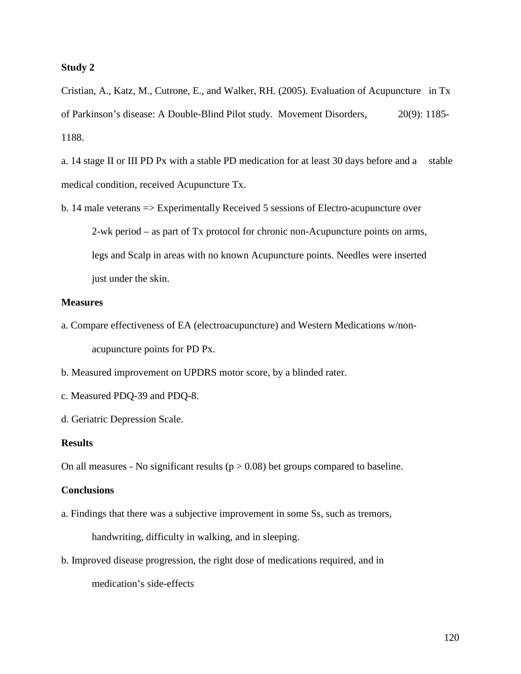### **Study 2**

Cristian, A., Katz, M., Cutrone, E., and Walker, RH. (2005). Evaluation of Acupuncture in Tx of Parkinson's disease: A Double-Blind Pilot study. Movement Disorders, 20(9): 1185- 1188.

a. 14 stage II or III PD Px with a stable PD medication for at least 30 days before and a stable medical condition, received Acupuncture Tx.

b. 14 male veterans => Experimentally Received 5 sessions of Electro-acupuncture over 2-wk period – as part of Tx protocol for chronic non-Acupuncture points on arms, legs and Scalp in areas with no known Acupuncture points. Needles were inserted just under the skin.

### **Measures**

- a. Compare effectiveness of EA (electroacupuncture) and Western Medications w/nonacupuncture points for PD Px.
- b. Measured improvement on UPDRS motor score, by a blinded rater.
- c. Measured PDQ-39 and PDQ-8.
- d. Geriatric Depression Scale.

### **Results**

On all measures - No significant results ( $p > 0.08$ ) bet groups compared to baseline.

### **Conclusions**

a. Findings that there was a subjective improvement in some Ss, such as tremors,

handwriting, difficulty in walking, and in sleeping.

b. Improved disease progression, the right dose of medications required, and in

medication's side-effects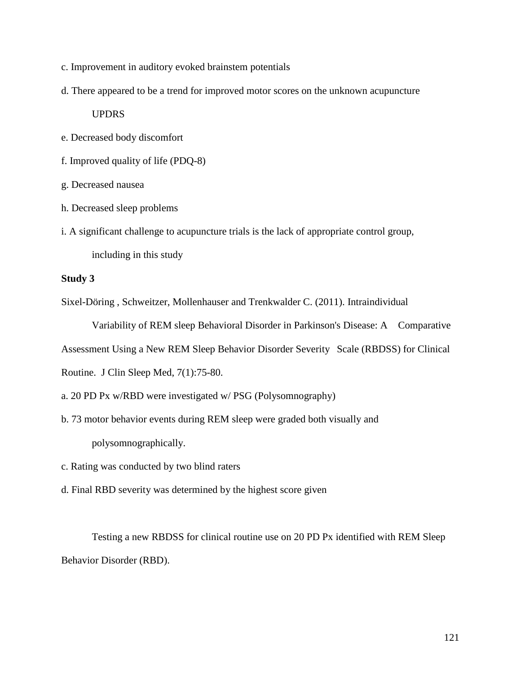- c. Improvement in auditory evoked brainstem potentials
- d. There appeared to be a trend for improved motor scores on the unknown acupuncture

# UPDRS

- e. Decreased body discomfort
- f. Improved quality of life (PDQ-8)
- g. Decreased nausea
- h. Decreased sleep problems
- i. A significant challenge to acupuncture trials is the lack of appropriate control group,

including in this study

## **Study 3**

Sixel-Döring , Schweitzer, Mollenhauser and Trenkwalder C. (2011). Intraindividual

Variability of REM sleep Behavioral Disorder in Parkinson's Disease: A Comparative

Assessment Using a New REM Sleep Behavior Disorder Severity Scale (RBDSS) for Clinical

Routine. J Clin Sleep Med, 7(1):75-80.

- a. 20 PD Px w/RBD were investigated w/ PSG (Polysomnography)
- b. 73 motor behavior events during REM sleep were graded both visually and polysomnographically.
- c. Rating was conducted by two blind raters
- d. Final RBD severity was determined by the highest score given

Testing a new RBDSS for clinical routine use on 20 PD Px identified with REM Sleep Behavior Disorder (RBD).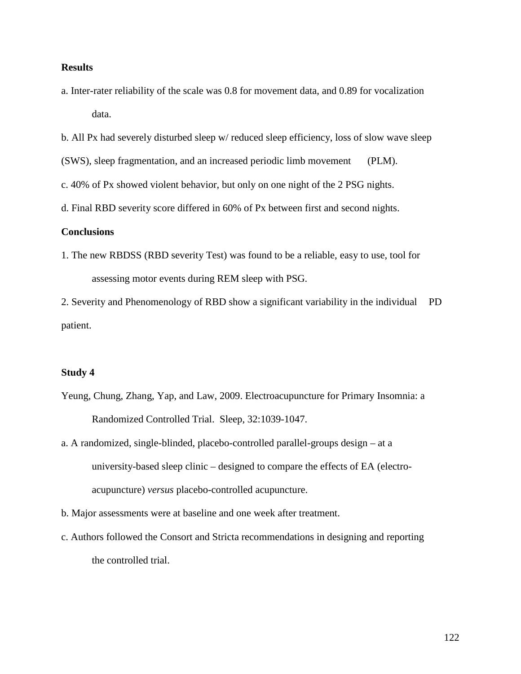# **Results**

- a. Inter-rater reliability of the scale was 0.8 for movement data, and 0.89 for vocalization data.
- b. All Px had severely disturbed sleep w/ reduced sleep efficiency, loss of slow wave sleep

(SWS), sleep fragmentation, and an increased periodic limb movement (PLM).

- c. 40% of Px showed violent behavior, but only on one night of the 2 PSG nights.
- d. Final RBD severity score differed in 60% of Px between first and second nights.

### **Conclusions**

1. The new RBDSS (RBD severity Test) was found to be a reliable, easy to use, tool for assessing motor events during REM sleep with PSG.

2. Severity and Phenomenology of RBD show a significant variability in the individual PD patient.

### **Study 4**

- Yeung, Chung, Zhang, Yap, and Law, 2009. Electroacupuncture for Primary Insomnia: a Randomized Controlled Trial. Sleep, 32:1039-1047.
- a. A randomized, single-blinded, placebo-controlled parallel-groups design at a university-based sleep clinic – designed to compare the effects of EA (electroacupuncture) *versus* placebo-controlled acupuncture.
- b. Major assessments were at baseline and one week after treatment.
- c. Authors followed the Consort and Stricta recommendations in designing and reporting the controlled trial.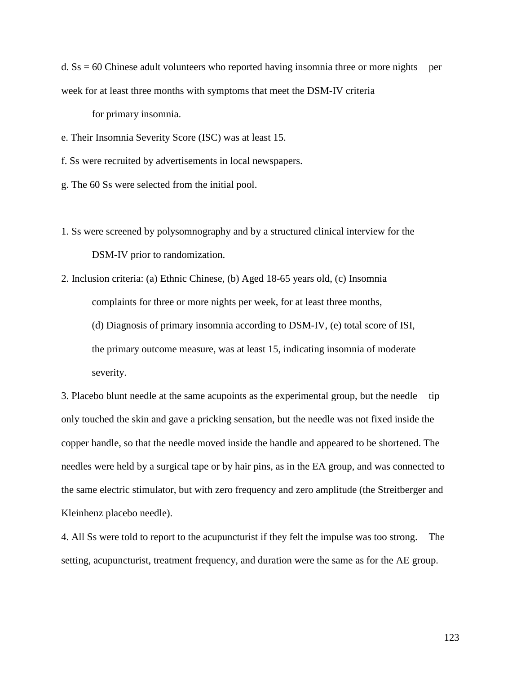d.  $\text{Ss} = 60$  Chinese adult volunteers who reported having insomnia three or more nights per week for at least three months with symptoms that meet the DSM-IV criteria

for primary insomnia.

e. Their Insomnia Severity Score (ISC) was at least 15.

f. Ss were recruited by advertisements in local newspapers.

g. The 60 Ss were selected from the initial pool.

1. Ss were screened by polysomnography and by a structured clinical interview for the DSM-IV prior to randomization.

2. Inclusion criteria: (a) Ethnic Chinese, (b) Aged 18-65 years old, (c) Insomnia complaints for three or more nights per week, for at least three months, (d) Diagnosis of primary insomnia according to DSM-IV, (e) total score of ISI, the primary outcome measure, was at least 15, indicating insomnia of moderate severity.

3. Placebo blunt needle at the same acupoints as the experimental group, but the needle tip only touched the skin and gave a pricking sensation, but the needle was not fixed inside the copper handle, so that the needle moved inside the handle and appeared to be shortened. The needles were held by a surgical tape or by hair pins, as in the EA group, and was connected to the same electric stimulator, but with zero frequency and zero amplitude (the Streitberger and Kleinhenz placebo needle).

4. All Ss were told to report to the acupuncturist if they felt the impulse was too strong. The setting, acupuncturist, treatment frequency, and duration were the same as for the AE group.

123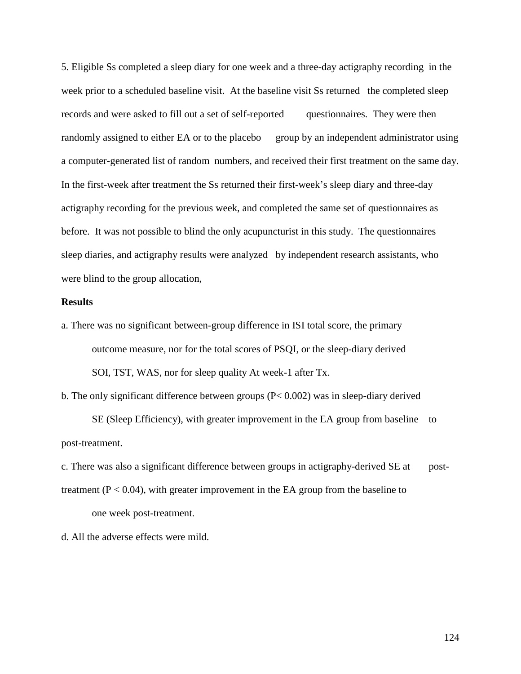5. Eligible Ss completed a sleep diary for one week and a three-day actigraphy recording in the week prior to a scheduled baseline visit. At the baseline visit Ss returned the completed sleep records and were asked to fill out a set of self-reported questionnaires. They were then randomly assigned to either EA or to the placebo group by an independent administrator using a computer-generated list of random numbers, and received their first treatment on the same day. In the first-week after treatment the Ss returned their first-week's sleep diary and three-day actigraphy recording for the previous week, and completed the same set of questionnaires as before. It was not possible to blind the only acupuncturist in this study. The questionnaires sleep diaries, and actigraphy results were analyzed by independent research assistants, who were blind to the group allocation,

### **Results**

a. There was no significant between-group difference in ISI total score, the primary outcome measure, nor for the total scores of PSQI, or the sleep-diary derived SOI, TST, WAS, nor for sleep quality At week-1 after Tx.

b. The only significant difference between groups (P< 0.002) was in sleep-diary derived

SE (Sleep Efficiency), with greater improvement in the EA group from baseline to post-treatment.

c. There was also a significant difference between groups in actigraphy-derived SE at posttreatment ( $P < 0.04$ ), with greater improvement in the EA group from the baseline to one week post-treatment.

d. All the adverse effects were mild.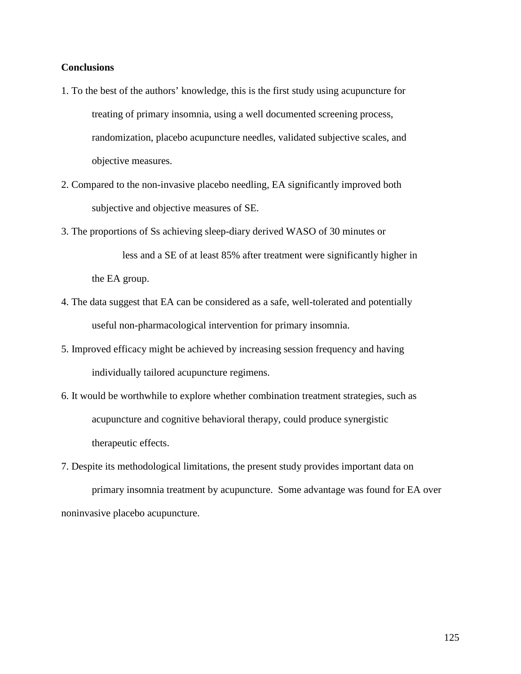# **Conclusions**

- 1. To the best of the authors' knowledge, this is the first study using acupuncture for treating of primary insomnia, using a well documented screening process, randomization, placebo acupuncture needles, validated subjective scales, and objective measures.
- 2. Compared to the non-invasive placebo needling, EA significantly improved both subjective and objective measures of SE.
- 3. The proportions of Ss achieving sleep-diary derived WASO of 30 minutes or less and a SE of at least 85% after treatment were significantly higher in the EA group.
- 4. The data suggest that EA can be considered as a safe, well-tolerated and potentially useful non-pharmacological intervention for primary insomnia.
- 5. Improved efficacy might be achieved by increasing session frequency and having individually tailored acupuncture regimens.
- 6. It would be worthwhile to explore whether combination treatment strategies, such as acupuncture and cognitive behavioral therapy, could produce synergistic therapeutic effects.
- 7. Despite its methodological limitations, the present study provides important data on primary insomnia treatment by acupuncture. Some advantage was found for EA over noninvasive placebo acupuncture.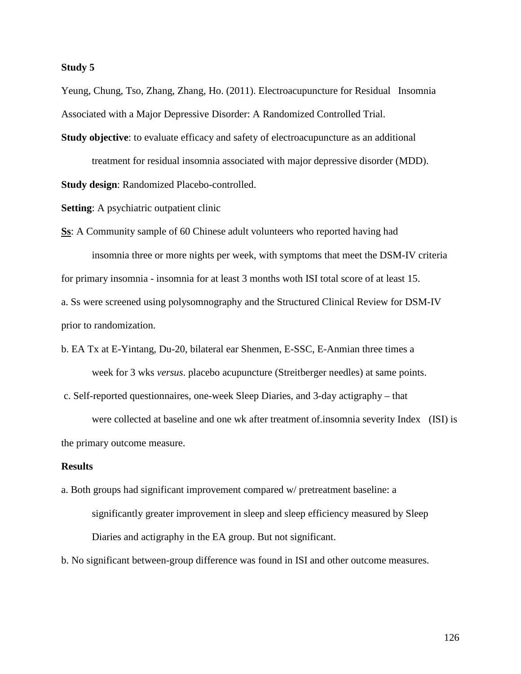### **Study 5**

Yeung, Chung, Tso, Zhang, Zhang, Ho. (2011). Electroacupuncture for Residual Insomnia Associated with a Major Depressive Disorder: A Randomized Controlled Trial.

**Study objective**: to evaluate efficacy and safety of electroacupuncture as an additional treatment for residual insomnia associated with major depressive disorder (MDD). **Study design**: Randomized Placebo-controlled.

**Setting**: A psychiatric outpatient clinic

**Ss**: A Community sample of 60 Chinese adult volunteers who reported having had

insomnia three or more nights per week, with symptoms that meet the DSM-IV criteria for primary insomnia - insomnia for at least 3 months woth ISI total score of at least 15. a. Ss were screened using polysomnography and the Structured Clinical Review for DSM-IV prior to randomization.

b. EA Tx at E-Yintang, Du-20, bilateral ear Shenmen, E-SSC, E-Anmian three times a week for 3 wks *versus*. placebo acupuncture (Streitberger needles) at same points.

c. Self-reported questionnaires, one-week Sleep Diaries, and 3-day actigraphy – that

were collected at baseline and one wk after treatment of.insomnia severity Index (ISI) is the primary outcome measure.

### **Results**

a. Both groups had significant improvement compared w/ pretreatment baseline: a significantly greater improvement in sleep and sleep efficiency measured by Sleep Diaries and actigraphy in the EA group. But not significant.

b. No significant between-group difference was found in ISI and other outcome measures.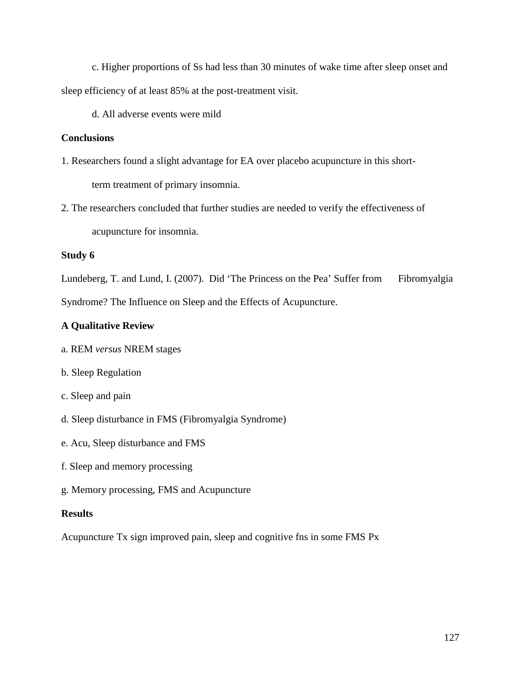c. Higher proportions of Ss had less than 30 minutes of wake time after sleep onset and sleep efficiency of at least 85% at the post-treatment visit.

d. All adverse events were mild

# **Conclusions**

- 1. Researchers found a slight advantage for EA over placebo acupuncture in this shortterm treatment of primary insomnia.
- 2. The researchers concluded that further studies are needed to verify the effectiveness of acupuncture for insomnia.

# **Study 6**

Lundeberg, T. and Lund, I. (2007). Did 'The Princess on the Pea' Suffer from Fibromyalgia Syndrome? The Influence on Sleep and the Effects of Acupuncture.

# **A Qualitative Review**

- a. REM *versus* NREM stages
- b. Sleep Regulation
- c. Sleep and pain
- d. Sleep disturbance in FMS (Fibromyalgia Syndrome)
- e. Acu, Sleep disturbance and FMS
- f. Sleep and memory processing
- g. Memory processing, FMS and Acupuncture

# **Results**

Acupuncture Tx sign improved pain, sleep and cognitive fns in some FMS Px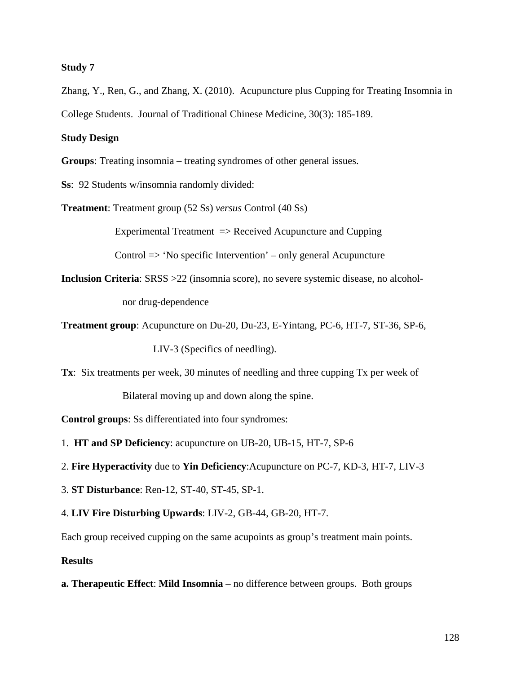### **Study 7**

Zhang, Y., Ren, G., and Zhang, X. (2010). Acupuncture plus Cupping for Treating Insomnia in College Students. Journal of Traditional Chinese Medicine, 30(3): 185-189.

# **Study Design**

**Groups**: Treating insomnia – treating syndromes of other general issues.

**Ss**: 92 Students w/insomnia randomly divided:

**Treatment**: Treatment group (52 Ss) *versus* Control (40 Ss)

Experimental Treatment => Received Acupuncture and Cupping

Control => 'No specific Intervention' – only general Acupuncture

**Inclusion Criteria**: SRSS >22 (insomnia score), no severe systemic disease, no alcoholnor drug-dependence

**Treatment group**: Acupuncture on Du-20, Du-23, E-Yintang, PC-6, HT-7, ST-36, SP-6,

LIV-3 (Specifics of needling).

**Tx**: Six treatments per week, 30 minutes of needling and three cupping Tx per week of

Bilateral moving up and down along the spine.

**Control groups**: Ss differentiated into four syndromes:

- 1. **HT and SP Deficiency**: acupuncture on UB-20, UB-15, HT-7, SP-6
- 2. **Fire Hyperactivity** due to **Yin Deficiency**:Acupuncture on PC-7, KD-3, HT-7, LIV-3
- 3. **ST Disturbance**: Ren-12, ST-40, ST-45, SP-1.
- 4. **LIV Fire Disturbing Upwards**: LIV-2, GB-44, GB-20, HT-7.

Each group received cupping on the same acupoints as group's treatment main points.

### **Results**

**a. Therapeutic Effect**: **Mild Insomnia** – no difference between groups. Both groups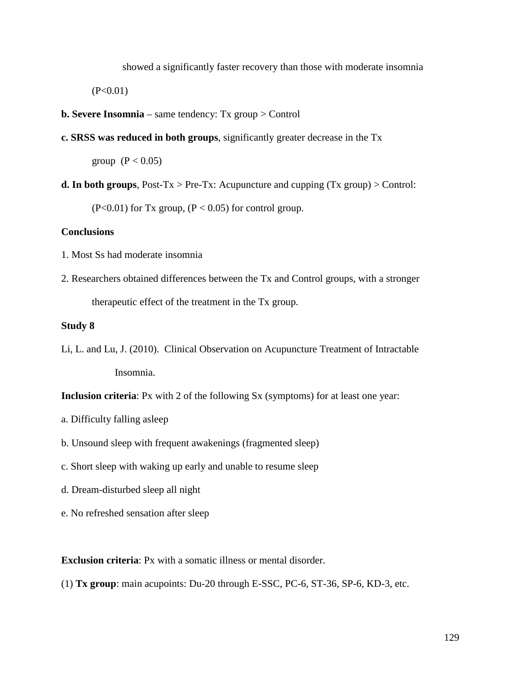showed a significantly faster recovery than those with moderate insomnia

 $(P<0.01)$ 

- **b. Severe Insomnia**  same tendency: Tx group > Control
- **c. SRSS was reduced in both groups**, significantly greater decrease in the Tx

group  $(P < 0.05)$ 

**d. In both groups**, Post-Tx > Pre-Tx: Acupuncture and cupping  $(Tx \text{ group})$  > Control:

 $(P<0.01)$  for Tx group,  $(P<0.05)$  for control group.

## **Conclusions**

- 1. Most Ss had moderate insomnia
- 2. Researchers obtained differences between the Tx and Control groups, with a stronger therapeutic effect of the treatment in the Tx group.

## **Study 8**

Li, L. and Lu, J. (2010). Clinical Observation on Acupuncture Treatment of Intractable Insomnia.

**Inclusion criteria**: Px with 2 of the following Sx (symptoms) for at least one year:

- a. Difficulty falling asleep
- b. Unsound sleep with frequent awakenings (fragmented sleep)
- c. Short sleep with waking up early and unable to resume sleep
- d. Dream-disturbed sleep all night
- e. No refreshed sensation after sleep

**Exclusion criteria**: Px with a somatic illness or mental disorder.

(1) **Tx group**: main acupoints: Du-20 through E-SSC, PC-6, ST-36, SP-6, KD-3, etc.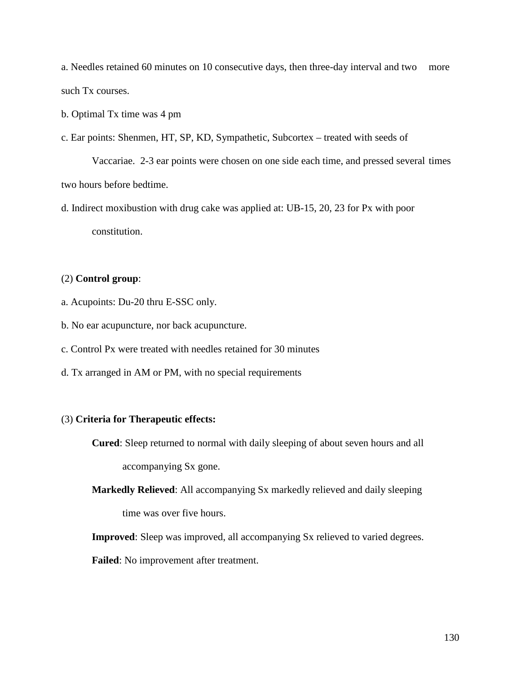a. Needles retained 60 minutes on 10 consecutive days, then three-day interval and two more such Tx courses.

b. Optimal Tx time was 4 pm

c. Ear points: Shenmen, HT, SP, KD, Sympathetic, Subcortex – treated with seeds of

Vaccariae. 2-3 ear points were chosen on one side each time, and pressed several times two hours before bedtime.

d. Indirect moxibustion with drug cake was applied at: UB-15, 20, 23 for Px with poor constitution.

# (2) **Control group**:

- a. Acupoints: Du-20 thru E-SSC only.
- b. No ear acupuncture, nor back acupuncture.

c. Control Px were treated with needles retained for 30 minutes

d. Tx arranged in AM or PM, with no special requirements

### (3) **Criteria for Therapeutic effects:**

**Cured**: Sleep returned to normal with daily sleeping of about seven hours and all

accompanying Sx gone.

**Markedly Relieved**: All accompanying Sx markedly relieved and daily sleeping time was over five hours.

**Improved**: Sleep was improved, all accompanying Sx relieved to varied degrees.

**Failed**: No improvement after treatment.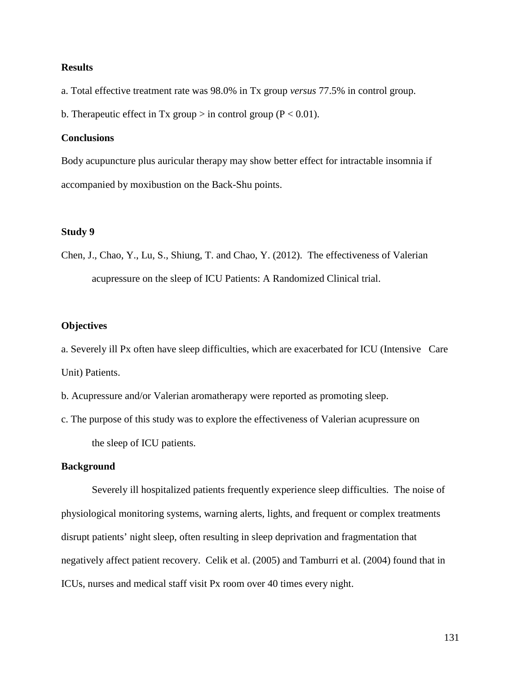# **Results**

a. Total effective treatment rate was 98.0% in Tx group *versus* 77.5% in control group.

b. Therapeutic effect in Tx group  $>$  in control group (P < 0.01).

# **Conclusions**

Body acupuncture plus auricular therapy may show better effect for intractable insomnia if accompanied by moxibustion on the Back-Shu points.

### **Study 9**

Chen, J., Chao, Y., Lu, S., Shiung, T. and Chao, Y. (2012). The effectiveness of Valerian acupressure on the sleep of ICU Patients: A Randomized Clinical trial.

### **Objectives**

a. Severely ill Px often have sleep difficulties, which are exacerbated for ICU (Intensive Care Unit) Patients.

b. Acupressure and/or Valerian aromatherapy were reported as promoting sleep.

c. The purpose of this study was to explore the effectiveness of Valerian acupressure on the sleep of ICU patients.

### **Background**

Severely ill hospitalized patients frequently experience sleep difficulties. The noise of physiological monitoring systems, warning alerts, lights, and frequent or complex treatments disrupt patients' night sleep, often resulting in sleep deprivation and fragmentation that negatively affect patient recovery. Celik et al. (2005) and Tamburri et al. (2004) found that in ICUs, nurses and medical staff visit Px room over 40 times every night.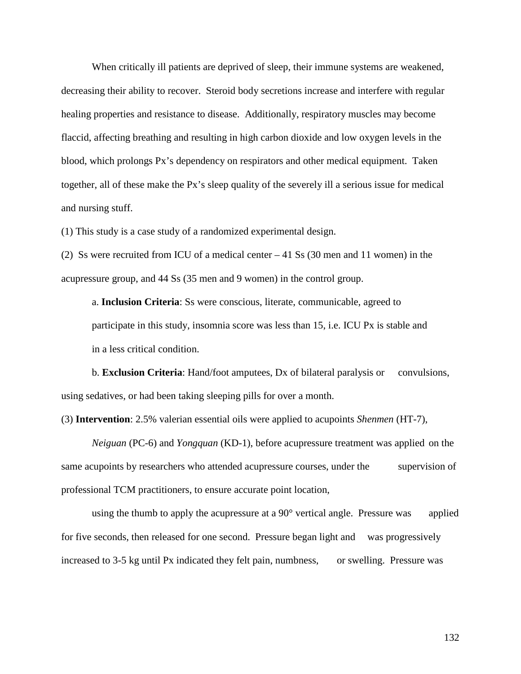When critically ill patients are deprived of sleep, their immune systems are weakened, decreasing their ability to recover. Steroid body secretions increase and interfere with regular healing properties and resistance to disease. Additionally, respiratory muscles may become flaccid, affecting breathing and resulting in high carbon dioxide and low oxygen levels in the blood, which prolongs Px's dependency on respirators and other medical equipment. Taken together, all of these make the Px's sleep quality of the severely ill a serious issue for medical and nursing stuff.

(1) This study is a case study of a randomized experimental design.

(2) Ss were recruited from ICU of a medical center – 41 Ss (30 men and 11 women) in the acupressure group, and 44 Ss (35 men and 9 women) in the control group.

a. **Inclusion Criteria**: Ss were conscious, literate, communicable, agreed to participate in this study, insomnia score was less than 15, i.e. ICU Px is stable and in a less critical condition.

 b. **Exclusion Criteria**: Hand/foot amputees, Dx of bilateral paralysis or convulsions, using sedatives, or had been taking sleeping pills for over a month.

(3) **Intervention**: 2.5% valerian essential oils were applied to acupoints *Shenmen* (HT-7),

*Neiguan* (PC-6) and *Yongquan* (KD-1), before acupressure treatment was applied on the same acupoints by researchers who attended acupressure courses, under the supervision of professional TCM practitioners, to ensure accurate point location,

using the thumb to apply the acupressure at a  $90^{\circ}$  vertical angle. Pressure was applied for five seconds, then released for one second. Pressure began light and was progressively increased to 3-5 kg until Px indicated they felt pain, numbness, or swelling. Pressure was

132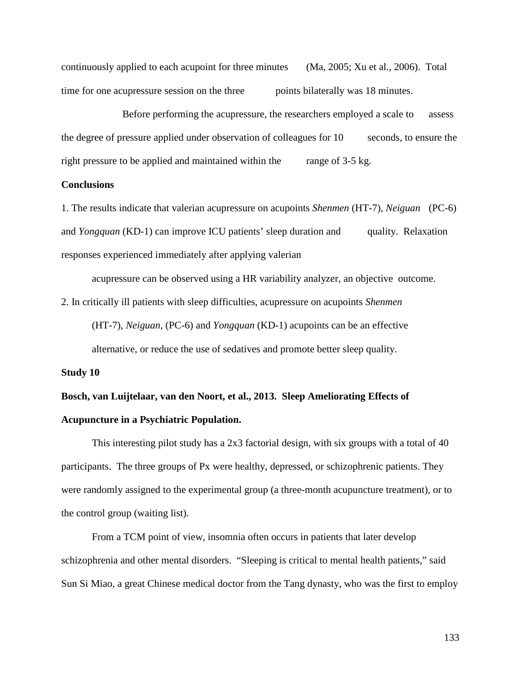continuously applied to each acupoint for three minutes (Ma, 2005; Xu et al., 2006). Total time for one acupressure session on the three points bilaterally was 18 minutes.

Before performing the acupressure, the researchers employed a scale to assess the degree of pressure applied under observation of colleagues for 10 seconds, to ensure the right pressure to be applied and maintained within the range of 3-5 kg.

### **Conclusions**

1. The results indicate that valerian acupressure on acupoints *Shenmen* (HT-7), *Neiguan* (PC-6) and *Yongquan* (KD-1) can improve ICU patients' sleep duration and quality. Relaxation responses experienced immediately after applying valerian

acupressure can be observed using a HR variability analyzer, an objective outcome.

2. In critically ill patients with sleep difficulties, acupressure on acupoints *Shenmen*

(HT-7), *Neiguan*, (PC-6) and *Yongquan* (KD-1) acupoints can be an effective alternative, or reduce the use of sedatives and promote better sleep quality.

### **Study 10**

# **Bosch, van Luijtelaar, van den Noort, et al., 2013. Sleep Ameliorating Effects of Acupuncture in a Psychiatric Population.**

This interesting pilot study has a 2x3 factorial design, with six groups with a total of 40 participants. The three groups of Px were healthy, depressed, or schizophrenic patients. They were randomly assigned to the experimental group (a three-month acupuncture treatment), or to the control group (waiting list).

From a TCM point of view, insomnia often occurs in patients that later develop schizophrenia and other mental disorders. "Sleeping is critical to mental health patients," said Sun Si Miao, a great Chinese medical doctor from the Tang dynasty, who was the first to employ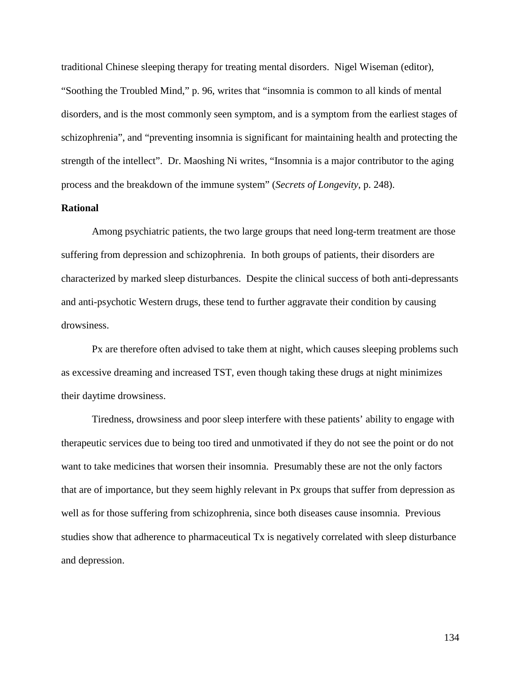traditional Chinese sleeping therapy for treating mental disorders. Nigel Wiseman (editor), "Soothing the Troubled Mind," p. 96, writes that "insomnia is common to all kinds of mental disorders, and is the most commonly seen symptom, and is a symptom from the earliest stages of schizophrenia", and "preventing insomnia is significant for maintaining health and protecting the strength of the intellect". Dr. Maoshing Ni writes, "Insomnia is a major contributor to the aging process and the breakdown of the immune system" (*Secrets of Longevity*, p. 248).

# **Rational**

Among psychiatric patients, the two large groups that need long-term treatment are those suffering from depression and schizophrenia. In both groups of patients, their disorders are characterized by marked sleep disturbances. Despite the clinical success of both anti-depressants and anti-psychotic Western drugs, these tend to further aggravate their condition by causing drowsiness.

Px are therefore often advised to take them at night, which causes sleeping problems such as excessive dreaming and increased TST, even though taking these drugs at night minimizes their daytime drowsiness.

Tiredness, drowsiness and poor sleep interfere with these patients' ability to engage with therapeutic services due to being too tired and unmotivated if they do not see the point or do not want to take medicines that worsen their insomnia. Presumably these are not the only factors that are of importance, but they seem highly relevant in Px groups that suffer from depression as well as for those suffering from schizophrenia, since both diseases cause insomnia. Previous studies show that adherence to pharmaceutical Tx is negatively correlated with sleep disturbance and depression.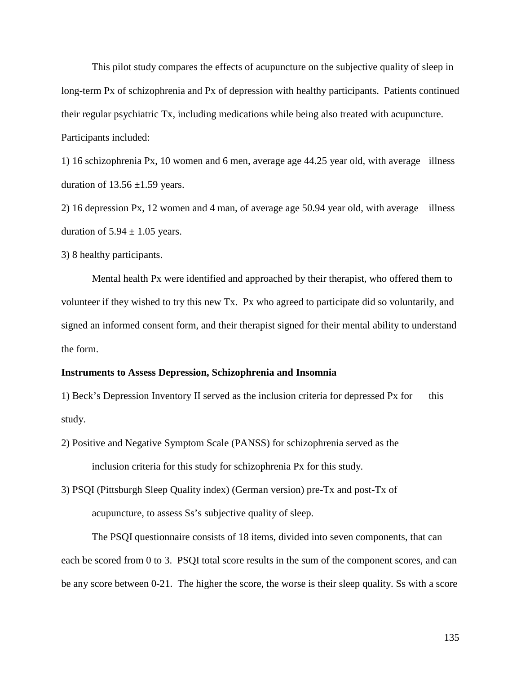This pilot study compares the effects of acupuncture on the subjective quality of sleep in long-term Px of schizophrenia and Px of depression with healthy participants. Patients continued their regular psychiatric Tx, including medications while being also treated with acupuncture. Participants included:

1) 16 schizophrenia Px, 10 women and 6 men, average age 44.25 year old, with average illness duration of  $13.56 \pm 1.59$  years.

2) 16 depression Px, 12 women and 4 man, of average age 50.94 year old, with average illness duration of  $5.94 \pm 1.05$  years.

3) 8 healthy participants.

Mental health Px were identified and approached by their therapist, who offered them to volunteer if they wished to try this new Tx. Px who agreed to participate did so voluntarily, and signed an informed consent form, and their therapist signed for their mental ability to understand the form.

### **Instruments to Assess Depression, Schizophrenia and Insomnia**

1) Beck's Depression Inventory II served as the inclusion criteria for depressed Px for this study.

2) Positive and Negative Symptom Scale (PANSS) for schizophrenia served as the inclusion criteria for this study for schizophrenia Px for this study.

3) PSQI (Pittsburgh Sleep Quality index) (German version) pre-Tx and post-Tx of acupuncture, to assess Ss's subjective quality of sleep.

The PSQI questionnaire consists of 18 items, divided into seven components, that can each be scored from 0 to 3. PSQI total score results in the sum of the component scores, and can be any score between 0-21. The higher the score, the worse is their sleep quality. Ss with a score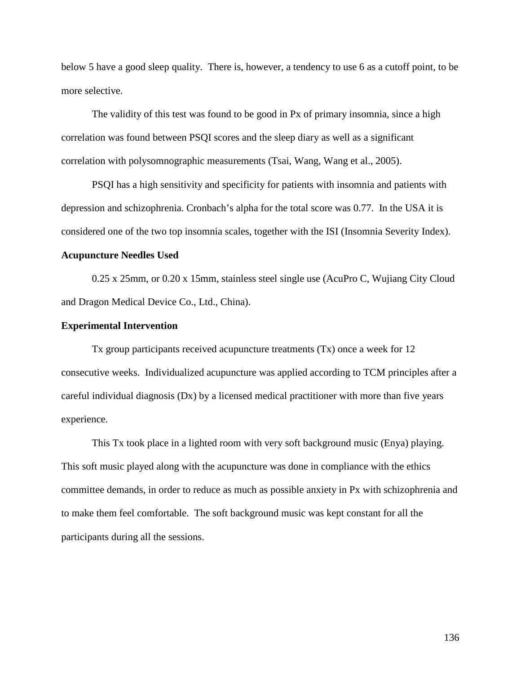below 5 have a good sleep quality. There is, however, a tendency to use 6 as a cutoff point, to be more selective.

The validity of this test was found to be good in Px of primary insomnia, since a high correlation was found between PSQI scores and the sleep diary as well as a significant correlation with polysomnographic measurements (Tsai, Wang, Wang et al., 2005).

PSQI has a high sensitivity and specificity for patients with insomnia and patients with depression and schizophrenia. Cronbach's alpha for the total score was 0.77. In the USA it is considered one of the two top insomnia scales, together with the ISI (Insomnia Severity Index).

### **Acupuncture Needles Used**

0.25 x 25mm, or 0.20 x 15mm, stainless steel single use (AcuPro C, Wujiang City Cloud and Dragon Medical Device Co., Ltd., China).

### **Experimental Intervention**

Tx group participants received acupuncture treatments (Tx) once a week for 12 consecutive weeks. Individualized acupuncture was applied according to TCM principles after a careful individual diagnosis (Dx) by a licensed medical practitioner with more than five years experience.

This Tx took place in a lighted room with very soft background music (Enya) playing. This soft music played along with the acupuncture was done in compliance with the ethics committee demands, in order to reduce as much as possible anxiety in Px with schizophrenia and to make them feel comfortable. The soft background music was kept constant for all the participants during all the sessions.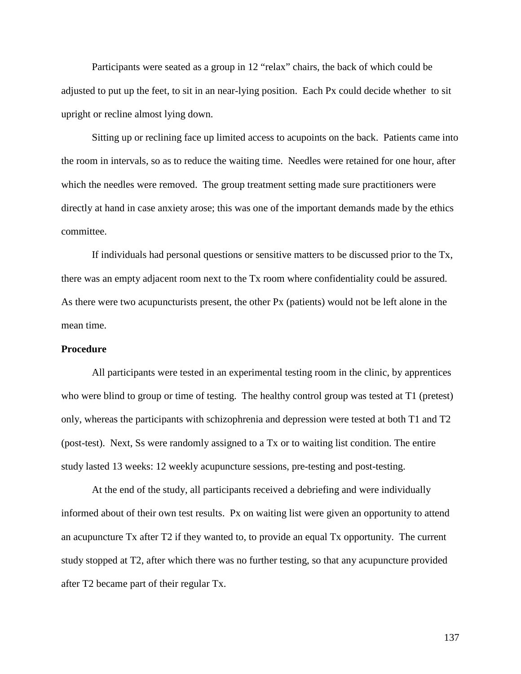Participants were seated as a group in 12 "relax" chairs, the back of which could be adjusted to put up the feet, to sit in an near-lying position. Each Px could decide whether to sit upright or recline almost lying down.

Sitting up or reclining face up limited access to acupoints on the back. Patients came into the room in intervals, so as to reduce the waiting time. Needles were retained for one hour, after which the needles were removed. The group treatment setting made sure practitioners were directly at hand in case anxiety arose; this was one of the important demands made by the ethics committee.

If individuals had personal questions or sensitive matters to be discussed prior to the Tx, there was an empty adjacent room next to the Tx room where confidentiality could be assured. As there were two acupuncturists present, the other Px (patients) would not be left alone in the mean time.

### **Procedure**

All participants were tested in an experimental testing room in the clinic, by apprentices who were blind to group or time of testing. The healthy control group was tested at T1 (pretest) only, whereas the participants with schizophrenia and depression were tested at both T1 and T2 (post-test). Next, Ss were randomly assigned to a Tx or to waiting list condition. The entire study lasted 13 weeks: 12 weekly acupuncture sessions, pre-testing and post-testing.

At the end of the study, all participants received a debriefing and were individually informed about of their own test results. Px on waiting list were given an opportunity to attend an acupuncture Tx after T2 if they wanted to, to provide an equal Tx opportunity. The current study stopped at T2, after which there was no further testing, so that any acupuncture provided after T2 became part of their regular Tx.

137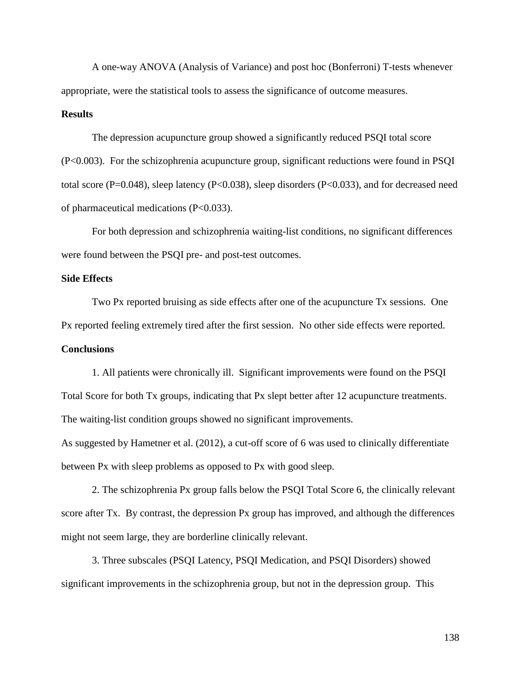A one-way ANOVA (Analysis of Variance) and post hoc (Bonferroni) T-tests whenever appropriate, were the statistical tools to assess the significance of outcome measures.

### **Results**

The depression acupuncture group showed a significantly reduced PSQI total score (P<0.003). For the schizophrenia acupuncture group, significant reductions were found in PSQI total score (P=0.048), sleep latency (P<0.038), sleep disorders (P<0.033), and for decreased need of pharmaceutical medications (P<0.033).

For both depression and schizophrenia waiting-list conditions, no significant differences were found between the PSQI pre- and post-test outcomes.

### **Side Effects**

Two Px reported bruising as side effects after one of the acupuncture Tx sessions. One Px reported feeling extremely tired after the first session. No other side effects were reported. **Conclusions**

1. All patients were chronically ill. Significant improvements were found on the PSQI Total Score for both Tx groups, indicating that Px slept better after 12 acupuncture treatments. The waiting-list condition groups showed no significant improvements.

As suggested by Hametner et al. (2012), a cut-off score of 6 was used to clinically differentiate between Px with sleep problems as opposed to Px with good sleep.

2. The schizophrenia Px group falls below the PSQI Total Score 6, the clinically relevant score after Tx. By contrast, the depression Px group has improved, and although the differences might not seem large, they are borderline clinically relevant.

3. Three subscales (PSQI Latency, PSQI Medication, and PSQI Disorders) showed significant improvements in the schizophrenia group, but not in the depression group. This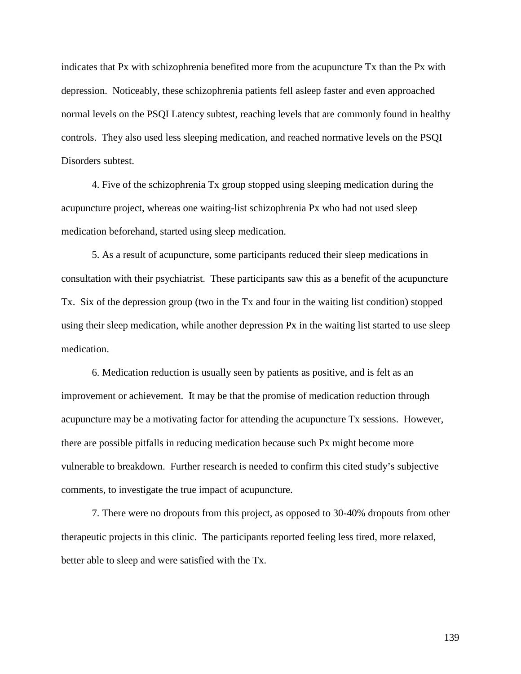indicates that Px with schizophrenia benefited more from the acupuncture Tx than the Px with depression. Noticeably, these schizophrenia patients fell asleep faster and even approached normal levels on the PSQI Latency subtest, reaching levels that are commonly found in healthy controls. They also used less sleeping medication, and reached normative levels on the PSQI Disorders subtest.

4. Five of the schizophrenia Tx group stopped using sleeping medication during the acupuncture project, whereas one waiting-list schizophrenia Px who had not used sleep medication beforehand, started using sleep medication.

5. As a result of acupuncture, some participants reduced their sleep medications in consultation with their psychiatrist. These participants saw this as a benefit of the acupuncture Tx. Six of the depression group (two in the Tx and four in the waiting list condition) stopped using their sleep medication, while another depression Px in the waiting list started to use sleep medication.

6. Medication reduction is usually seen by patients as positive, and is felt as an improvement or achievement. It may be that the promise of medication reduction through acupuncture may be a motivating factor for attending the acupuncture Tx sessions. However, there are possible pitfalls in reducing medication because such Px might become more vulnerable to breakdown. Further research is needed to confirm this cited study's subjective comments, to investigate the true impact of acupuncture.

7. There were no dropouts from this project, as opposed to 30-40% dropouts from other therapeutic projects in this clinic. The participants reported feeling less tired, more relaxed, better able to sleep and were satisfied with the Tx.

139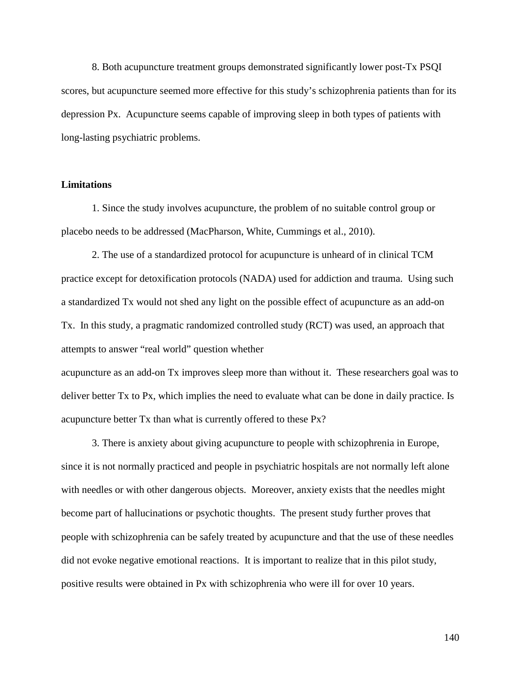8. Both acupuncture treatment groups demonstrated significantly lower post-Tx PSQI scores, but acupuncture seemed more effective for this study's schizophrenia patients than for its depression Px. Acupuncture seems capable of improving sleep in both types of patients with long-lasting psychiatric problems.

### **Limitations**

1. Since the study involves acupuncture, the problem of no suitable control group or placebo needs to be addressed (MacPharson, White, Cummings et al., 2010).

2. The use of a standardized protocol for acupuncture is unheard of in clinical TCM practice except for detoxification protocols (NADA) used for addiction and trauma. Using such a standardized Tx would not shed any light on the possible effect of acupuncture as an add-on Tx. In this study, a pragmatic randomized controlled study (RCT) was used, an approach that attempts to answer "real world" question whether

acupuncture as an add-on Tx improves sleep more than without it. These researchers goal was to deliver better Tx to Px, which implies the need to evaluate what can be done in daily practice. Is acupuncture better Tx than what is currently offered to these Px?

3. There is anxiety about giving acupuncture to people with schizophrenia in Europe, since it is not normally practiced and people in psychiatric hospitals are not normally left alone with needles or with other dangerous objects. Moreover, anxiety exists that the needles might become part of hallucinations or psychotic thoughts. The present study further proves that people with schizophrenia can be safely treated by acupuncture and that the use of these needles did not evoke negative emotional reactions. It is important to realize that in this pilot study, positive results were obtained in Px with schizophrenia who were ill for over 10 years.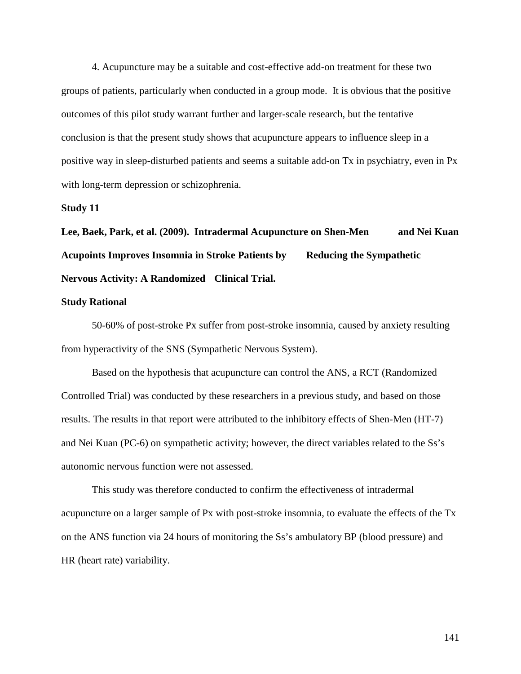4. Acupuncture may be a suitable and cost-effective add-on treatment for these two groups of patients, particularly when conducted in a group mode. It is obvious that the positive outcomes of this pilot study warrant further and larger-scale research, but the tentative conclusion is that the present study shows that acupuncture appears to influence sleep in a positive way in sleep-disturbed patients and seems a suitable add-on Tx in psychiatry, even in Px with long-term depression or schizophrenia.

### **Study 11**

**Lee, Baek, Park, et al. (2009). Intradermal Acupuncture on Shen-Men and Nei Kuan Acupoints Improves Insomnia in Stroke Patients by Reducing the Sympathetic Nervous Activity: A Randomized Clinical Trial.** 

### **Study Rational**

50-60% of post-stroke Px suffer from post-stroke insomnia, caused by anxiety resulting from hyperactivity of the SNS (Sympathetic Nervous System).

Based on the hypothesis that acupuncture can control the ANS, a RCT (Randomized Controlled Trial) was conducted by these researchers in a previous study, and based on those results. The results in that report were attributed to the inhibitory effects of Shen-Men (HT-7) and Nei Kuan (PC-6) on sympathetic activity; however, the direct variables related to the Ss's autonomic nervous function were not assessed.

This study was therefore conducted to confirm the effectiveness of intradermal acupuncture on a larger sample of Px with post-stroke insomnia, to evaluate the effects of the Tx on the ANS function via 24 hours of monitoring the Ss's ambulatory BP (blood pressure) and HR (heart rate) variability.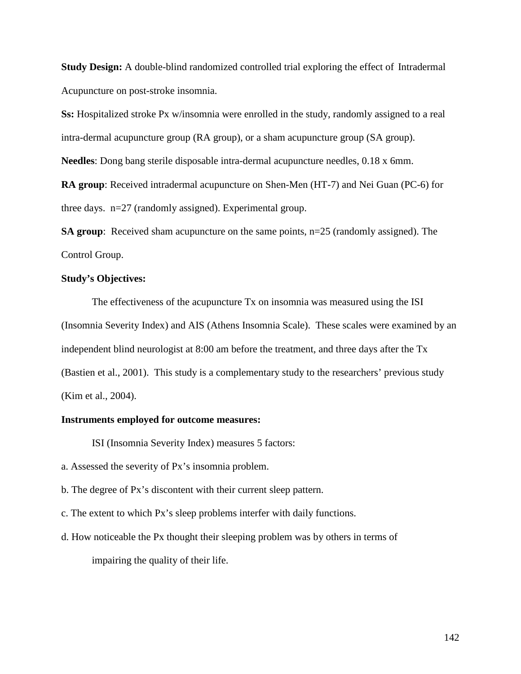**Study Design:** A double-blind randomized controlled trial exploring the effect of Intradermal Acupuncture on post-stroke insomnia.

**Ss:** Hospitalized stroke Px w/insomnia were enrolled in the study, randomly assigned to a real intra-dermal acupuncture group (RA group), or a sham acupuncture group (SA group).

**Needles**: Dong bang sterile disposable intra-dermal acupuncture needles, 0.18 x 6mm.

**RA group**: Received intradermal acupuncture on Shen-Men (HT-7) and Nei Guan (PC-6) for three days. n=27 (randomly assigned). Experimental group.

**SA group**: Received sham acupuncture on the same points, n=25 (randomly assigned). The Control Group.

# **Study's Objectives:**

The effectiveness of the acupuncture Tx on insomnia was measured using the ISI (Insomnia Severity Index) and AIS (Athens Insomnia Scale). These scales were examined by an independent blind neurologist at 8:00 am before the treatment, and three days after the Tx (Bastien et al., 2001). This study is a complementary study to the researchers' previous study (Kim et al., 2004).

# **Instruments employed for outcome measures:**

ISI (Insomnia Severity Index) measures 5 factors:

a. Assessed the severity of Px's insomnia problem.

b. The degree of Px's discontent with their current sleep pattern.

- c. The extent to which Px's sleep problems interfer with daily functions.
- d. How noticeable the Px thought their sleeping problem was by others in terms of impairing the quality of their life.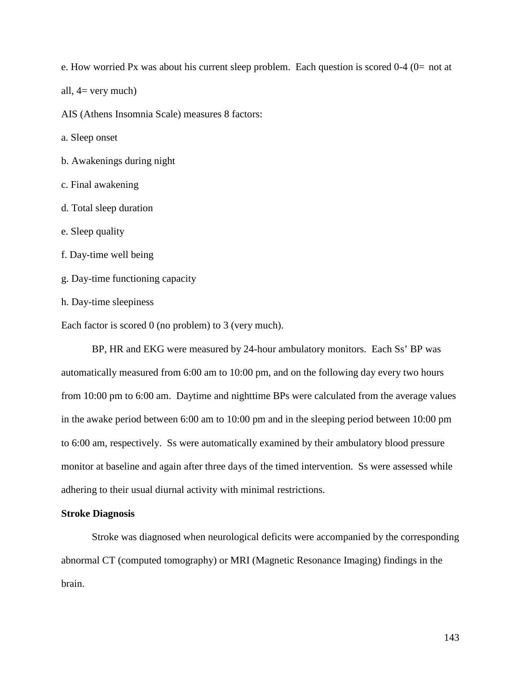e. How worried Px was about his current sleep problem. Each question is scored  $0-4$  ( $0=$  not at

all,  $4=$  very much)

AIS (Athens Insomnia Scale) measures 8 factors:

a. Sleep onset

- b. Awakenings during night
- c. Final awakening
- d. Total sleep duration
- e. Sleep quality
- f. Day-time well being
- g. Day-time functioning capacity
- h. Day-time sleepiness

Each factor is scored 0 (no problem) to 3 (very much).

BP, HR and EKG were measured by 24-hour ambulatory monitors. Each Ss' BP was automatically measured from 6:00 am to 10:00 pm, and on the following day every two hours from 10:00 pm to 6:00 am. Daytime and nighttime BPs were calculated from the average values in the awake period between 6:00 am to 10:00 pm and in the sleeping period between 10:00 pm to 6:00 am, respectively. Ss were automatically examined by their ambulatory blood pressure monitor at baseline and again after three days of the timed intervention. Ss were assessed while adhering to their usual diurnal activity with minimal restrictions.

#### **Stroke Diagnosis**

Stroke was diagnosed when neurological deficits were accompanied by the corresponding abnormal CT (computed tomography) or MRI (Magnetic Resonance Imaging) findings in the brain.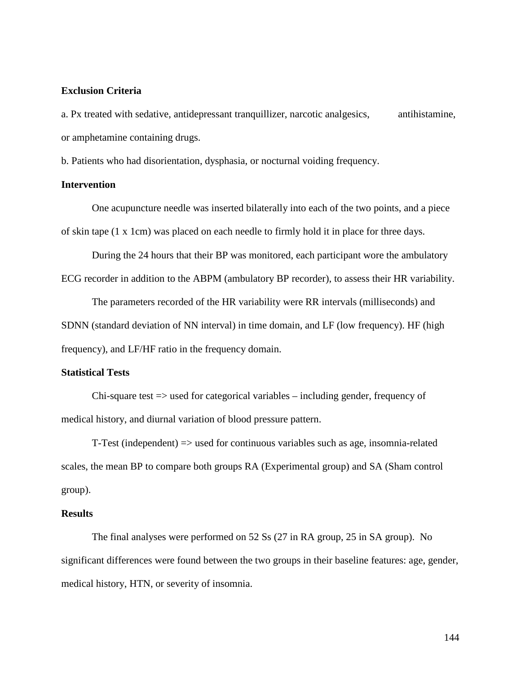### **Exclusion Criteria**

a. Px treated with sedative, antidepressant tranquillizer, narcotic analgesics, antihistamine, or amphetamine containing drugs.

b. Patients who had disorientation, dysphasia, or nocturnal voiding frequency.

### **Intervention**

One acupuncture needle was inserted bilaterally into each of the two points, and a piece of skin tape (1 x 1cm) was placed on each needle to firmly hold it in place for three days.

During the 24 hours that their BP was monitored, each participant wore the ambulatory ECG recorder in addition to the ABPM (ambulatory BP recorder), to assess their HR variability.

The parameters recorded of the HR variability were RR intervals (milliseconds) and SDNN (standard deviation of NN interval) in time domain, and LF (low frequency). HF (high frequency), and LF/HF ratio in the frequency domain.

### **Statistical Tests**

Chi-square test => used for categorical variables – including gender, frequency of medical history, and diurnal variation of blood pressure pattern.

T-Test (independent) => used for continuous variables such as age, insomnia-related scales, the mean BP to compare both groups RA (Experimental group) and SA (Sham control group).

### **Results**

The final analyses were performed on 52 Ss (27 in RA group, 25 in SA group). No significant differences were found between the two groups in their baseline features: age, gender, medical history, HTN, or severity of insomnia.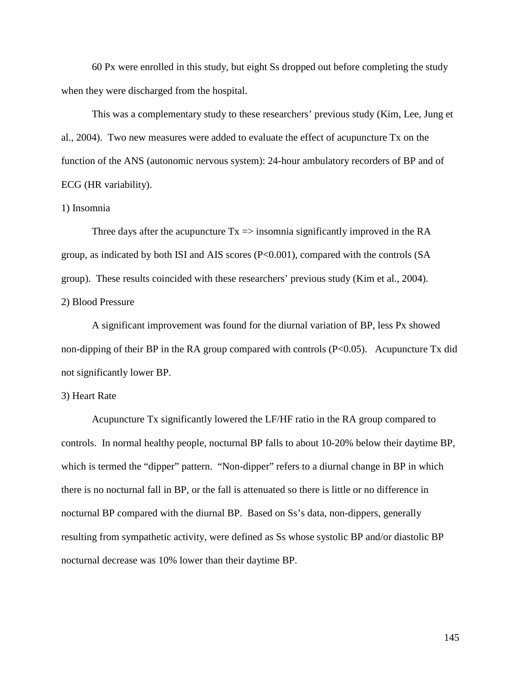60 Px were enrolled in this study, but eight Ss dropped out before completing the study when they were discharged from the hospital.

This was a complementary study to these researchers' previous study (Kim, Lee, Jung et al., 2004). Two new measures were added to evaluate the effect of acupuncture Tx on the function of the ANS (autonomic nervous system): 24-hour ambulatory recorders of BP and of ECG (HR variability).

#### 1) Insomnia

Three days after the acupuncture  $Tx \Rightarrow$  insomnia significantly improved in the RA group, as indicated by both ISI and AIS scores (P<0.001), compared with the controls (SA group). These results coincided with these researchers' previous study (Kim et al., 2004). 2) Blood Pressure

A significant improvement was found for the diurnal variation of BP, less Px showed non-dipping of their BP in the RA group compared with controls (P<0.05). Acupuncture Tx did not significantly lower BP.

#### 3) Heart Rate

Acupuncture Tx significantly lowered the LF/HF ratio in the RA group compared to controls. In normal healthy people, nocturnal BP falls to about 10-20% below their daytime BP, which is termed the "dipper" pattern. "Non-dipper" refers to a diurnal change in BP in which there is no nocturnal fall in BP, or the fall is attenuated so there is little or no difference in nocturnal BP compared with the diurnal BP. Based on Ss's data, non-dippers, generally resulting from sympathetic activity, were defined as Ss whose systolic BP and/or diastolic BP nocturnal decrease was 10% lower than their daytime BP.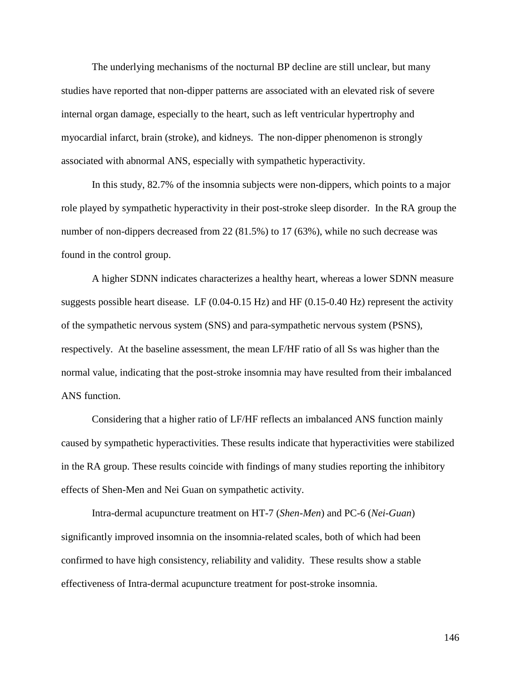The underlying mechanisms of the nocturnal BP decline are still unclear, but many studies have reported that non-dipper patterns are associated with an elevated risk of severe internal organ damage, especially to the heart, such as left ventricular hypertrophy and myocardial infarct, brain (stroke), and kidneys. The non-dipper phenomenon is strongly associated with abnormal ANS, especially with sympathetic hyperactivity.

In this study, 82.7% of the insomnia subjects were non-dippers, which points to a major role played by sympathetic hyperactivity in their post-stroke sleep disorder. In the RA group the number of non-dippers decreased from 22 (81.5%) to 17 (63%), while no such decrease was found in the control group.

A higher SDNN indicates characterizes a healthy heart, whereas a lower SDNN measure suggests possible heart disease. LF (0.04-0.15 Hz) and HF (0.15-0.40 Hz) represent the activity of the sympathetic nervous system (SNS) and para-sympathetic nervous system (PSNS), respectively. At the baseline assessment, the mean LF/HF ratio of all Ss was higher than the normal value, indicating that the post-stroke insomnia may have resulted from their imbalanced ANS function.

Considering that a higher ratio of LF/HF reflects an imbalanced ANS function mainly caused by sympathetic hyperactivities. These results indicate that hyperactivities were stabilized in the RA group. These results coincide with findings of many studies reporting the inhibitory effects of Shen-Men and Nei Guan on sympathetic activity.

Intra-dermal acupuncture treatment on HT-7 (*Shen-Men*) and PC-6 (*Nei-Guan*) significantly improved insomnia on the insomnia-related scales, both of which had been confirmed to have high consistency, reliability and validity. These results show a stable effectiveness of Intra-dermal acupuncture treatment for post-stroke insomnia.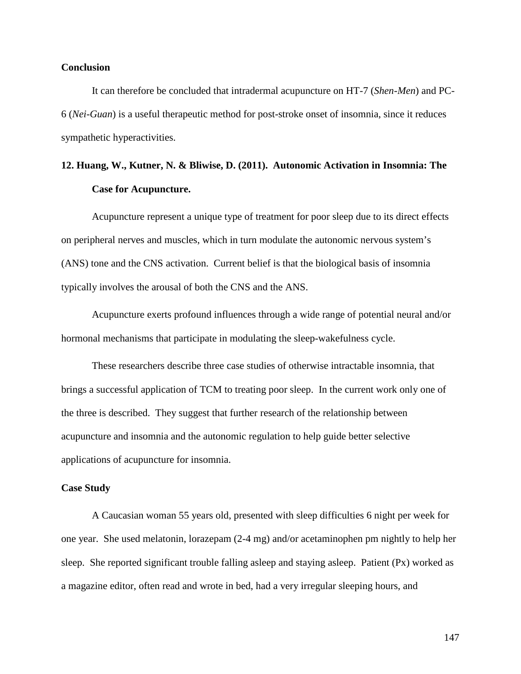#### **Conclusion**

It can therefore be concluded that intradermal acupuncture on HT-7 (*Shen-Men*) and PC-6 (*Nei-Guan*) is a useful therapeutic method for post-stroke onset of insomnia, since it reduces sympathetic hyperactivities.

### **12. Huang, W., Kutner, N. & Bliwise, D. (2011). Autonomic Activation in Insomnia: The Case for Acupuncture.**

Acupuncture represent a unique type of treatment for poor sleep due to its direct effects on peripheral nerves and muscles, which in turn modulate the autonomic nervous system's (ANS) tone and the CNS activation. Current belief is that the biological basis of insomnia typically involves the arousal of both the CNS and the ANS.

Acupuncture exerts profound influences through a wide range of potential neural and/or hormonal mechanisms that participate in modulating the sleep-wakefulness cycle.

These researchers describe three case studies of otherwise intractable insomnia, that brings a successful application of TCM to treating poor sleep. In the current work only one of the three is described. They suggest that further research of the relationship between acupuncture and insomnia and the autonomic regulation to help guide better selective applications of acupuncture for insomnia.

#### **Case Study**

A Caucasian woman 55 years old, presented with sleep difficulties 6 night per week for one year. She used melatonin, lorazepam (2-4 mg) and/or acetaminophen pm nightly to help her sleep. She reported significant trouble falling asleep and staying asleep. Patient (Px) worked as a magazine editor, often read and wrote in bed, had a very irregular sleeping hours, and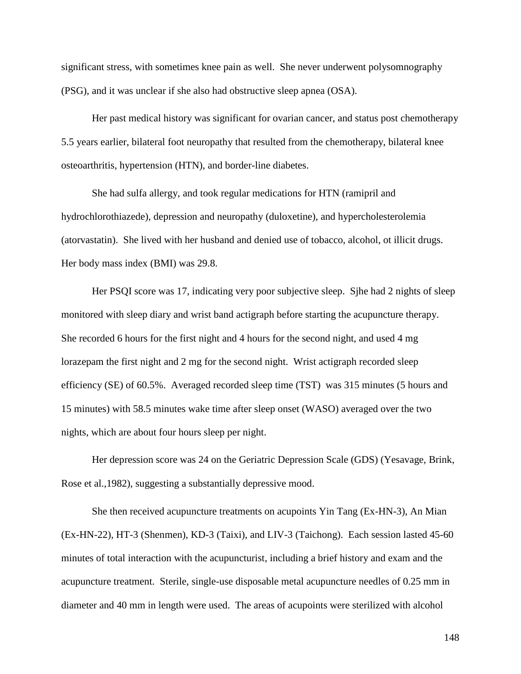significant stress, with sometimes knee pain as well. She never underwent polysomnography (PSG), and it was unclear if she also had obstructive sleep apnea (OSA).

Her past medical history was significant for ovarian cancer, and status post chemotherapy 5.5 years earlier, bilateral foot neuropathy that resulted from the chemotherapy, bilateral knee osteoarthritis, hypertension (HTN), and border-line diabetes.

She had sulfa allergy, and took regular medications for HTN (ramipril and hydrochlorothiazede), depression and neuropathy (duloxetine), and hypercholesterolemia (atorvastatin). She lived with her husband and denied use of tobacco, alcohol, ot illicit drugs. Her body mass index (BMI) was 29.8.

Her PSQI score was 17, indicating very poor subjective sleep. Sjhe had 2 nights of sleep monitored with sleep diary and wrist band actigraph before starting the acupuncture therapy. She recorded 6 hours for the first night and 4 hours for the second night, and used 4 mg lorazepam the first night and 2 mg for the second night. Wrist actigraph recorded sleep efficiency (SE) of 60.5%. Averaged recorded sleep time (TST) was 315 minutes (5 hours and 15 minutes) with 58.5 minutes wake time after sleep onset (WASO) averaged over the two nights, which are about four hours sleep per night.

Her depression score was 24 on the Geriatric Depression Scale (GDS) (Yesavage, Brink, Rose et al.,1982), suggesting a substantially depressive mood.

She then received acupuncture treatments on acupoints Yin Tang (Ex-HN-3), An Mian (Ex-HN-22), HT-3 (Shenmen), KD-3 (Taixi), and LIV-3 (Taichong). Each session lasted 45-60 minutes of total interaction with the acupuncturist, including a brief history and exam and the acupuncture treatment. Sterile, single-use disposable metal acupuncture needles of 0.25 mm in diameter and 40 mm in length were used. The areas of acupoints were sterilized with alcohol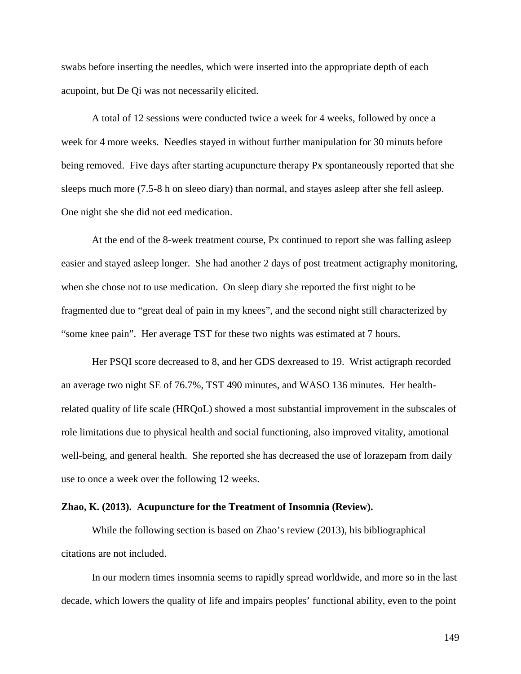swabs before inserting the needles, which were inserted into the appropriate depth of each acupoint, but De Qi was not necessarily elicited.

A total of 12 sessions were conducted twice a week for 4 weeks, followed by once a week for 4 more weeks. Needles stayed in without further manipulation for 30 minuts before being removed. Five days after starting acupuncture therapy Px spontaneously reported that she sleeps much more (7.5-8 h on sleeo diary) than normal, and stayes asleep after she fell asleep. One night she she did not eed medication.

At the end of the 8-week treatment course, Px continued to report she was falling asleep easier and stayed asleep longer. She had another 2 days of post treatment actigraphy monitoring, when she chose not to use medication. On sleep diary she reported the first night to be fragmented due to "great deal of pain in my knees", and the second night still characterized by "some knee pain". Her average TST for these two nights was estimated at 7 hours.

Her PSQI score decreased to 8, and her GDS dexreased to 19. Wrist actigraph recorded an average two night SE of 76.7%, TST 490 minutes, and WASO 136 minutes. Her healthrelated quality of life scale (HRQoL) showed a most substantial improvement in the subscales of role limitations due to physical health and social functioning, also improved vitality, amotional well-being, and general health. She reported she has decreased the use of lorazepam from daily use to once a week over the following 12 weeks.

#### **Zhao, K. (2013). Acupuncture for the Treatment of Insomnia (Review).**

While the following section is based on Zhao's review (2013), his bibliographical citations are not included.

In our modern times insomnia seems to rapidly spread worldwide, and more so in the last decade, which lowers the quality of life and impairs peoples' functional ability, even to the point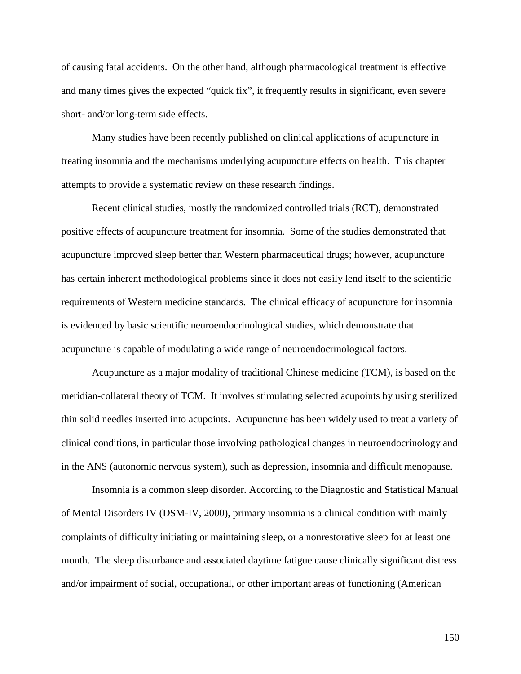of causing fatal accidents. On the other hand, although pharmacological treatment is effective and many times gives the expected "quick fix", it frequently results in significant, even severe short- and/or long-term side effects.

Many studies have been recently published on clinical applications of acupuncture in treating insomnia and the mechanisms underlying acupuncture effects on health. This chapter attempts to provide a systematic review on these research findings.

Recent clinical studies, mostly the randomized controlled trials (RCT), demonstrated positive effects of acupuncture treatment for insomnia. Some of the studies demonstrated that acupuncture improved sleep better than Western pharmaceutical drugs; however, acupuncture has certain inherent methodological problems since it does not easily lend itself to the scientific requirements of Western medicine standards. The clinical efficacy of acupuncture for insomnia is evidenced by basic scientific neuroendocrinological studies, which demonstrate that acupuncture is capable of modulating a wide range of neuroendocrinological factors.

Acupuncture as a major modality of traditional Chinese medicine (TCM), is based on the meridian-collateral theory of TCM. It involves stimulating selected acupoints by using sterilized thin solid needles inserted into acupoints. Acupuncture has been widely used to treat a variety of clinical conditions, in particular those involving pathological changes in neuroendocrinology and in the ANS (autonomic nervous system), such as depression, insomnia and difficult menopause.

Insomnia is a common sleep disorder. According to the Diagnostic and Statistical Manual of Mental Disorders IV (DSM-IV, 2000), primary insomnia is a clinical condition with mainly complaints of difficulty initiating or maintaining sleep, or a nonrestorative sleep for at least one month. The sleep disturbance and associated daytime fatigue cause clinically significant distress and/or impairment of social, occupational, or other important areas of functioning (American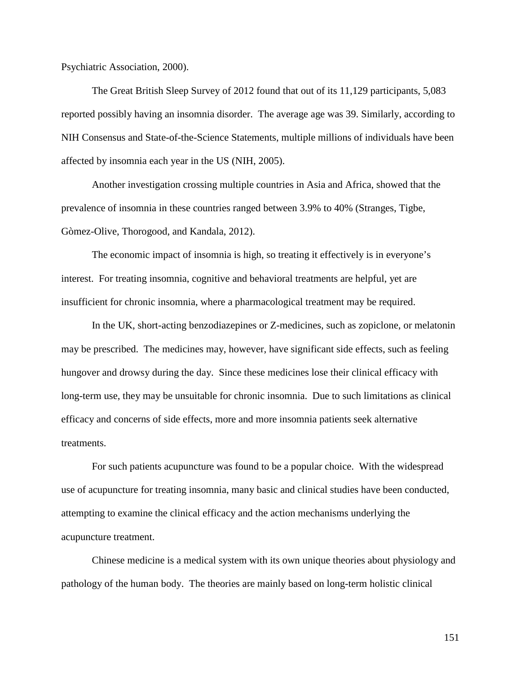Psychiatric Association, 2000).

The Great British Sleep Survey of 2012 found that out of its 11,129 participants, 5,083 reported possibly having an insomnia disorder. The average age was 39. Similarly, according to NIH Consensus and State-of-the-Science Statements, multiple millions of individuals have been affected by insomnia each year in the US (NIH, 2005).

Another investigation crossing multiple countries in Asia and Africa, showed that the prevalence of insomnia in these countries ranged between 3.9% to 40% (Stranges, Tigbe, Gòmez-Olive, Thorogood, and Kandala, 2012).

The economic impact of insomnia is high, so treating it effectively is in everyone's interest. For treating insomnia, cognitive and behavioral treatments are helpful, yet are insufficient for chronic insomnia, where a pharmacological treatment may be required.

In the UK, short-acting benzodiazepines or Z-medicines, such as zopiclone, or melatonin may be prescribed. The medicines may, however, have significant side effects, such as feeling hungover and drowsy during the day. Since these medicines lose their clinical efficacy with long-term use, they may be unsuitable for chronic insomnia. Due to such limitations as clinical efficacy and concerns of side effects, more and more insomnia patients seek alternative treatments.

For such patients acupuncture was found to be a popular choice. With the widespread use of acupuncture for treating insomnia, many basic and clinical studies have been conducted, attempting to examine the clinical efficacy and the action mechanisms underlying the acupuncture treatment.

Chinese medicine is a medical system with its own unique theories about physiology and pathology of the human body. The theories are mainly based on long-term holistic clinical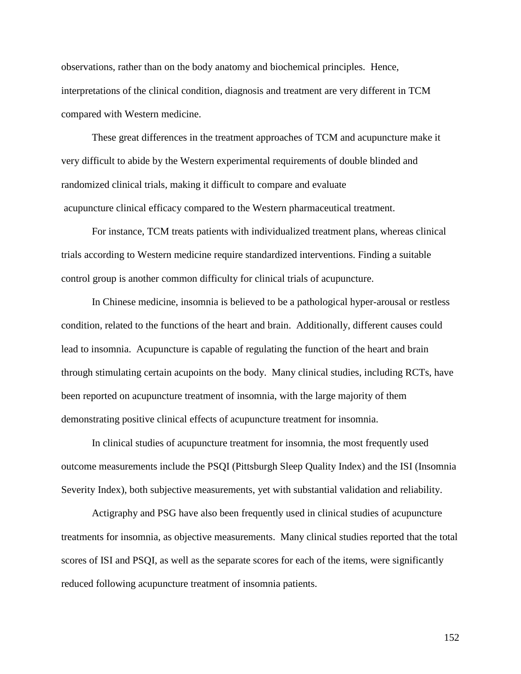observations, rather than on the body anatomy and biochemical principles. Hence, interpretations of the clinical condition, diagnosis and treatment are very different in TCM compared with Western medicine.

These great differences in the treatment approaches of TCM and acupuncture make it very difficult to abide by the Western experimental requirements of double blinded and randomized clinical trials, making it difficult to compare and evaluate acupuncture clinical efficacy compared to the Western pharmaceutical treatment.

For instance, TCM treats patients with individualized treatment plans, whereas clinical trials according to Western medicine require standardized interventions. Finding a suitable control group is another common difficulty for clinical trials of acupuncture.

In Chinese medicine, insomnia is believed to be a pathological hyper-arousal or restless condition, related to the functions of the heart and brain. Additionally, different causes could lead to insomnia. Acupuncture is capable of regulating the function of the heart and brain through stimulating certain acupoints on the body. Many clinical studies, including RCTs, have been reported on acupuncture treatment of insomnia, with the large majority of them demonstrating positive clinical effects of acupuncture treatment for insomnia.

In clinical studies of acupuncture treatment for insomnia, the most frequently used outcome measurements include the PSQI (Pittsburgh Sleep Quality Index) and the ISI (Insomnia Severity Index), both subjective measurements, yet with substantial validation and reliability.

Actigraphy and PSG have also been frequently used in clinical studies of acupuncture treatments for insomnia, as objective measurements. Many clinical studies reported that the total scores of ISI and PSQI, as well as the separate scores for each of the items, were significantly reduced following acupuncture treatment of insomnia patients.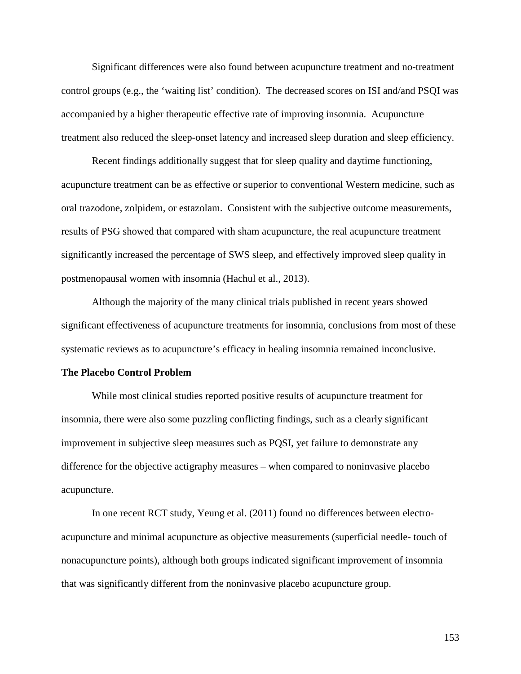Significant differences were also found between acupuncture treatment and no-treatment control groups (e.g., the 'waiting list' condition). The decreased scores on ISI and/and PSQI was accompanied by a higher therapeutic effective rate of improving insomnia. Acupuncture treatment also reduced the sleep-onset latency and increased sleep duration and sleep efficiency.

Recent findings additionally suggest that for sleep quality and daytime functioning, acupuncture treatment can be as effective or superior to conventional Western medicine, such as oral trazodone, zolpidem, or estazolam. Consistent with the subjective outcome measurements, results of PSG showed that compared with sham acupuncture, the real acupuncture treatment significantly increased the percentage of SWS sleep, and effectively improved sleep quality in postmenopausal women with insomnia (Hachul et al., 2013).

Although the majority of the many clinical trials published in recent years showed significant effectiveness of acupuncture treatments for insomnia, conclusions from most of these systematic reviews as to acupuncture's efficacy in healing insomnia remained inconclusive.

#### **The Placebo Control Problem**

While most clinical studies reported positive results of acupuncture treatment for insomnia, there were also some puzzling conflicting findings, such as a clearly significant improvement in subjective sleep measures such as PQSI, yet failure to demonstrate any difference for the objective actigraphy measures – when compared to noninvasive placebo acupuncture.

In one recent RCT study, Yeung et al. (2011) found no differences between electroacupuncture and minimal acupuncture as objective measurements (superficial needle- touch of nonacupuncture points), although both groups indicated significant improvement of insomnia that was significantly different from the noninvasive placebo acupuncture group.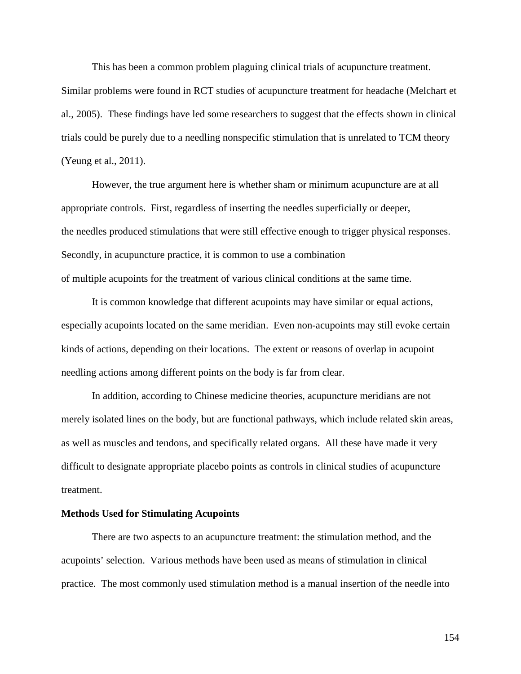This has been a common problem plaguing clinical trials of acupuncture treatment.

Similar problems were found in RCT studies of acupuncture treatment for headache (Melchart et al., 2005). These findings have led some researchers to suggest that the effects shown in clinical trials could be purely due to a needling nonspecific stimulation that is unrelated to TCM theory (Yeung et al., 2011).

However, the true argument here is whether sham or minimum acupuncture are at all appropriate controls. First, regardless of inserting the needles superficially or deeper, the needles produced stimulations that were still effective enough to trigger physical responses. Secondly, in acupuncture practice, it is common to use a combination of multiple acupoints for the treatment of various clinical conditions at the same time.

It is common knowledge that different acupoints may have similar or equal actions, especially acupoints located on the same meridian. Even non-acupoints may still evoke certain kinds of actions, depending on their locations. The extent or reasons of overlap in acupoint needling actions among different points on the body is far from clear.

In addition, according to Chinese medicine theories, acupuncture meridians are not merely isolated lines on the body, but are functional pathways, which include related skin areas, as well as muscles and tendons, and specifically related organs. All these have made it very difficult to designate appropriate placebo points as controls in clinical studies of acupuncture treatment.

#### **Methods Used for Stimulating Acupoints**

There are two aspects to an acupuncture treatment: the stimulation method, and the acupoints' selection. Various methods have been used as means of stimulation in clinical practice. The most commonly used stimulation method is a manual insertion of the needle into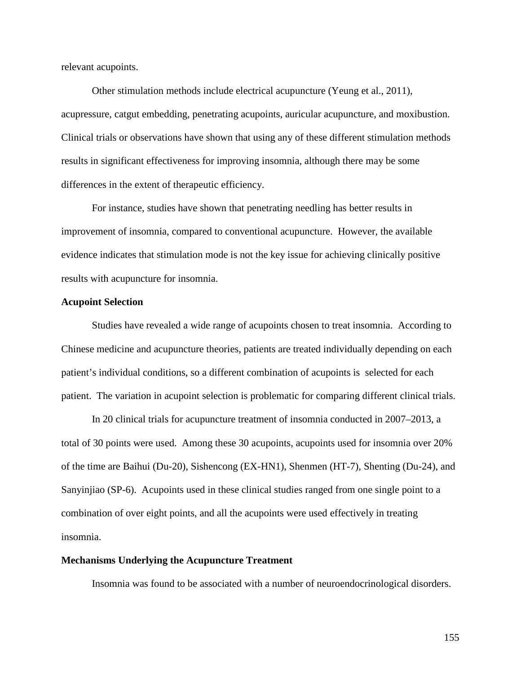relevant acupoints.

Other stimulation methods include electrical acupuncture (Yeung et al., 2011), acupressure, catgut embedding, penetrating acupoints, auricular acupuncture, and moxibustion. Clinical trials or observations have shown that using any of these different stimulation methods results in significant effectiveness for improving insomnia, although there may be some differences in the extent of therapeutic efficiency.

For instance, studies have shown that penetrating needling has better results in improvement of insomnia, compared to conventional acupuncture. However, the available evidence indicates that stimulation mode is not the key issue for achieving clinically positive results with acupuncture for insomnia.

#### **Acupoint Selection**

Studies have revealed a wide range of acupoints chosen to treat insomnia. According to Chinese medicine and acupuncture theories, patients are treated individually depending on each patient's individual conditions, so a different combination of acupoints is selected for each patient. The variation in acupoint selection is problematic for comparing different clinical trials.

In 20 clinical trials for acupuncture treatment of insomnia conducted in 2007–2013, a total of 30 points were used. Among these 30 acupoints, acupoints used for insomnia over 20% of the time are Baihui (Du-20), Sishencong (EX-HN1), Shenmen (HT-7), Shenting (Du-24), and Sanyinjiao (SP-6). Acupoints used in these clinical studies ranged from one single point to a combination of over eight points, and all the acupoints were used effectively in treating insomnia.

#### **Mechanisms Underlying the Acupuncture Treatment**

Insomnia was found to be associated with a number of neuroendocrinological disorders.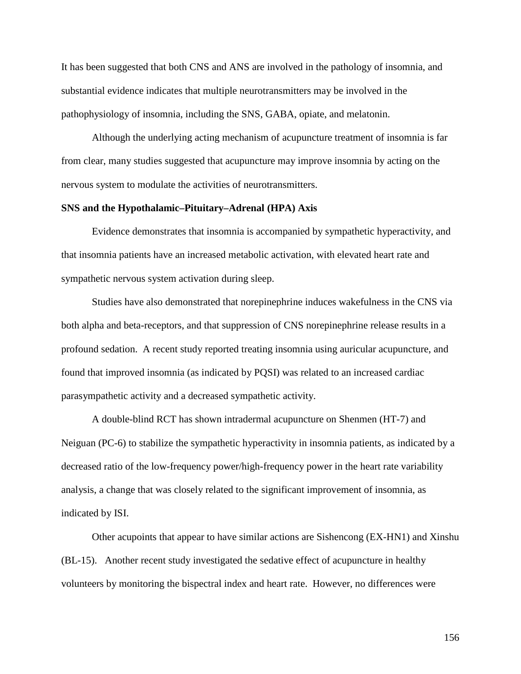It has been suggested that both CNS and ANS are involved in the pathology of insomnia, and substantial evidence indicates that multiple neurotransmitters may be involved in the pathophysiology of insomnia, including the SNS, GABA, opiate, and melatonin.

Although the underlying acting mechanism of acupuncture treatment of insomnia is far from clear, many studies suggested that acupuncture may improve insomnia by acting on the nervous system to modulate the activities of neurotransmitters.

#### **SNS and the Hypothalamic–Pituitary–Adrenal (HPA) Axis**

Evidence demonstrates that insomnia is accompanied by sympathetic hyperactivity, and that insomnia patients have an increased metabolic activation, with elevated heart rate and sympathetic nervous system activation during sleep.

Studies have also demonstrated that norepinephrine induces wakefulness in the CNS via both alpha and beta-receptors, and that suppression of CNS norepinephrine release results in a profound sedation. A recent study reported treating insomnia using auricular acupuncture, and found that improved insomnia (as indicated by PQSI) was related to an increased cardiac parasympathetic activity and a decreased sympathetic activity.

A double-blind RCT has shown intradermal acupuncture on Shenmen (HT-7) and Neiguan (PC-6) to stabilize the sympathetic hyperactivity in insomnia patients, as indicated by a decreased ratio of the low-frequency power/high-frequency power in the heart rate variability analysis, a change that was closely related to the significant improvement of insomnia, as indicated by ISI.

Other acupoints that appear to have similar actions are Sishencong (EX-HN1) and Xinshu (BL-15). Another recent study investigated the sedative effect of acupuncture in healthy volunteers by monitoring the bispectral index and heart rate. However, no differences were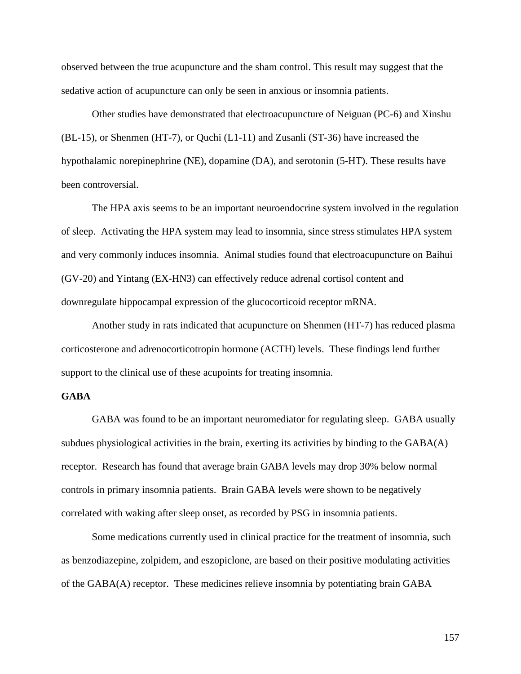observed between the true acupuncture and the sham control. This result may suggest that the sedative action of acupuncture can only be seen in anxious or insomnia patients.

Other studies have demonstrated that electroacupuncture of Neiguan (PC-6) and Xinshu (BL-15), or Shenmen (HT-7), or Quchi (L1-11) and Zusanli (ST-36) have increased the hypothalamic norepinephrine (NE), dopamine (DA), and serotonin (5-HT). These results have been controversial.

The HPA axis seems to be an important neuroendocrine system involved in the regulation of sleep. Activating the HPA system may lead to insomnia, since stress stimulates HPA system and very commonly induces insomnia. Animal studies found that electroacupuncture on Baihui (GV-20) and Yintang (EX-HN3) can effectively reduce adrenal cortisol content and downregulate hippocampal expression of the glucocorticoid receptor mRNA.

Another study in rats indicated that acupuncture on Shenmen (HT-7) has reduced plasma corticosterone and adrenocorticotropin hormone (ACTH) levels. These findings lend further support to the clinical use of these acupoints for treating insomnia.

#### **GABA**

GABA was found to be an important neuromediator for regulating sleep. GABA usually subdues physiological activities in the brain, exerting its activities by binding to the GABA(A) receptor. Research has found that average brain GABA levels may drop 30% below normal controls in primary insomnia patients. Brain GABA levels were shown to be negatively correlated with waking after sleep onset, as recorded by PSG in insomnia patients.

Some medications currently used in clinical practice for the treatment of insomnia, such as benzodiazepine, zolpidem, and eszopiclone, are based on their positive modulating activities of the GABA(A) receptor. These medicines relieve insomnia by potentiating brain GABA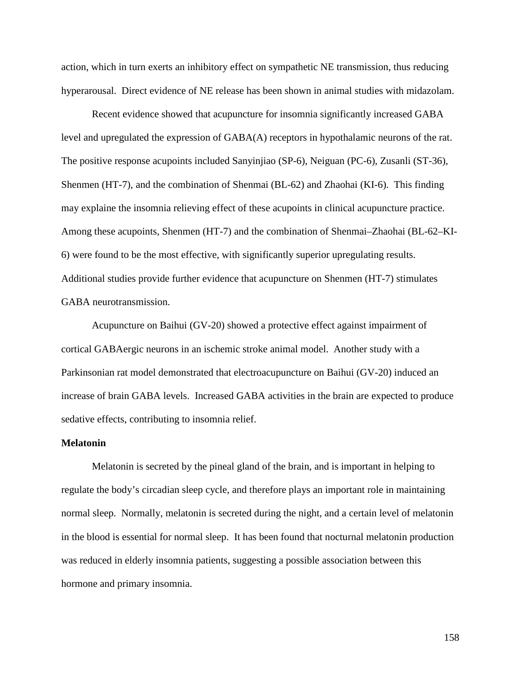action, which in turn exerts an inhibitory effect on sympathetic NE transmission, thus reducing hyperarousal. Direct evidence of NE release has been shown in animal studies with midazolam.

Recent evidence showed that acupuncture for insomnia significantly increased GABA level and upregulated the expression of GABA(A) receptors in hypothalamic neurons of the rat. The positive response acupoints included Sanyinjiao (SP-6), Neiguan (PC-6), Zusanli (ST-36), Shenmen (HT-7), and the combination of Shenmai (BL-62) and Zhaohai (KI-6). This finding may explaine the insomnia relieving effect of these acupoints in clinical acupuncture practice. Among these acupoints, Shenmen (HT-7) and the combination of Shenmai–Zhaohai (BL-62–KI-6) were found to be the most effective, with significantly superior upregulating results. Additional studies provide further evidence that acupuncture on Shenmen (HT-7) stimulates GABA neurotransmission.

Acupuncture on Baihui (GV-20) showed a protective effect against impairment of cortical GABAergic neurons in an ischemic stroke animal model. Another study with a Parkinsonian rat model demonstrated that electroacupuncture on Baihui (GV-20) induced an increase of brain GABA levels. Increased GABA activities in the brain are expected to produce sedative effects, contributing to insomnia relief.

#### **Melatonin**

Melatonin is secreted by the pineal gland of the brain, and is important in helping to regulate the body's circadian sleep cycle, and therefore plays an important role in maintaining normal sleep. Normally, melatonin is secreted during the night, and a certain level of melatonin in the blood is essential for normal sleep. It has been found that nocturnal melatonin production was reduced in elderly insomnia patients, suggesting a possible association between this hormone and primary insomnia.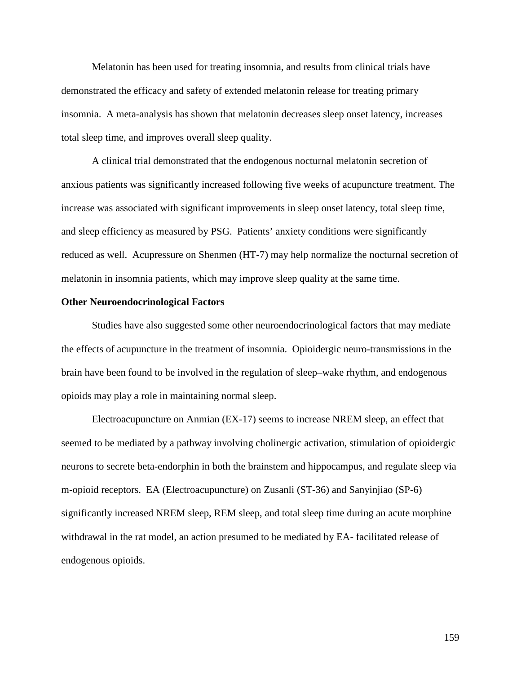Melatonin has been used for treating insomnia, and results from clinical trials have demonstrated the efficacy and safety of extended melatonin release for treating primary insomnia. A meta-analysis has shown that melatonin decreases sleep onset latency, increases total sleep time, and improves overall sleep quality.

A clinical trial demonstrated that the endogenous nocturnal melatonin secretion of anxious patients was significantly increased following five weeks of acupuncture treatment. The increase was associated with significant improvements in sleep onset latency, total sleep time, and sleep efficiency as measured by PSG. Patients' anxiety conditions were significantly reduced as well. Acupressure on Shenmen (HT-7) may help normalize the nocturnal secretion of melatonin in insomnia patients, which may improve sleep quality at the same time.

#### **Other Neuroendocrinological Factors**

Studies have also suggested some other neuroendocrinological factors that may mediate the effects of acupuncture in the treatment of insomnia. Opioidergic neuro-transmissions in the brain have been found to be involved in the regulation of sleep–wake rhythm, and endogenous opioids may play a role in maintaining normal sleep.

Electroacupuncture on Anmian (EX-17) seems to increase NREM sleep, an effect that seemed to be mediated by a pathway involving cholinergic activation, stimulation of opioidergic neurons to secrete beta-endorphin in both the brainstem and hippocampus, and regulate sleep via m-opioid receptors. EA (Electroacupuncture) on Zusanli (ST-36) and Sanyinjiao (SP-6) significantly increased NREM sleep, REM sleep, and total sleep time during an acute morphine withdrawal in the rat model, an action presumed to be mediated by EA- facilitated release of endogenous opioids.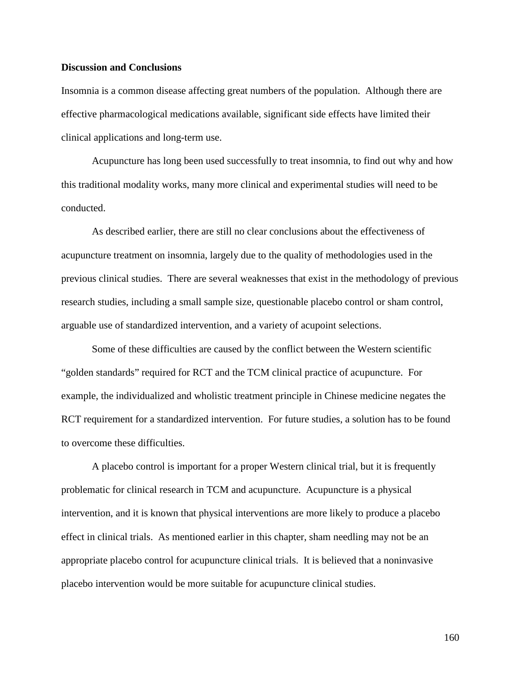#### **Discussion and Conclusions**

Insomnia is a common disease affecting great numbers of the population. Although there are effective pharmacological medications available, significant side effects have limited their clinical applications and long-term use.

Acupuncture has long been used successfully to treat insomnia, to find out why and how this traditional modality works, many more clinical and experimental studies will need to be conducted.

As described earlier, there are still no clear conclusions about the effectiveness of acupuncture treatment on insomnia, largely due to the quality of methodologies used in the previous clinical studies. There are several weaknesses that exist in the methodology of previous research studies, including a small sample size, questionable placebo control or sham control, arguable use of standardized intervention, and a variety of acupoint selections.

Some of these difficulties are caused by the conflict between the Western scientific "golden standards" required for RCT and the TCM clinical practice of acupuncture. For example, the individualized and wholistic treatment principle in Chinese medicine negates the RCT requirement for a standardized intervention. For future studies, a solution has to be found to overcome these difficulties.

A placebo control is important for a proper Western clinical trial, but it is frequently problematic for clinical research in TCM and acupuncture. Acupuncture is a physical intervention, and it is known that physical interventions are more likely to produce a placebo effect in clinical trials. As mentioned earlier in this chapter, sham needling may not be an appropriate placebo control for acupuncture clinical trials. It is believed that a noninvasive placebo intervention would be more suitable for acupuncture clinical studies.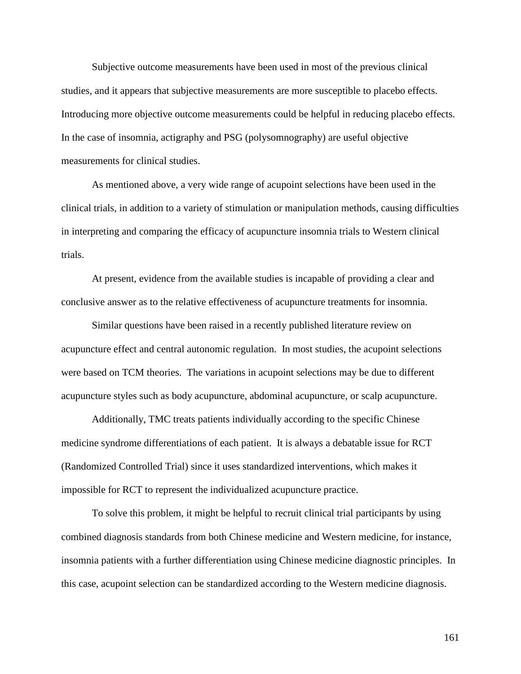Subjective outcome measurements have been used in most of the previous clinical studies, and it appears that subjective measurements are more susceptible to placebo effects. Introducing more objective outcome measurements could be helpful in reducing placebo effects. In the case of insomnia, actigraphy and PSG (polysomnography) are useful objective measurements for clinical studies.

As mentioned above, a very wide range of acupoint selections have been used in the clinical trials, in addition to a variety of stimulation or manipulation methods, causing difficulties in interpreting and comparing the efficacy of acupuncture insomnia trials to Western clinical trials.

At present, evidence from the available studies is incapable of providing a clear and conclusive answer as to the relative effectiveness of acupuncture treatments for insomnia.

Similar questions have been raised in a recently published literature review on acupuncture effect and central autonomic regulation. In most studies, the acupoint selections were based on TCM theories. The variations in acupoint selections may be due to different acupuncture styles such as body acupuncture, abdominal acupuncture, or scalp acupuncture.

Additionally, TMC treats patients individually according to the specific Chinese medicine syndrome differentiations of each patient. It is always a debatable issue for RCT (Randomized Controlled Trial) since it uses standardized interventions, which makes it impossible for RCT to represent the individualized acupuncture practice.

To solve this problem, it might be helpful to recruit clinical trial participants by using combined diagnosis standards from both Chinese medicine and Western medicine, for instance, insomnia patients with a further differentiation using Chinese medicine diagnostic principles. In this case, acupoint selection can be standardized according to the Western medicine diagnosis.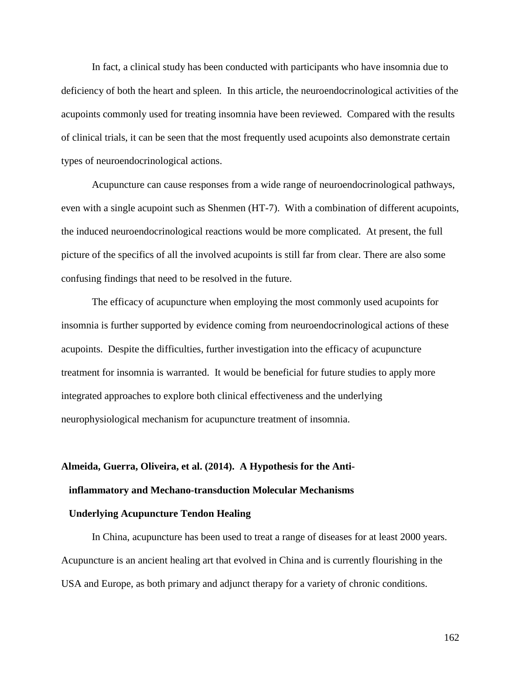In fact, a clinical study has been conducted with participants who have insomnia due to deficiency of both the heart and spleen. In this article, the neuroendocrinological activities of the acupoints commonly used for treating insomnia have been reviewed. Compared with the results of clinical trials, it can be seen that the most frequently used acupoints also demonstrate certain types of neuroendocrinological actions.

Acupuncture can cause responses from a wide range of neuroendocrinological pathways, even with a single acupoint such as Shenmen (HT-7). With a combination of different acupoints, the induced neuroendocrinological reactions would be more complicated. At present, the full picture of the specifics of all the involved acupoints is still far from clear. There are also some confusing findings that need to be resolved in the future.

The efficacy of acupuncture when employing the most commonly used acupoints for insomnia is further supported by evidence coming from neuroendocrinological actions of these acupoints. Despite the difficulties, further investigation into the efficacy of acupuncture treatment for insomnia is warranted. It would be beneficial for future studies to apply more integrated approaches to explore both clinical effectiveness and the underlying neurophysiological mechanism for acupuncture treatment of insomnia.

# **Almeida, Guerra, Oliveira, et al. (2014). A Hypothesis for the Antiinflammatory and Mechano-transduction Molecular Mechanisms**

### **Underlying Acupuncture Tendon Healing**

In China, acupuncture has been used to treat a range of diseases for at least 2000 years. Acupuncture is an ancient healing art that evolved in China and is currently flourishing in the USA and Europe, as both primary and adjunct therapy for a variety of chronic conditions.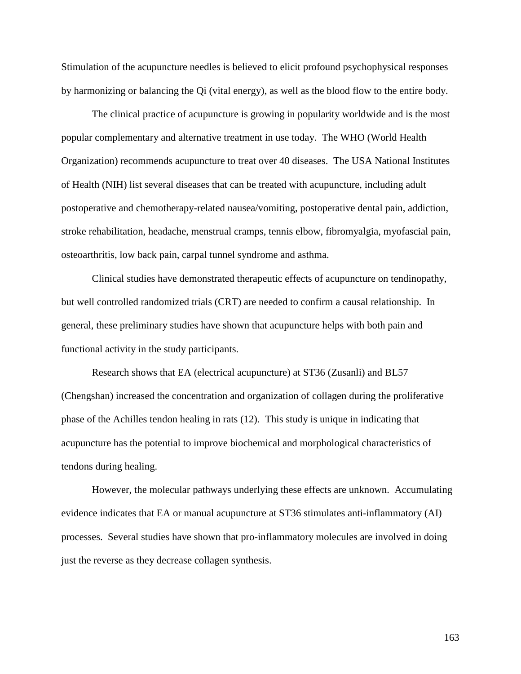Stimulation of the acupuncture needles is believed to elicit profound psychophysical responses by harmonizing or balancing the Qi (vital energy), as well as the blood flow to the entire body.

The clinical practice of acupuncture is growing in popularity worldwide and is the most popular complementary and alternative treatment in use today. The WHO (World Health Organization) recommends acupuncture to treat over 40 diseases. The USA National Institutes of Health (NIH) list several diseases that can be treated with acupuncture, including adult postoperative and chemotherapy-related nausea/vomiting, postoperative dental pain, addiction, stroke rehabilitation, headache, menstrual cramps, tennis elbow, fibromyalgia, myofascial pain, osteoarthritis, low back pain, carpal tunnel syndrome and asthma.

Clinical studies have demonstrated therapeutic effects of acupuncture on tendinopathy, but well controlled randomized trials (CRT) are needed to confirm a causal relationship. In general, these preliminary studies have shown that acupuncture helps with both pain and functional activity in the study participants.

Research shows that EA (electrical acupuncture) at ST36 (Zusanli) and BL57 (Chengshan) increased the concentration and organization of collagen during the proliferative phase of the Achilles tendon healing in rats (12). This study is unique in indicating that acupuncture has the potential to improve biochemical and morphological characteristics of tendons during healing.

However, the molecular pathways underlying these effects are unknown. Accumulating evidence indicates that EA or manual acupuncture at ST36 stimulates anti-inflammatory (AI) processes. Several studies have shown that pro-inflammatory molecules are involved in doing just the reverse as they decrease collagen synthesis.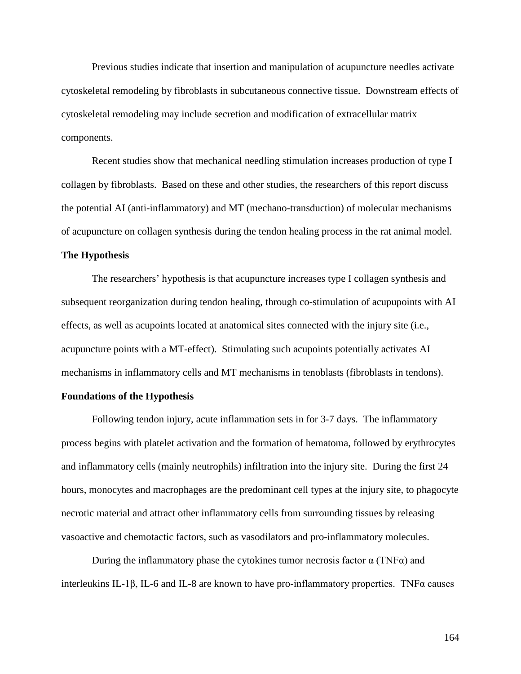Previous studies indicate that insertion and manipulation of acupuncture needles activate cytoskeletal remodeling by fibroblasts in subcutaneous connective tissue. Downstream effects of cytoskeletal remodeling may include secretion and modification of extracellular matrix components.

Recent studies show that mechanical needling stimulation increases production of type I collagen by fibroblasts. Based on these and other studies, the researchers of this report discuss the potential AI (anti-inflammatory) and MT (mechano-transduction) of molecular mechanisms of acupuncture on collagen synthesis during the tendon healing process in the rat animal model.

#### **The Hypothesis**

The researchers' hypothesis is that acupuncture increases type I collagen synthesis and subsequent reorganization during tendon healing, through co-stimulation of acupupoints with AI effects, as well as acupoints located at anatomical sites connected with the injury site (i.e., acupuncture points with a MT-effect). Stimulating such acupoints potentially activates AI mechanisms in inflammatory cells and MT mechanisms in tenoblasts (fibroblasts in tendons).

#### **Foundations of the Hypothesis**

Following tendon injury, acute inflammation sets in for 3-7 days. The inflammatory process begins with platelet activation and the formation of hematoma, followed by erythrocytes and inflammatory cells (mainly neutrophils) infiltration into the injury site. During the first 24 hours, monocytes and macrophages are the predominant cell types at the injury site, to phagocyte necrotic material and attract other inflammatory cells from surrounding tissues by releasing vasoactive and chemotactic factors, such as vasodilators and pro-inflammatory molecules.

During the inflammatory phase the cytokines tumor necrosis factor  $\alpha$  (TNF $\alpha$ ) and interleukins IL-1β, IL-6 and IL-8 are known to have pro-inflammatory properties. TNFα causes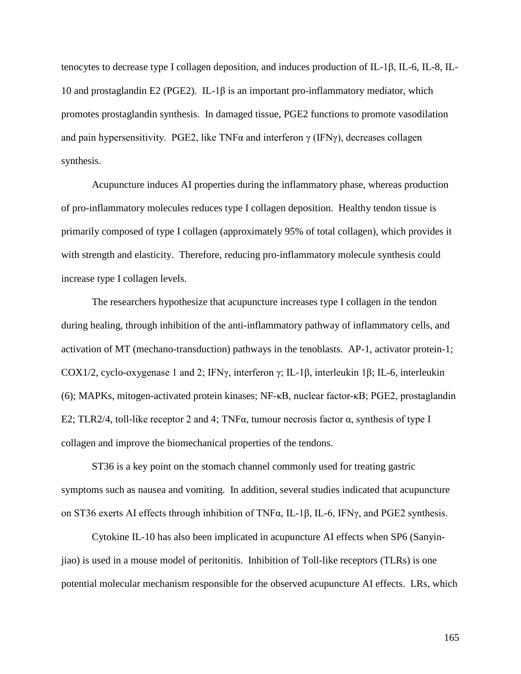tenocytes to decrease type I collagen deposition, and induces production of IL-1β, IL-6, IL-8, IL-10 and prostaglandin E2 (PGE2). IL-1β is an important pro-inflammatory mediator, which promotes prostaglandin synthesis. In damaged tissue, PGE2 functions to promote vasodilation and pain hypersensitivity. PGE2, like TNF $\alpha$  and interferon  $\gamma$  (IFN $\gamma$ ), decreases collagen synthesis.

Acupuncture induces AI properties during the inflammatory phase, whereas production of pro-inflammatory molecules reduces type I collagen deposition. Healthy tendon tissue is primarily composed of type I collagen (approximately 95% of total collagen), which provides it with strength and elasticity. Therefore, reducing pro-inflammatory molecule synthesis could increase type I collagen levels.

The researchers hypothesize that acupuncture increases type I collagen in the tendon during healing, through inhibition of the anti-inflammatory pathway of inflammatory cells, and activation of MT (mechano-transduction) pathways in the tenoblasts. AP-1, activator protein-1; COX1/2, cyclo-oxygenase 1 and 2; IFNγ, interferon γ; IL-1β, interleukin 1β; IL-6, interleukin (6); MAPKs, mitogen-activated protein kinases; NF-κB, nuclear factor-κB; PGE2, prostaglandin E2; TLR2/4, toll-like receptor 2 and 4; TNF $\alpha$ , tumour necrosis factor  $\alpha$ , synthesis of type I collagen and improve the biomechanical properties of the tendons.

ST36 is a key point on the stomach channel commonly used for treating gastric symptoms such as nausea and vomiting. In addition, several studies indicated that acupuncture on ST36 exerts AI effects through inhibition of TNFα, IL-1β, IL-6, IFNγ, and PGE2 synthesis.

Cytokine IL-10 has also been implicated in acupuncture AI effects when SP6 (Sanyinjiao) is used in a mouse model of peritonitis. Inhibition of Toll-like receptors (TLRs) is one potential molecular mechanism responsible for the observed acupuncture AI effects. LRs, which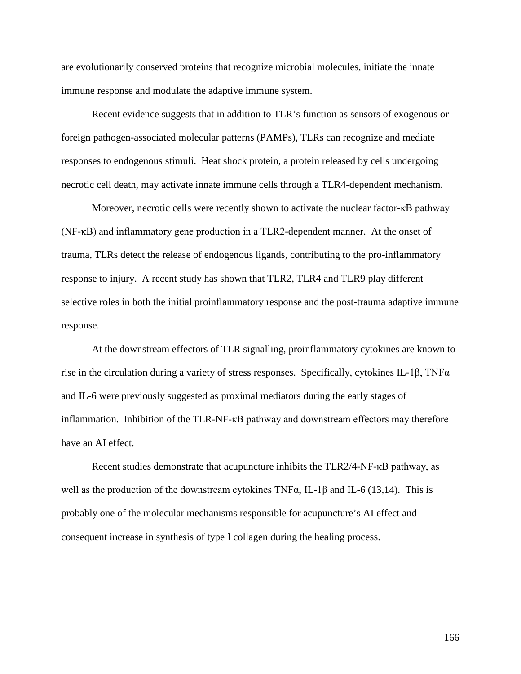are evolutionarily conserved proteins that recognize microbial molecules, initiate the innate immune response and modulate the adaptive immune system.

Recent evidence suggests that in addition to TLR's function as sensors of exogenous or foreign pathogen-associated molecular patterns (PAMPs), TLRs can recognize and mediate responses to endogenous stimuli. Heat shock protein, a protein released by cells undergoing necrotic cell death, may activate innate immune cells through a TLR4-dependent mechanism.

Moreover, necrotic cells were recently shown to activate the nuclear factor-κB pathway (NF-κB) and inflammatory gene production in a TLR2-dependent manner. At the onset of trauma, TLRs detect the release of endogenous ligands, contributing to the pro-inflammatory response to injury. A recent study has shown that TLR2, TLR4 and TLR9 play different selective roles in both the initial proinflammatory response and the post-trauma adaptive immune response.

At the downstream effectors of TLR signalling, proinflammatory cytokines are known to rise in the circulation during a variety of stress responses. Specifically, cytokines IL-1β, TNF $\alpha$ and IL-6 were previously suggested as proximal mediators during the early stages of inflammation. Inhibition of the TLR-NF-κB pathway and downstream effectors may therefore have an AI effect.

Recent studies demonstrate that acupuncture inhibits the TLR2/4-NF-κB pathway, as well as the production of the downstream cytokines  $TNF\alpha$ , IL-1 $\beta$  and IL-6 (13,14). This is probably one of the molecular mechanisms responsible for acupuncture's AI effect and consequent increase in synthesis of type I collagen during the healing process.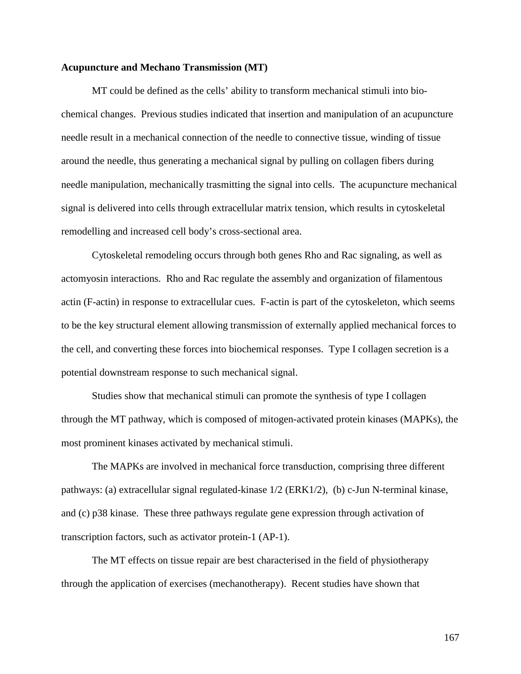#### **Acupuncture and Mechano Transmission (MT)**

MT could be defined as the cells' ability to transform mechanical stimuli into biochemical changes. Previous studies indicated that insertion and manipulation of an acupuncture needle result in a mechanical connection of the needle to connective tissue, winding of tissue around the needle, thus generating a mechanical signal by pulling on collagen fibers during needle manipulation, mechanically trasmitting the signal into cells. The acupuncture mechanical signal is delivered into cells through extracellular matrix tension, which results in cytoskeletal remodelling and increased cell body's cross-sectional area.

Cytoskeletal remodeling occurs through both genes Rho and Rac signaling, as well as actomyosin interactions. Rho and Rac regulate the assembly and organization of filamentous actin (F-actin) in response to extracellular cues. F-actin is part of the cytoskeleton, which seems to be the key structural element allowing transmission of externally applied mechanical forces to the cell, and converting these forces into biochemical responses. Type I collagen secretion is a potential downstream response to such mechanical signal.

Studies show that mechanical stimuli can promote the synthesis of type I collagen through the MT pathway, which is composed of mitogen-activated protein kinases (MAPKs), the most prominent kinases activated by mechanical stimuli.

The MAPKs are involved in mechanical force transduction, comprising three different pathways: (a) extracellular signal regulated-kinase 1/2 (ERK1/2), (b) c-Jun N-terminal kinase, and (c) p38 kinase. These three pathways regulate gene expression through activation of transcription factors, such as activator protein-1 (AP-1).

The MT effects on tissue repair are best characterised in the field of physiotherapy through the application of exercises (mechanotherapy). Recent studies have shown that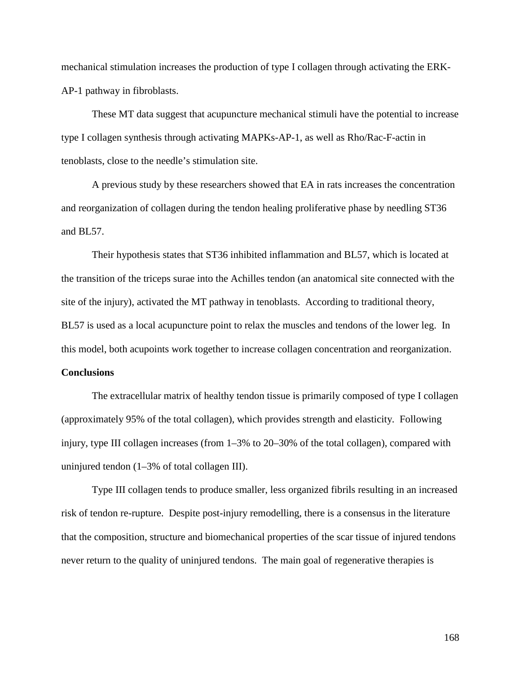mechanical stimulation increases the production of type I collagen through activating the ERK-AP-1 pathway in fibroblasts.

These MT data suggest that acupuncture mechanical stimuli have the potential to increase type I collagen synthesis through activating MAPKs-AP-1, as well as Rho/Rac-F-actin in tenoblasts, close to the needle's stimulation site.

A previous study by these researchers showed that EA in rats increases the concentration and reorganization of collagen during the tendon healing proliferative phase by needling ST36 and BL57.

Their hypothesis states that ST36 inhibited inflammation and BL57, which is located at the transition of the triceps surae into the Achilles tendon (an anatomical site connected with the site of the injury), activated the MT pathway in tenoblasts. According to traditional theory, BL57 is used as a local acupuncture point to relax the muscles and tendons of the lower leg. In this model, both acupoints work together to increase collagen concentration and reorganization.

#### **Conclusions**

The extracellular matrix of healthy tendon tissue is primarily composed of type I collagen (approximately 95% of the total collagen), which provides strength and elasticity. Following injury, type III collagen increases (from 1–3% to 20–30% of the total collagen), compared with uninjured tendon (1–3% of total collagen III).

Type III collagen tends to produce smaller, less organized fibrils resulting in an increased risk of tendon re-rupture. Despite post-injury remodelling, there is a consensus in the literature that the composition, structure and biomechanical properties of the scar tissue of injured tendons never return to the quality of uninjured tendons. The main goal of regenerative therapies is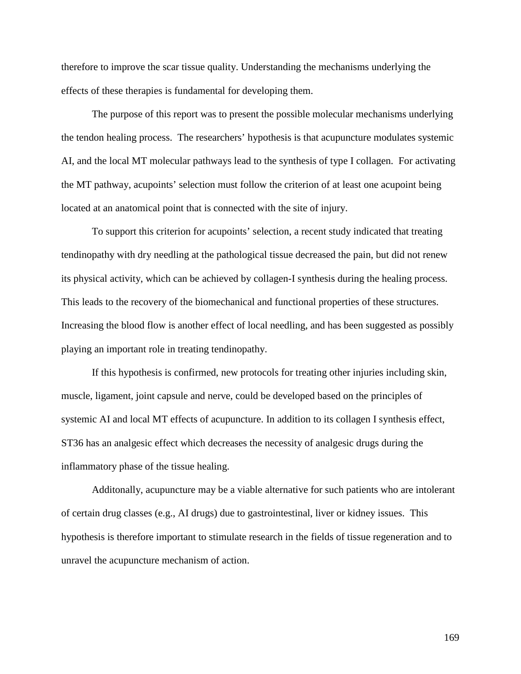therefore to improve the scar tissue quality. Understanding the mechanisms underlying the effects of these therapies is fundamental for developing them.

The purpose of this report was to present the possible molecular mechanisms underlying the tendon healing process. The researchers' hypothesis is that acupuncture modulates systemic AI, and the local MT molecular pathways lead to the synthesis of type I collagen. For activating the MT pathway, acupoints' selection must follow the criterion of at least one acupoint being located at an anatomical point that is connected with the site of injury.

To support this criterion for acupoints' selection, a recent study indicated that treating tendinopathy with dry needling at the pathological tissue decreased the pain, but did not renew its physical activity, which can be achieved by collagen-I synthesis during the healing process. This leads to the recovery of the biomechanical and functional properties of these structures. Increasing the blood flow is another effect of local needling, and has been suggested as possibly playing an important role in treating tendinopathy.

If this hypothesis is confirmed, new protocols for treating other injuries including skin, muscle, ligament, joint capsule and nerve, could be developed based on the principles of systemic AI and local MT effects of acupuncture. In addition to its collagen I synthesis effect, ST36 has an analgesic effect which decreases the necessity of analgesic drugs during the inflammatory phase of the tissue healing.

Additonally, acupuncture may be a viable alternative for such patients who are intolerant of certain drug classes (e.g., AI drugs) due to gastrointestinal, liver or kidney issues. This hypothesis is therefore important to stimulate research in the fields of tissue regeneration and to unravel the acupuncture mechanism of action.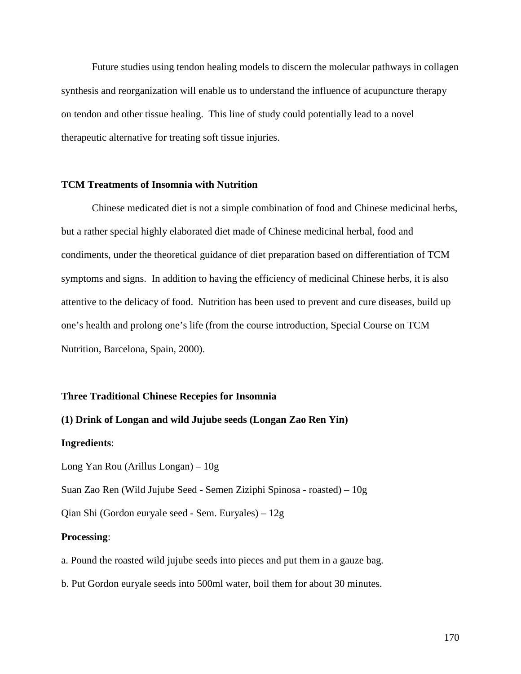Future studies using tendon healing models to discern the molecular pathways in collagen synthesis and reorganization will enable us to understand the influence of acupuncture therapy on tendon and other tissue healing. This line of study could potentially lead to a novel therapeutic alternative for treating soft tissue injuries.

#### **TCM Treatments of Insomnia with Nutrition**

Chinese medicated diet is not a simple combination of food and Chinese medicinal herbs, but a rather special highly elaborated diet made of Chinese medicinal herbal, food and condiments, under the theoretical guidance of diet preparation based on differentiation of TCM symptoms and signs. In addition to having the efficiency of medicinal Chinese herbs, it is also attentive to the delicacy of food. Nutrition has been used to prevent and cure diseases, build up one's health and prolong one's life (from the course introduction, Special Course on TCM Nutrition, Barcelona, Spain, 2000).

#### **Three Traditional Chinese Recepies for Insomnia**

## **(1) Drink of Longan and wild Jujube seeds (Longan Zao Ren Yin)**

#### **Ingredients**:

Long Yan Rou (Arillus Longan) – 10g

Suan Zao Ren (Wild Jujube Seed - Semen Ziziphi Spinosa - roasted) – 10g

Qian Shi (Gordon euryale seed - Sem. Euryales) – 12g

#### **Processing**:

a. Pound the roasted wild jujube seeds into pieces and put them in a gauze bag.

b. Put Gordon euryale seeds into 500ml water, boil them for about 30 minutes.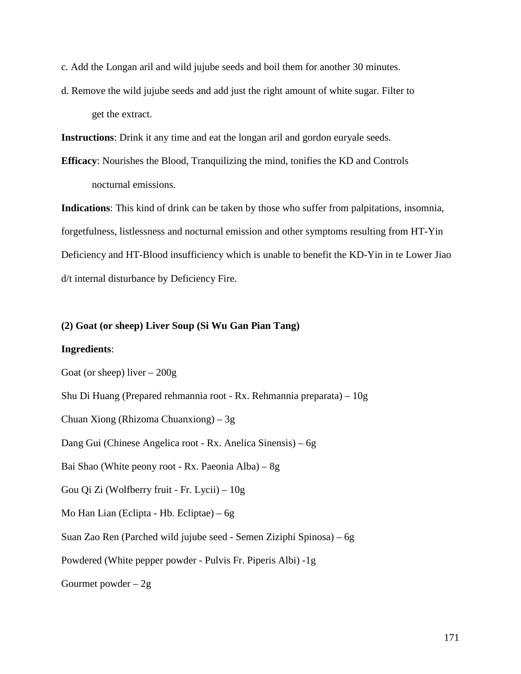c. Add the Longan aril and wild jujube seeds and boil them for another 30 minutes.

d. Remove the wild jujube seeds and add just the right amount of white sugar. Filter to get the extract.

**Instructions**: Drink it any time and eat the longan aril and gordon euryale seeds.

**Efficacy**: Nourishes the Blood, Tranquilizing the mind, tonifies the KD and Controls nocturnal emissions.

**Indications**: This kind of drink can be taken by those who suffer from palpitations, insomnia, forgetfulness, listlessness and nocturnal emission and other symptoms resulting from HT-Yin Deficiency and HT-Blood insufficiency which is unable to benefit the KD-Yin in te Lower Jiao d/t internal disturbance by Deficiency Fire.

#### **(2) Goat (or sheep) Liver Soup (Si Wu Gan Pian Tang)**

#### **Ingredients**:

Goat (or sheep) liver – 200g

Shu Di Huang (Prepared rehmannia root - Rx. Rehmannia preparata) – 10g

Chuan Xiong (Rhizoma Chuanxiong) – 3g

Dang Gui (Chinese Angelica root - Rx. Anelica Sinensis) – 6g

Bai Shao (White peony root - Rx. Paeonia Alba) – 8g

Gou Qi Zi (Wolfberry fruit - Fr. Lycii) – 10g

Mo Han Lian (Eclipta - Hb. Ecliptae) – 6g

Suan Zao Ren (Parched wild jujube seed - Semen Ziziphi Spinosa) – 6g

Powdered (White pepper powder - Pulvis Fr. Piperis Albi) -1g

Gourmet powder  $-2g$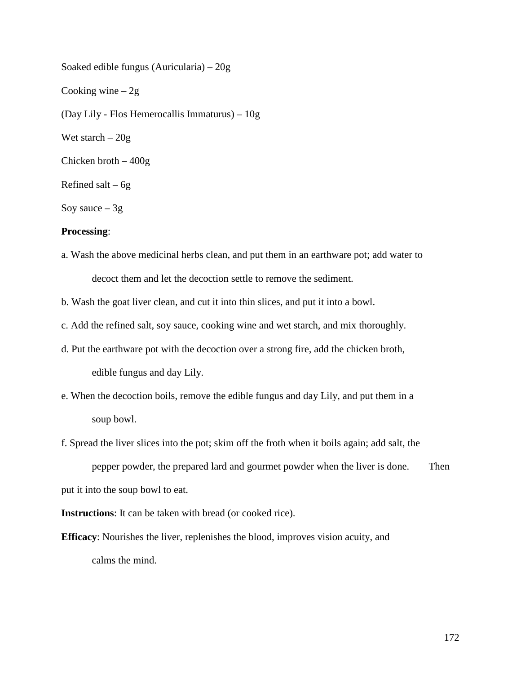Soaked edible fungus (Auricularia) – 20g Cooking wine  $-2g$ (Day Lily - Flos Hemerocallis Immaturus) – 10g Wet starch  $-20g$ Chicken broth – 400g Refined salt –  $6g$ Soy sauce  $-3g$ 

#### **Processing**:

- a. Wash the above medicinal herbs clean, and put them in an earthware pot; add water to decoct them and let the decoction settle to remove the sediment.
- b. Wash the goat liver clean, and cut it into thin slices, and put it into a bowl.
- c. Add the refined salt, soy sauce, cooking wine and wet starch, and mix thoroughly.
- d. Put the earthware pot with the decoction over a strong fire, add the chicken broth, edible fungus and day Lily.
- e. When the decoction boils, remove the edible fungus and day Lily, and put them in a soup bowl.
- f. Spread the liver slices into the pot; skim off the froth when it boils again; add salt, the

pepper powder, the prepared lard and gourmet powder when the liver is done. Then put it into the soup bowl to eat.

**Instructions**: It can be taken with bread (or cooked rice).

**Efficacy**: Nourishes the liver, replenishes the blood, improves vision acuity, and calms the mind.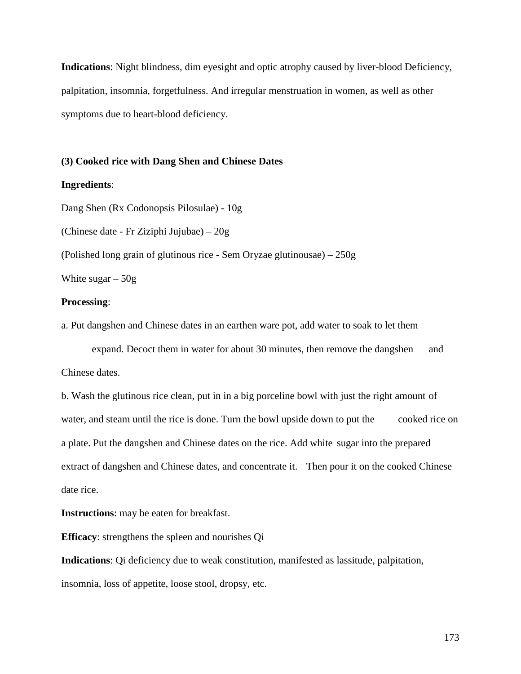**Indications**: Night blindness, dim eyesight and optic atrophy caused by liver-blood Deficiency, palpitation, insomnia, forgetfulness. And irregular menstruation in women, as well as other symptoms due to heart-blood deficiency.

#### **(3) Cooked rice with Dang Shen and Chinese Dates**

#### **Ingredients**:

Dang Shen (Rx Codonopsis Pilosulae) - 10g (Chinese date - Fr Ziziphi Jujubae) – 20g (Polished long grain of glutinous rice - Sem Oryzae glutinousae) – 250g White sugar  $-50g$ 

#### **Processing**:

a. Put dangshen and Chinese dates in an earthen ware pot, add water to soak to let them

expand. Decoct them in water for about 30 minutes, then remove the dangshen and Chinese dates.

b. Wash the glutinous rice clean, put in in a big porceline bowl with just the right amount of water, and steam until the rice is done. Turn the bowl upside down to put the cooked rice on a plate. Put the dangshen and Chinese dates on the rice. Add white sugar into the prepared extract of dangshen and Chinese dates, and concentrate it. Then pour it on the cooked Chinese date rice.

**Instructions**: may be eaten for breakfast.

**Efficacy**: strengthens the spleen and nourishes Qi

**Indications**: Qi deficiency due to weak constitution, manifested as lassitude, palpitation, insomnia, loss of appetite, loose stool, dropsy, etc.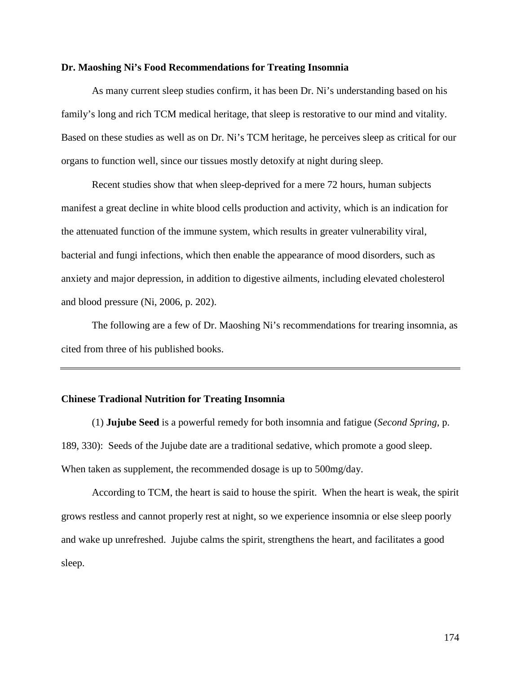#### **Dr. Maoshing Ni's Food Recommendations for Treating Insomnia**

As many current sleep studies confirm, it has been Dr. Ni's understanding based on his family's long and rich TCM medical heritage, that sleep is restorative to our mind and vitality. Based on these studies as well as on Dr. Ni's TCM heritage, he perceives sleep as critical for our organs to function well, since our tissues mostly detoxify at night during sleep.

Recent studies show that when sleep-deprived for a mere 72 hours, human subjects manifest a great decline in white blood cells production and activity, which is an indication for the attenuated function of the immune system, which results in greater vulnerability viral, bacterial and fungi infections, which then enable the appearance of mood disorders, such as anxiety and major depression, in addition to digestive ailments, including elevated cholesterol and blood pressure (Ni, 2006, p. 202).

The following are a few of Dr. Maoshing Ni's recommendations for trearing insomnia, as cited from three of his published books.

#### **Chinese Tradional Nutrition for Treating Insomnia**

(1) **Jujube Seed** is a powerful remedy for both insomnia and fatigue (*Second Spring,* p. 189, 330): Seeds of the Jujube date are a traditional sedative, which promote a good sleep. When taken as supplement, the recommended dosage is up to 500mg/day.

According to TCM, the heart is said to house the spirit. When the heart is weak, the spirit grows restless and cannot properly rest at night, so we experience insomnia or else sleep poorly and wake up unrefreshed. Jujube calms the spirit, strengthens the heart, and facilitates a good sleep.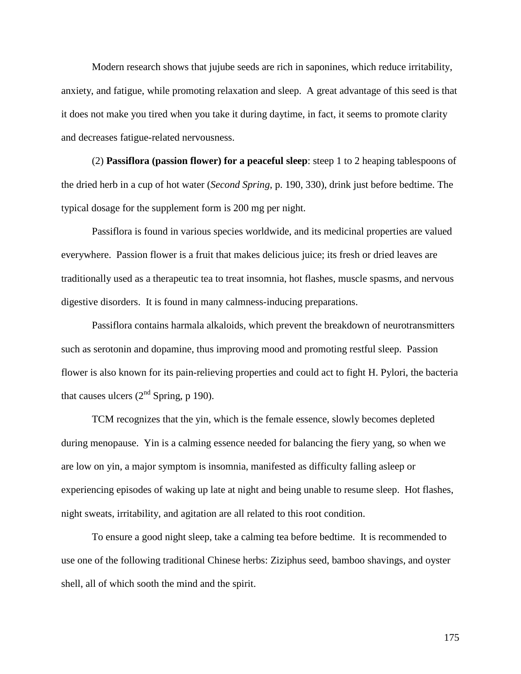Modern research shows that jujube seeds are rich in saponines, which reduce irritability, anxiety, and fatigue, while promoting relaxation and sleep. A great advantage of this seed is that it does not make you tired when you take it during daytime, in fact, it seems to promote clarity and decreases fatigue-related nervousness.

(2) **Passiflora (passion flower) for a peaceful sleep**: steep 1 to 2 heaping tablespoons of the dried herb in a cup of hot water (*Second Spring*, p. 190, 330), drink just before bedtime. The typical dosage for the supplement form is 200 mg per night.

Passiflora is found in various species worldwide, and its medicinal properties are valued everywhere. Passion flower is a fruit that makes delicious juice; its fresh or dried leaves are traditionally used as a therapeutic tea to treat insomnia, hot flashes, muscle spasms, and nervous digestive disorders. It is found in many calmness-inducing preparations.

Passiflora contains harmala alkaloids, which prevent the breakdown of neurotransmitters such as serotonin and dopamine, thus improving mood and promoting restful sleep. Passion flower is also known for its pain-relieving properties and could act to fight H. Pylori, the bacteria that causes ulcers  $(2<sup>nd</sup>$  Spring, p 190).

TCM recognizes that the yin, which is the female essence, slowly becomes depleted during menopause. Yin is a calming essence needed for balancing the fiery yang, so when we are low on yin, a major symptom is insomnia, manifested as difficulty falling asleep or experiencing episodes of waking up late at night and being unable to resume sleep. Hot flashes, night sweats, irritability, and agitation are all related to this root condition.

To ensure a good night sleep, take a calming tea before bedtime. It is recommended to use one of the following traditional Chinese herbs: Ziziphus seed, bamboo shavings, and oyster shell, all of which sooth the mind and the spirit.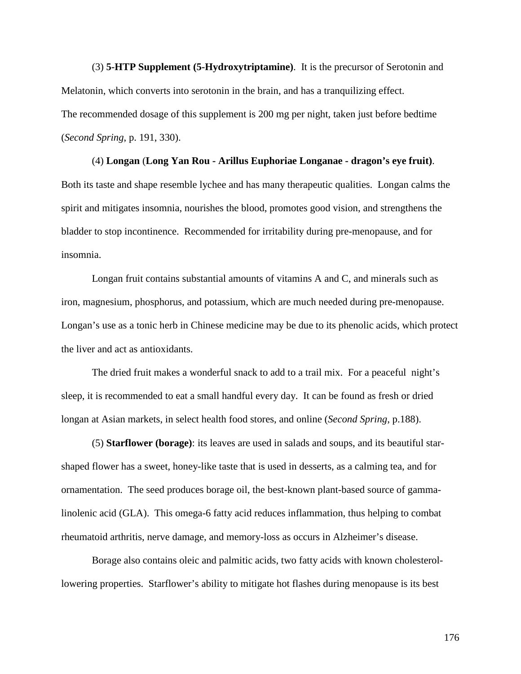(3) **5-HTP Supplement (5-Hydroxytriptamine)**. It is the precursor of Serotonin and Melatonin, which converts into serotonin in the brain, and has a tranquilizing effect. The recommended dosage of this supplement is 200 mg per night, taken just before bedtime (*Second Spring*, p. 191, 330).

(4) **Longan** (**Long Yan Rou - Arillus Euphoriae Longanae - dragon's eye fruit)**. Both its taste and shape resemble lychee and has many therapeutic qualities. Longan calms the spirit and mitigates insomnia, nourishes the blood, promotes good vision, and strengthens the bladder to stop incontinence. Recommended for irritability during pre-menopause, and for insomnia.

Longan fruit contains substantial amounts of vitamins A and C, and minerals such as iron, magnesium, phosphorus, and potassium, which are much needed during pre-menopause. Longan's use as a tonic herb in Chinese medicine may be due to its phenolic acids, which protect the liver and act as antioxidants.

The dried fruit makes a wonderful snack to add to a trail mix. For a peaceful night's sleep, it is recommended to eat a small handful every day. It can be found as fresh or dried longan at Asian markets, in select health food stores, and online (*Second Spring*, p.188).

(5) **Starflower (borage)**: its leaves are used in salads and soups, and its beautiful starshaped flower has a sweet, honey-like taste that is used in desserts, as a calming tea, and for ornamentation. The seed produces borage oil, the best-known plant-based source of gammalinolenic acid (GLA). This omega-6 fatty acid reduces inflammation, thus helping to combat rheumatoid arthritis, nerve damage, and memory-loss as occurs in Alzheimer's disease.

Borage also contains oleic and palmitic acids, two fatty acids with known cholesterollowering properties. Starflower's ability to mitigate hot flashes during menopause is its best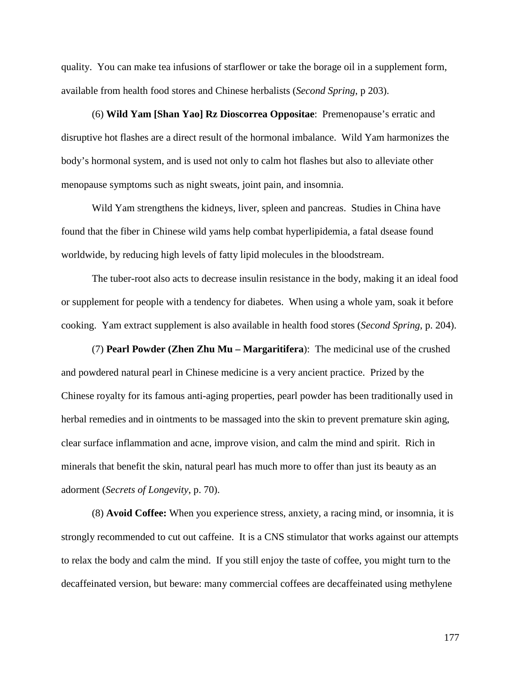quality. You can make tea infusions of starflower or take the borage oil in a supplement form, available from health food stores and Chinese herbalists (*Second Spring*, p 203).

(6) **Wild Yam [Shan Yao] Rz Dioscorrea Oppositae**: Premenopause's erratic and disruptive hot flashes are a direct result of the hormonal imbalance. Wild Yam harmonizes the body's hormonal system, and is used not only to calm hot flashes but also to alleviate other menopause symptoms such as night sweats, joint pain, and insomnia.

Wild Yam strengthens the kidneys, liver, spleen and pancreas. Studies in China have found that the fiber in Chinese wild yams help combat hyperlipidemia, a fatal dsease found worldwide, by reducing high levels of fatty lipid molecules in the bloodstream.

The tuber-root also acts to decrease insulin resistance in the body, making it an ideal food or supplement for people with a tendency for diabetes. When using a whole yam, soak it before cooking. Yam extract supplement is also available in health food stores (*Second Spring*, p. 204).

(7) **Pearl Powder (Zhen Zhu Mu – Margaritifera**): The medicinal use of the crushed and powdered natural pearl in Chinese medicine is a very ancient practice. Prized by the Chinese royalty for its famous anti-aging properties, pearl powder has been traditionally used in herbal remedies and in ointments to be massaged into the skin to prevent premature skin aging, clear surface inflammation and acne, improve vision, and calm the mind and spirit. Rich in minerals that benefit the skin, natural pearl has much more to offer than just its beauty as an adorment (*Secrets of Longevity*, p. 70).

(8) **Avoid Coffee:** When you experience stress, anxiety, a racing mind, or insomnia, it is strongly recommended to cut out caffeine. It is a CNS stimulator that works against our attempts to relax the body and calm the mind. If you still enjoy the taste of coffee, you might turn to the decaffeinated version, but beware: many commercial coffees are decaffeinated using methylene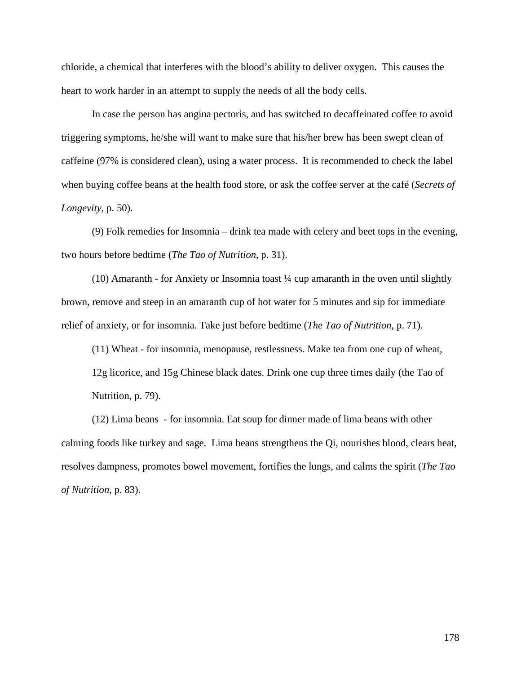chloride, a chemical that interferes with the blood's ability to deliver oxygen. This causes the heart to work harder in an attempt to supply the needs of all the body cells.

In case the person has angina pectoris, and has switched to decaffeinated coffee to avoid triggering symptoms, he/she will want to make sure that his/her brew has been swept clean of caffeine (97% is considered clean), using a water process. It is recommended to check the label when buying coffee beans at the health food store, or ask the coffee server at the café (*Secrets of Longevity*, p. 50).

(9) Folk remedies for Insomnia – drink tea made with celery and beet tops in the evening, two hours before bedtime (*The Tao of Nutrition*, p. 31).

(10) Amaranth - for Anxiety or Insomnia toast  $\frac{1}{4}$  cup amaranth in the oven until slightly brown, remove and steep in an amaranth cup of hot water for 5 minutes and sip for immediate relief of anxiety, or for insomnia. Take just before bedtime (*The Tao of Nutrition*, p. 71).

(11) Wheat - for insomnia, menopause, restlessness. Make tea from one cup of wheat, 12g licorice, and 15g Chinese black dates. Drink one cup three times daily (the Tao of Nutrition, p. 79).

(12) Lima beans - for insomnia. Eat soup for dinner made of lima beans with other calming foods like turkey and sage. Lima beans strengthens the Qi, nourishes blood, clears heat, resolves dampness, promotes bowel movement, fortifies the lungs, and calms the spirit (*The Tao of Nutrition*, p. 83).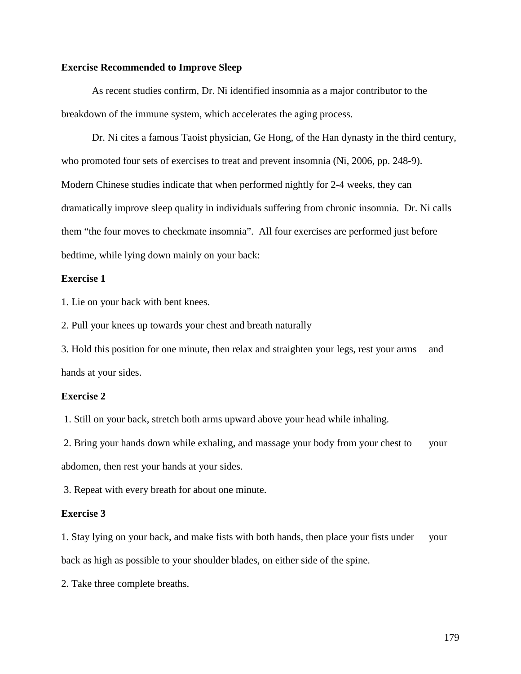#### **Exercise Recommended to Improve Sleep**

As recent studies confirm, Dr. Ni identified insomnia as a major contributor to the breakdown of the immune system, which accelerates the aging process.

Dr. Ni cites a famous Taoist physician, Ge Hong, of the Han dynasty in the third century, who promoted four sets of exercises to treat and prevent insomnia (Ni, 2006, pp. 248-9). Modern Chinese studies indicate that when performed nightly for 2-4 weeks, they can dramatically improve sleep quality in individuals suffering from chronic insomnia. Dr. Ni calls them "the four moves to checkmate insomnia". All four exercises are performed just before bedtime, while lying down mainly on your back:

#### **Exercise 1**

1. Lie on your back with bent knees.

2. Pull your knees up towards your chest and breath naturally

3. Hold this position for one minute, then relax and straighten your legs, rest your arms and hands at your sides.

#### **Exercise 2**

1. Still on your back, stretch both arms upward above your head while inhaling.

2. Bring your hands down while exhaling, and massage your body from your chest to your abdomen, then rest your hands at your sides.

3. Repeat with every breath for about one minute.

#### **Exercise 3**

1. Stay lying on your back, and make fists with both hands, then place your fists under your back as high as possible to your shoulder blades, on either side of the spine.

2. Take three complete breaths.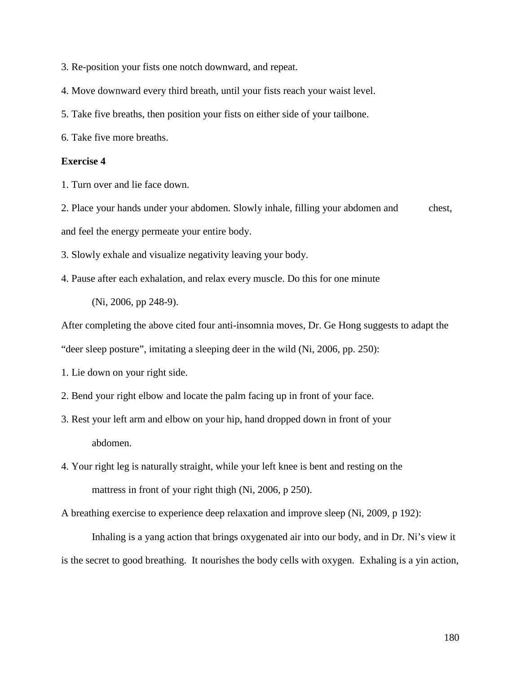- 3. Re-position your fists one notch downward, and repeat.
- 4. Move downward every third breath, until your fists reach your waist level.
- 5. Take five breaths, then position your fists on either side of your tailbone.
- 6. Take five more breaths.

#### **Exercise 4**

1. Turn over and lie face down.

2. Place your hands under your abdomen. Slowly inhale, filling your abdomen and chest, and feel the energy permeate your entire body.

3. Slowly exhale and visualize negativity leaving your body.

4. Pause after each exhalation, and relax every muscle. Do this for one minute

(Ni, 2006, pp 248-9).

After completing the above cited four anti-insomnia moves, Dr. Ge Hong suggests to adapt the

"deer sleep posture", imitating a sleeping deer in the wild (Ni, 2006, pp. 250):

1. Lie down on your right side.

- 2. Bend your right elbow and locate the palm facing up in front of your face.
- 3. Rest your left arm and elbow on your hip, hand dropped down in front of your abdomen.
- 4. Your right leg is naturally straight, while your left knee is bent and resting on the mattress in front of your right thigh (Ni, 2006, p 250).

A breathing exercise to experience deep relaxation and improve sleep (Ni, 2009, p 192):

Inhaling is a yang action that brings oxygenated air into our body, and in Dr. Ni's view it is the secret to good breathing. It nourishes the body cells with oxygen. Exhaling is a yin action,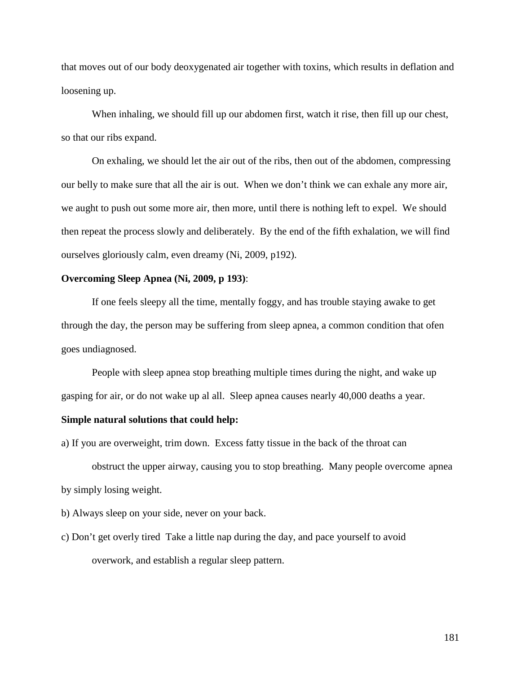that moves out of our body deoxygenated air together with toxins, which results in deflation and loosening up.

When inhaling, we should fill up our abdomen first, watch it rise, then fill up our chest, so that our ribs expand.

On exhaling, we should let the air out of the ribs, then out of the abdomen, compressing our belly to make sure that all the air is out. When we don't think we can exhale any more air, we aught to push out some more air, then more, until there is nothing left to expel. We should then repeat the process slowly and deliberately. By the end of the fifth exhalation, we will find ourselves gloriously calm, even dreamy (Ni, 2009, p192).

# **Overcoming Sleep Apnea (Ni, 2009, p 193)**:

If one feels sleepy all the time, mentally foggy, and has trouble staying awake to get through the day, the person may be suffering from sleep apnea, a common condition that ofen goes undiagnosed.

People with sleep apnea stop breathing multiple times during the night, and wake up gasping for air, or do not wake up al all. Sleep apnea causes nearly 40,000 deaths a year.

# **Simple natural solutions that could help:**

a) If you are overweight, trim down. Excess fatty tissue in the back of the throat can

obstruct the upper airway, causing you to stop breathing. Many people overcome apnea by simply losing weight.

b) Always sleep on your side, never on your back.

c) Don't get overly tired Take a little nap during the day, and pace yourself to avoid overwork, and establish a regular sleep pattern.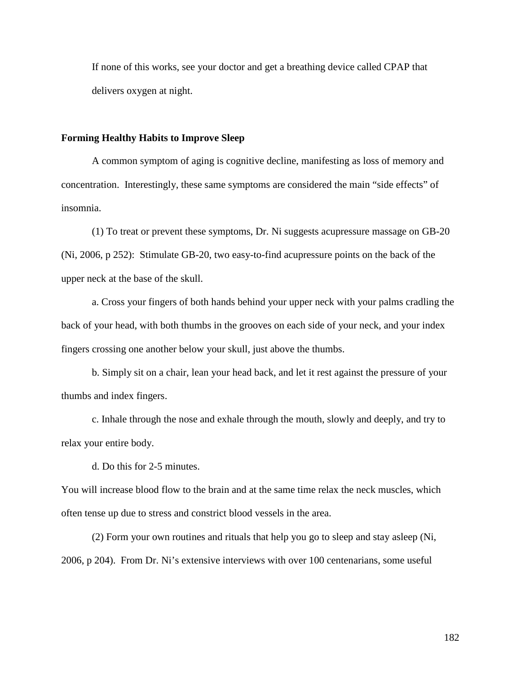If none of this works, see your doctor and get a breathing device called CPAP that delivers oxygen at night.

#### **Forming Healthy Habits to Improve Sleep**

A common symptom of aging is cognitive decline, manifesting as loss of memory and concentration. Interestingly, these same symptoms are considered the main "side effects" of insomnia.

(1) To treat or prevent these symptoms, Dr. Ni suggests acupressure massage on GB-20 (Ni, 2006, p 252): Stimulate GB-20, two easy-to-find acupressure points on the back of the upper neck at the base of the skull.

a. Cross your fingers of both hands behind your upper neck with your palms cradling the back of your head, with both thumbs in the grooves on each side of your neck, and your index fingers crossing one another below your skull, just above the thumbs.

b. Simply sit on a chair, lean your head back, and let it rest against the pressure of your thumbs and index fingers.

c. Inhale through the nose and exhale through the mouth, slowly and deeply, and try to relax your entire body.

d. Do this for 2-5 minutes.

You will increase blood flow to the brain and at the same time relax the neck muscles, which often tense up due to stress and constrict blood vessels in the area.

(2) Form your own routines and rituals that help you go to sleep and stay asleep (Ni, 2006, p 204). From Dr. Ni's extensive interviews with over 100 centenarians, some useful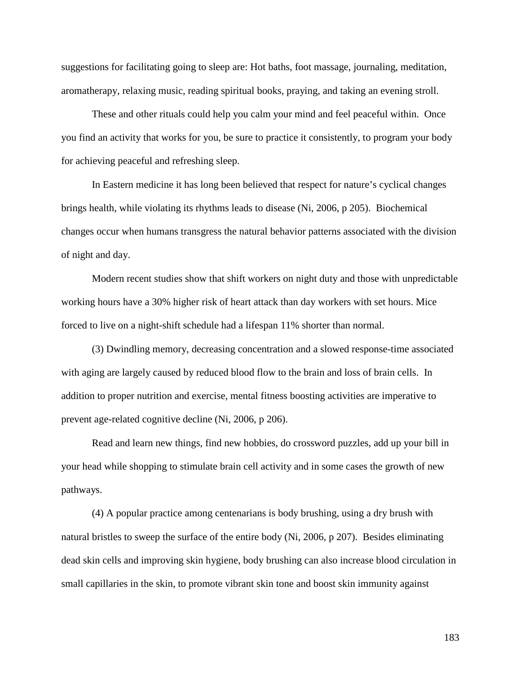suggestions for facilitating going to sleep are: Hot baths, foot massage, journaling, meditation, aromatherapy, relaxing music, reading spiritual books, praying, and taking an evening stroll.

These and other rituals could help you calm your mind and feel peaceful within. Once you find an activity that works for you, be sure to practice it consistently, to program your body for achieving peaceful and refreshing sleep.

In Eastern medicine it has long been believed that respect for nature's cyclical changes brings health, while violating its rhythms leads to disease (Ni, 2006, p 205). Biochemical changes occur when humans transgress the natural behavior patterns associated with the division of night and day.

Modern recent studies show that shift workers on night duty and those with unpredictable working hours have a 30% higher risk of heart attack than day workers with set hours. Mice forced to live on a night-shift schedule had a lifespan 11% shorter than normal.

(3) Dwindling memory, decreasing concentration and a slowed response-time associated with aging are largely caused by reduced blood flow to the brain and loss of brain cells. In addition to proper nutrition and exercise, mental fitness boosting activities are imperative to prevent age-related cognitive decline (Ni, 2006, p 206).

Read and learn new things, find new hobbies, do crossword puzzles, add up your bill in your head while shopping to stimulate brain cell activity and in some cases the growth of new pathways.

(4) A popular practice among centenarians is body brushing, using a dry brush with natural bristles to sweep the surface of the entire body (Ni, 2006, p 207). Besides eliminating dead skin cells and improving skin hygiene, body brushing can also increase blood circulation in small capillaries in the skin, to promote vibrant skin tone and boost skin immunity against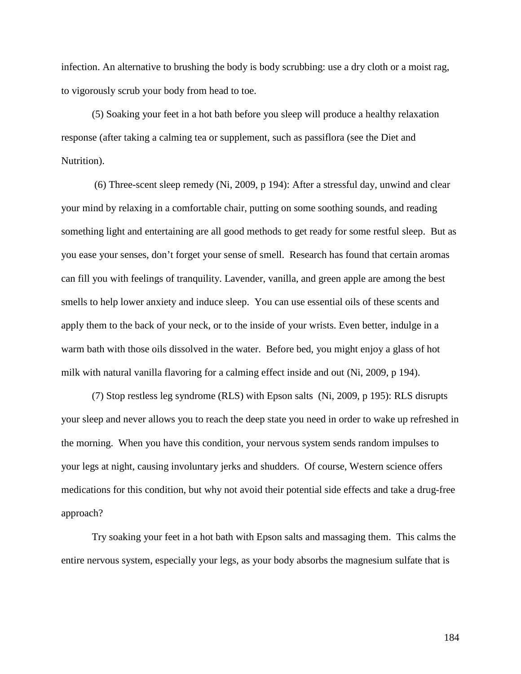infection. An alternative to brushing the body is body scrubbing: use a dry cloth or a moist rag, to vigorously scrub your body from head to toe.

(5) Soaking your feet in a hot bath before you sleep will produce a healthy relaxation response (after taking a calming tea or supplement, such as passiflora (see the Diet and Nutrition).

(6) Three-scent sleep remedy (Ni, 2009, p 194): After a stressful day, unwind and clear your mind by relaxing in a comfortable chair, putting on some soothing sounds, and reading something light and entertaining are all good methods to get ready for some restful sleep. But as you ease your senses, don't forget your sense of smell. Research has found that certain aromas can fill you with feelings of tranquility. Lavender, vanilla, and green apple are among the best smells to help lower anxiety and induce sleep. You can use essential oils of these scents and apply them to the back of your neck, or to the inside of your wrists. Even better, indulge in a warm bath with those oils dissolved in the water. Before bed, you might enjoy a glass of hot milk with natural vanilla flavoring for a calming effect inside and out (Ni, 2009, p 194).

(7) Stop restless leg syndrome (RLS) with Epson salts (Ni, 2009, p 195): RLS disrupts your sleep and never allows you to reach the deep state you need in order to wake up refreshed in the morning. When you have this condition, your nervous system sends random impulses to your legs at night, causing involuntary jerks and shudders. Of course, Western science offers medications for this condition, but why not avoid their potential side effects and take a drug-free approach?

Try soaking your feet in a hot bath with Epson salts and massaging them. This calms the entire nervous system, especially your legs, as your body absorbs the magnesium sulfate that is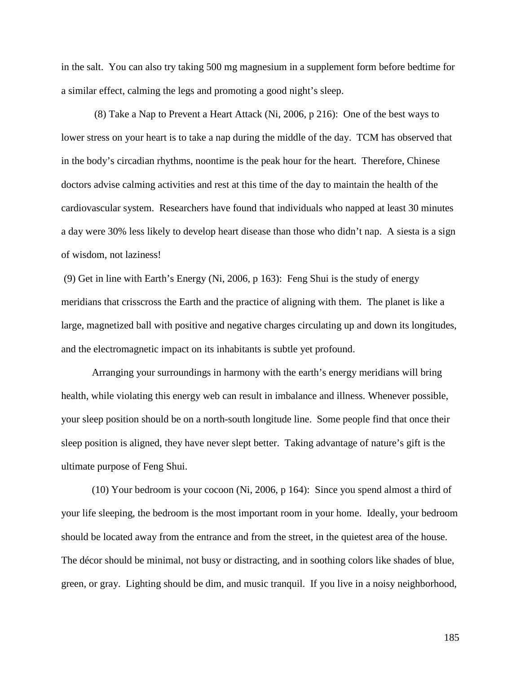in the salt. You can also try taking 500 mg magnesium in a supplement form before bedtime for a similar effect, calming the legs and promoting a good night's sleep.

(8) Take a Nap to Prevent a Heart Attack (Ni, 2006, p 216): One of the best ways to lower stress on your heart is to take a nap during the middle of the day. TCM has observed that in the body's circadian rhythms, noontime is the peak hour for the heart. Therefore, Chinese doctors advise calming activities and rest at this time of the day to maintain the health of the cardiovascular system. Researchers have found that individuals who napped at least 30 minutes a day were 30% less likely to develop heart disease than those who didn't nap. A siesta is a sign of wisdom, not laziness!

(9) Get in line with Earth's Energy (Ni, 2006, p 163): Feng Shui is the study of energy meridians that crisscross the Earth and the practice of aligning with them. The planet is like a large, magnetized ball with positive and negative charges circulating up and down its longitudes, and the electromagnetic impact on its inhabitants is subtle yet profound.

Arranging your surroundings in harmony with the earth's energy meridians will bring health, while violating this energy web can result in imbalance and illness. Whenever possible, your sleep position should be on a north-south longitude line. Some people find that once their sleep position is aligned, they have never slept better. Taking advantage of nature's gift is the ultimate purpose of Feng Shui.

(10) Your bedroom is your cocoon (Ni, 2006, p 164): Since you spend almost a third of your life sleeping, the bedroom is the most important room in your home. Ideally, your bedroom should be located away from the entrance and from the street, in the quietest area of the house. The décor should be minimal, not busy or distracting, and in soothing colors like shades of blue, green, or gray. Lighting should be dim, and music tranquil. If you live in a noisy neighborhood,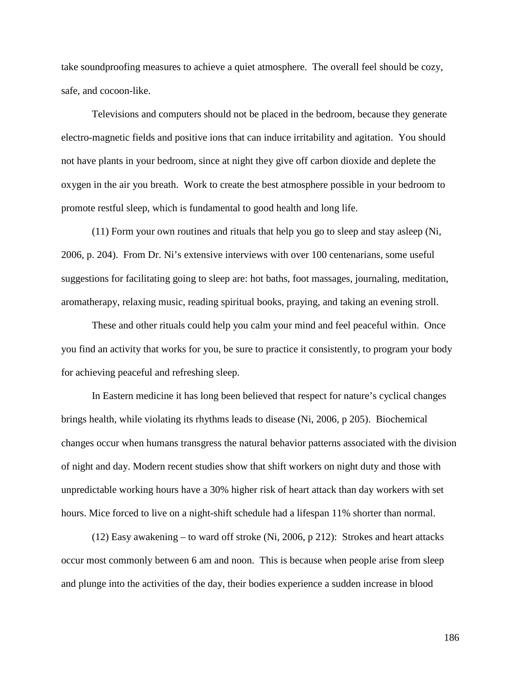take soundproofing measures to achieve a quiet atmosphere. The overall feel should be cozy, safe, and cocoon-like.

Televisions and computers should not be placed in the bedroom, because they generate electro-magnetic fields and positive ions that can induce irritability and agitation. You should not have plants in your bedroom, since at night they give off carbon dioxide and deplete the oxygen in the air you breath. Work to create the best atmosphere possible in your bedroom to promote restful sleep, which is fundamental to good health and long life.

(11) Form your own routines and rituals that help you go to sleep and stay asleep (Ni, 2006, p. 204). From Dr. Ni's extensive interviews with over 100 centenarians, some useful suggestions for facilitating going to sleep are: hot baths, foot massages, journaling, meditation, aromatherapy, relaxing music, reading spiritual books, praying, and taking an evening stroll.

These and other rituals could help you calm your mind and feel peaceful within. Once you find an activity that works for you, be sure to practice it consistently, to program your body for achieving peaceful and refreshing sleep.

In Eastern medicine it has long been believed that respect for nature's cyclical changes brings health, while violating its rhythms leads to disease (Ni, 2006, p 205). Biochemical changes occur when humans transgress the natural behavior patterns associated with the division of night and day. Modern recent studies show that shift workers on night duty and those with unpredictable working hours have a 30% higher risk of heart attack than day workers with set hours. Mice forced to live on a night-shift schedule had a lifespan 11% shorter than normal.

(12) Easy awakening – to ward off stroke (Ni, 2006, p 212): Strokes and heart attacks occur most commonly between 6 am and noon. This is because when people arise from sleep and plunge into the activities of the day, their bodies experience a sudden increase in blood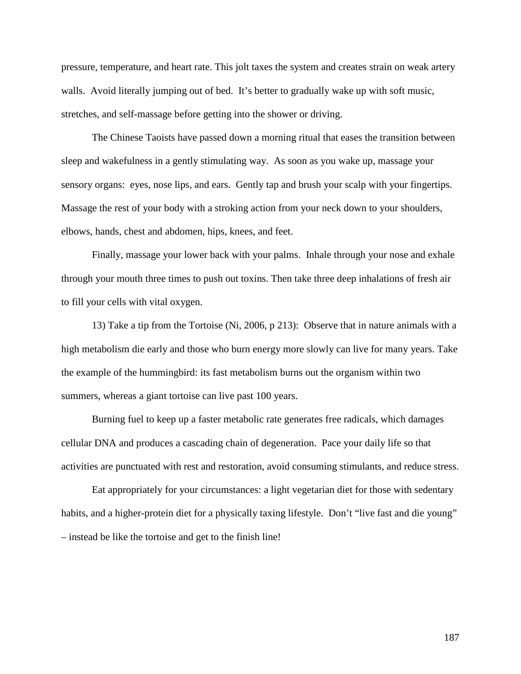pressure, temperature, and heart rate. This jolt taxes the system and creates strain on weak artery walls. Avoid literally jumping out of bed. It's better to gradually wake up with soft music, stretches, and self-massage before getting into the shower or driving.

The Chinese Taoists have passed down a morning ritual that eases the transition between sleep and wakefulness in a gently stimulating way. As soon as you wake up, massage your sensory organs: eyes, nose lips, and ears. Gently tap and brush your scalp with your fingertips. Massage the rest of your body with a stroking action from your neck down to your shoulders, elbows, hands, chest and abdomen, hips, knees, and feet.

Finally, massage your lower back with your palms. Inhale through your nose and exhale through your mouth three times to push out toxins. Then take three deep inhalations of fresh air to fill your cells with vital oxygen.

13) Take a tip from the Tortoise (Ni, 2006, p 213): Observe that in nature animals with a high metabolism die early and those who burn energy more slowly can live for many years. Take the example of the hummingbird: its fast metabolism burns out the organism within two summers, whereas a giant tortoise can live past 100 years.

Burning fuel to keep up a faster metabolic rate generates free radicals, which damages cellular DNA and produces a cascading chain of degeneration. Pace your daily life so that activities are punctuated with rest and restoration, avoid consuming stimulants, and reduce stress.

Eat appropriately for your circumstances: a light vegetarian diet for those with sedentary habits, and a higher-protein diet for a physically taxing lifestyle. Don't "live fast and die young" – instead be like the tortoise and get to the finish line!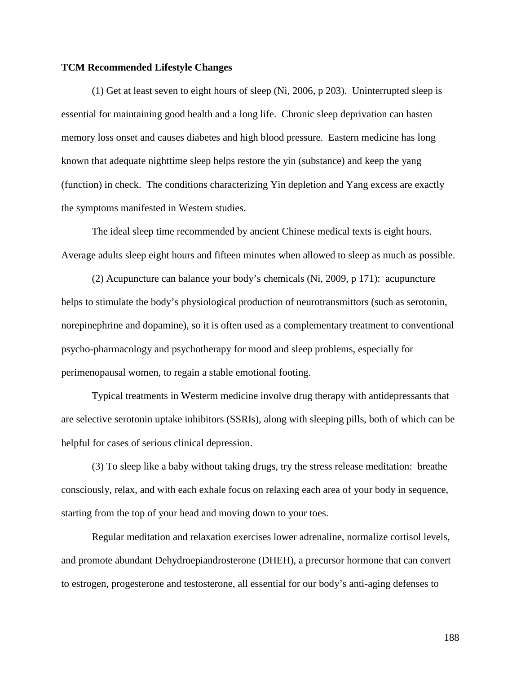## **TCM Recommended Lifestyle Changes**

(1) Get at least seven to eight hours of sleep (Ni, 2006, p 203). Uninterrupted sleep is essential for maintaining good health and a long life. Chronic sleep deprivation can hasten memory loss onset and causes diabetes and high blood pressure. Eastern medicine has long known that adequate nighttime sleep helps restore the yin (substance) and keep the yang (function) in check. The conditions characterizing Yin depletion and Yang excess are exactly the symptoms manifested in Western studies.

The ideal sleep time recommended by ancient Chinese medical texts is eight hours. Average adults sleep eight hours and fifteen minutes when allowed to sleep as much as possible.

(2) Acupuncture can balance your body's chemicals (Ni, 2009, p 171): acupuncture helps to stimulate the body's physiological production of neurotransmittors (such as serotonin, norepinephrine and dopamine), so it is often used as a complementary treatment to conventional psycho-pharmacology and psychotherapy for mood and sleep problems, especially for perimenopausal women, to regain a stable emotional footing.

Typical treatments in Westerm medicine involve drug therapy with antidepressants that are selective serotonin uptake inhibitors (SSRIs), along with sleeping pills, both of which can be helpful for cases of serious clinical depression.

(3) To sleep like a baby without taking drugs, try the stress release meditation: breathe consciously, relax, and with each exhale focus on relaxing each area of your body in sequence, starting from the top of your head and moving down to your toes.

Regular meditation and relaxation exercises lower adrenaline, normalize cortisol levels, and promote abundant Dehydroepiandrosterone (DHEH), a precursor hormone that can convert to estrogen, progesterone and testosterone, all essential for our body's anti-aging defenses to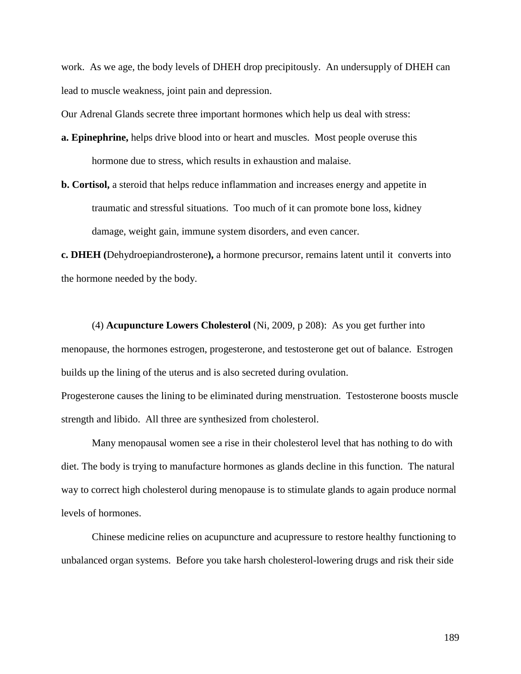work. As we age, the body levels of DHEH drop precipitously. An undersupply of DHEH can lead to muscle weakness, joint pain and depression.

Our Adrenal Glands secrete three important hormones which help us deal with stress:

- **a. Epinephrine,** helps drive blood into or heart and muscles. Most people overuse this hormone due to stress, which results in exhaustion and malaise.
- **b. Cortisol,** a steroid that helps reduce inflammation and increases energy and appetite in traumatic and stressful situations. Too much of it can promote bone loss, kidney damage, weight gain, immune system disorders, and even cancer.

**c. DHEH (**Dehydroepiandrosterone**),** a hormone precursor, remains latent until it converts into the hormone needed by the body.

(4) **Acupuncture Lowers Cholesterol** (Ni, 2009, p 208): As you get further into menopause, the hormones estrogen, progesterone, and testosterone get out of balance. Estrogen builds up the lining of the uterus and is also secreted during ovulation.

Progesterone causes the lining to be eliminated during menstruation. Testosterone boosts muscle strength and libido. All three are synthesized from cholesterol.

Many menopausal women see a rise in their cholesterol level that has nothing to do with diet. The body is trying to manufacture hormones as glands decline in this function. The natural way to correct high cholesterol during menopause is to stimulate glands to again produce normal levels of hormones.

Chinese medicine relies on acupuncture and acupressure to restore healthy functioning to unbalanced organ systems. Before you take harsh cholesterol-lowering drugs and risk their side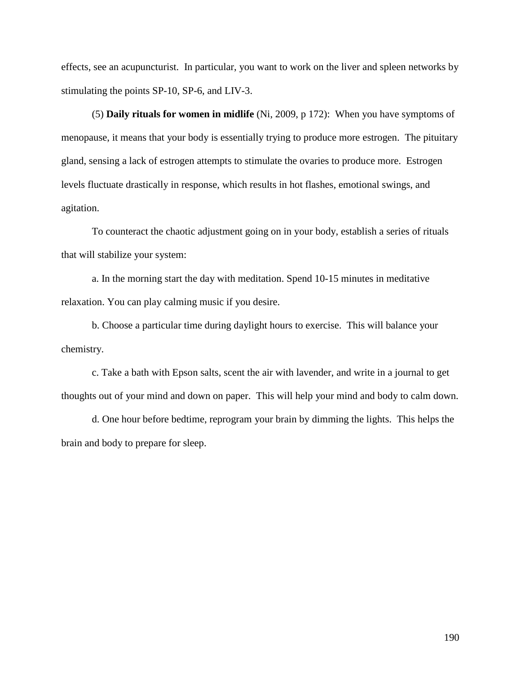effects, see an acupuncturist. In particular, you want to work on the liver and spleen networks by stimulating the points SP-10, SP-6, and LIV-3.

(5) **Daily rituals for women in midlife** (Ni, 2009, p 172): When you have symptoms of menopause, it means that your body is essentially trying to produce more estrogen. The pituitary gland, sensing a lack of estrogen attempts to stimulate the ovaries to produce more. Estrogen levels fluctuate drastically in response, which results in hot flashes, emotional swings, and agitation.

To counteract the chaotic adjustment going on in your body, establish a series of rituals that will stabilize your system:

a. In the morning start the day with meditation. Spend 10-15 minutes in meditative relaxation. You can play calming music if you desire.

b. Choose a particular time during daylight hours to exercise. This will balance your chemistry.

c. Take a bath with Epson salts, scent the air with lavender, and write in a journal to get thoughts out of your mind and down on paper. This will help your mind and body to calm down.

d. One hour before bedtime, reprogram your brain by dimming the lights. This helps the brain and body to prepare for sleep.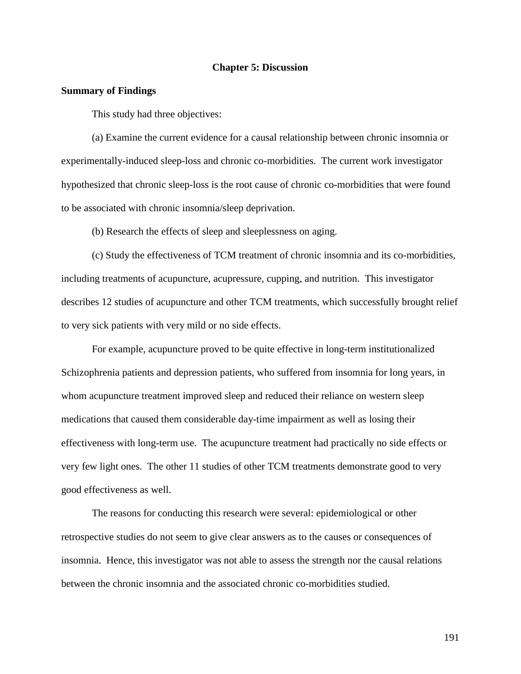#### **Chapter 5: Discussion**

#### **Summary of Findings**

This study had three objectives:

(a) Examine the current evidence for a causal relationship between chronic insomnia or experimentally-induced sleep-loss and chronic co-morbidities. The current work investigator hypothesized that chronic sleep-loss is the root cause of chronic co-morbidities that were found to be associated with chronic insomnia/sleep deprivation.

(b) Research the effects of sleep and sleeplessness on aging.

(c) Study the effectiveness of TCM treatment of chronic insomnia and its co-morbidities, including treatments of acupuncture, acupressure, cupping, and nutrition. This investigator describes 12 studies of acupuncture and other TCM treatments, which successfully brought relief to very sick patients with very mild or no side effects.

For example, acupuncture proved to be quite effective in long-term institutionalized Schizophrenia patients and depression patients, who suffered from insomnia for long years, in whom acupuncture treatment improved sleep and reduced their reliance on western sleep medications that caused them considerable day-time impairment as well as losing their effectiveness with long-term use. The acupuncture treatment had practically no side effects or very few light ones. The other 11 studies of other TCM treatments demonstrate good to very good effectiveness as well.

The reasons for conducting this research were several: epidemiological or other retrospective studies do not seem to give clear answers as to the causes or consequences of insomnia. Hence, this investigator was not able to assess the strength nor the causal relations between the chronic insomnia and the associated chronic co-morbidities studied.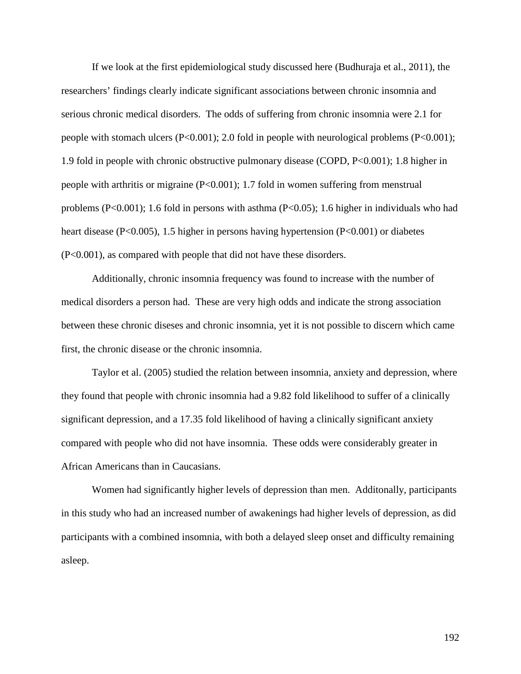If we look at the first epidemiological study discussed here (Budhuraja et al., 2011), the researchers' findings clearly indicate significant associations between chronic insomnia and serious chronic medical disorders. The odds of suffering from chronic insomnia were 2.1 for people with stomach ulcers (P<0.001); 2.0 fold in people with neurological problems (P<0.001); 1.9 fold in people with chronic obstructive pulmonary disease (COPD, P<0.001); 1.8 higher in people with arthritis or migraine (P<0.001); 1.7 fold in women suffering from menstrual problems (P<0.001); 1.6 fold in persons with asthma (P<0.05); 1.6 higher in individuals who had heart disease (P<0.005), 1.5 higher in persons having hypertension (P<0.001) or diabetes (P<0.001), as compared with people that did not have these disorders.

Additionally, chronic insomnia frequency was found to increase with the number of medical disorders a person had. These are very high odds and indicate the strong association between these chronic diseses and chronic insomnia, yet it is not possible to discern which came first, the chronic disease or the chronic insomnia.

Taylor et al. (2005) studied the relation between insomnia, anxiety and depression, where they found that people with chronic insomnia had a 9.82 fold likelihood to suffer of a clinically significant depression, and a 17.35 fold likelihood of having a clinically significant anxiety compared with people who did not have insomnia. These odds were considerably greater in African Americans than in Caucasians.

Women had significantly higher levels of depression than men. Additonally, participants in this study who had an increased number of awakenings had higher levels of depression, as did participants with a combined insomnia, with both a delayed sleep onset and difficulty remaining asleep.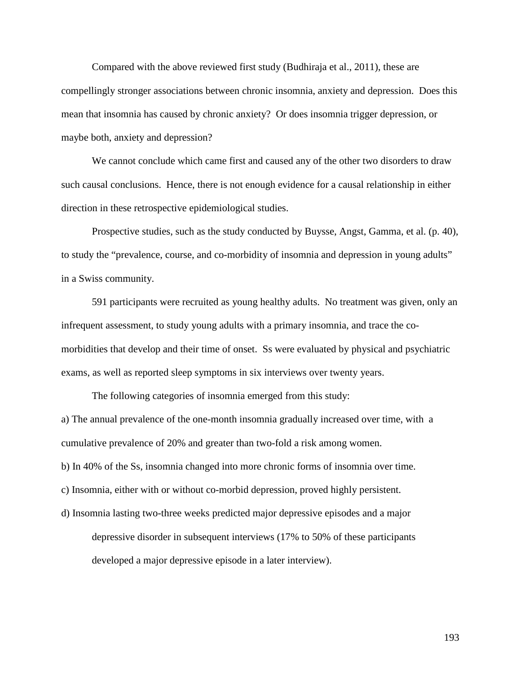Compared with the above reviewed first study (Budhiraja et al., 2011), these are compellingly stronger associations between chronic insomnia, anxiety and depression. Does this mean that insomnia has caused by chronic anxiety? Or does insomnia trigger depression, or maybe both, anxiety and depression?

We cannot conclude which came first and caused any of the other two disorders to draw such causal conclusions. Hence, there is not enough evidence for a causal relationship in either direction in these retrospective epidemiological studies.

Prospective studies, such as the study conducted by Buysse, Angst, Gamma, et al. (p. 40), to study the "prevalence, course, and co-morbidity of insomnia and depression in young adults" in a Swiss community.

591 participants were recruited as young healthy adults. No treatment was given, only an infrequent assessment, to study young adults with a primary insomnia, and trace the comorbidities that develop and their time of onset. Ss were evaluated by physical and psychiatric exams, as well as reported sleep symptoms in six interviews over twenty years.

The following categories of insomnia emerged from this study: a) The annual prevalence of the one-month insomnia gradually increased over time, with a cumulative prevalence of 20% and greater than two-fold a risk among women. b) In 40% of the Ss, insomnia changed into more chronic forms of insomnia over time. c) Insomnia, either with or without co-morbid depression, proved highly persistent.

d) Insomnia lasting two-three weeks predicted major depressive episodes and a major depressive disorder in subsequent interviews (17% to 50% of these participants developed a major depressive episode in a later interview).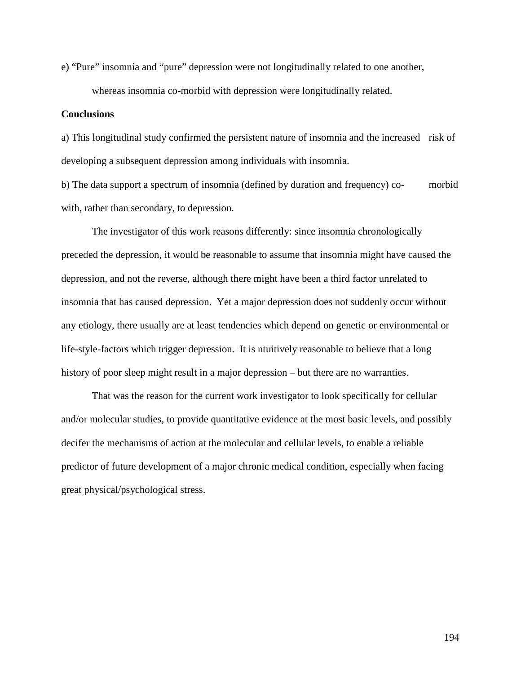e) "Pure" insomnia and "pure" depression were not longitudinally related to one another,

whereas insomnia co-morbid with depression were longitudinally related.

# **Conclusions**

a) This longitudinal study confirmed the persistent nature of insomnia and the increased risk of developing a subsequent depression among individuals with insomnia.

b) The data support a spectrum of insomnia (defined by duration and frequency) co- morbid with, rather than secondary, to depression.

The investigator of this work reasons differently: since insomnia chronologically preceded the depression, it would be reasonable to assume that insomnia might have caused the depression, and not the reverse, although there might have been a third factor unrelated to insomnia that has caused depression. Yet a major depression does not suddenly occur without any etiology, there usually are at least tendencies which depend on genetic or environmental or life-style-factors which trigger depression. It is ntuitively reasonable to believe that a long history of poor sleep might result in a major depression – but there are no warranties.

That was the reason for the current work investigator to look specifically for cellular and/or molecular studies, to provide quantitative evidence at the most basic levels, and possibly decifer the mechanisms of action at the molecular and cellular levels, to enable a reliable predictor of future development of a major chronic medical condition, especially when facing great physical/psychological stress.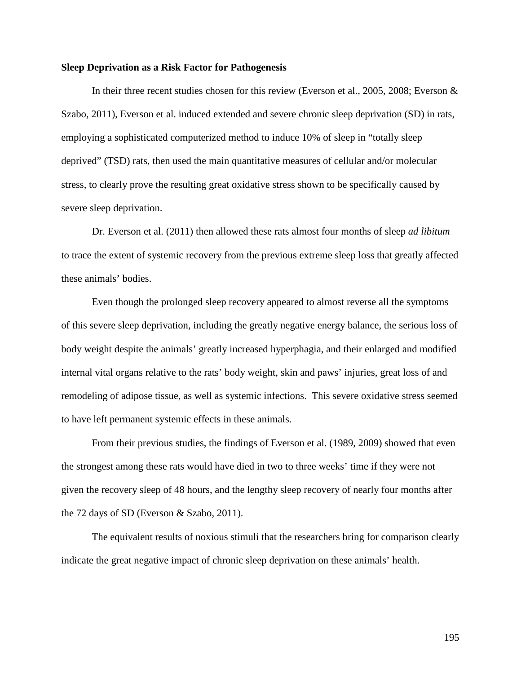## **Sleep Deprivation as a Risk Factor for Pathogenesis**

In their three recent studies chosen for this review (Everson et al., 2005, 2008; Everson & Szabo, 2011), Everson et al. induced extended and severe chronic sleep deprivation (SD) in rats, employing a sophisticated computerized method to induce 10% of sleep in "totally sleep deprived" (TSD) rats, then used the main quantitative measures of cellular and/or molecular stress, to clearly prove the resulting great oxidative stress shown to be specifically caused by severe sleep deprivation.

Dr. Everson et al. (2011) then allowed these rats almost four months of sleep *ad libitum* to trace the extent of systemic recovery from the previous extreme sleep loss that greatly affected these animals' bodies.

Even though the prolonged sleep recovery appeared to almost reverse all the symptoms of this severe sleep deprivation, including the greatly negative energy balance, the serious loss of body weight despite the animals' greatly increased hyperphagia, and their enlarged and modified internal vital organs relative to the rats' body weight, skin and paws' injuries, great loss of and remodeling of adipose tissue, as well as systemic infections. This severe oxidative stress seemed to have left permanent systemic effects in these animals.

From their previous studies, the findings of Everson et al. (1989, 2009) showed that even the strongest among these rats would have died in two to three weeks' time if they were not given the recovery sleep of 48 hours, and the lengthy sleep recovery of nearly four months after the 72 days of SD (Everson & Szabo, 2011).

The equivalent results of noxious stimuli that the researchers bring for comparison clearly indicate the great negative impact of chronic sleep deprivation on these animals' health.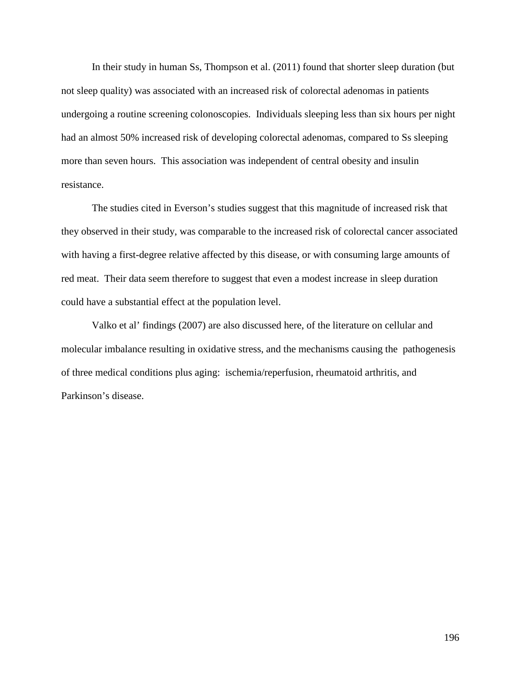In their study in human Ss, Thompson et al. (2011) found that shorter sleep duration (but not sleep quality) was associated with an increased risk of colorectal adenomas in patients undergoing a routine screening colonoscopies. Individuals sleeping less than six hours per night had an almost 50% increased risk of developing colorectal adenomas, compared to Ss sleeping more than seven hours. This association was independent of central obesity and insulin resistance.

The studies cited in Everson's studies suggest that this magnitude of increased risk that they observed in their study, was comparable to the increased risk of colorectal cancer associated with having a first-degree relative affected by this disease, or with consuming large amounts of red meat. Their data seem therefore to suggest that even a modest increase in sleep duration could have a substantial effect at the population level.

Valko et al' findings (2007) are also discussed here, of the literature on cellular and molecular imbalance resulting in oxidative stress, and the mechanisms causing the pathogenesis of three medical conditions plus aging: ischemia/reperfusion, rheumatoid arthritis, and Parkinson's disease.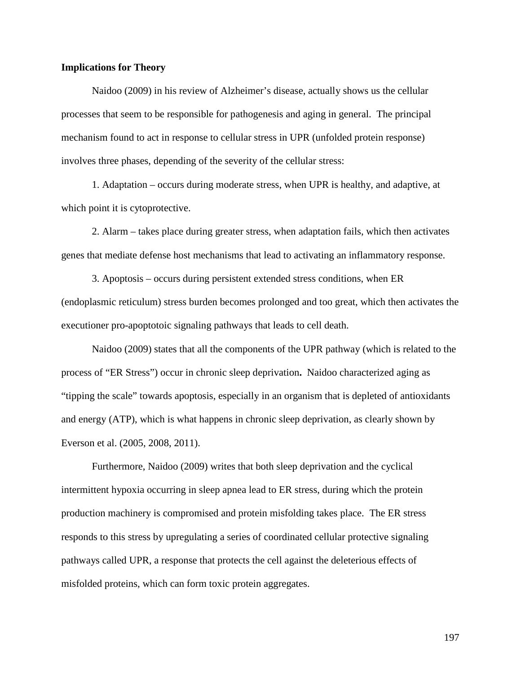## **Implications for Theory**

Naidoo (2009) in his review of Alzheimer's disease, actually shows us the cellular processes that seem to be responsible for pathogenesis and aging in general. The principal mechanism found to act in response to cellular stress in UPR (unfolded protein response) involves three phases, depending of the severity of the cellular stress:

1. Adaptation – occurs during moderate stress, when UPR is healthy, and adaptive, at which point it is cytoprotective.

2. Alarm – takes place during greater stress, when adaptation fails, which then activates genes that mediate defense host mechanisms that lead to activating an inflammatory response.

3. Apoptosis – occurs during persistent extended stress conditions, when ER (endoplasmic reticulum) stress burden becomes prolonged and too great, which then activates the executioner pro-apoptotoic signaling pathways that leads to cell death.

Naidoo (2009) states that all the components of the UPR pathway (which is related to the process of "ER Stress") occur in chronic sleep deprivation**.** Naidoo characterized aging as "tipping the scale" towards apoptosis, especially in an organism that is depleted of antioxidants and energy (ATP), which is what happens in chronic sleep deprivation, as clearly shown by Everson et al. (2005, 2008, 2011).

Furthermore, Naidoo (2009) writes that both sleep deprivation and the cyclical intermittent hypoxia occurring in sleep apnea lead to ER stress, during which the protein production machinery is compromised and protein misfolding takes place. The ER stress responds to this stress by upregulating a series of coordinated cellular protective signaling pathways called UPR, a response that protects the cell against the deleterious effects of misfolded proteins, which can form toxic protein aggregates.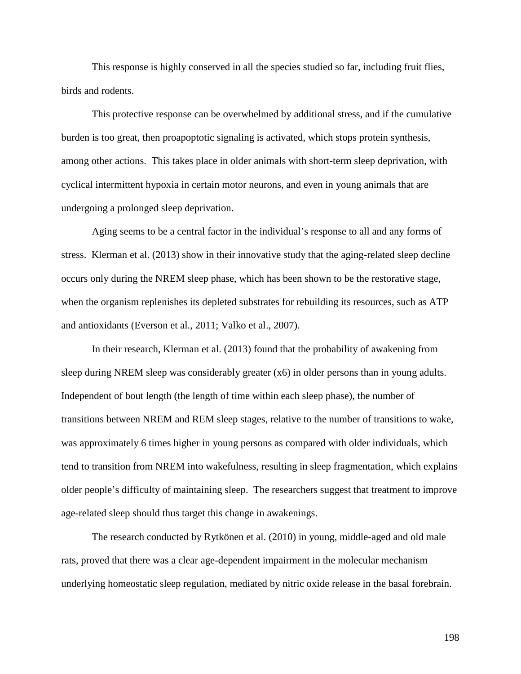This response is highly conserved in all the species studied so far, including fruit flies, birds and rodents.

This protective response can be overwhelmed by additional stress, and if the cumulative burden is too great, then proapoptotic signaling is activated, which stops protein synthesis, among other actions. This takes place in older animals with short-term sleep deprivation, with cyclical intermittent hypoxia in certain motor neurons, and even in young animals that are undergoing a prolonged sleep deprivation.

Aging seems to be a central factor in the individual's response to all and any forms of stress. Klerman et al. (2013) show in their innovative study that the aging-related sleep decline occurs only during the NREM sleep phase, which has been shown to be the restorative stage, when the organism replenishes its depleted substrates for rebuilding its resources, such as ATP and antioxidants (Everson et al., 2011; Valko et al., 2007).

In their research, Klerman et al. (2013) found that the probability of awakening from sleep during NREM sleep was considerably greater (x6) in older persons than in young adults. Independent of bout length (the length of time within each sleep phase), the number of transitions between NREM and REM sleep stages, relative to the number of transitions to wake, was approximately 6 times higher in young persons as compared with older individuals, which tend to transition from NREM into wakefulness, resulting in sleep fragmentation, which explains older people's difficulty of maintaining sleep. The researchers suggest that treatment to improve age-related sleep should thus target this change in awakenings.

The research conducted by Rytkönen et al. (2010) in young, middle-aged and old male rats, proved that there was a clear age-dependent impairment in the molecular mechanism underlying homeostatic sleep regulation, mediated by nitric oxide release in the basal forebrain.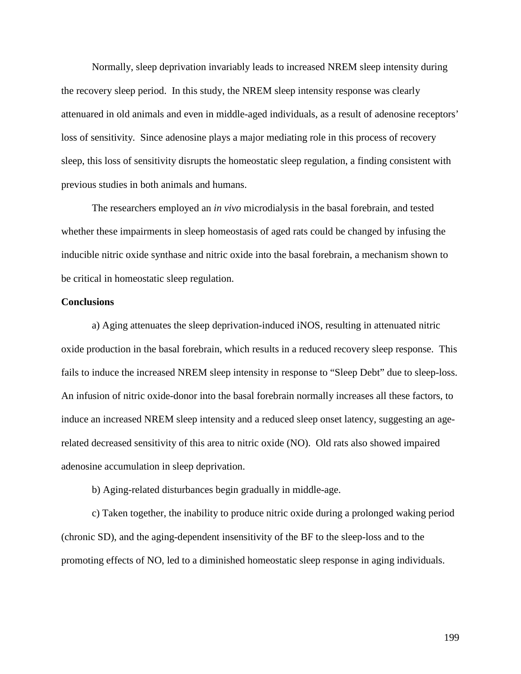Normally, sleep deprivation invariably leads to increased NREM sleep intensity during the recovery sleep period. In this study, the NREM sleep intensity response was clearly attenuared in old animals and even in middle-aged individuals, as a result of adenosine receptors' loss of sensitivity. Since adenosine plays a major mediating role in this process of recovery sleep, this loss of sensitivity disrupts the homeostatic sleep regulation, a finding consistent with previous studies in both animals and humans.

The researchers employed an *in vivo* microdialysis in the basal forebrain, and tested whether these impairments in sleep homeostasis of aged rats could be changed by infusing the inducible nitric oxide synthase and nitric oxide into the basal forebrain, a mechanism shown to be critical in homeostatic sleep regulation.

#### **Conclusions**

a) Aging attenuates the sleep deprivation-induced iNOS, resulting in attenuated nitric oxide production in the basal forebrain, which results in a reduced recovery sleep response. This fails to induce the increased NREM sleep intensity in response to "Sleep Debt" due to sleep-loss. An infusion of nitric oxide-donor into the basal forebrain normally increases all these factors, to induce an increased NREM sleep intensity and a reduced sleep onset latency, suggesting an agerelated decreased sensitivity of this area to nitric oxide (NO). Old rats also showed impaired adenosine accumulation in sleep deprivation.

b) Aging-related disturbances begin gradually in middle-age.

c) Taken together, the inability to produce nitric oxide during a prolonged waking period (chronic SD), and the aging-dependent insensitivity of the BF to the sleep-loss and to the promoting effects of NO, led to a diminished homeostatic sleep response in aging individuals.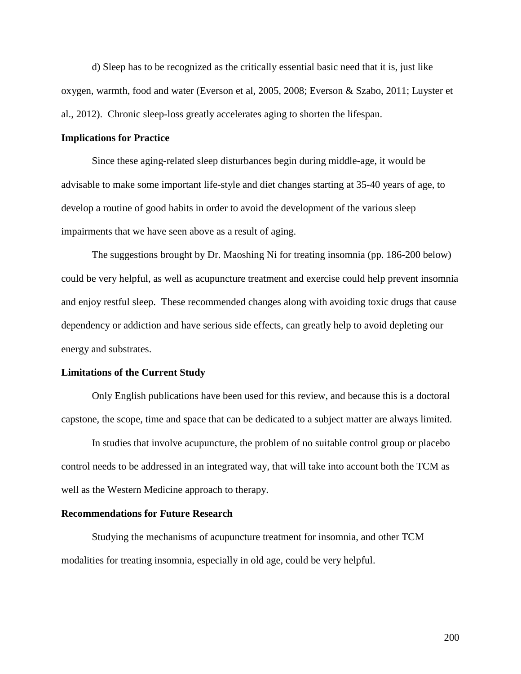d) Sleep has to be recognized as the critically essential basic need that it is, just like oxygen, warmth, food and water (Everson et al, 2005, 2008; Everson & Szabo, 2011; Luyster et al., 2012). Chronic sleep-loss greatly accelerates aging to shorten the lifespan.

#### **Implications for Practice**

Since these aging-related sleep disturbances begin during middle-age, it would be advisable to make some important life-style and diet changes starting at 35-40 years of age, to develop a routine of good habits in order to avoid the development of the various sleep impairments that we have seen above as a result of aging.

The suggestions brought by Dr. Maoshing Ni for treating insomnia (pp. 186-200 below) could be very helpful, as well as acupuncture treatment and exercise could help prevent insomnia and enjoy restful sleep. These recommended changes along with avoiding toxic drugs that cause dependency or addiction and have serious side effects, can greatly help to avoid depleting our energy and substrates.

#### **Limitations of the Current Study**

Only English publications have been used for this review, and because this is a doctoral capstone, the scope, time and space that can be dedicated to a subject matter are always limited.

In studies that involve acupuncture, the problem of no suitable control group or placebo control needs to be addressed in an integrated way, that will take into account both the TCM as well as the Western Medicine approach to therapy.

#### **Recommendations for Future Research**

Studying the mechanisms of acupuncture treatment for insomnia, and other TCM modalities for treating insomnia, especially in old age, could be very helpful.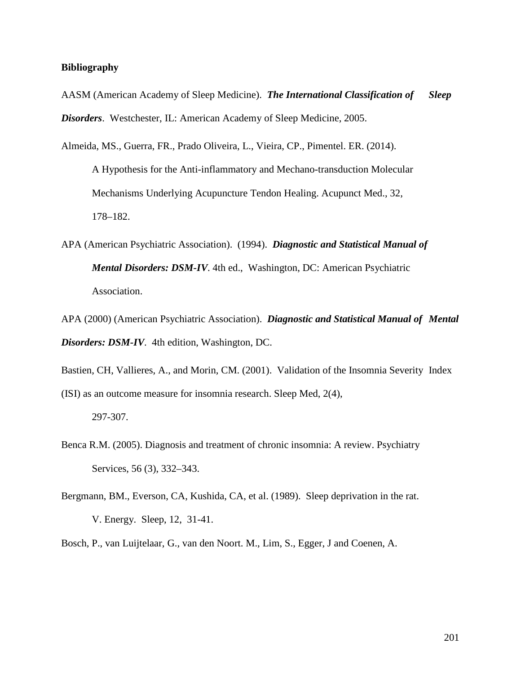# **Bibliography**

- AASM (American Academy of Sleep Medicine). *The International Classification of Sleep Disorders*. Westchester, IL: American Academy of Sleep Medicine, 2005.
- Almeida, MS., Guerra, FR., Prado Oliveira, L., Vieira, CP., Pimentel. ER. (2014). A Hypothesis for the Anti-inflammatory and Mechano-transduction Molecular Mechanisms Underlying Acupuncture Tendon Healing. Acupunct Med., 32, 178–182.
- APA (American Psychiatric Association). (1994). *Diagnostic and Statistical Manual of Mental Disorders: DSM-IV*. 4th ed., Washington, DC: American Psychiatric Association.
- APA (2000) (American Psychiatric Association). *Diagnostic and Statistical Manual of Mental Disorders: DSM-IV*. 4th edition, Washington, DC.
- Bastien, CH, Vallieres, A., and Morin, CM. (2001). Validation of the Insomnia Severity Index (ISI) as an outcome measure for insomnia research. Sleep Med, 2(4),
	- 297-307.
- Benca R.M. (2005). Diagnosis and treatment of chronic insomnia: A review. Psychiatry Services, 56 (3), 332–343.
- Bergmann, BM., Everson, CA, Kushida, CA, et al. (1989). Sleep deprivation in the rat. V. Energy. Sleep, 12, 31-41.
- Bosch, P., van Luijtelaar, G., van den Noort. M., Lim, S., Egger, J and Coenen, A.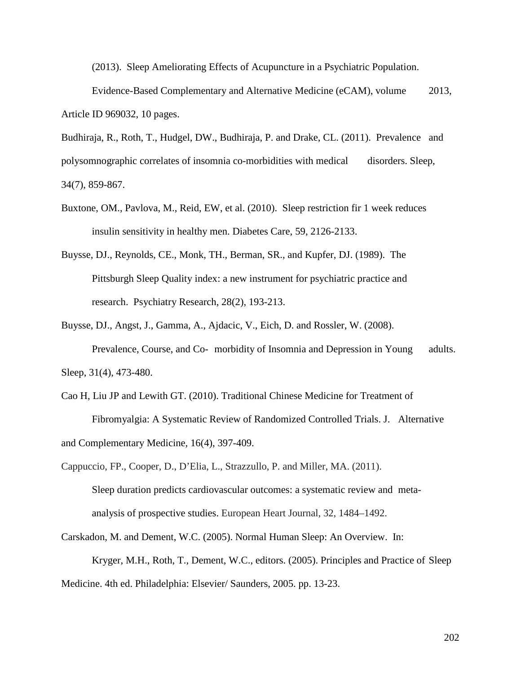(2013). Sleep Ameliorating Effects of Acupuncture in a Psychiatric Population.

Evidence-Based Complementary and Alternative Medicine (eCAM), volume 2013, Article ID 969032, 10 pages.

Budhiraja, R., Roth, T., Hudgel, DW., Budhiraja, P. and Drake, CL. (2011). Prevalence and polysomnographic correlates of insomnia co-morbidities with medical disorders. Sleep, 34(7), 859-867.

- Buxtone, OM., Pavlova, M., Reid, EW, et al. (2010). Sleep restriction fir 1 week reduces insulin sensitivity in healthy men. Diabetes Care, 59, 2126-2133.
- Buysse, DJ., Reynolds, CE., Monk, TH., Berman, SR., and Kupfer, DJ. (1989). The Pittsburgh Sleep Quality index: a new instrument for psychiatric practice and research. Psychiatry Research, 28(2), 193-213.

Buysse, DJ., Angst, J., Gamma, A., Ajdacic, V., Eich, D. and Rossler, W. (2008). Prevalence, Course, and Co- morbidity of Insomnia and Depression in Young adults. Sleep, 31(4), 473-480.

Cao H, Liu JP and Lewith GT. (2010). Traditional Chinese Medicine for Treatment of Fibromyalgia: A Systematic Review of Randomized Controlled Trials. J. Alternative and Complementary Medicine, 16(4), 397-409.

Cappuccio, FP., Cooper, D., D'Elia, L., Strazzullo, P. and Miller, MA. (2011). Sleep duration predicts cardiovascular outcomes: a systematic review and metaanalysis of prospective studies. European Heart Journal, 32, 1484–1492.

Carskadon, M. and Dement, W.C. (2005). Normal Human Sleep: An Overview. In: Kryger, M.H., Roth, T., Dement, W.C., editors. (2005). Principles and Practice of Sleep Medicine. 4th ed. Philadelphia: Elsevier/ Saunders, 2005. pp. 13-23.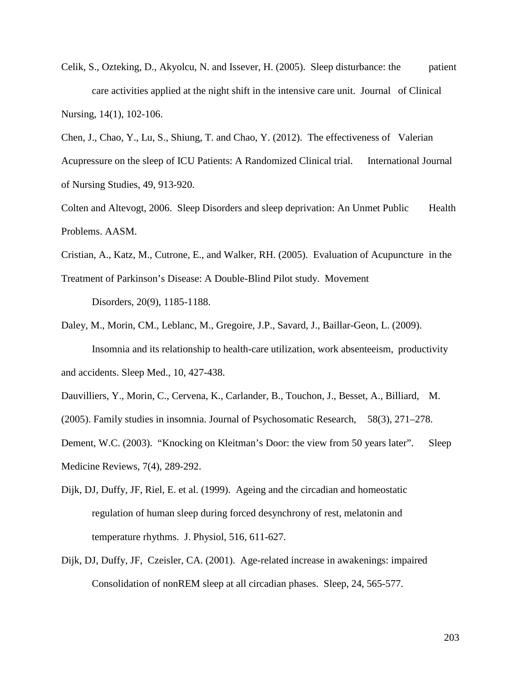Celik, S., Ozteking, D., Akyolcu, N. and Issever, H. (2005). Sleep disturbance: the patient care activities applied at the night shift in the intensive care unit. Journal of Clinical Nursing, 14(1), 102-106.

Chen, J., Chao, Y., Lu, S., Shiung, T. and Chao, Y. (2012). The effectiveness of Valerian Acupressure on the sleep of ICU Patients: A Randomized Clinical trial. International Journal of Nursing Studies, 49, 913-920.

Colten and Altevogt, 2006. Sleep Disorders and sleep deprivation: An Unmet Public Health Problems. AASM.

Cristian, A., Katz, M., Cutrone, E., and Walker, RH. (2005). Evaluation of Acupuncture in the

Treatment of Parkinson's Disease: A Double-Blind Pilot study. Movement Disorders, 20(9), 1185-1188.

Daley, M., Morin, CM., Leblanc, M., Gregoire, J.P., Savard, J., Baillar-Geon, L. (2009). Insomnia and its relationship to health-care utilization, work absenteeism, productivity and accidents. Sleep Med., 10, 427-438.

Dauvilliers, Y., Morin, C., Cervena, K., Carlander, B., Touchon, J., Besset, A., Billiard, M.

(2005). Family studies in insomnia. Journal of Psychosomatic Research, 58(3), 271–278.

Dement, W.C. (2003). "Knocking on Kleitman's Door: the view from 50 years later". Sleep Medicine Reviews, 7(4), 289-292.

- Dijk, DJ, Duffy, JF, Riel, E. et al. (1999). Ageing and the circadian and homeostatic regulation of human sleep during forced desynchrony of rest, melatonin and temperature rhythms. J. Physiol, 516, 611-627.
- Dijk, DJ, Duffy, JF, Czeisler, CA. (2001). Age-related increase in awakenings: impaired Consolidation of nonREM sleep at all circadian phases. Sleep, 24, 565-577.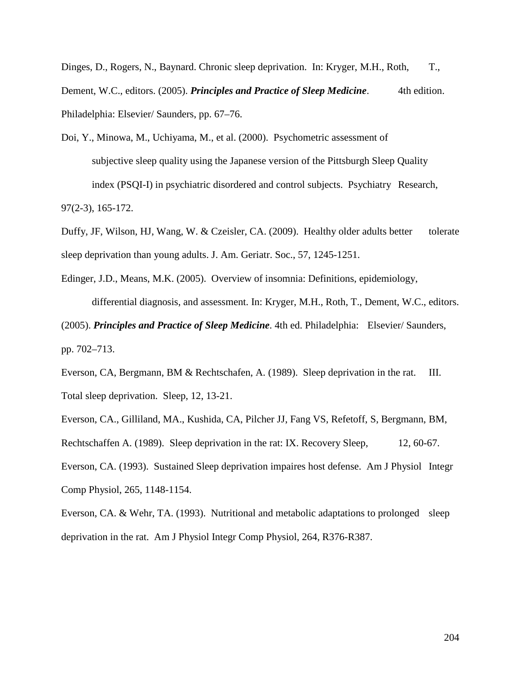Dinges, D., Rogers, N., Baynard. Chronic sleep deprivation. In: Kryger, M.H., Roth, T., Dement, W.C., editors. (2005). *Principles and Practice of Sleep Medicine*. 4th edition. Philadelphia: Elsevier/ Saunders, pp. 67–76.

Doi, Y., Minowa, M., Uchiyama, M., et al. (2000). Psychometric assessment of subjective sleep quality using the Japanese version of the Pittsburgh Sleep Quality index (PSQI-I) in psychiatric disordered and control subjects. Psychiatry Research, 97(2-3), 165-172.

Duffy, JF, Wilson, HJ, Wang, W. & Czeisler, CA. (2009). Healthy older adults better tolerate sleep deprivation than young adults. J. Am. Geriatr. Soc., 57, 1245-1251.

Edinger, J.D., Means, M.K. (2005). Overview of insomnia: Definitions, epidemiology, differential diagnosis, and assessment. In: Kryger, M.H., Roth, T., Dement, W.C., editors. (2005). *Principles and Practice of Sleep Medicine*. 4th ed. Philadelphia: Elsevier/ Saunders,

pp. 702–713.

Everson, CA, Bergmann, BM & Rechtschafen, A. (1989). Sleep deprivation in the rat. III. Total sleep deprivation. Sleep, 12, 13-21.

Everson, CA., Gilliland, MA., Kushida, CA, Pilcher JJ, Fang VS, Refetoff, S, Bergmann, BM, Rechtschaffen A. (1989). Sleep deprivation in the rat: IX. Recovery Sleep, 12, 60-67. Everson, CA. (1993). Sustained Sleep deprivation impaires host defense. Am J Physiol Integr Comp Physiol, 265, 1148-1154.

Everson, CA. & Wehr, TA. (1993). Nutritional and metabolic adaptations to prolonged sleep deprivation in the rat. Am J Physiol Integr Comp Physiol, 264, R376-R387.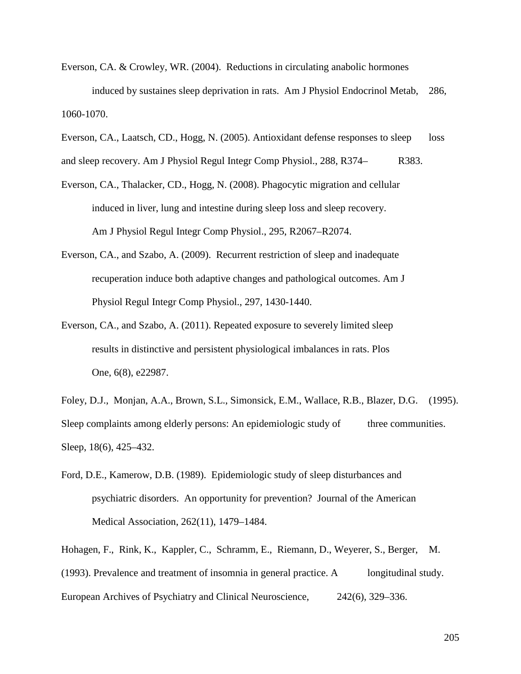- Everson, CA. & Crowley, WR. (2004). Reductions in circulating anabolic hormones induced by sustaines sleep deprivation in rats. Am J Physiol Endocrinol Metab, 286, 1060-1070.
- Everson, CA., Laatsch, CD., Hogg, N. (2005). Antioxidant defense responses to sleep loss

and sleep recovery. Am J Physiol Regul Integr Comp Physiol., 288, R374– R383.

- Everson, CA., Thalacker, CD., Hogg, N. (2008). Phagocytic migration and cellular induced in liver, lung and intestine during sleep loss and sleep recovery. Am J Physiol Regul Integr Comp Physiol., 295, R2067–R2074.
- Everson, CA., and Szabo, A. (2009). Recurrent restriction of sleep and inadequate recuperation induce both adaptive changes and pathological outcomes. Am J Physiol Regul Integr Comp Physiol., 297, 1430-1440.
- Everson, CA., and Szabo, A. (2011). Repeated exposure to severely limited sleep results in distinctive and persistent physiological imbalances in rats. Plos One, 6(8), e22987.

Foley, D.J., Monjan, A.A., Brown, S.L., Simonsick, E.M., Wallace, R.B., Blazer, D.G. (1995). Sleep complaints among elderly persons: An epidemiologic study of three communities. Sleep, 18(6), 425–432.

Ford, D.E., Kamerow, D.B. (1989). Epidemiologic study of sleep disturbances and psychiatric disorders. An opportunity for prevention? Journal of the American Medical Association, 262(11), 1479–1484.

Hohagen, F., Rink, K., Kappler, C., Schramm, E., Riemann, D., Weyerer, S., Berger, M. (1993). Prevalence and treatment of insomnia in general practice. A longitudinal study. European Archives of Psychiatry and Clinical Neuroscience, 242(6), 329–336.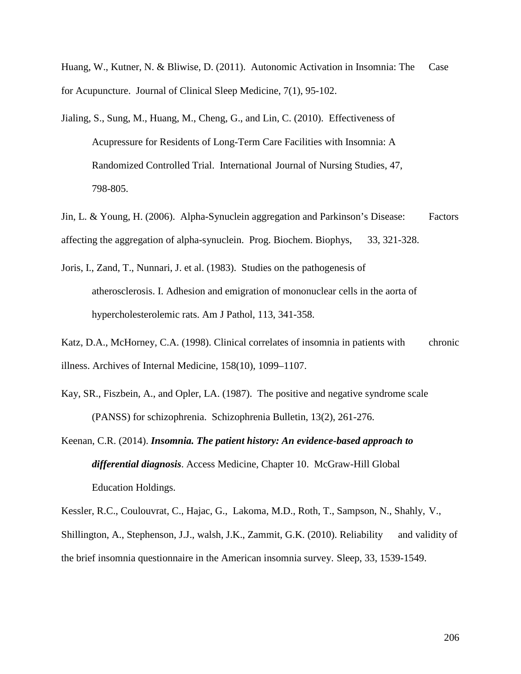Huang, W., Kutner, N. & Bliwise, D. (2011). Autonomic Activation in Insomnia: The Case for Acupuncture. Journal of Clinical Sleep Medicine, 7(1), 95-102.

- Jialing, S., Sung, M., Huang, M., Cheng, G., and Lin, C. (2010). Effectiveness of Acupressure for Residents of Long-Term Care Facilities with Insomnia: A Randomized Controlled Trial. International Journal of Nursing Studies, 47, 798-805.
- Jin, L. & Young, H. (2006). Alpha-Synuclein aggregation and Parkinson's Disease: Factors affecting the aggregation of alpha-synuclein. Prog. Biochem. Biophys, 33, 321-328.
- Joris, I., Zand, T., Nunnari, J. et al. (1983). Studies on the pathogenesis of atherosclerosis. I. Adhesion and emigration of mononuclear cells in the aorta of hypercholesterolemic rats. Am J Pathol, 113, 341-358.
- Katz, D.A., McHorney, C.A. (1998). Clinical correlates of insomnia in patients with chronic illness. Archives of Internal Medicine, 158(10), 1099–1107.
- Kay, SR., Fiszbein, A., and Opler, LA. (1987). The positive and negative syndrome scale (PANSS) for schizophrenia. Schizophrenia Bulletin, 13(2), 261-276.
- Keenan, C.R. (2014). *Insomnia. The patient history: An evidence-based approach to differential diagnosis*. Access Medicine, Chapter 10. McGraw-Hill Global Education Holdings.

Kessler, R.C., Coulouvrat, C., Hajac, G., Lakoma, M.D., Roth, T., Sampson, N., Shahly, V., Shillington, A., Stephenson, J.J., walsh, J.K., Zammit, G.K. (2010). Reliability and validity of the brief insomnia questionnaire in the American insomnia survey. Sleep, 33, 1539-1549.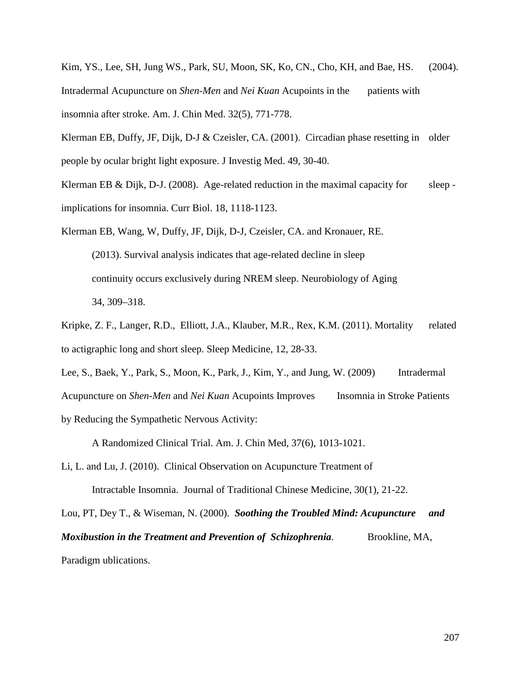Kim, YS., Lee, SH, Jung WS., Park, SU, Moon, SK, Ko, CN., Cho, KH, and Bae, HS. (2004). Intradermal Acupuncture on *Shen-Men* and *Nei Kuan* Acupoints in the patients with insomnia after stroke. Am. J. Chin Med. 32(5), 771-778.

Klerman EB, Duffy, JF, Dijk, D-J & Czeisler, CA. (2001). Circadian phase resetting in older people by ocular bright light exposure. J Investig Med. 49, 30-40.

Klerman EB & Dijk, D-J. (2008). Age-related reduction in the maximal capacity for sleep implications for insomnia. Curr Biol. 18, 1118-1123.

Klerman EB, Wang, W, Duffy, JF, Dijk, D-J, Czeisler, CA. and Kronauer, RE. (2013). Survival analysis indicates that age-related decline in sleep continuity occurs exclusively during NREM sleep. Neurobiology of Aging 34, 309–318.

- Kripke, Z. F., Langer, R.D., Elliott, J.A., Klauber, M.R., Rex, K.M. (2011). Mortality related to actigraphic long and short sleep. Sleep Medicine, 12, 28-33.
- Lee, S., Baek, Y., Park, S., Moon, K., Park, J., Kim, Y., and Jung, W. (2009) Intradermal Acupuncture on *Shen-Men* and *Nei Kuan* Acupoints Improves Insomnia in Stroke Patients by Reducing the Sympathetic Nervous Activity:

A Randomized Clinical Trial. Am. J. Chin Med, 37(6), 1013-1021.

Li, L. and Lu, J. (2010). Clinical Observation on Acupuncture Treatment of

Lou, PT, Dey T., & Wiseman, N. (2000). *Soothing the Troubled Mind: Acupuncture and Moxibustion in the Treatment and Prevention of Schizophrenia.* Brookline, MA,

Intractable Insomnia. Journal of Traditional Chinese Medicine, 30(1), 21-22.

Paradigm ublications.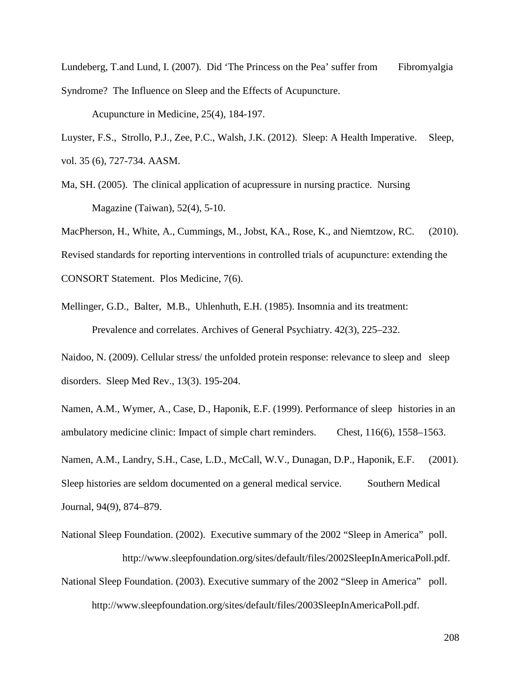Lundeberg, T.and Lund, I. (2007). Did 'The Princess on the Pea' suffer from Fibromyalgia Syndrome? The Influence on Sleep and the Effects of Acupuncture.

Acupuncture in Medicine, 25(4), 184-197.

Luyster, F.S., Strollo, P.J., Zee, P.C., Walsh, J.K. (2012). Sleep: A Health Imperative. Sleep, vol. 35 (6), 727-734. AASM.

Ma, SH. (2005). The clinical application of acupressure in nursing practice. Nursing Magazine (Taiwan), 52(4), 5-10.

MacPherson, H., White, A., Cummings, M., Jobst, KA., Rose, K., and Niemtzow, RC. (2010). Revised standards for reporting interventions in controlled trials of acupuncture: extending the CONSORT Statement. Plos Medicine, 7(6).

Mellinger, G.D., Balter, M.B., Uhlenhuth, E.H. (1985). Insomnia and its treatment: Prevalence and correlates. Archives of General Psychiatry. 42(3), 225–232.

Naidoo, N. (2009). Cellular stress/ the unfolded protein response: relevance to sleep and sleep disorders. Sleep Med Rev., 13(3). 195-204.

Namen, A.M., Wymer, A., Case, D., Haponik, E.F. (1999). Performance of sleep histories in an ambulatory medicine clinic: Impact of simple chart reminders. Chest, 116(6), 1558–1563. Namen, A.M., Landry, S.H., Case, L.D., McCall, W.V., Dunagan, D.P., Haponik, E.F. (2001). Sleep histories are seldom documented on a general medical service. Southern Medical Journal, 94(9), 874–879.

National Sleep Foundation. (2002). Executive summary of the 2002 "Sleep in America" poll. http://www.sleepfoundation.org/sites/default/files/2002SleepInAmericaPoll.pdf. National Sleep Foundation. (2003). Executive summary of the 2002 "Sleep in America" poll. http://www.sleepfoundation.org/sites/default/files/2003SleepInAmericaPoll.pdf.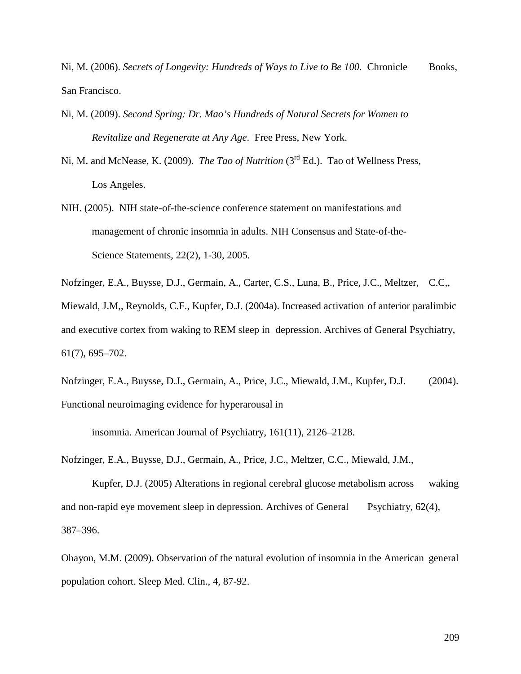Ni, M. (2006). *Secrets of Longevity: Hundreds of Ways to Live to Be 100*. Chronicle Books, San Francisco.

- Ni, M. (2009). *Second Spring: Dr. Mao's Hundreds of Natural Secrets for Women to Revitalize and Regenerate at Any Age*. Free Press, New York.
- Ni, M. and McNease, K. (2009). *The Tao of Nutrition* (3<sup>rd</sup> Ed.). Tao of Wellness Press, Los Angeles.
- NIH. (2005). NIH state-of-the-science conference statement on manifestations and management of chronic insomnia in adults. NIH Consensus and State-of-the-Science Statements, 22(2), 1-30, 2005.

Nofzinger, E.A., Buysse, D.J., Germain, A., Carter, C.S., Luna, B., Price, J.C., Meltzer, C.C,,

Miewald, J.M,, Reynolds, C.F., Kupfer, D.J. (2004a). Increased activation of anterior paralimbic and executive cortex from waking to REM sleep in depression. Archives of General Psychiatry, 61(7), 695–702.

Nofzinger, E.A., Buysse, D.J., Germain, A., Price, J.C., Miewald, J.M., Kupfer, D.J. (2004). Functional neuroimaging evidence for hyperarousal in

insomnia. American Journal of Psychiatry, 161(11), 2126–2128.

Nofzinger, E.A., Buysse, D.J., Germain, A., Price, J.C., Meltzer, C.C., Miewald, J.M.,

Kupfer, D.J. (2005) Alterations in regional cerebral glucose metabolism across waking and non-rapid eye movement sleep in depression. Archives of General Psychiatry, 62(4), 387–396.

Ohayon, M.M. (2009). Observation of the natural evolution of insomnia in the American general population cohort. Sleep Med. Clin., 4, 87-92.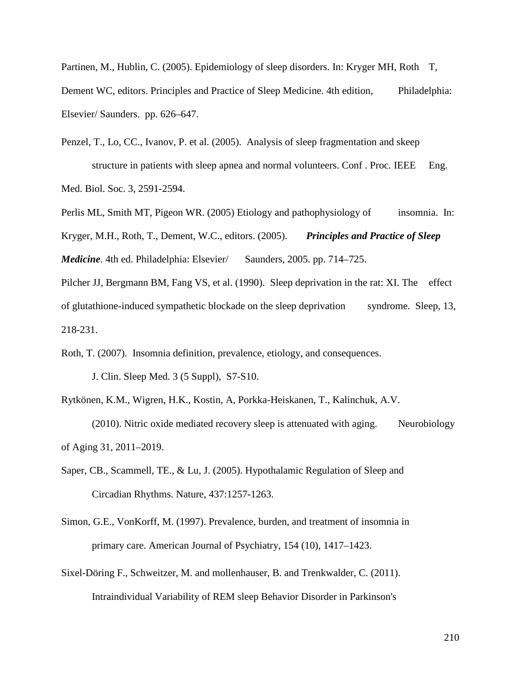Partinen, M., Hublin, C. (2005). Epidemiology of sleep disorders. In: Kryger MH, Roth T, Dement WC, editors. Principles and Practice of Sleep Medicine. 4th edition, Philadelphia: Elsevier/ Saunders. pp. 626–647.

Penzel, T., Lo, CC., Ivanov, P. et al. (2005). Analysis of sleep fragmentation and skeep structure in patients with sleep apnea and normal volunteers. Conf. Proc. IEEE Eng. Med. Biol. Soc. 3, 2591-2594.

Perlis ML, Smith MT, Pigeon WR. (2005) Etiology and pathophysiology of insomnia. In: Kryger, M.H., Roth, T., Dement, W.C., editors. (2005). *Principles and Practice of Sleep Medicine*. 4th ed. Philadelphia: Elsevier/ Saunders, 2005. pp. 714–725.

Pilcher JJ, Bergmann BM, Fang VS, et al. (1990). Sleep deprivation in the rat: XI. The effect of glutathione-induced sympathetic blockade on the sleep deprivation syndrome. Sleep, 13, 218-231.

Roth, T. (2007). Insomnia definition, prevalence, etiology, and consequences. J. Clin. Sleep Med. 3 (5 Suppl), S7-S10.

Rytkönen, K.M., Wigren, H.K., Kostin, A, Porkka-Heiskanen, T., Kalinchuk, A.V. (2010). Nitric oxide mediated recovery sleep is attenuated with aging. Neurobiology of Aging 31, 2011–2019.

Saper, CB., Scammell, TE., & Lu, J. (2005). Hypothalamic Regulation of Sleep and Circadian Rhythms. Nature, 437:1257-1263.

Simon, G.E., VonKorff, M. (1997). Prevalence, burden, and treatment of insomnia in primary care. American Journal of Psychiatry, 154 (10), 1417–1423.

Sixel-Döring F., Schweitzer, M. and mollenhauser, B. and Trenkwalder, C. (2011). Intraindividual Variability of REM sleep Behavior Disorder in Parkinson's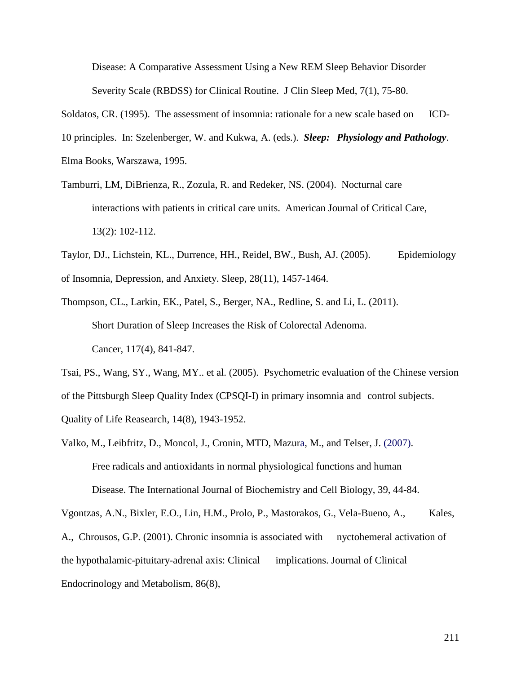Disease: A Comparative Assessment Using a New REM Sleep Behavior Disorder Severity Scale (RBDSS) for Clinical Routine.J Clin Sleep Med, 7(1), 75-80.

Soldatos, CR. (1995). The assessment of insomnia: rationale for a new scale based on ICD-

10 principles. In: Szelenberger, W. and Kukwa, A. (eds.). *Sleep: Physiology and Pathology*.

Elma Books, Warszawa, 1995.

- Tamburri, LM, DiBrienza, R., Zozula, R. and Redeker, NS. (2004). Nocturnal care interactions with patients in critical care units. American Journal of Critical Care, 13(2): 102-112.
- Taylor, DJ., Lichstein, KL., Durrence, HH., Reidel, BW., Bush, AJ. (2005). Epidemiology of Insomnia, Depression, and Anxiety. Sleep, 28(11), 1457-1464.
- Thompson, CL., Larkin, EK., Patel, S., Berger, NA., Redline, S. and Li, L. (2011). Short Duration of Sleep Increases the Risk of Colorectal Adenoma. Cancer, 117(4), 841-847.

Tsai, PS., Wang, SY., Wang, MY.. et al. (2005). Psychometric evaluation of the Chinese version of the Pittsburgh Sleep Quality Index (CPSQI-I) in primary insomnia and control subjects. Quality of Life Reasearch, 14(8), 1943-1952.

Valko, M., Leibfritz, D., Moncol, J., Cronin, MTD, Mazura, M., and Telser, J. (2007). Free radicals and antioxidants in normal physiological functions and human Disease. The International Journal of Biochemistry and Cell Biology, 39, 44-84.

Vgontzas, A.N., Bixler, E.O., Lin, H.M., Prolo, P., Mastorakos, G., Vela-Bueno, A., Kales, A., Chrousos, G.P. (2001). Chronic insomnia is associated with nyctohemeral activation of the hypothalamic-pituitary-adrenal axis: Clinical implications. Journal of Clinical Endocrinology and Metabolism, 86(8),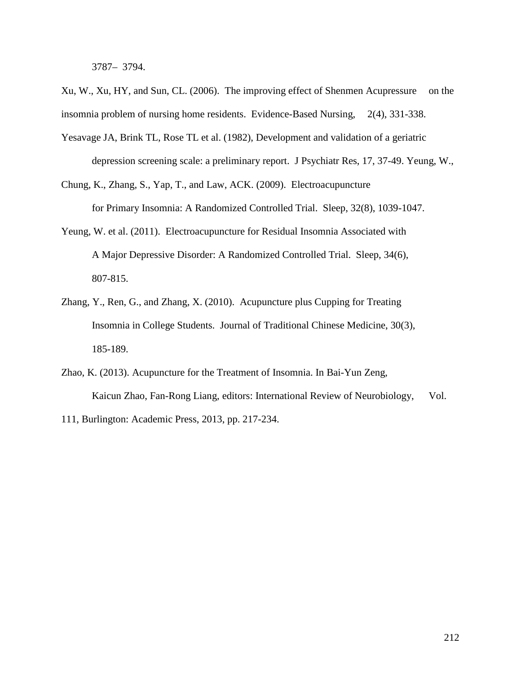3787– 3794.

Xu, W., Xu, HY, and Sun, CL. (2006). The improving effect of Shenmen Acupressure on the insomnia problem of nursing home residents. Evidence-Based Nursing, 2(4), 331-338.

- Yesavage JA, Brink TL, Rose TL et al. (1982), Development and validation of a geriatric depression screening scale: a preliminary report. J Psychiatr Res, 17, 37-49. Yeung, W.,
- Chung, K., Zhang, S., Yap, T., and Law, ACK. (2009). Electroacupuncture for Primary Insomnia: A Randomized Controlled Trial. Sleep, 32(8), 1039-1047.
- Yeung, W. et al. (2011). Electroacupuncture for Residual Insomnia Associated with A Major Depressive Disorder: A Randomized Controlled Trial. Sleep, 34(6), 807-815.
- Zhang, Y., Ren, G., and Zhang, X. (2010). Acupuncture plus Cupping for Treating Insomnia in College Students. Journal of Traditional Chinese Medicine, 30(3), 185-189.
- Zhao, K. (2013). Acupuncture for the Treatment of Insomnia. In Bai-Yun Zeng, Kaicun Zhao, Fan-Rong Liang, editors: International Review of Neurobiology, Vol. 111, Burlington: Academic Press, 2013, pp. 217-234.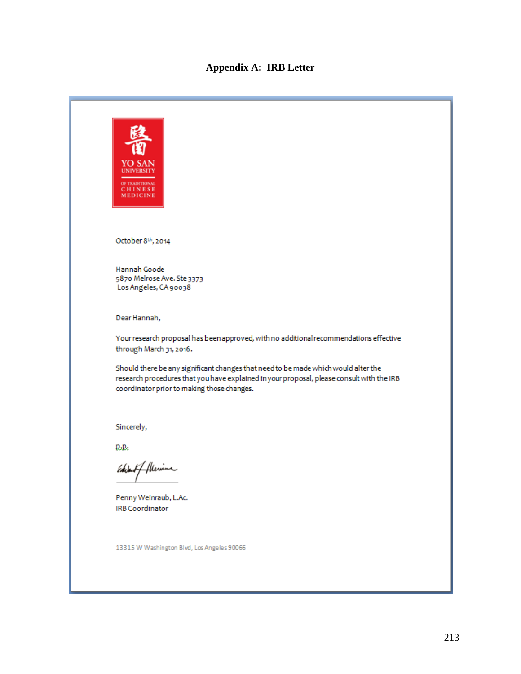# **Appendix A: IRB Letter**

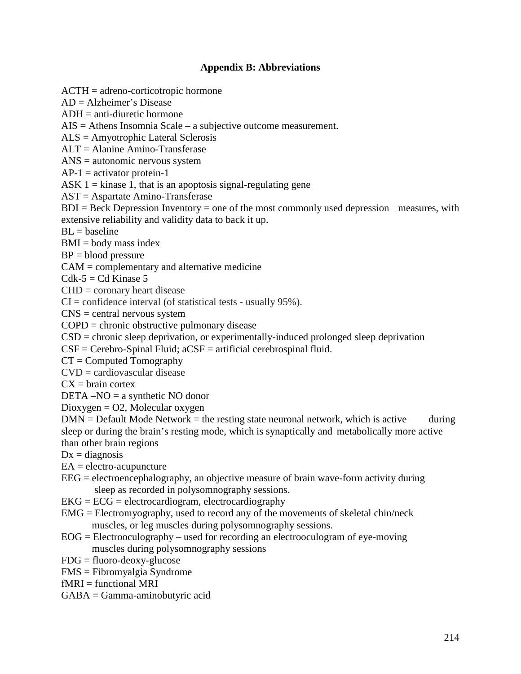# **Appendix B: Abbreviations**

ACTH = adreno-corticotropic hormone AD = Alzheimer's Disease  $ADH = anti-diuretic hormone$ AIS = Athens Insomnia Scale – a subjective outcome measurement. ALS = Amyotrophic Lateral Sclerosis ALT = Alanine Amino-Transferase ANS = autonomic nervous system  $AP-1$  = activator protein-1 ASK  $1 =$  kinase 1, that is an apoptosis signal-regulating gene AST = Aspartate Amino-Transferase  $BDI = Beck$  Depression Inventory = one of the most commonly used depression measures, with extensive reliability and validity data to back it up.  $BL = baseline$  $BMI = body$  mass index  $BP = blood pressure$ CAM = complementary and alternative medicine  $Cdk-5 = Cd$  Kinase 5  $CHD = \text{coronary heart disease}$  $CI =$  confidence interval (of statistical tests - usually 95%). CNS = central nervous system COPD = chronic obstructive pulmonary disease CSD = chronic sleep deprivation, or experimentally-induced prolonged sleep deprivation  $CSF = Cerebro-Spinal Fluid; aCSF = artificial cerebrospinal fluid.$  $CT =$  Computed Tomography  $CVD =$  cardiovascular disease  $CX = \text{brain cortex}$  $DETA - NO = a$  synthetic NO donor  $Dioygen = O2$ , Molecular oxygen  $DMN = Default Mode Network = the resting state neuronal network, which is active during$ sleep or during the brain's resting mode, which is synaptically and metabolically more active than other brain regions  $Dx = diagnosis$  $EA =$  electro-acupuncture  $EEG = electroencephalography$ , an objective measure of brain wave-form activity during sleep as recorded in polysomnography sessions.  $EKG = ECG = electrocardiogram$ , electrocardiography

- EMG = Electromyography, used to record any of the movements of skeletal chin/neck
	- muscles, or leg muscles during polysomnography sessions.
- $EOG = Electrooculography used for recording an electrooculogram of eye-moving$ muscles during polysomnography sessions
- $FDG = fluoro-deoxy-glucose$
- FMS = Fibromyalgia Syndrome
- $fMRI = functional MRI$
- GABA = Gamma-aminobutyric acid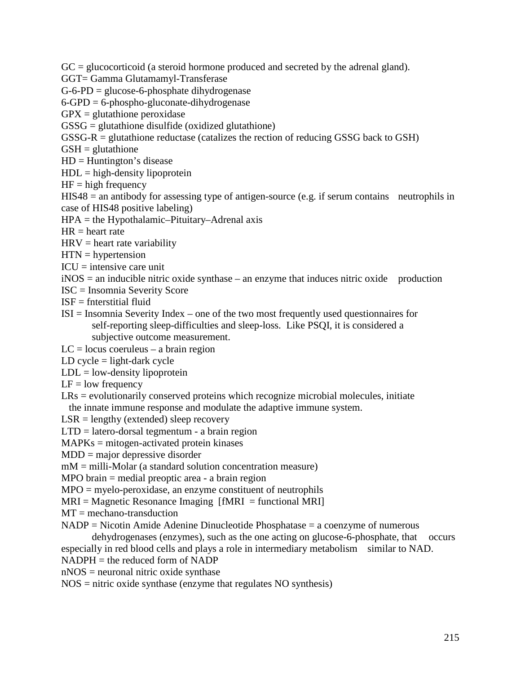$GC =$  glucocorticoid (a steroid hormone produced and secreted by the adrenal gland).

GGT= Gamma Glutamamyl-Transferase

 $G$ -6-PD = glucose-6-phosphate dihydrogenase

 $6$ -GPD =  $6$ -phospho-gluconate-dihydrogenase

 $GPX =$  glutathione peroxidase

GSSG = glutathione disulfide (oxidized glutathione)

GSSG-R = glutathione reductase (catalizes the rection of reducing GSSG back to GSH)

 $GSH =$  glutathione

 $HD = Huntington's disease$ 

 $HDL = high-density lipoprotein$ 

 $HF = high frequency$ 

HIS48 = an antibody for assessing type of antigen-source (e.g. if serum contains neutrophils in case of HIS48 positive labeling)

HPA = the Hypothalamic–Pituitary–Adrenal axis

 $HR = heart$  rate

 $HRV =$  heart rate variability

 $HTN = hypertension$ 

 $ICU =$  intensive care unit

 $iNOS =$  an inducible nitric oxide synthase – an enzyme that induces nitric oxide production

- ISC = Insomnia Severity Score
- $ISF =$  fnterstitial fluid
- ISI = Insomnia Severity Index one of the two most frequently used questionnaires for self-reporting sleep-difficulties and sleep-loss. Like PSQI, it is considered a subjective outcome measurement.
- $LC = locus$  coeruleus a brain region
- LD cycle  $=$  light-dark cycle
- $LDL = low-density lipoprotein$
- $LF = low frequency$
- LRs = evolutionarily conserved proteins which recognize microbial molecules, initiate the innate immune response and modulate the adaptive immune system.
- $LSR =$  lengthy (extended) sleep recovery
- $LTD =$  latero-dorsal tegmentum a brain region

MAPKs = mitogen-activated protein kinases

MDD = major depressive disorder

mM = milli-Molar (a standard solution concentration measure)

MPO brain = medial preoptic area - a brain region

MPO = myelo-peroxidase, an enzyme constituent of neutrophils

- $MRI = Magnetic Resonance Imaging [fMRI = functional MRI]$
- $MT =$  mechano-transduction
- $NADP = Nicotin Amide Adenine Dinucleotide Phosphatase = a coenzyme of numerous$

dehydrogenases (enzymes), such as the one acting on glucose-6-phosphate, that occurs especially in red blood cells and plays a role in intermediary metabolism similar to NAD.

- $NADPH =$  the reduced form of NADP
- nNOS = neuronal nitric oxide synthase

NOS = nitric oxide synthase (enzyme that regulates NO synthesis)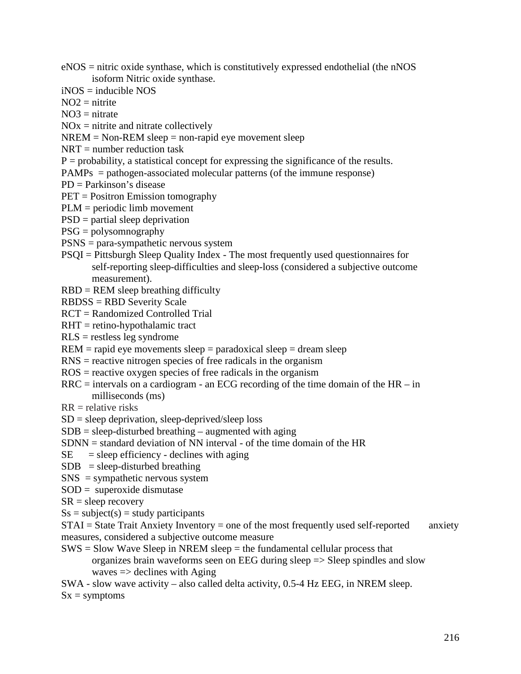- eNOS = nitric oxide synthase, which is constitutively expressed endothelial (the nNOS isoform Nitric oxide synthase.
- $i$ NOS = inducible NOS
- $NO2 =$ nitrite
- $NO3 =$ nitrate
- $NOx =$  nitrite and nitrate collectively
- $NREM = Non-REM sleep = non-rapid eye movement sleep$
- $NRT$  = number reduction task
- $P =$  probability, a statistical concept for expressing the significance of the results.
- PAMPs = pathogen-associated molecular patterns (of the immune response)
- PD = Parkinson's disease
- PET = Positron Emission tomography
- PLM = periodic limb movement
- PSD = partial sleep deprivation
- PSG = polysomnography
- PSNS = para-sympathetic nervous system
- PSQI = Pittsburgh Sleep Quality Index The most frequently used questionnaires for self-reporting sleep-difficulties and sleep-loss (considered a subjective outcome measurement).
- RBD = REM sleep breathing difficulty
- RBDSS = RBD Severity Scale
- RCT = Randomized Controlled Trial
- RHT = retino-hypothalamic tract
- $RLS$  = restless leg syndrome
- $REM = rapid eye movements sleep = paradoxical sleep = dream sleep$
- RNS = reactive nitrogen species of free radicals in the organism
- ROS = reactive oxygen species of free radicals in the organism
- $RRC =$  intervals on a cardiogram an ECG recording of the time domain of the HR in milliseconds (ms)
- $RR =$  relative risks
- $SD = sleep$  deprivation, sleep-deprived/sleep loss
- $SDB = sleep-disturbed breathing augmented with aging$
- SDNN = standard deviation of NN interval of the time domain of the HR
- $SE$  = sleep efficiency declines with aging
- $SDB = sleep-disturbed breathing$
- SNS = sympathetic nervous system
- $SOD =$  superoxide dismutase
- $SR = sleep$  recovery
- $Ss = subject(s) = study$  participants

 $STAI = State Trait Anxiety Inventory = one of the most frequently used self-reported anxiety$ measures, considered a subjective outcome measure

- $SWS = Slow Wave Sleep in NREM sleep = the fundamental cellular process that$ organizes brain waveforms seen on EEG during sleep => Sleep spindles and slow waves  $\Rightarrow$  declines with Aging
- SWA slow wave activity also called delta activity, 0.5-4 Hz EEG, in NREM sleep.

 $Sx =$ symptoms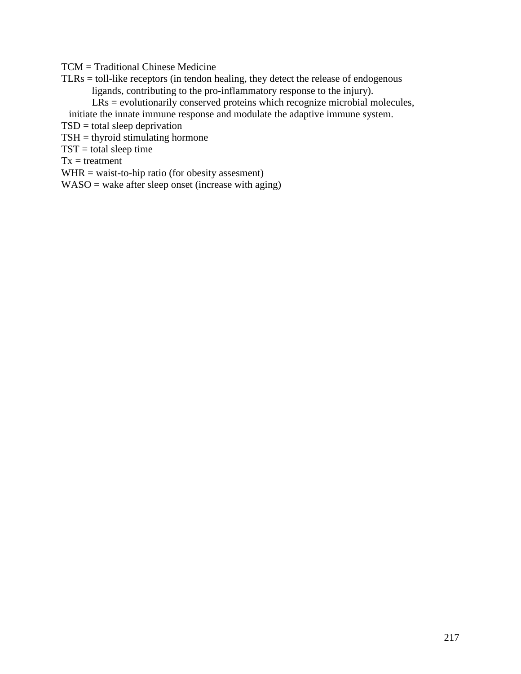TCM = Traditional Chinese Medicine

- TLRs = toll-like receptors (in tendon healing, they detect the release of endogenous ligands, contributing to the pro-inflammatory response to the injury).
	- LRs = evolutionarily conserved proteins which recognize microbial molecules,
	- initiate the innate immune response and modulate the adaptive immune system.

TSD = total sleep deprivation

- $TSH =$  thyroid stimulating hormone
- $TST = total$  sleep time

 $Tx = treatment$ 

- WHR = waist-to-hip ratio (for obesity assesment)
- $WASO =$  wake after sleep onset (increase with aging)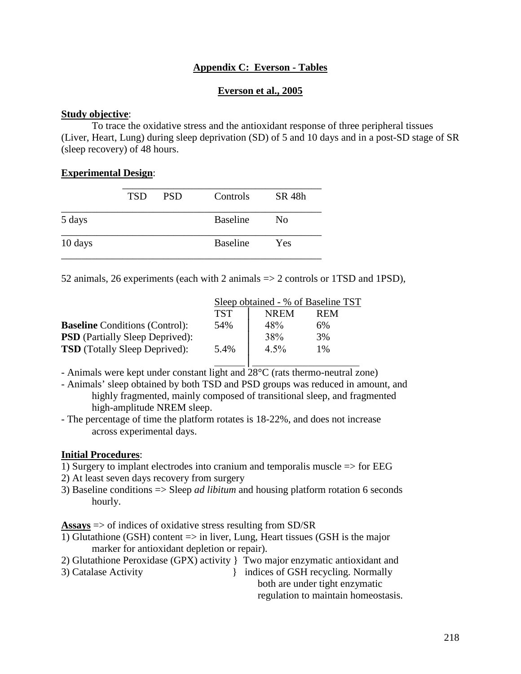## **Appendix C: Everson - Tables**

#### **Everson et al., 2005**

#### **Study objective**:

To trace the oxidative stress and the antioxidant response of three peripheral tissues (Liver, Heart, Lung) during sleep deprivation (SD) of 5 and 10 days and in a post-SD stage of SR (sleep recovery) of 48 hours.

#### **Experimental Design**:

|         | <b>TSD</b> | <b>PSD</b> | Controls        | SR 48h         |
|---------|------------|------------|-----------------|----------------|
| 5 days  |            |            | <b>Baseline</b> | N <sub>0</sub> |
| 10 days |            |            | <b>Baseline</b> | Yes            |

52 animals, 26 experiments (each with 2 animals => 2 controls or 1TSD and 1PSD),

|                                        | Sleep obtained - % of Baseline TST |             |            |  |
|----------------------------------------|------------------------------------|-------------|------------|--|
|                                        | <b>TST</b>                         | <b>NREM</b> | <b>REM</b> |  |
| <b>Baseline</b> Conditions (Control):  | 54%                                | 48%         | 6%         |  |
| <b>PSD</b> (Partially Sleep Deprived): |                                    | 38%         | 3%         |  |
| <b>TSD</b> (Totally Sleep Deprived):   | 5.4%                               | $4.5\%$     | $1\%$      |  |
|                                        |                                    |             |            |  |

- Animals were kept under constant light and 28°C (rats thermo-neutral zone)

- Animals' sleep obtained by both TSD and PSD groups was reduced in amount, and highly fragmented, mainly composed of transitional sleep, and fragmented high-amplitude NREM sleep.
- The percentage of time the platform rotates is 18-22%, and does not increase across experimental days.

#### **Initial Procedures**:

- 1) Surgery to implant electrodes into cranium and temporalis muscle => for EEG
- 2) At least seven days recovery from surgery
- 3) Baseline conditions => Sleep *ad libitum* and housing platform rotation 6 seconds hourly.

**Assays** => of indices of oxidative stress resulting from SD/SR

- 1) Glutathione (GSH) content => in liver, Lung, Heart tissues (GSH is the major marker for antioxidant depletion or repair).
- 2) Glutathione Peroxidase (GPX) activity } Two major enzymatic antioxidant and
- 

3) Catalase Activity and indices of GSH recycling. Normally both are under tight enzymatic

regulation to maintain homeostasis.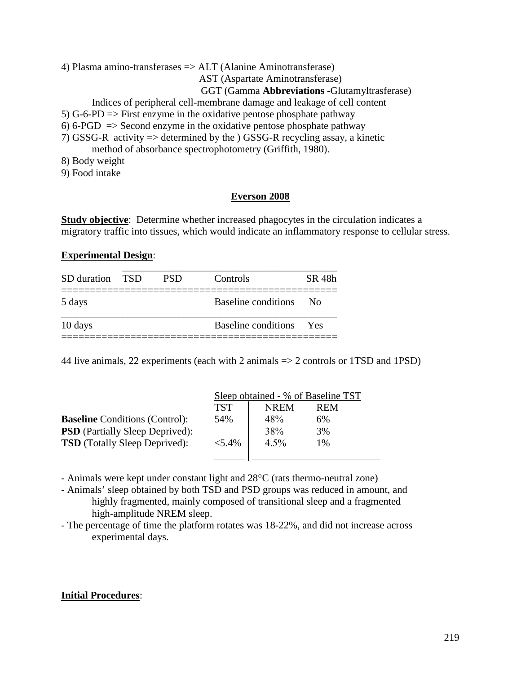4) Plasma amino-transferases => ALT (Alanine Aminotransferase)

AST (Aspartate Aminotransferase)

#### GGT (Gamma **Abbreviations** -Glutamyltrasferase)

Indices of peripheral cell-membrane damage and leakage of cell content

- 5) G-6-PD  $\Rightarrow$  First enzyme in the oxidative pentose phosphate pathway
- 6) 6-PGD  $\Rightarrow$  Second enzyme in the oxidative pentose phosphate pathway
- 7) GSSG-R activity  $\Rightarrow$  determined by the ) GSSG-R recycling assay, a kinetic

method of absorbance spectrophotometry (Griffith, 1980).

- 8) Body weight
- 9) Food intake

#### **Everson 2008**

**Study objective**: Determine whether increased phagocytes in the circulation indicates a migratory traffic into tissues, which would indicate an inflammatory response to cellular stress.

#### **Experimental Design**:

| SD duration TSD | <b>PSD</b> | Controls                | SR 48h       |
|-----------------|------------|-------------------------|--------------|
| 5 days          |            | Baseline conditions     | $N_{\Omega}$ |
| 10 days         |            | Baseline conditions Yes |              |

44 live animals, 22 experiments (each with 2 animals => 2 controls or 1TSD and 1PSD)

|                                        | Sleep obtained - % of Baseline TST |             |            |
|----------------------------------------|------------------------------------|-------------|------------|
|                                        | <b>TST</b>                         | <b>NREM</b> | <b>REM</b> |
| <b>Baseline</b> Conditions (Control):  | 54%                                | 48%         | 6%         |
| <b>PSD</b> (Partially Sleep Deprived): |                                    | 38%         | 3%         |
| <b>TSD</b> (Totally Sleep Deprived):   | $< 5.4\%$                          | $4.5\%$     | 1%         |
|                                        |                                    |             |            |

- Animals were kept under constant light and 28°C (rats thermo-neutral zone)
- Animals' sleep obtained by both TSD and PSD groups was reduced in amount, and highly fragmented, mainly composed of transitional sleep and a fragmented high-amplitude NREM sleep.
- The percentage of time the platform rotates was 18-22%, and did not increase across experimental days.

#### **Initial Procedures**: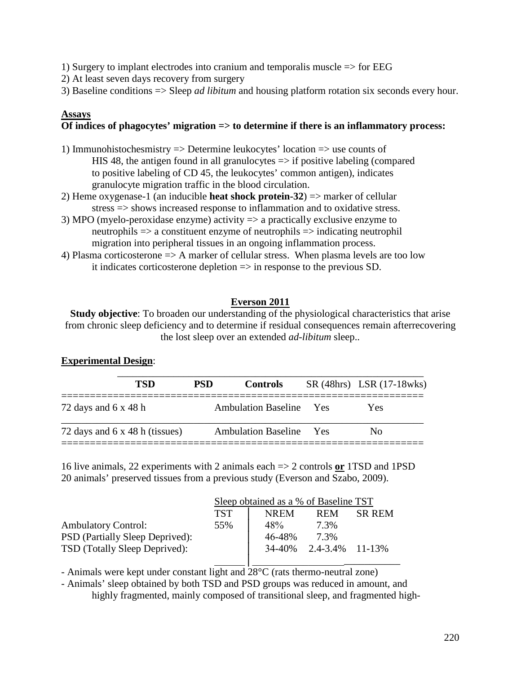1) Surgery to implant electrodes into cranium and temporalis muscle  $\Rightarrow$  for EEG

2) At least seven days recovery from surgery

3) Baseline conditions => Sleep *ad libitum* and housing platform rotation six seconds every hour.

## **Assays**

## **Of indices of phagocytes' migration => to determine if there is an inflammatory process:**

- 1) Immunohistochesmistry => Determine leukocytes' location => use counts of HIS 48, the antigen found in all granulocytes  $\Rightarrow$  if positive labeling (compared to positive labeling of CD 45, the leukocytes' common antigen), indicates granulocyte migration traffic in the blood circulation.
- 2) Heme oxygenase-1 (an inducible **heat shock protein-32**) => marker of cellular stress => shows increased response to inflammation and to oxidative stress.
- 3) MPO (myelo-peroxidase enzyme) activity => a practically exclusive enzyme to neutrophils => a constituent enzyme of neutrophils => indicating neutrophil migration into peripheral tissues in an ongoing inflammation process.
- 4) Plasma corticosterone => A marker of cellular stress. When plasma levels are too low it indicates corticosterone depletion => in response to the previous SD.

# **Everson 2011**

**Study objective**: To broaden our understanding of the physiological characteristics that arise from chronic sleep deficiency and to determine if residual consequences remain afterrecovering the lost sleep over an extended *ad-libitum* sleep..

## **Experimental Design**:

| <b>TSD</b>                     | <b>PSD</b> | <b>Controls</b>                | SR (48hrs) LSR (17-18wks) |
|--------------------------------|------------|--------------------------------|---------------------------|
| 72 days and $6 \times 48$ h    |            | <b>Ambulation Baseline</b> Yes | Yes                       |
| 72 days and 6 x 48 h (tissues) |            | <b>Ambulation Baseline</b> Yes | Nο                        |

16 live animals, 22 experiments with 2 animals each => 2 controls **or** 1TSD and 1PSD 20 animals' preserved tissues from a previous study (Everson and Szabo, 2009).

|                                 | Sleep obtained as a % of Baseline TST |             |                 |               |
|---------------------------------|---------------------------------------|-------------|-----------------|---------------|
|                                 | <b>TST</b>                            | <b>NREM</b> | <b>REM</b>      | <b>SR REM</b> |
| <b>Ambulatory Control:</b>      | 55%                                   | 48%         | 7.3%            |               |
| PSD (Partially Sleep Deprived): |                                       | 46-48%      | 7.3%            |               |
| TSD (Totally Sleep Deprived):   |                                       | 34-40%      | 2.4-3.4% 11-13% |               |
|                                 |                                       |             |                 |               |

- Animals were kept under constant light and  $28^{\circ}$ C (rats thermo-neutral zone)

- Animals' sleep obtained by both TSD and PSD groups was reduced in amount, and highly fragmented, mainly composed of transitional sleep, and fragmented high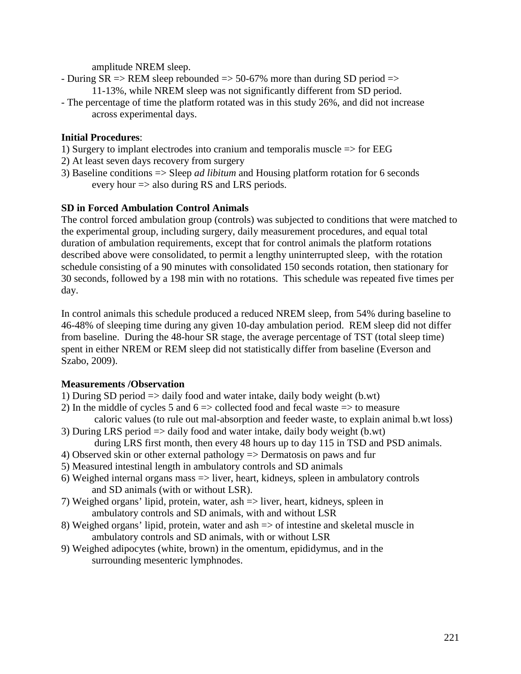amplitude NREM sleep.

- During  $SR \Rightarrow REM$  sleep rebounded  $\Rightarrow$  50-67% more than during SD period  $\Rightarrow$ 11-13%, while NREM sleep was not significantly different from SD period.
- The percentage of time the platform rotated was in this study 26%, and did not increase across experimental days.

# **Initial Procedures**:

- 1) Surgery to implant electrodes into cranium and temporalis muscle => for EEG
- 2) At least seven days recovery from surgery
- 3) Baseline conditions => Sleep *ad libitum* and Housing platform rotation for 6 seconds every hour => also during RS and LRS periods.

## **SD in Forced Ambulation Control Animals**

The control forced ambulation group (controls) was subjected to conditions that were matched to the experimental group, including surgery, daily measurement procedures, and equal total duration of ambulation requirements, except that for control animals the platform rotations described above were consolidated, to permit a lengthy uninterrupted sleep, with the rotation schedule consisting of a 90 minutes with consolidated 150 seconds rotation, then stationary for 30 seconds, followed by a 198 min with no rotations. This schedule was repeated five times per day.

In control animals this schedule produced a reduced NREM sleep, from 54% during baseline to 46-48% of sleeping time during any given 10-day ambulation period. REM sleep did not differ from baseline. During the 48-hour SR stage, the average percentage of TST (total sleep time) spent in either NREM or REM sleep did not statistically differ from baseline (Everson and Szabo, 2009).

## **Measurements /Observation**

- 1) During SD period => daily food and water intake, daily body weight (b.wt)
- 2) In the middle of cycles 5 and  $6 \Rightarrow$  collected food and fecal waste  $\Rightarrow$  to measure caloric values (to rule out mal-absorption and feeder waste, to explain animal b.wt loss) 3) During LRS period => daily food and water intake, daily body weight (b.wt)
- during LRS first month, then every 48 hours up to day 115 in TSD and PSD animals.
- 4) Observed skin or other external pathology => Dermatosis on paws and fur
- 5) Measured intestinal length in ambulatory controls and SD animals
- 6) Weighed internal organs mass  $\Rightarrow$  liver, heart, kidneys, spleen in ambulatory controls and SD animals (with or without LSR).
- 7) Weighed organs' lipid, protein, water, ash => liver, heart, kidneys, spleen in ambulatory controls and SD animals, with and without LSR
- 8) Weighed organs' lipid, protein, water and ash => of intestine and skeletal muscle in ambulatory controls and SD animals, with or without LSR
- 9) Weighed adipocytes (white, brown) in the omentum, epididymus, and in the surrounding mesenteric lymphnodes.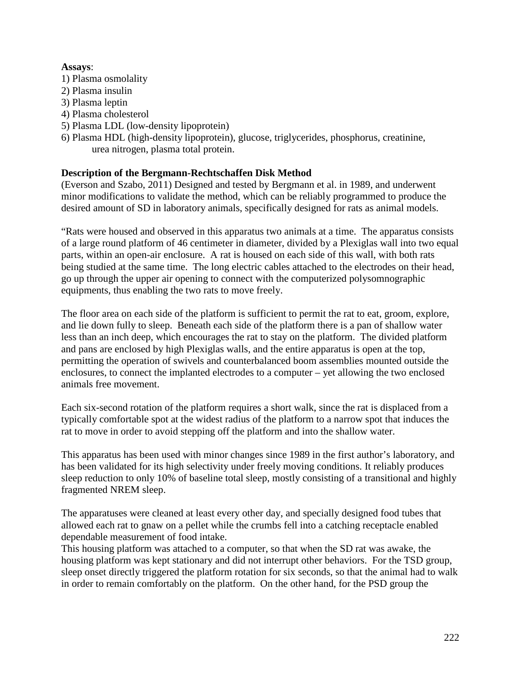### **Assays**:

- 1) Plasma osmolality
- 2) Plasma insulin
- 3) Plasma leptin
- 4) Plasma cholesterol
- 5) Plasma LDL (low-density lipoprotein)
- 6) Plasma HDL (high-density lipoprotein), glucose, triglycerides, phosphorus, creatinine, urea nitrogen, plasma total protein.

## **Description of the Bergmann-Rechtschaffen Disk Method**

(Everson and Szabo, 2011) Designed and tested by Bergmann et al. in 1989, and underwent minor modifications to validate the method, which can be reliably programmed to produce the desired amount of SD in laboratory animals, specifically designed for rats as animal models.

"Rats were housed and observed in this apparatus two animals at a time. The apparatus consists of a large round platform of 46 centimeter in diameter, divided by a Plexiglas wall into two equal parts, within an open-air enclosure. A rat is housed on each side of this wall, with both rats being studied at the same time. The long electric cables attached to the electrodes on their head, go up through the upper air opening to connect with the computerized polysomnographic equipments, thus enabling the two rats to move freely.

The floor area on each side of the platform is sufficient to permit the rat to eat, groom, explore, and lie down fully to sleep. Beneath each side of the platform there is a pan of shallow water less than an inch deep, which encourages the rat to stay on the platform. The divided platform and pans are enclosed by high Plexiglas walls, and the entire apparatus is open at the top, permitting the operation of swivels and counterbalanced boom assemblies mounted outside the enclosures, to connect the implanted electrodes to a computer – yet allowing the two enclosed animals free movement.

Each six-second rotation of the platform requires a short walk, since the rat is displaced from a typically comfortable spot at the widest radius of the platform to a narrow spot that induces the rat to move in order to avoid stepping off the platform and into the shallow water.

This apparatus has been used with minor changes since 1989 in the first author's laboratory, and has been validated for its high selectivity under freely moving conditions. It reliably produces sleep reduction to only 10% of baseline total sleep, mostly consisting of a transitional and highly fragmented NREM sleep.

The apparatuses were cleaned at least every other day, and specially designed food tubes that allowed each rat to gnaw on a pellet while the crumbs fell into a catching receptacle enabled dependable measurement of food intake.

This housing platform was attached to a computer, so that when the SD rat was awake, the housing platform was kept stationary and did not interrupt other behaviors. For the TSD group, sleep onset directly triggered the platform rotation for six seconds, so that the animal had to walk in order to remain comfortably on the platform. On the other hand, for the PSD group the